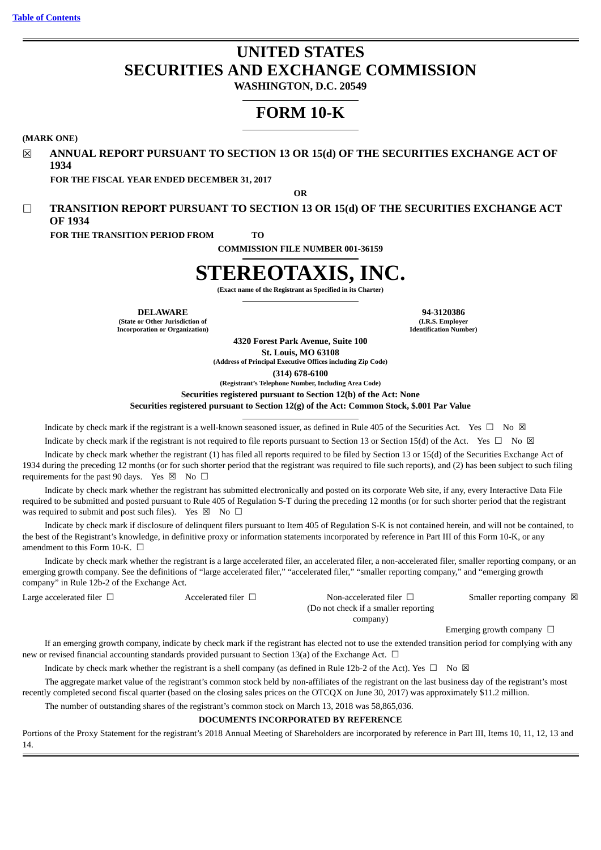# **UNITED STATES SECURITIES AND EXCHANGE COMMISSION**

**WASHINGTON, D.C. 20549**

## **FORM 10-K**

**(MARK ONE)**

☒ **ANNUAL REPORT PURSUANT TO SECTION 13 OR 15(d) OF THE SECURITIES EXCHANGE ACT OF 1934**

**FOR THE FISCAL YEAR ENDED DECEMBER 31, 2017**

**OR**

☐ **TRANSITION REPORT PURSUANT TO SECTION 13 OR 15(d) OF THE SECURITIES EXCHANGE ACT OF 1934**

**FOR THE TRANSITION PERIOD FROM TO** 

**COMMISSION FILE NUMBER 001-36159**

# **STEREOTAXIS, INC.**

**(Exact name of the Registrant as Specified in its Charter)**

**(State or Other Jurisdiction of Incorporation or Organization)**

**DELAWARE 94-3120386 (I.R.S. Employer Identification Number)**

> **4320 Forest Park Avenue, Suite 100 St. Louis, MO 63108 (Address of Principal Executive Offices including Zip Code)**

**(314) 678-6100**

**(Registrant's Telephone Number, Including Area Code)**

**Securities registered pursuant to Section 12(b) of the Act: None**

**Securities registered pursuant to Section 12(g) of the Act: Common Stock, \$.001 Par Value**

Indicate by check mark if the registrant is a well-known seasoned issuer, as defined in Rule 405 of the Securities Act. Yes  $\Box$  No  $\boxtimes$ 

Indicate by check mark if the registrant is not required to file reports pursuant to Section 13 or Section 15(d) of the Act. Yes  $\square$  No  $\boxtimes$ 

Indicate by check mark whether the registrant (1) has filed all reports required to be filed by Section 13 or 15(d) of the Securities Exchange Act of 1934 during the preceding 12 months (or for such shorter period that the registrant was required to file such reports), and (2) has been subject to such filing requirements for the past 90 days. Yes  $\boxtimes$  No  $\Box$ 

Indicate by check mark whether the registrant has submitted electronically and posted on its corporate Web site, if any, every Interactive Data File required to be submitted and posted pursuant to Rule 405 of Regulation S-T during the preceding 12 months (or for such shorter period that the registrant was required to submit and post such files). Yes  $\boxtimes$  No  $\Box$ 

Indicate by check mark if disclosure of delinquent filers pursuant to Item 405 of Regulation S-K is not contained herein, and will not be contained, to the best of the Registrant's knowledge, in definitive proxy or information statements incorporated by reference in Part III of this Form 10-K, or any amendment to this Form 10-K.  $\Box$ 

Indicate by check mark whether the registrant is a large accelerated filer, an accelerated filer, a non-accelerated filer, smaller reporting company, or an emerging growth company. See the definitions of "large accelerated filer," "accelerated filer," "smaller reporting company," and "emerging growth company" in Rule 12b-2 of the Exchange Act.

| Large accelerated filer $\Box$ | Accelerated filer $\Box$ | Non-accelerated filer $\Box$          | Smaller reporting company $\boxtimes$ |
|--------------------------------|--------------------------|---------------------------------------|---------------------------------------|
|                                |                          | (Do not check if a smaller reporting) |                                       |
|                                |                          | (company                              |                                       |
|                                |                          |                                       | Emerging growth company $\Box$        |

If an emerging growth company, indicate by check mark if the registrant has elected not to use the extended transition period for complying with any new or revised financial accounting standards provided pursuant to Section 13(a) of the Exchange Act.  $\Box$ 

Indicate by check mark whether the registrant is a shell company (as defined in Rule 12b-2 of the Act). Yes  $\Box$  No  $\boxtimes$ 

The aggregate market value of the registrant's common stock held by non-affiliates of the registrant on the last business day of the registrant's most recently completed second fiscal quarter (based on the closing sales prices on the OTCQX on June 30, 2017) was approximately \$11.2 million.

The number of outstanding shares of the registrant's common stock on March 13, 2018 was 58,865,036.

## **DOCUMENTS INCORPORATED BY REFERENCE**

Portions of the Proxy Statement for the registrant's 2018 Annual Meeting of Shareholders are incorporated by reference in Part III, Items 10, 11, 12, 13 and 14.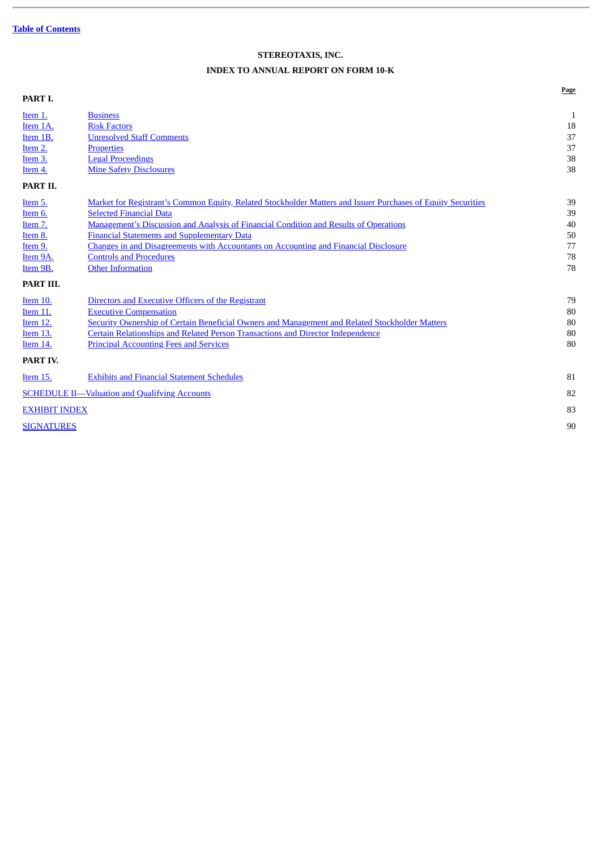J.

## **STEREOTAXIS, INC.**

## **INDEX TO ANNUAL REPORT ON FORM 10-K**

<span id="page-1-0"></span>

| PART I.              |                                                                                                              | Page         |
|----------------------|--------------------------------------------------------------------------------------------------------------|--------------|
|                      |                                                                                                              |              |
| Item 1.              | <b>Business</b>                                                                                              | $\mathbf{1}$ |
| Item 1A.             | <b>Risk Factors</b>                                                                                          | 18           |
| Item 1B.             | <b>Unresolved Staff Comments</b>                                                                             | 37           |
| Item 2.              | <b>Properties</b>                                                                                            | 37           |
| Item 3.              | <b>Legal Proceedings</b>                                                                                     | 38           |
| Item 4.              | <b>Mine Safety Disclosures</b>                                                                               | 38           |
| PART II.             |                                                                                                              |              |
| Item 5.              | Market for Registrant's Common Equity, Related Stockholder Matters and Issuer Purchases of Equity Securities | 39           |
| Item 6.              | <b>Selected Financial Data</b>                                                                               | 39           |
| Item 7.              | Management's Discussion and Analysis of Financial Condition and Results of Operations                        | 40           |
| Item 8.              | <b>Financial Statements and Supplementary Data</b>                                                           | 50           |
| Item 9.              | <b>Changes in and Disagreements with Accountants on Accounting and Financial Disclosure</b>                  | 77           |
| Item 9A.             | <b>Controls and Procedures</b>                                                                               | 78           |
| Item 9B.             | <b>Other Information</b>                                                                                     | 78           |
| PART III.            |                                                                                                              |              |
| Item 10.             | Directors and Executive Officers of the Registrant                                                           | 79           |
| Item 11.             | <b>Executive Compensation</b>                                                                                | 80           |
| <b>Item 12.</b>      | Security Ownership of Certain Beneficial Owners and Management and Related Stockholder Matters               | 80           |
| Item 13.             | <b>Certain Relationships and Related Person Transactions and Director Independence</b>                       | 80           |
| <b>Item 14.</b>      | <b>Principal Accounting Fees and Services</b>                                                                | 80           |
| PART IV.             |                                                                                                              |              |
| Item 15.             | <b>Exhibits and Financial Statement Schedules</b>                                                            | 81           |
|                      | <b>SCHEDULE II—Valuation and Qualifying Accounts</b>                                                         | 82           |
| <b>EXHIBIT INDEX</b> |                                                                                                              | 83           |
| <b>SIGNATURES</b>    |                                                                                                              | 90           |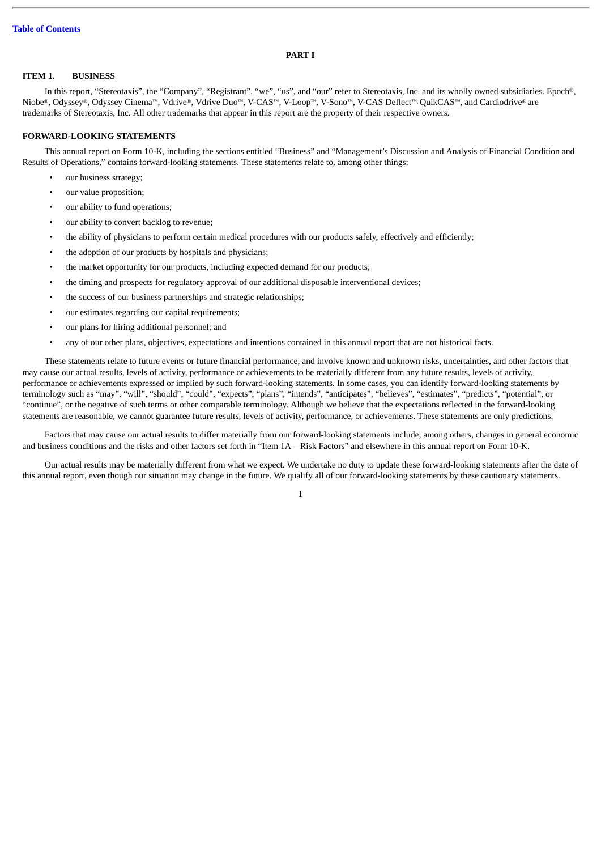#### **PART I**

#### <span id="page-2-0"></span>**ITEM 1. BUSINESS**

In this report, "Stereotaxis", the "Company", "Registrant", "we", "us", and "our" refer to Stereotaxis, Inc. and its wholly owned subsidiaries. Epoch , Niobe®, Odyssey®, Odyssey Cinema™, Vdrive®, Vdrive Duo™, V-CAS™, V-Loop™, V-Sono™, V-CAS Deflect™ QuikCAS™, and Cardiodrive® are trademarks of Stereotaxis, Inc. All other trademarks that appear in this report are the property of their respective owners.

#### **FORWARD-LOOKING STATEMENTS**

This annual report on Form 10-K, including the sections entitled "Business" and "Management's Discussion and Analysis of Financial Condition and Results of Operations," contains forward-looking statements. These statements relate to, among other things:

- our business strategy;
- our value proposition;
- our ability to fund operations;
- our ability to convert backlog to revenue;
- the ability of physicians to perform certain medical procedures with our products safely, effectively and efficiently;
- the adoption of our products by hospitals and physicians;
- the market opportunity for our products, including expected demand for our products;
- the timing and prospects for regulatory approval of our additional disposable interventional devices;
- the success of our business partnerships and strategic relationships;
- our estimates regarding our capital requirements;
- our plans for hiring additional personnel; and
- any of our other plans, objectives, expectations and intentions contained in this annual report that are not historical facts.

These statements relate to future events or future financial performance, and involve known and unknown risks, uncertainties, and other factors that may cause our actual results, levels of activity, performance or achievements to be materially different from any future results, levels of activity, performance or achievements expressed or implied by such forward-looking statements. In some cases, you can identify forward-looking statements by terminology such as "may", "will", "should", "could", "expects", "plans", "intends", "anticipates", "believes", "estimates", "predicts", "potential", or "continue", or the negative of such terms or other comparable terminology. Although we believe that the expectations reflected in the forward-looking statements are reasonable, we cannot guarantee future results, levels of activity, performance, or achievements. These statements are only predictions.

Factors that may cause our actual results to differ materially from our forward-looking statements include, among others, changes in general economic and business conditions and the risks and other factors set forth in "Item 1A—Risk Factors" and elsewhere in this annual report on Form 10-K.

Our actual results may be materially different from what we expect. We undertake no duty to update these forward-looking statements after the date of this annual report, even though our situation may change in the future. We qualify all of our forward-looking statements by these cautionary statements.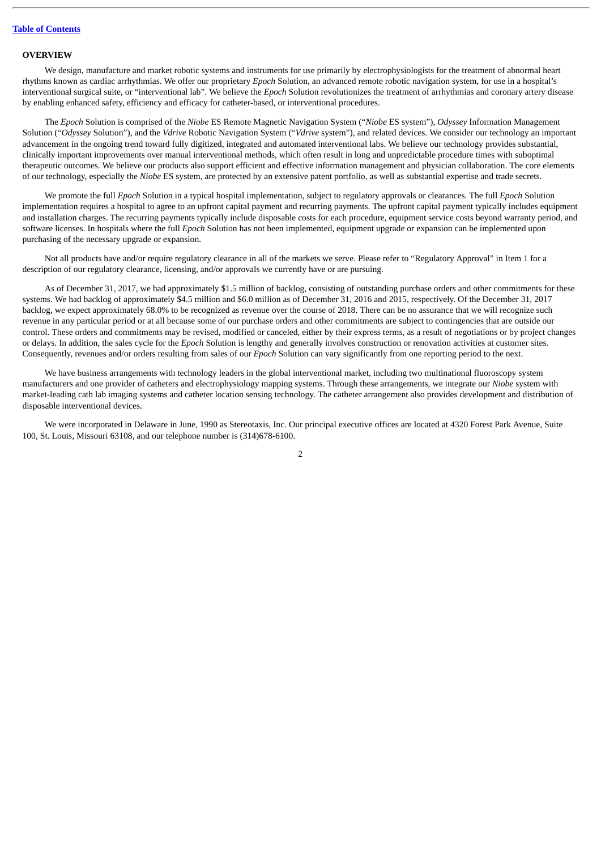#### **OVERVIEW**

We design, manufacture and market robotic systems and instruments for use primarily by electrophysiologists for the treatment of abnormal heart rhythms known as cardiac arrhythmias. We offer our proprietary *Epoch* Solution, an advanced remote robotic navigation system, for use in a hospital's interventional surgical suite, or "interventional lab". We believe the *Epoch* Solution revolutionizes the treatment of arrhythmias and coronary artery disease by enabling enhanced safety, efficiency and efficacy for catheter-based, or interventional procedures.

The *Epoch* Solution is comprised of the *Niobe* ES Remote Magnetic Navigation System ("*Niobe* ES system"), *Odyssey* Information Management Solution ("*Odyssey* Solution"), and the *Vdrive* Robotic Navigation System ("*Vdrive* system"), and related devices. We consider our technology an important advancement in the ongoing trend toward fully digitized, integrated and automated interventional labs. We believe our technology provides substantial, clinically important improvements over manual interventional methods, which often result in long and unpredictable procedure times with suboptimal therapeutic outcomes. We believe our products also support efficient and effective information management and physician collaboration. The core elements of our technology, especially the *Niobe* ES system, are protected by an extensive patent portfolio, as well as substantial expertise and trade secrets.

We promote the full *Epoch* Solution in a typical hospital implementation, subject to regulatory approvals or clearances. The full *Epoch* Solution implementation requires a hospital to agree to an upfront capital payment and recurring payments. The upfront capital payment typically includes equipment and installation charges. The recurring payments typically include disposable costs for each procedure, equipment service costs beyond warranty period, and software licenses. In hospitals where the full *Epoch* Solution has not been implemented, equipment upgrade or expansion can be implemented upon purchasing of the necessary upgrade or expansion.

Not all products have and/or require regulatory clearance in all of the markets we serve. Please refer to "Regulatory Approval" in Item 1 for a description of our regulatory clearance, licensing, and/or approvals we currently have or are pursuing.

As of December 31, 2017, we had approximately \$1.5 million of backlog, consisting of outstanding purchase orders and other commitments for these systems. We had backlog of approximately \$4.5 million and \$6.0 million as of December 31, 2016 and 2015, respectively. Of the December 31, 2017 backlog, we expect approximately 68.0% to be recognized as revenue over the course of 2018. There can be no assurance that we will recognize such revenue in any particular period or at all because some of our purchase orders and other commitments are subject to contingencies that are outside our control. These orders and commitments may be revised, modified or canceled, either by their express terms, as a result of negotiations or by project changes or delays. In addition, the sales cycle for the *Epoch* Solution is lengthy and generally involves construction or renovation activities at customer sites. Consequently, revenues and/or orders resulting from sales of our *Epoch* Solution can vary significantly from one reporting period to the next.

We have business arrangements with technology leaders in the global interventional market, including two multinational fluoroscopy system manufacturers and one provider of catheters and electrophysiology mapping systems. Through these arrangements, we integrate our *Niobe* system with market-leading cath lab imaging systems and catheter location sensing technology. The catheter arrangement also provides development and distribution of disposable interventional devices.

We were incorporated in Delaware in June, 1990 as Stereotaxis, Inc. Our principal executive offices are located at 4320 Forest Park Avenue, Suite 100, St. Louis, Missouri 63108, and our telephone number is (314)678-6100.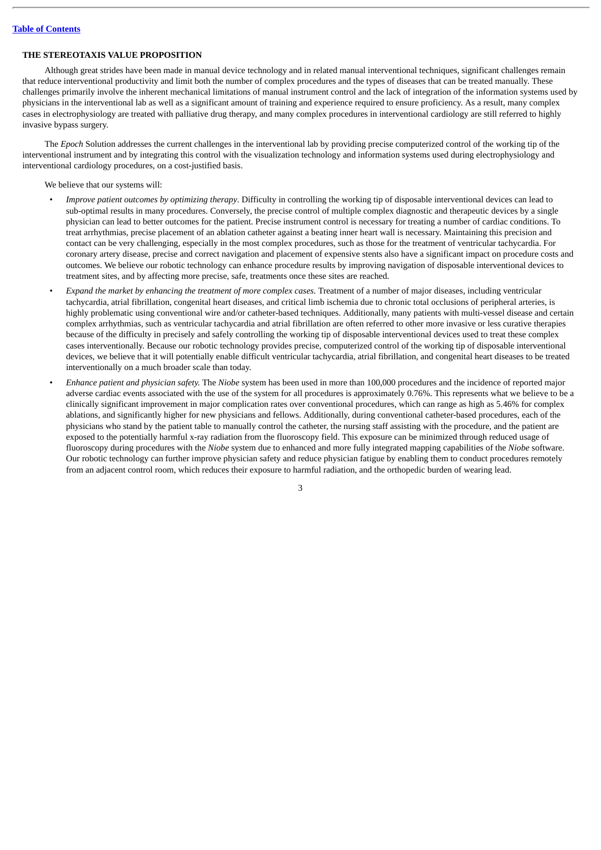## **THE STEREOTAXIS VALUE PROPOSITION**

Although great strides have been made in manual device technology and in related manual interventional techniques, significant challenges remain that reduce interventional productivity and limit both the number of complex procedures and the types of diseases that can be treated manually. These challenges primarily involve the inherent mechanical limitations of manual instrument control and the lack of integration of the information systems used by physicians in the interventional lab as well as a significant amount of training and experience required to ensure proficiency. As a result, many complex cases in electrophysiology are treated with palliative drug therapy, and many complex procedures in interventional cardiology are still referred to highly invasive bypass surgery.

The *Epoch* Solution addresses the current challenges in the interventional lab by providing precise computerized control of the working tip of the interventional instrument and by integrating this control with the visualization technology and information systems used during electrophysiology and interventional cardiology procedures, on a cost-justified basis.

We believe that our systems will:

- *Improve patient outcomes by optimizing therapy*. Difficulty in controlling the working tip of disposable interventional devices can lead to sub-optimal results in many procedures. Conversely, the precise control of multiple complex diagnostic and therapeutic devices by a single physician can lead to better outcomes for the patient. Precise instrument control is necessary for treating a number of cardiac conditions. To treat arrhythmias, precise placement of an ablation catheter against a beating inner heart wall is necessary. Maintaining this precision and contact can be very challenging, especially in the most complex procedures, such as those for the treatment of ventricular tachycardia. For coronary artery disease, precise and correct navigation and placement of expensive stents also have a significant impact on procedure costs and outcomes. We believe our robotic technology can enhance procedure results by improving navigation of disposable interventional devices to treatment sites, and by affecting more precise, safe, treatments once these sites are reached.
- *Expand the market by enhancing the treatment of more complex cases.* Treatment of a number of major diseases, including ventricular tachycardia, atrial fibrillation, congenital heart diseases, and critical limb ischemia due to chronic total occlusions of peripheral arteries, is highly problematic using conventional wire and/or catheter-based techniques. Additionally, many patients with multi-vessel disease and certain complex arrhythmias, such as ventricular tachycardia and atrial fibrillation are often referred to other more invasive or less curative therapies because of the difficulty in precisely and safely controlling the working tip of disposable interventional devices used to treat these complex cases interventionally. Because our robotic technology provides precise, computerized control of the working tip of disposable interventional devices, we believe that it will potentially enable difficult ventricular tachycardia, atrial fibrillation, and congenital heart diseases to be treated interventionally on a much broader scale than today.
- *Enhance patient and physician safety.* The *Niobe* system has been used in more than 100,000 procedures and the incidence of reported major adverse cardiac events associated with the use of the system for all procedures is approximately 0.76%. This represents what we believe to be a clinically significant improvement in major complication rates over conventional procedures, which can range as high as 5.46% for complex ablations, and significantly higher for new physicians and fellows. Additionally, during conventional catheter-based procedures, each of the physicians who stand by the patient table to manually control the catheter, the nursing staff assisting with the procedure, and the patient are exposed to the potentially harmful x-ray radiation from the fluoroscopy field. This exposure can be minimized through reduced usage of fluoroscopy during procedures with the *Niobe* system due to enhanced and more fully integrated mapping capabilities of the *Niobe* software. Our robotic technology can further improve physician safety and reduce physician fatigue by enabling them to conduct procedures remotely from an adjacent control room, which reduces their exposure to harmful radiation, and the orthopedic burden of wearing lead.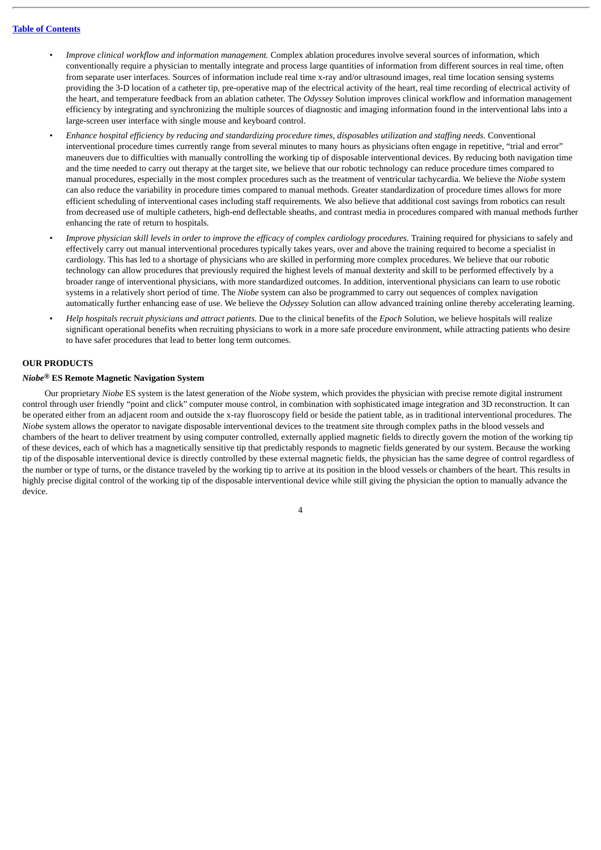#### **Table of [Contents](#page-1-0)**

- *Improve clinical workflow and information management.* Complex ablation procedures involve several sources of information, which conventionally require a physician to mentally integrate and process large quantities of information from different sources in real time, often from separate user interfaces. Sources of information include real time x-ray and/or ultrasound images, real time location sensing systems providing the 3-D location of a catheter tip, pre-operative map of the electrical activity of the heart, real time recording of electrical activity of the heart, and temperature feedback from an ablation catheter. The *Odyssey* Solution improves clinical workflow and information management efficiency by integrating and synchronizing the multiple sources of diagnostic and imaging information found in the interventional labs into a large-screen user interface with single mouse and keyboard control.
- *Enhance hospital efficiency by reducing and standardizing procedure times, disposables utilization and staffing needs.* Conventional interventional procedure times currently range from several minutes to many hours as physicians often engage in repetitive, "trial and error" maneuvers due to difficulties with manually controlling the working tip of disposable interventional devices. By reducing both navigation time and the time needed to carry out therapy at the target site, we believe that our robotic technology can reduce procedure times compared to manual procedures, especially in the most complex procedures such as the treatment of ventricular tachycardia. We believe the *Niobe* system can also reduce the variability in procedure times compared to manual methods. Greater standardization of procedure times allows for more efficient scheduling of interventional cases including staff requirements. We also believe that additional cost savings from robotics can result from decreased use of multiple catheters, high-end deflectable sheaths, and contrast media in procedures compared with manual methods further enhancing the rate of return to hospitals.
- *Improve physician skill levels in order to improve the efficacy of complex cardiology procedures.* Training required for physicians to safely and effectively carry out manual interventional procedures typically takes years, over and above the training required to become a specialist in cardiology. This has led to a shortage of physicians who are skilled in performing more complex procedures. We believe that our robotic technology can allow procedures that previously required the highest levels of manual dexterity and skill to be performed effectively by a broader range of interventional physicians, with more standardized outcomes. In addition, interventional physicians can learn to use robotic systems in a relatively short period of time. The *Niobe* system can also be programmed to carry out sequences of complex navigation automatically further enhancing ease of use. We believe the *Odyssey* Solution can allow advanced training online thereby accelerating learning.
- *Help hospitals recruit physicians and attract patients.* Due to the clinical benefits of the *Epoch* Solution, we believe hospitals will realize significant operational benefits when recruiting physicians to work in a more safe procedure environment, while attracting patients who desire to have safer procedures that lead to better long term outcomes.

## **OUR PRODUCTS**

## *Niobe* **ES Remote Magnetic Navigation System** *®*

Our proprietary *Niobe* ES system is the latest generation of the *Niobe* system, which provides the physician with precise remote digital instrument control through user friendly "point and click" computer mouse control, in combination with sophisticated image integration and 3D reconstruction. It can be operated either from an adjacent room and outside the x-ray fluoroscopy field or beside the patient table, as in traditional interventional procedures. The *Niobe* system allows the operator to navigate disposable interventional devices to the treatment site through complex paths in the blood vessels and chambers of the heart to deliver treatment by using computer controlled, externally applied magnetic fields to directly govern the motion of the working tip of these devices, each of which has a magnetically sensitive tip that predictably responds to magnetic fields generated by our system. Because the working tip of the disposable interventional device is directly controlled by these external magnetic fields, the physician has the same degree of control regardless of the number or type of turns, or the distance traveled by the working tip to arrive at its position in the blood vessels or chambers of the heart. This results in highly precise digital control of the working tip of the disposable interventional device while still giving the physician the option to manually advance the device.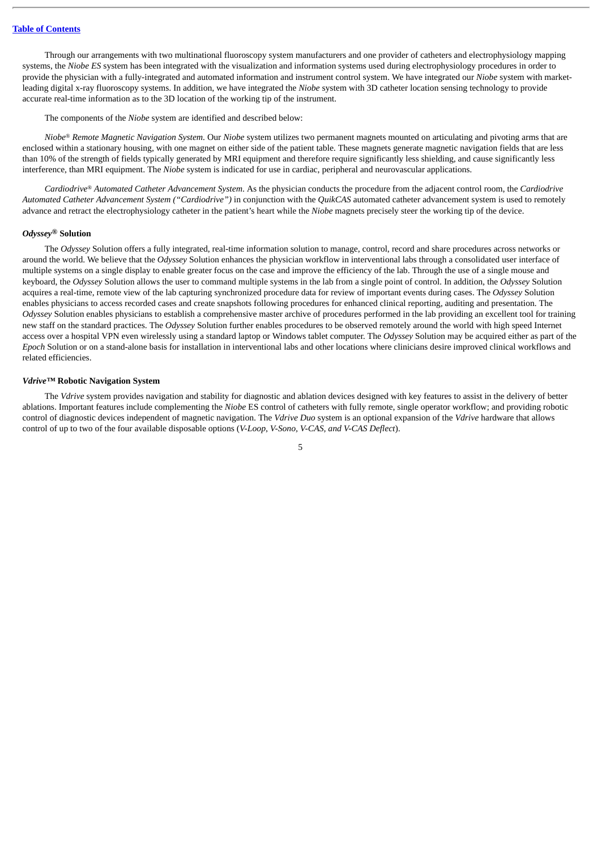Through our arrangements with two multinational fluoroscopy system manufacturers and one provider of catheters and electrophysiology mapping systems, the *Niobe ES* system has been integrated with the visualization and information systems used during electrophysiology procedures in order to provide the physician with a fully-integrated and automated information and instrument control system. We have integrated our *Niobe* system with marketleading digital x-ray fluoroscopy systems. In addition, we have integrated the *Niobe* system with 3D catheter location sensing technology to provide accurate real-time information as to the 3D location of the working tip of the instrument.

The components of the *Niobe* system are identified and described below:

Niobe® Remote Magnetic Navigation System. Our Niobe system utilizes two permanent magnets mounted on articulating and pivoting arms that are enclosed within a stationary housing, with one magnet on either side of the patient table. These magnets generate magnetic navigation fields that are less than 10% of the strength of fields typically generated by MRI equipment and therefore require significantly less shielding, and cause significantly less interference, than MRI equipment. The *Niobe* system is indicated for use in cardiac, peripheral and neurovascular applications.

*Cardiodrive Automated Catheter Advancement System*. As the physician conducts the procedure from the adjacent control room, the *Cardiodrive* ® *Automated Catheter Advancement System ("Cardiodrive")* in conjunction with the *QuikCAS* automated catheter advancement system is used to remotely advance and retract the electrophysiology catheter in the patient's heart while the *Niobe* magnets precisely steer the working tip of the device.

#### *Odyssey* **Solution** *®*

The *Odyssey* Solution offers a fully integrated, real-time information solution to manage, control, record and share procedures across networks or around the world. We believe that the *Odyssey* Solution enhances the physician workflow in interventional labs through a consolidated user interface of multiple systems on a single display to enable greater focus on the case and improve the efficiency of the lab. Through the use of a single mouse and keyboard, the *Odyssey* Solution allows the user to command multiple systems in the lab from a single point of control. In addition, the *Odyssey* Solution acquires a real-time, remote view of the lab capturing synchronized procedure data for review of important events during cases. The *Odyssey* Solution enables physicians to access recorded cases and create snapshots following procedures for enhanced clinical reporting, auditing and presentation. The *Odyssey* Solution enables physicians to establish a comprehensive master archive of procedures performed in the lab providing an excellent tool for training new staff on the standard practices. The *Odyssey* Solution further enables procedures to be observed remotely around the world with high speed Internet access over a hospital VPN even wirelessly using a standard laptop or Windows tablet computer. The *Odyssey* Solution may be acquired either as part of the *Epoch* Solution or on a stand-alone basis for installation in interventional labs and other locations where clinicians desire improved clinical workflows and related efficiencies.

#### *Vdrive™* **Robotic Navigation System**

The *Vdrive* system provides navigation and stability for diagnostic and ablation devices designed with key features to assist in the delivery of better ablations. Important features include complementing the *Niobe* ES control of catheters with fully remote, single operator workflow; and providing robotic control of diagnostic devices independent of magnetic navigation. The *Vdrive Duo* system is an optional expansion of the *Vdrive* hardware that allows control of up to two of the four available disposable options (*V-Loop*, *V-Sono, V-CAS, and V-CAS Deflect*).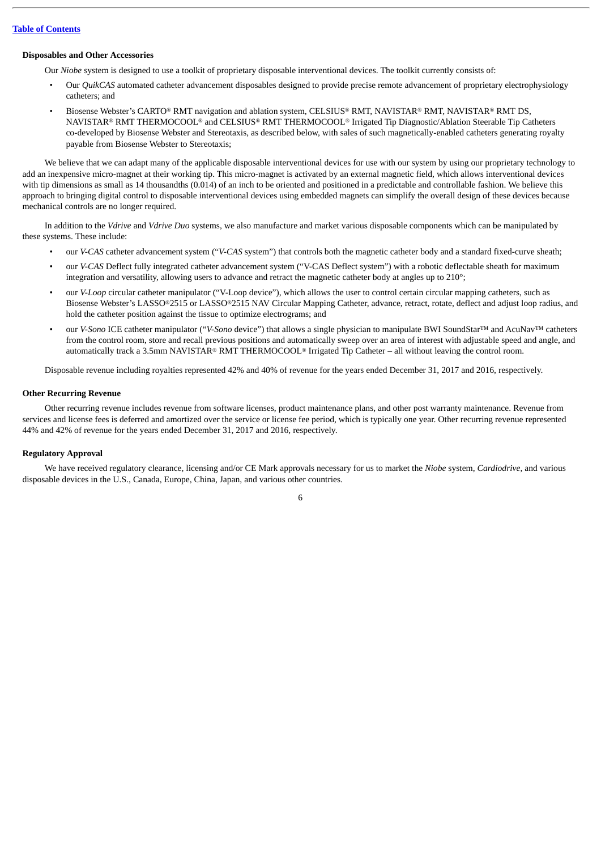## **Disposables and Other Accessories**

Our *Niobe* system is designed to use a toolkit of proprietary disposable interventional devices. The toolkit currently consists of:

- Our *QuikCAS* automated catheter advancement disposables designed to provide precise remote advancement of proprietary electrophysiology catheters; and
- $\bullet$  Biosense Webster's CARTO® RMT navigation and ablation system, CELSIUS® RMT, NAVISTAR® RMT, NAVISTAR® RMT DS, NAVISTAR® RMT THERMOCOOL® and CELSIUS® RMT THERMOCOOL® Irrigated Tip Diagnostic/Ablation Steerable Tip Catheters co-developed by Biosense Webster and Stereotaxis, as described below, with sales of such magnetically-enabled catheters generating royalty payable from Biosense Webster to Stereotaxis;

We believe that we can adapt many of the applicable disposable interventional devices for use with our system by using our proprietary technology to add an inexpensive micro-magnet at their working tip. This micro-magnet is activated by an external magnetic field, which allows interventional devices with tip dimensions as small as 14 thousandths (0.014) of an inch to be oriented and positioned in a predictable and controllable fashion. We believe this approach to bringing digital control to disposable interventional devices using embedded magnets can simplify the overall design of these devices because mechanical controls are no longer required.

In addition to the *Vdrive* and *Vdrive Duo* systems, we also manufacture and market various disposable components which can be manipulated by these systems. These include:

- our *V-CAS* catheter advancement system ("*V-CAS* system") that controls both the magnetic catheter body and a standard fixed-curve sheath;
- our *V-CAS* Deflect fully integrated catheter advancement system ("V-CAS Deflect system") with a robotic deflectable sheath for maximum integration and versatility, allowing users to advance and retract the magnetic catheter body at angles up to 210°;
- our *V-Loop* circular catheter manipulator ("V-Loop device"), which allows the user to control certain circular mapping catheters, such as Biosense Webster's LASSO®2515 or LASSO®2515 NAV Circular Mapping Catheter, advance, retract, rotate, deflect and adjust loop radius, and hold the catheter position against the tissue to optimize electrograms; and
- our *V-Sono* ICE catheter manipulator ("*V-Sono* device") that allows a single physician to manipulate BWI SoundStar™ and AcuNav™ catheters from the control room, store and recall previous positions and automatically sweep over an area of interest with adjustable speed and angle, and automatically track a 3.5mm NAVISTAR® RMT THERMOCOOL® Irrigated Tip Catheter – all without leaving the control room.

Disposable revenue including royalties represented 42% and 40% of revenue for the years ended December 31, 2017 and 2016, respectively.

#### **Other Recurring Revenue**

Other recurring revenue includes revenue from software licenses, product maintenance plans, and other post warranty maintenance. Revenue from services and license fees is deferred and amortized over the service or license fee period, which is typically one year. Other recurring revenue represented 44% and 42% of revenue for the years ended December 31, 2017 and 2016, respectively.

#### **Regulatory Approval**

We have received regulatory clearance, licensing and/or CE Mark approvals necessary for us to market the *Niobe* system, *Cardiodrive*, and various disposable devices in the U.S., Canada, Europe, China, Japan, and various other countries.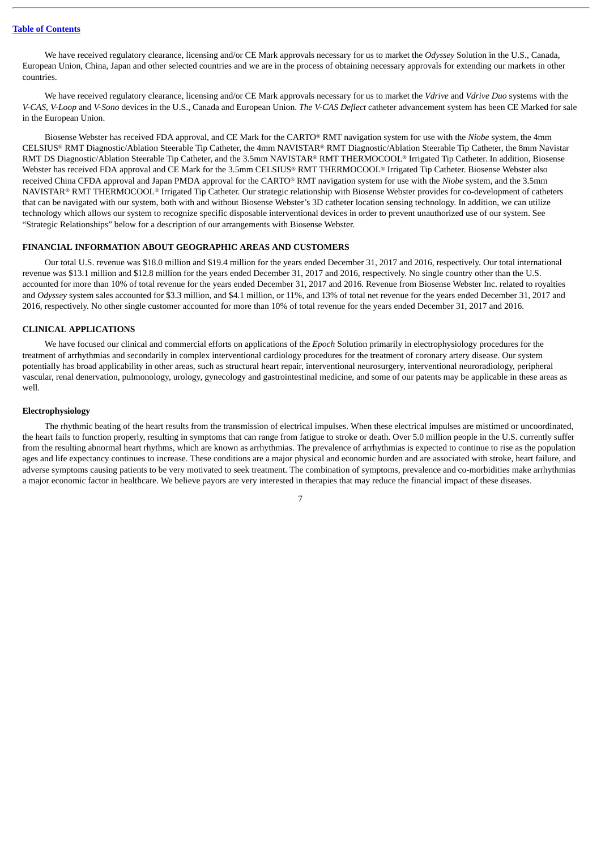We have received regulatory clearance, licensing and/or CE Mark approvals necessary for us to market the *Odyssey* Solution in the U.S., Canada, European Union, China, Japan and other selected countries and we are in the process of obtaining necessary approvals for extending our markets in other countries.

We have received regulatory clearance, licensing and/or CE Mark approvals necessary for us to market the *Vdrive* and *Vdrive Duo* systems with the *V-CAS, V-Loop* and *V-Sono* devices in the U.S., Canada and European Union. *The V-CAS Deflect* catheter advancement system has been CE Marked for sale in the European Union.

Biosense Webster has received FDA approval, and CE Mark for the CARTO® RMT navigation system for use with the *Niobe* system, the 4mm CELSIUS® RMT Diagnostic/Ablation Steerable Tip Catheter, the 4mm NAVISTAR® RMT Diagnostic/Ablation Steerable Tip Catheter, the 8mm Navistar RMT DS Diagnostic/Ablation Steerable Tip Catheter, and the 3.5mm NAVISTAR® RMT THERMOCOOL® Irrigated Tip Catheter. In addition, Biosense Webster has received FDA approval and CE Mark for the 3.5mm CELSIUS® RMT THERMOCOOL® Irrigated Tip Catheter. Biosense Webster also received China CFDA approval and Japan PMDA approval for the CARTO® RMT navigation system for use with the *Niobe* system, and the 3.5mm NAVISTAR® RMT THERMOCOOL® Irrigated Tip Catheter. Our strategic relationship with Biosense Webster provides for co-development of catheters that can be navigated with our system, both with and without Biosense Webster's 3D catheter location sensing technology. In addition, we can utilize technology which allows our system to recognize specific disposable interventional devices in order to prevent unauthorized use of our system. See "Strategic Relationships" below for a description of our arrangements with Biosense Webster.

#### **FINANCIAL INFORMATION ABOUT GEOGRAPHIC AREAS AND CUSTOMERS**

Our total U.S. revenue was \$18.0 million and \$19.4 million for the years ended December 31, 2017 and 2016, respectively. Our total international revenue was \$13.1 million and \$12.8 million for the years ended December 31, 2017 and 2016, respectively. No single country other than the U.S. accounted for more than 10% of total revenue for the years ended December 31, 2017 and 2016. Revenue from Biosense Webster Inc. related to royalties and *Odyssey* system sales accounted for \$3.3 million, and \$4.1 million, or 11%, and 13% of total net revenue for the years ended December 31, 2017 and 2016, respectively. No other single customer accounted for more than 10% of total revenue for the years ended December 31, 2017 and 2016.

#### **CLINICAL APPLICATIONS**

We have focused our clinical and commercial efforts on applications of the *Epoch* Solution primarily in electrophysiology procedures for the treatment of arrhythmias and secondarily in complex interventional cardiology procedures for the treatment of coronary artery disease. Our system potentially has broad applicability in other areas, such as structural heart repair, interventional neurosurgery, interventional neuroradiology, peripheral vascular, renal denervation, pulmonology, urology, gynecology and gastrointestinal medicine, and some of our patents may be applicable in these areas as well.

#### **Electrophysiology**

The rhythmic beating of the heart results from the transmission of electrical impulses. When these electrical impulses are mistimed or uncoordinated, the heart fails to function properly, resulting in symptoms that can range from fatigue to stroke or death. Over 5.0 million people in the U.S. currently suffer from the resulting abnormal heart rhythms, which are known as arrhythmias. The prevalence of arrhythmias is expected to continue to rise as the population ages and life expectancy continues to increase. These conditions are a major physical and economic burden and are associated with stroke, heart failure, and adverse symptoms causing patients to be very motivated to seek treatment. The combination of symptoms, prevalence and co-morbidities make arrhythmias a major economic factor in healthcare. We believe payors are very interested in therapies that may reduce the financial impact of these diseases.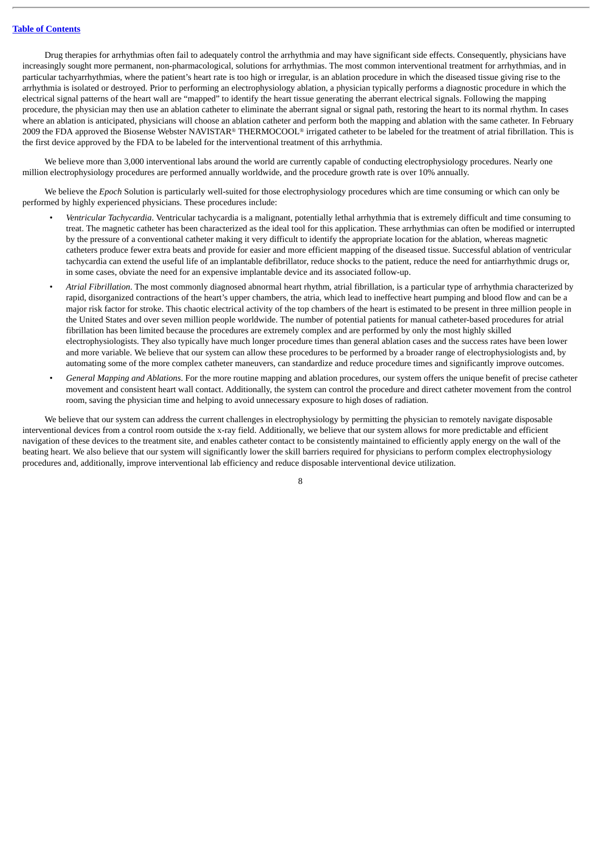Drug therapies for arrhythmias often fail to adequately control the arrhythmia and may have significant side effects. Consequently, physicians have increasingly sought more permanent, non-pharmacological, solutions for arrhythmias. The most common interventional treatment for arrhythmias, and in particular tachyarrhythmias, where the patient's heart rate is too high or irregular, is an ablation procedure in which the diseased tissue giving rise to the arrhythmia is isolated or destroyed. Prior to performing an electrophysiology ablation, a physician typically performs a diagnostic procedure in which the electrical signal patterns of the heart wall are "mapped" to identify the heart tissue generating the aberrant electrical signals. Following the mapping procedure, the physician may then use an ablation catheter to eliminate the aberrant signal or signal path, restoring the heart to its normal rhythm. In cases where an ablation is anticipated, physicians will choose an ablation catheter and perform both the mapping and ablation with the same catheter. In February 2009 the FDA approved the Biosense Webster NAVISTAR® THERMOCOOL® irrigated catheter to be labeled for the treatment of atrial fibrillation. This is the first device approved by the FDA to be labeled for the interventional treatment of this arrhythmia.

We believe more than 3,000 interventional labs around the world are currently capable of conducting electrophysiology procedures. Nearly one million electrophysiology procedures are performed annually worldwide, and the procedure growth rate is over 10% annually.

We believe the *Epoch* Solution is particularly well-suited for those electrophysiology procedures which are time consuming or which can only be performed by highly experienced physicians. These procedures include:

- *Ventricular Tachycardia*. Ventricular tachycardia is a malignant, potentially lethal arrhythmia that is extremely difficult and time consuming to treat. The magnetic catheter has been characterized as the ideal tool for this application. These arrhythmias can often be modified or interrupted by the pressure of a conventional catheter making it very difficult to identify the appropriate location for the ablation, whereas magnetic catheters produce fewer extra beats and provide for easier and more efficient mapping of the diseased tissue. Successful ablation of ventricular tachycardia can extend the useful life of an implantable defibrillator, reduce shocks to the patient, reduce the need for antiarrhythmic drugs or, in some cases, obviate the need for an expensive implantable device and its associated follow-up.
- *Atrial Fibrillation*. The most commonly diagnosed abnormal heart rhythm, atrial fibrillation, is a particular type of arrhythmia characterized by rapid, disorganized contractions of the heart's upper chambers, the atria, which lead to ineffective heart pumping and blood flow and can be a major risk factor for stroke. This chaotic electrical activity of the top chambers of the heart is estimated to be present in three million people in the United States and over seven million people worldwide. The number of potential patients for manual catheter-based procedures for atrial fibrillation has been limited because the procedures are extremely complex and are performed by only the most highly skilled electrophysiologists. They also typically have much longer procedure times than general ablation cases and the success rates have been lower and more variable. We believe that our system can allow these procedures to be performed by a broader range of electrophysiologists and, by automating some of the more complex catheter maneuvers, can standardize and reduce procedure times and significantly improve outcomes.
- *General Mapping and Ablations*. For the more routine mapping and ablation procedures, our system offers the unique benefit of precise catheter movement and consistent heart wall contact. Additionally, the system can control the procedure and direct catheter movement from the control room, saving the physician time and helping to avoid unnecessary exposure to high doses of radiation.

We believe that our system can address the current challenges in electrophysiology by permitting the physician to remotely navigate disposable interventional devices from a control room outside the x-ray field. Additionally, we believe that our system allows for more predictable and efficient navigation of these devices to the treatment site, and enables catheter contact to be consistently maintained to efficiently apply energy on the wall of the beating heart. We also believe that our system will significantly lower the skill barriers required for physicians to perform complex electrophysiology procedures and, additionally, improve interventional lab efficiency and reduce disposable interventional device utilization.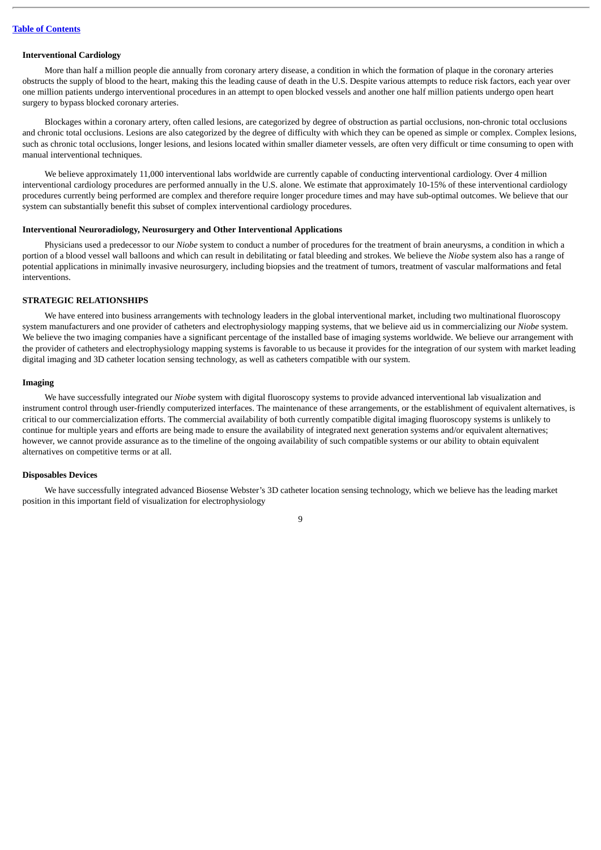#### **Interventional Cardiology**

More than half a million people die annually from coronary artery disease, a condition in which the formation of plaque in the coronary arteries obstructs the supply of blood to the heart, making this the leading cause of death in the U.S. Despite various attempts to reduce risk factors, each year over one million patients undergo interventional procedures in an attempt to open blocked vessels and another one half million patients undergo open heart surgery to bypass blocked coronary arteries.

Blockages within a coronary artery, often called lesions, are categorized by degree of obstruction as partial occlusions, non-chronic total occlusions and chronic total occlusions. Lesions are also categorized by the degree of difficulty with which they can be opened as simple or complex. Complex lesions, such as chronic total occlusions, longer lesions, and lesions located within smaller diameter vessels, are often very difficult or time consuming to open with manual interventional techniques.

We believe approximately 11,000 interventional labs worldwide are currently capable of conducting interventional cardiology. Over 4 million interventional cardiology procedures are performed annually in the U.S. alone. We estimate that approximately 10-15% of these interventional cardiology procedures currently being performed are complex and therefore require longer procedure times and may have sub-optimal outcomes. We believe that our system can substantially benefit this subset of complex interventional cardiology procedures.

#### **Interventional Neuroradiology, Neurosurgery and Other Interventional Applications**

Physicians used a predecessor to our *Niobe* system to conduct a number of procedures for the treatment of brain aneurysms, a condition in which a portion of a blood vessel wall balloons and which can result in debilitating or fatal bleeding and strokes. We believe the *Niobe* system also has a range of potential applications in minimally invasive neurosurgery, including biopsies and the treatment of tumors, treatment of vascular malformations and fetal interventions.

#### **STRATEGIC RELATIONSHIPS**

We have entered into business arrangements with technology leaders in the global interventional market, including two multinational fluoroscopy system manufacturers and one provider of catheters and electrophysiology mapping systems, that we believe aid us in commercializing our *Niobe* system. We believe the two imaging companies have a significant percentage of the installed base of imaging systems worldwide. We believe our arrangement with the provider of catheters and electrophysiology mapping systems is favorable to us because it provides for the integration of our system with market leading digital imaging and 3D catheter location sensing technology, as well as catheters compatible with our system.

#### **Imaging**

We have successfully integrated our *Niobe* system with digital fluoroscopy systems to provide advanced interventional lab visualization and instrument control through user-friendly computerized interfaces. The maintenance of these arrangements, or the establishment of equivalent alternatives, is critical to our commercialization efforts. The commercial availability of both currently compatible digital imaging fluoroscopy systems is unlikely to continue for multiple years and efforts are being made to ensure the availability of integrated next generation systems and/or equivalent alternatives; however, we cannot provide assurance as to the timeline of the ongoing availability of such compatible systems or our ability to obtain equivalent alternatives on competitive terms or at all.

#### **Disposables Devices**

We have successfully integrated advanced Biosense Webster's 3D catheter location sensing technology, which we believe has the leading market position in this important field of visualization for electrophysiology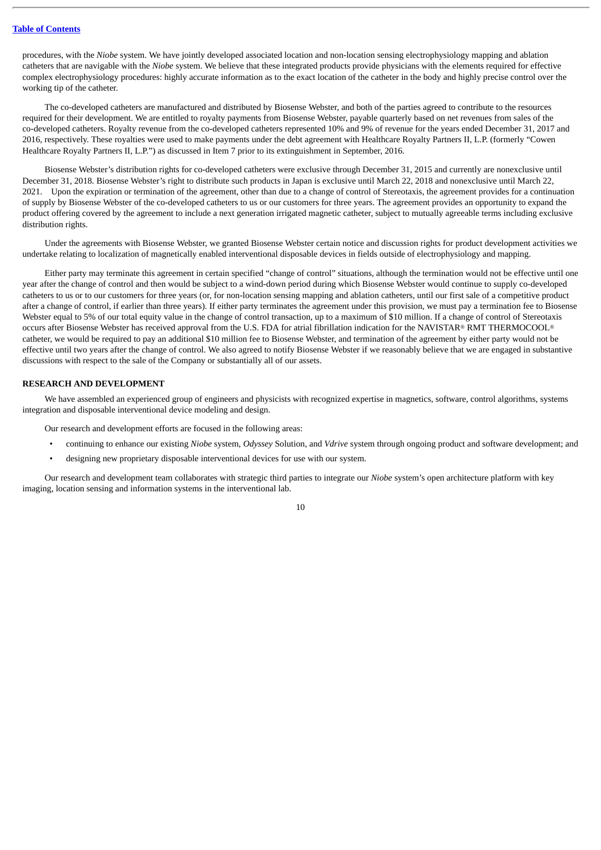procedures, with the *Niobe* system. We have jointly developed associated location and non-location sensing electrophysiology mapping and ablation catheters that are navigable with the *Niobe* system. We believe that these integrated products provide physicians with the elements required for effective complex electrophysiology procedures: highly accurate information as to the exact location of the catheter in the body and highly precise control over the working tip of the catheter.

The co-developed catheters are manufactured and distributed by Biosense Webster, and both of the parties agreed to contribute to the resources required for their development. We are entitled to royalty payments from Biosense Webster, payable quarterly based on net revenues from sales of the co-developed catheters. Royalty revenue from the co-developed catheters represented 10% and 9% of revenue for the years ended December 31, 2017 and 2016, respectively. These royalties were used to make payments under the debt agreement with Healthcare Royalty Partners II, L.P. (formerly "Cowen Healthcare Royalty Partners II, L.P.") as discussed in Item 7 prior to its extinguishment in September, 2016.

Biosense Webster's distribution rights for co-developed catheters were exclusive through December 31, 2015 and currently are nonexclusive until December 31, 2018. Biosense Webster's right to distribute such products in Japan is exclusive until March 22, 2018 and nonexclusive until March 22, 2021. Upon the expiration or termination of the agreement, other than due to a change of control of Stereotaxis, the agreement provides for a continuation of supply by Biosense Webster of the co-developed catheters to us or our customers for three years. The agreement provides an opportunity to expand the product offering covered by the agreement to include a next generation irrigated magnetic catheter, subject to mutually agreeable terms including exclusive distribution rights.

Under the agreements with Biosense Webster, we granted Biosense Webster certain notice and discussion rights for product development activities we undertake relating to localization of magnetically enabled interventional disposable devices in fields outside of electrophysiology and mapping.

Either party may terminate this agreement in certain specified "change of control" situations, although the termination would not be effective until one year after the change of control and then would be subject to a wind-down period during which Biosense Webster would continue to supply co-developed catheters to us or to our customers for three years (or, for non-location sensing mapping and ablation catheters, until our first sale of a competitive product after a change of control, if earlier than three years). If either party terminates the agreement under this provision, we must pay a termination fee to Biosense Webster equal to 5% of our total equity value in the change of control transaction, up to a maximum of \$10 million. If a change of control of Stereotaxis occurs after Biosense Webster has received approval from the U.S. FDA for atrial fibrillation indication for the NAVISTAR® RMT THERMOCOOL® catheter, we would be required to pay an additional \$10 million fee to Biosense Webster, and termination of the agreement by either party would not be effective until two years after the change of control. We also agreed to notify Biosense Webster if we reasonably believe that we are engaged in substantive discussions with respect to the sale of the Company or substantially all of our assets.

#### **RESEARCH AND DEVELOPMENT**

We have assembled an experienced group of engineers and physicists with recognized expertise in magnetics, software, control algorithms, systems integration and disposable interventional device modeling and design.

Our research and development efforts are focused in the following areas:

- continuing to enhance our existing *Niobe* system, *Odyssey* Solution, and *Vdrive* system through ongoing product and software development; and
- designing new proprietary disposable interventional devices for use with our system.

Our research and development team collaborates with strategic third parties to integrate our *Niobe* system's open architecture platform with key imaging, location sensing and information systems in the interventional lab.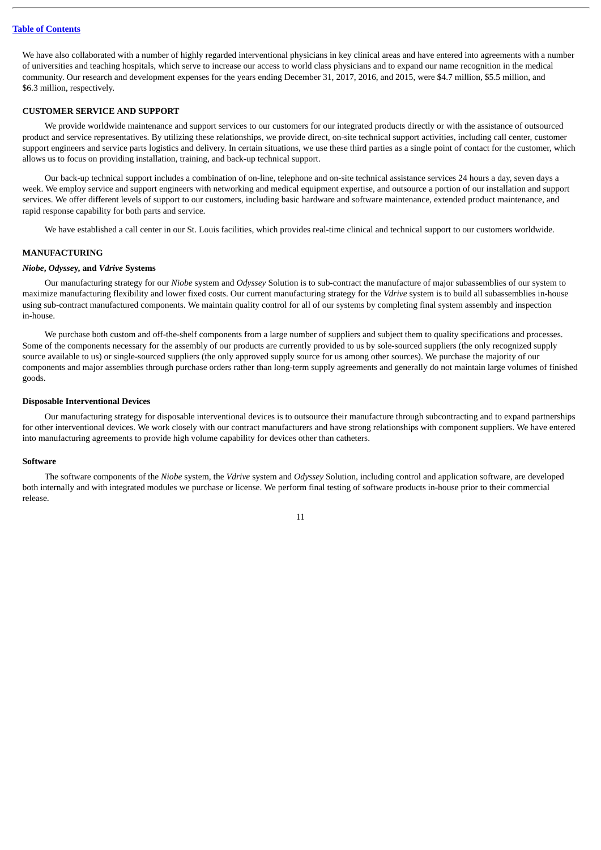We have also collaborated with a number of highly regarded interventional physicians in key clinical areas and have entered into agreements with a number of universities and teaching hospitals, which serve to increase our access to world class physicians and to expand our name recognition in the medical community. Our research and development expenses for the years ending December 31, 2017, 2016, and 2015, were \$4.7 million, \$5.5 million, and \$6.3 million, respectively.

#### **CUSTOMER SERVICE AND SUPPORT**

We provide worldwide maintenance and support services to our customers for our integrated products directly or with the assistance of outsourced product and service representatives. By utilizing these relationships, we provide direct, on-site technical support activities, including call center, customer support engineers and service parts logistics and delivery. In certain situations, we use these third parties as a single point of contact for the customer, which allows us to focus on providing installation, training, and back-up technical support.

Our back-up technical support includes a combination of on-line, telephone and on-site technical assistance services 24 hours a day, seven days a week. We employ service and support engineers with networking and medical equipment expertise, and outsource a portion of our installation and support services. We offer different levels of support to our customers, including basic hardware and software maintenance, extended product maintenance, and rapid response capability for both parts and service.

We have established a call center in our St. Louis facilities, which provides real-time clinical and technical support to our customers worldwide.

#### **MANUFACTURING**

#### *Niobe***,** *Odysse***y, and** *Vdrive* **Systems**

Our manufacturing strategy for our *Niobe* system and *Odyssey* Solution is to sub-contract the manufacture of major subassemblies of our system to maximize manufacturing flexibility and lower fixed costs. Our current manufacturing strategy for the *Vdrive* system is to build all subassemblies in-house using sub-contract manufactured components. We maintain quality control for all of our systems by completing final system assembly and inspection in-house.

We purchase both custom and off-the-shelf components from a large number of suppliers and subject them to quality specifications and processes. Some of the components necessary for the assembly of our products are currently provided to us by sole-sourced suppliers (the only recognized supply source available to us) or single-sourced suppliers (the only approved supply source for us among other sources). We purchase the majority of our components and major assemblies through purchase orders rather than long-term supply agreements and generally do not maintain large volumes of finished goods.

#### **Disposable Interventional Devices**

Our manufacturing strategy for disposable interventional devices is to outsource their manufacture through subcontracting and to expand partnerships for other interventional devices. We work closely with our contract manufacturers and have strong relationships with component suppliers. We have entered into manufacturing agreements to provide high volume capability for devices other than catheters.

#### **Software**

The software components of the *Niobe* system, the *Vdrive* system and *Odyssey* Solution, including control and application software, are developed both internally and with integrated modules we purchase or license. We perform final testing of software products in-house prior to their commercial release.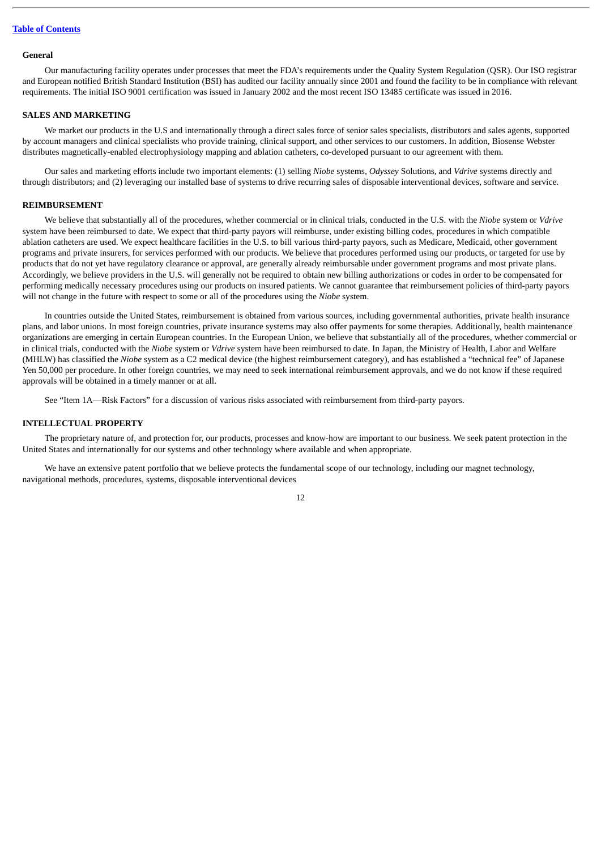#### **General**

Our manufacturing facility operates under processes that meet the FDA's requirements under the Quality System Regulation (QSR). Our ISO registrar and European notified British Standard Institution (BSI) has audited our facility annually since 2001 and found the facility to be in compliance with relevant requirements. The initial ISO 9001 certification was issued in January 2002 and the most recent ISO 13485 certificate was issued in 2016.

#### **SALES AND MARKETING**

We market our products in the U.S and internationally through a direct sales force of senior sales specialists, distributors and sales agents, supported by account managers and clinical specialists who provide training, clinical support, and other services to our customers. In addition, Biosense Webster distributes magnetically-enabled electrophysiology mapping and ablation catheters, co-developed pursuant to our agreement with them.

Our sales and marketing efforts include two important elements: (1) selling *Niobe* systems, *Odyssey* Solutions*,* and *Vdrive* systems directly and through distributors; and (2) leveraging our installed base of systems to drive recurring sales of disposable interventional devices, software and service.

#### **REIMBURSEMENT**

We believe that substantially all of the procedures, whether commercial or in clinical trials, conducted in the U.S. with the *Niobe* system or *Vdrive* system have been reimbursed to date. We expect that third-party payors will reimburse, under existing billing codes, procedures in which compatible ablation catheters are used. We expect healthcare facilities in the U.S. to bill various third-party payors, such as Medicare, Medicaid, other government programs and private insurers, for services performed with our products. We believe that procedures performed using our products, or targeted for use by products that do not yet have regulatory clearance or approval, are generally already reimbursable under government programs and most private plans. Accordingly, we believe providers in the U.S. will generally not be required to obtain new billing authorizations or codes in order to be compensated for performing medically necessary procedures using our products on insured patients. We cannot guarantee that reimbursement policies of third-party payors will not change in the future with respect to some or all of the procedures using the *Niobe* system.

In countries outside the United States, reimbursement is obtained from various sources, including governmental authorities, private health insurance plans, and labor unions. In most foreign countries, private insurance systems may also offer payments for some therapies. Additionally, health maintenance organizations are emerging in certain European countries. In the European Union, we believe that substantially all of the procedures, whether commercial or in clinical trials, conducted with the *Niobe* system or *Vdrive* system have been reimbursed to date. In Japan, the Ministry of Health, Labor and Welfare (MHLW) has classified the *Niobe* system as a C2 medical device (the highest reimbursement category), and has established a "technical fee" of Japanese Yen 50,000 per procedure. In other foreign countries, we may need to seek international reimbursement approvals, and we do not know if these required approvals will be obtained in a timely manner or at all.

See "Item 1A—Risk Factors" for a discussion of various risks associated with reimbursement from third-party payors.

#### **INTELLECTUAL PROPERTY**

The proprietary nature of, and protection for, our products, processes and know-how are important to our business. We seek patent protection in the United States and internationally for our systems and other technology where available and when appropriate.

We have an extensive patent portfolio that we believe protects the fundamental scope of our technology, including our magnet technology, navigational methods, procedures, systems, disposable interventional devices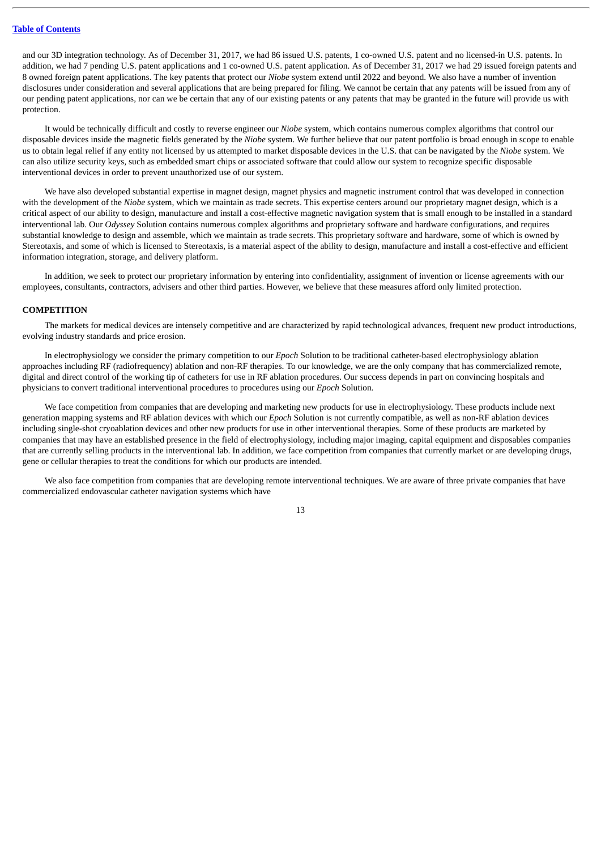and our 3D integration technology. As of December 31, 2017, we had 86 issued U.S. patents, 1 co-owned U.S. patent and no licensed-in U.S. patents. In addition, we had 7 pending U.S. patent applications and 1 co-owned U.S. patent application. As of December 31, 2017 we had 29 issued foreign patents and 8 owned foreign patent applications. The key patents that protect our *Niobe* system extend until 2022 and beyond. We also have a number of invention disclosures under consideration and several applications that are being prepared for filing. We cannot be certain that any patents will be issued from any of our pending patent applications, nor can we be certain that any of our existing patents or any patents that may be granted in the future will provide us with protection.

It would be technically difficult and costly to reverse engineer our *Niobe* system, which contains numerous complex algorithms that control our disposable devices inside the magnetic fields generated by the *Niobe* system. We further believe that our patent portfolio is broad enough in scope to enable us to obtain legal relief if any entity not licensed by us attempted to market disposable devices in the U.S. that can be navigated by the *Niobe* system. We can also utilize security keys, such as embedded smart chips or associated software that could allow our system to recognize specific disposable interventional devices in order to prevent unauthorized use of our system.

We have also developed substantial expertise in magnet design, magnet physics and magnetic instrument control that was developed in connection with the development of the *Niobe* system, which we maintain as trade secrets. This expertise centers around our proprietary magnet design, which is a critical aspect of our ability to design, manufacture and install a cost-effective magnetic navigation system that is small enough to be installed in a standard interventional lab. Our *Odyssey* Solution contains numerous complex algorithms and proprietary software and hardware configurations, and requires substantial knowledge to design and assemble, which we maintain as trade secrets. This proprietary software and hardware, some of which is owned by Stereotaxis, and some of which is licensed to Stereotaxis, is a material aspect of the ability to design, manufacture and install a cost-effective and efficient information integration, storage, and delivery platform.

In addition, we seek to protect our proprietary information by entering into confidentiality, assignment of invention or license agreements with our employees, consultants, contractors, advisers and other third parties. However, we believe that these measures afford only limited protection.

#### **COMPETITION**

The markets for medical devices are intensely competitive and are characterized by rapid technological advances, frequent new product introductions, evolving industry standards and price erosion.

In electrophysiology we consider the primary competition to our *Epoch* Solution to be traditional catheter-based electrophysiology ablation approaches including RF (radiofrequency) ablation and non-RF therapies. To our knowledge, we are the only company that has commercialized remote, digital and direct control of the working tip of catheters for use in RF ablation procedures. Our success depends in part on convincing hospitals and physicians to convert traditional interventional procedures to procedures using our *Epoch* Solution*.*

We face competition from companies that are developing and marketing new products for use in electrophysiology. These products include next generation mapping systems and RF ablation devices with which our *Epoch* Solution is not currently compatible, as well as non-RF ablation devices including single-shot cryoablation devices and other new products for use in other interventional therapies. Some of these products are marketed by companies that may have an established presence in the field of electrophysiology, including major imaging, capital equipment and disposables companies that are currently selling products in the interventional lab. In addition, we face competition from companies that currently market or are developing drugs, gene or cellular therapies to treat the conditions for which our products are intended.

We also face competition from companies that are developing remote interventional techniques. We are aware of three private companies that have commercialized endovascular catheter navigation systems which have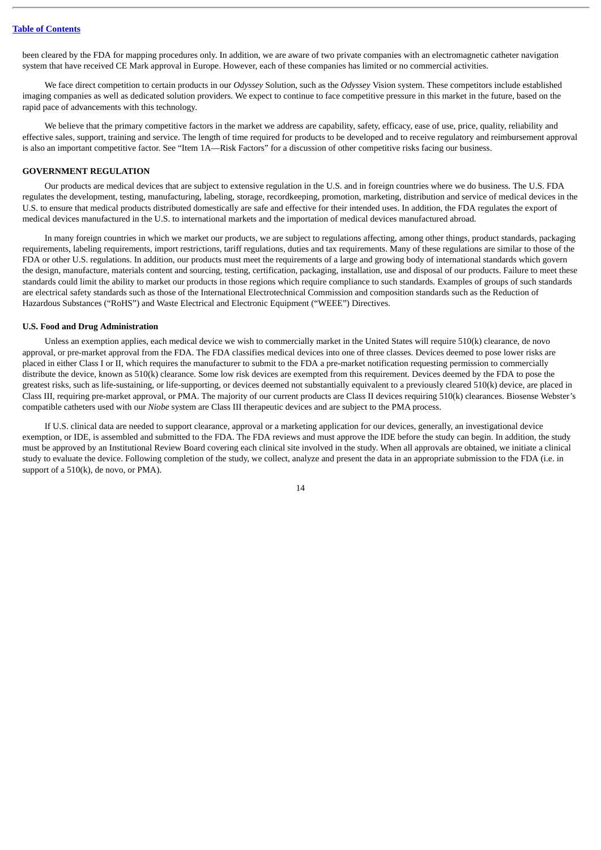been cleared by the FDA for mapping procedures only. In addition, we are aware of two private companies with an electromagnetic catheter navigation system that have received CE Mark approval in Europe. However, each of these companies has limited or no commercial activities.

We face direct competition to certain products in our *Odyssey* Solution, such as the *Odyssey* Vision system. These competitors include established imaging companies as well as dedicated solution providers. We expect to continue to face competitive pressure in this market in the future, based on the rapid pace of advancements with this technology.

We believe that the primary competitive factors in the market we address are capability, safety, efficacy, ease of use, price, quality, reliability and effective sales, support, training and service. The length of time required for products to be developed and to receive regulatory and reimbursement approval is also an important competitive factor. See "Item 1A—Risk Factors" for a discussion of other competitive risks facing our business.

#### **GOVERNMENT REGULATION**

Our products are medical devices that are subject to extensive regulation in the U.S. and in foreign countries where we do business. The U.S. FDA regulates the development, testing, manufacturing, labeling, storage, recordkeeping, promotion, marketing, distribution and service of medical devices in the U.S. to ensure that medical products distributed domestically are safe and effective for their intended uses. In addition, the FDA regulates the export of medical devices manufactured in the U.S. to international markets and the importation of medical devices manufactured abroad.

In many foreign countries in which we market our products, we are subject to regulations affecting, among other things, product standards, packaging requirements, labeling requirements, import restrictions, tariff regulations, duties and tax requirements. Many of these regulations are similar to those of the FDA or other U.S. regulations. In addition, our products must meet the requirements of a large and growing body of international standards which govern the design, manufacture, materials content and sourcing, testing, certification, packaging, installation, use and disposal of our products. Failure to meet these standards could limit the ability to market our products in those regions which require compliance to such standards. Examples of groups of such standards are electrical safety standards such as those of the International Electrotechnical Commission and composition standards such as the Reduction of Hazardous Substances ("RoHS") and Waste Electrical and Electronic Equipment ("WEEE") Directives.

#### **U.S. Food and Drug Administration**

Unless an exemption applies, each medical device we wish to commercially market in the United States will require 510(k) clearance, de novo approval, or pre-market approval from the FDA. The FDA classifies medical devices into one of three classes. Devices deemed to pose lower risks are placed in either Class I or II, which requires the manufacturer to submit to the FDA a pre-market notification requesting permission to commercially distribute the device, known as 510(k) clearance. Some low risk devices are exempted from this requirement. Devices deemed by the FDA to pose the greatest risks, such as life-sustaining, or life-supporting, or devices deemed not substantially equivalent to a previously cleared 510(k) device, are placed in Class III, requiring pre-market approval, or PMA. The majority of our current products are Class II devices requiring 510(k) clearances. Biosense Webster's compatible catheters used with our *Niobe* system are Class III therapeutic devices and are subject to the PMA process.

If U.S. clinical data are needed to support clearance, approval or a marketing application for our devices, generally, an investigational device exemption, or IDE, is assembled and submitted to the FDA. The FDA reviews and must approve the IDE before the study can begin. In addition, the study must be approved by an Institutional Review Board covering each clinical site involved in the study. When all approvals are obtained, we initiate a clinical study to evaluate the device. Following completion of the study, we collect, analyze and present the data in an appropriate submission to the FDA (i.e. in support of a 510(k), de novo, or PMA).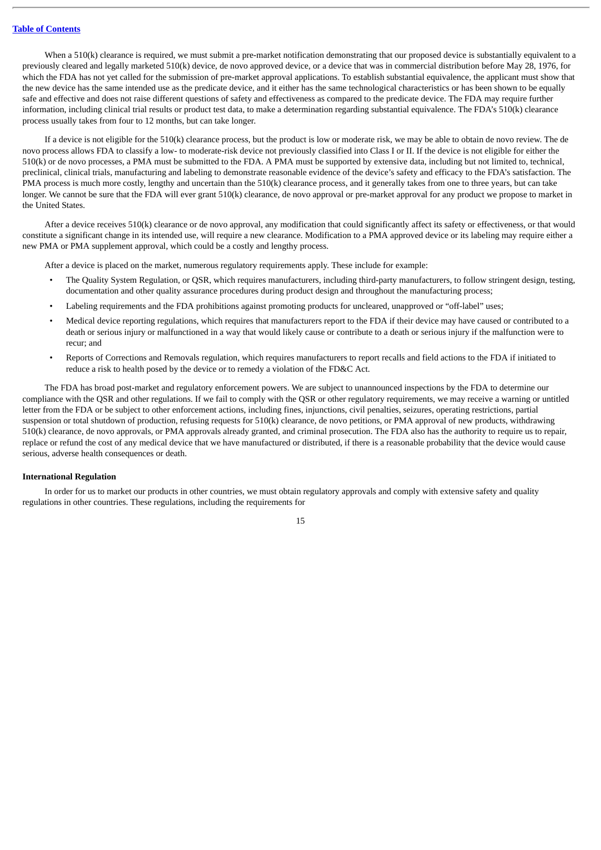When a 510(k) clearance is required, we must submit a pre-market notification demonstrating that our proposed device is substantially equivalent to a previously cleared and legally marketed 510(k) device, de novo approved device, or a device that was in commercial distribution before May 28, 1976, for which the FDA has not yet called for the submission of pre-market approval applications. To establish substantial equivalence, the applicant must show that the new device has the same intended use as the predicate device, and it either has the same technological characteristics or has been shown to be equally safe and effective and does not raise different questions of safety and effectiveness as compared to the predicate device. The FDA may require further information, including clinical trial results or product test data, to make a determination regarding substantial equivalence. The FDA's 510(k) clearance process usually takes from four to 12 months, but can take longer.

If a device is not eligible for the 510(k) clearance process, but the product is low or moderate risk, we may be able to obtain de novo review. The de novo process allows FDA to classify a low- to moderate-risk device not previously classified into Class I or II. If the device is not eligible for either the 510(k) or de novo processes, a PMA must be submitted to the FDA. A PMA must be supported by extensive data, including but not limited to, technical, preclinical, clinical trials, manufacturing and labeling to demonstrate reasonable evidence of the device's safety and efficacy to the FDA's satisfaction. The PMA process is much more costly, lengthy and uncertain than the 510(k) clearance process, and it generally takes from one to three years, but can take longer. We cannot be sure that the FDA will ever grant 510(k) clearance, de novo approval or pre-market approval for any product we propose to market in the United States.

After a device receives 510(k) clearance or de novo approval, any modification that could significantly affect its safety or effectiveness, or that would constitute a significant change in its intended use, will require a new clearance. Modification to a PMA approved device or its labeling may require either a new PMA or PMA supplement approval, which could be a costly and lengthy process.

After a device is placed on the market, numerous regulatory requirements apply. These include for example:

- The Quality System Regulation, or QSR, which requires manufacturers, including third-party manufacturers, to follow stringent design, testing, documentation and other quality assurance procedures during product design and throughout the manufacturing process;
- Labeling requirements and the FDA prohibitions against promoting products for uncleared, unapproved or "off-label" uses;
- Medical device reporting regulations, which requires that manufacturers report to the FDA if their device may have caused or contributed to a death or serious injury or malfunctioned in a way that would likely cause or contribute to a death or serious injury if the malfunction were to recur; and
- Reports of Corrections and Removals regulation, which requires manufacturers to report recalls and field actions to the FDA if initiated to reduce a risk to health posed by the device or to remedy a violation of the FD&C Act.

The FDA has broad post-market and regulatory enforcement powers. We are subject to unannounced inspections by the FDA to determine our compliance with the QSR and other regulations. If we fail to comply with the QSR or other regulatory requirements, we may receive a warning or untitled letter from the FDA or be subject to other enforcement actions, including fines, injunctions, civil penalties, seizures, operating restrictions, partial suspension or total shutdown of production, refusing requests for 510(k) clearance, de novo petitions, or PMA approval of new products, withdrawing 510(k) clearance, de novo approvals, or PMA approvals already granted, and criminal prosecution. The FDA also has the authority to require us to repair, replace or refund the cost of any medical device that we have manufactured or distributed, if there is a reasonable probability that the device would cause serious, adverse health consequences or death.

#### **International Regulation**

In order for us to market our products in other countries, we must obtain regulatory approvals and comply with extensive safety and quality regulations in other countries. These regulations, including the requirements for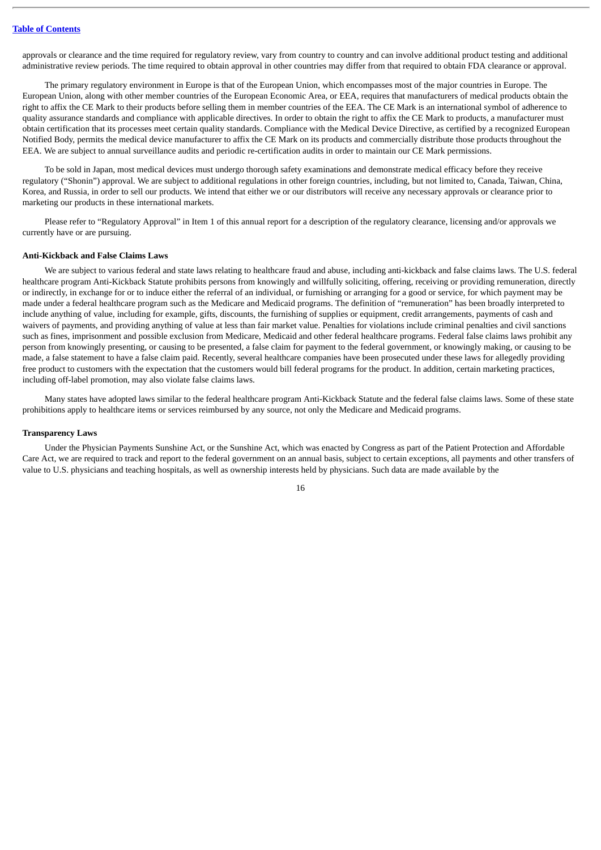approvals or clearance and the time required for regulatory review, vary from country to country and can involve additional product testing and additional administrative review periods. The time required to obtain approval in other countries may differ from that required to obtain FDA clearance or approval.

The primary regulatory environment in Europe is that of the European Union, which encompasses most of the major countries in Europe. The European Union, along with other member countries of the European Economic Area, or EEA, requires that manufacturers of medical products obtain the right to affix the CE Mark to their products before selling them in member countries of the EEA. The CE Mark is an international symbol of adherence to quality assurance standards and compliance with applicable directives. In order to obtain the right to affix the CE Mark to products, a manufacturer must obtain certification that its processes meet certain quality standards. Compliance with the Medical Device Directive, as certified by a recognized European Notified Body, permits the medical device manufacturer to affix the CE Mark on its products and commercially distribute those products throughout the EEA. We are subject to annual surveillance audits and periodic re-certification audits in order to maintain our CE Mark permissions.

To be sold in Japan, most medical devices must undergo thorough safety examinations and demonstrate medical efficacy before they receive regulatory ("Shonin") approval. We are subject to additional regulations in other foreign countries, including, but not limited to, Canada, Taiwan, China, Korea, and Russia, in order to sell our products. We intend that either we or our distributors will receive any necessary approvals or clearance prior to marketing our products in these international markets.

Please refer to "Regulatory Approval" in Item 1 of this annual report for a description of the regulatory clearance, licensing and/or approvals we currently have or are pursuing.

#### **Anti-Kickback and False Claims Laws**

We are subject to various federal and state laws relating to healthcare fraud and abuse, including anti-kickback and false claims laws. The U.S. federal healthcare program Anti-Kickback Statute prohibits persons from knowingly and willfully soliciting, offering, receiving or providing remuneration, directly or indirectly, in exchange for or to induce either the referral of an individual, or furnishing or arranging for a good or service, for which payment may be made under a federal healthcare program such as the Medicare and Medicaid programs. The definition of "remuneration" has been broadly interpreted to include anything of value, including for example, gifts, discounts, the furnishing of supplies or equipment, credit arrangements, payments of cash and waivers of payments, and providing anything of value at less than fair market value. Penalties for violations include criminal penalties and civil sanctions such as fines, imprisonment and possible exclusion from Medicare, Medicaid and other federal healthcare programs. Federal false claims laws prohibit any person from knowingly presenting, or causing to be presented, a false claim for payment to the federal government, or knowingly making, or causing to be made, a false statement to have a false claim paid. Recently, several healthcare companies have been prosecuted under these laws for allegedly providing free product to customers with the expectation that the customers would bill federal programs for the product. In addition, certain marketing practices, including off-label promotion, may also violate false claims laws.

Many states have adopted laws similar to the federal healthcare program Anti-Kickback Statute and the federal false claims laws. Some of these state prohibitions apply to healthcare items or services reimbursed by any source, not only the Medicare and Medicaid programs.

#### **Transparency Laws**

Under the Physician Payments Sunshine Act, or the Sunshine Act, which was enacted by Congress as part of the Patient Protection and Affordable Care Act, we are required to track and report to the federal government on an annual basis, subject to certain exceptions, all payments and other transfers of value to U.S. physicians and teaching hospitals, as well as ownership interests held by physicians. Such data are made available by the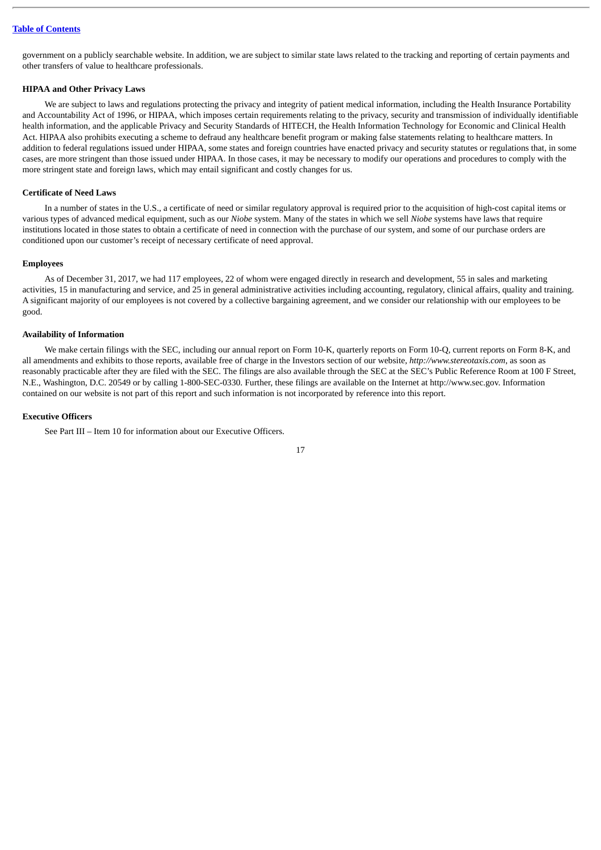government on a publicly searchable website. In addition, we are subject to similar state laws related to the tracking and reporting of certain payments and other transfers of value to healthcare professionals.

#### **HIPAA and Other Privacy Laws**

We are subject to laws and regulations protecting the privacy and integrity of patient medical information, including the Health Insurance Portability and Accountability Act of 1996, or HIPAA, which imposes certain requirements relating to the privacy, security and transmission of individually identifiable health information, and the applicable Privacy and Security Standards of HITECH, the Health Information Technology for Economic and Clinical Health Act. HIPAA also prohibits executing a scheme to defraud any healthcare benefit program or making false statements relating to healthcare matters. In addition to federal regulations issued under HIPAA, some states and foreign countries have enacted privacy and security statutes or regulations that, in some cases, are more stringent than those issued under HIPAA. In those cases, it may be necessary to modify our operations and procedures to comply with the more stringent state and foreign laws, which may entail significant and costly changes for us.

#### **Certificate of Need Laws**

In a number of states in the U.S., a certificate of need or similar regulatory approval is required prior to the acquisition of high-cost capital items or various types of advanced medical equipment, such as our *Niobe* system. Many of the states in which we sell *Niobe* systems have laws that require institutions located in those states to obtain a certificate of need in connection with the purchase of our system, and some of our purchase orders are conditioned upon our customer's receipt of necessary certificate of need approval.

#### **Employees**

As of December 31, 2017, we had 117 employees, 22 of whom were engaged directly in research and development, 55 in sales and marketing activities, 15 in manufacturing and service, and 25 in general administrative activities including accounting, regulatory, clinical affairs, quality and training. A significant majority of our employees is not covered by a collective bargaining agreement, and we consider our relationship with our employees to be good.

#### **Availability of Information**

We make certain filings with the SEC, including our annual report on Form 10-K, quarterly reports on Form 10-Q, current reports on Form 8-K, and all amendments and exhibits to those reports, available free of charge in the Investors section of our website, *http://www.stereotaxis.com*, as soon as reasonably practicable after they are filed with the SEC. The filings are also available through the SEC at the SEC's Public Reference Room at 100 F Street, N.E., Washington, D.C. 20549 or by calling 1-800-SEC-0330. Further, these filings are available on the Internet at http://www.sec.gov. Information contained on our website is not part of this report and such information is not incorporated by reference into this report.

#### **Executive Officers**

See Part III – Item 10 for information about our Executive Officers.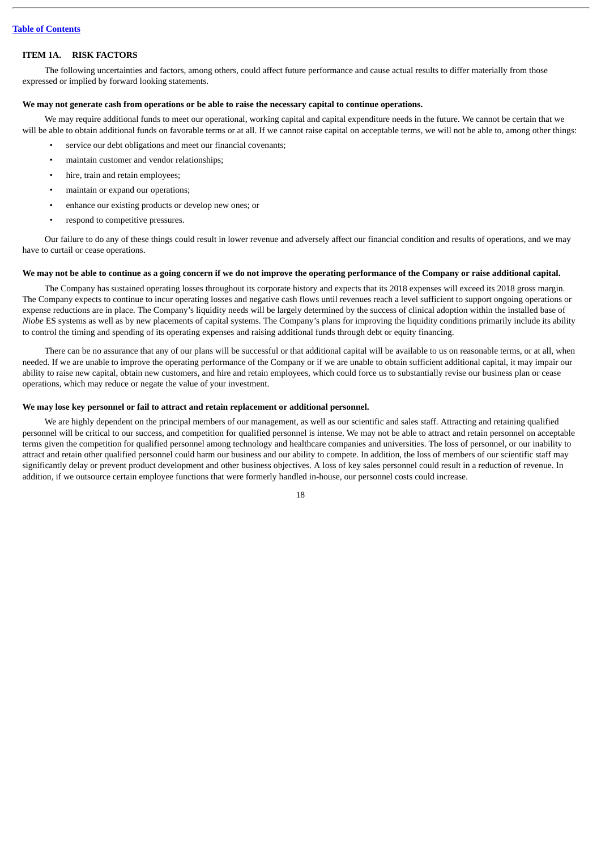## <span id="page-19-0"></span>**ITEM 1A. RISK FACTORS**

The following uncertainties and factors, among others, could affect future performance and cause actual results to differ materially from those expressed or implied by forward looking statements.

#### **We may not generate cash from operations or be able to raise the necessary capital to continue operations.**

We may require additional funds to meet our operational, working capital and capital expenditure needs in the future. We cannot be certain that we will be able to obtain additional funds on favorable terms or at all. If we cannot raise capital on acceptable terms, we will not be able to, among other things:

- service our debt obligations and meet our financial covenants;
- maintain customer and vendor relationships;
- hire, train and retain employees:
- maintain or expand our operations;
- enhance our existing products or develop new ones; or
- respond to competitive pressures.

Our failure to do any of these things could result in lower revenue and adversely affect our financial condition and results of operations, and we may have to curtail or cease operations.

#### **We may not be able to continue as a going concern if we do not improve the operating performance of the Company or raise additional capital.**

The Company has sustained operating losses throughout its corporate history and expects that its 2018 expenses will exceed its 2018 gross margin. The Company expects to continue to incur operating losses and negative cash flows until revenues reach a level sufficient to support ongoing operations or expense reductions are in place. The Company's liquidity needs will be largely determined by the success of clinical adoption within the installed base of *Niobe* ES systems as well as by new placements of capital systems. The Company's plans for improving the liquidity conditions primarily include its ability to control the timing and spending of its operating expenses and raising additional funds through debt or equity financing.

There can be no assurance that any of our plans will be successful or that additional capital will be available to us on reasonable terms, or at all, when needed. If we are unable to improve the operating performance of the Company or if we are unable to obtain sufficient additional capital, it may impair our ability to raise new capital, obtain new customers, and hire and retain employees, which could force us to substantially revise our business plan or cease operations, which may reduce or negate the value of your investment.

#### **We may lose key personnel or fail to attract and retain replacement or additional personnel.**

We are highly dependent on the principal members of our management, as well as our scientific and sales staff. Attracting and retaining qualified personnel will be critical to our success, and competition for qualified personnel is intense. We may not be able to attract and retain personnel on acceptable terms given the competition for qualified personnel among technology and healthcare companies and universities. The loss of personnel, or our inability to attract and retain other qualified personnel could harm our business and our ability to compete. In addition, the loss of members of our scientific staff may significantly delay or prevent product development and other business objectives. A loss of key sales personnel could result in a reduction of revenue. In addition, if we outsource certain employee functions that were formerly handled in-house, our personnel costs could increase.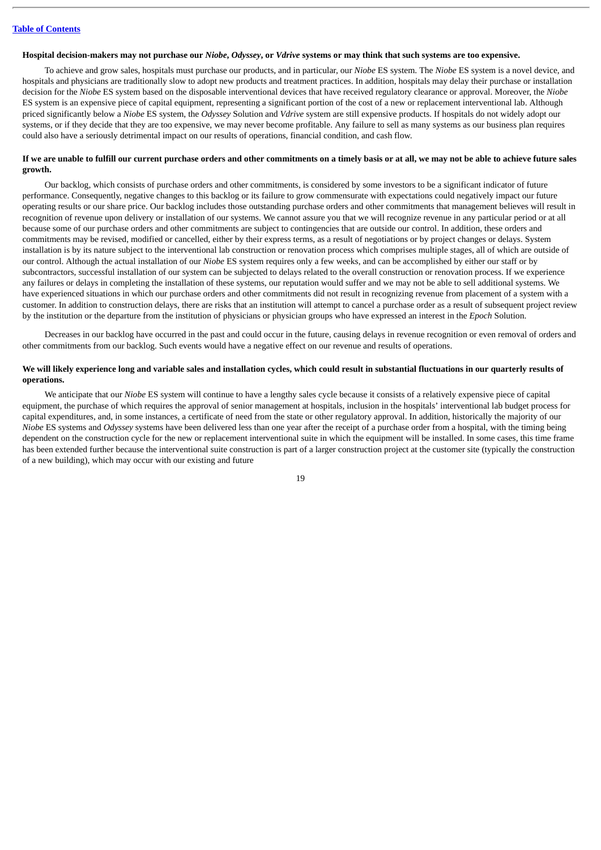#### **Hospital decision-makers may not purchase our** *Niobe***,** *Odyssey***, or** *Vdrive* **systems or may think that such systems are too expensive.**

To achieve and grow sales, hospitals must purchase our products, and in particular, our *Niobe* ES system. The *Niobe* ES system is a novel device, and hospitals and physicians are traditionally slow to adopt new products and treatment practices. In addition, hospitals may delay their purchase or installation decision for the *Niobe* ES system based on the disposable interventional devices that have received regulatory clearance or approval. Moreover, the *Niobe* ES system is an expensive piece of capital equipment, representing a significant portion of the cost of a new or replacement interventional lab. Although priced significantly below a *Niobe* ES system, the *Odyssey* Solution and *Vdrive* system are still expensive products. If hospitals do not widely adopt our systems, or if they decide that they are too expensive, we may never become profitable. Any failure to sell as many systems as our business plan requires could also have a seriously detrimental impact on our results of operations, financial condition, and cash flow.

#### **If we are unable to fulfill our current purchase orders and other commitments on a timely basis or at all, we may not be able to achieve future sales growth.**

Our backlog, which consists of purchase orders and other commitments, is considered by some investors to be a significant indicator of future performance. Consequently, negative changes to this backlog or its failure to grow commensurate with expectations could negatively impact our future operating results or our share price. Our backlog includes those outstanding purchase orders and other commitments that management believes will result in recognition of revenue upon delivery or installation of our systems. We cannot assure you that we will recognize revenue in any particular period or at all because some of our purchase orders and other commitments are subject to contingencies that are outside our control. In addition, these orders and commitments may be revised, modified or cancelled, either by their express terms, as a result of negotiations or by project changes or delays. System installation is by its nature subject to the interventional lab construction or renovation process which comprises multiple stages, all of which are outside of our control. Although the actual installation of our *Niobe* ES system requires only a few weeks, and can be accomplished by either our staff or by subcontractors, successful installation of our system can be subjected to delays related to the overall construction or renovation process. If we experience any failures or delays in completing the installation of these systems, our reputation would suffer and we may not be able to sell additional systems. We have experienced situations in which our purchase orders and other commitments did not result in recognizing revenue from placement of a system with a customer. In addition to construction delays, there are risks that an institution will attempt to cancel a purchase order as a result of subsequent project review by the institution or the departure from the institution of physicians or physician groups who have expressed an interest in the *Epoch* Solution.

Decreases in our backlog have occurred in the past and could occur in the future, causing delays in revenue recognition or even removal of orders and other commitments from our backlog. Such events would have a negative effect on our revenue and results of operations.

#### **We will likely experience long and variable sales and installation cycles, which could result in substantial fluctuations in our quarterly results of operations.**

We anticipate that our *Niobe* ES system will continue to have a lengthy sales cycle because it consists of a relatively expensive piece of capital equipment, the purchase of which requires the approval of senior management at hospitals, inclusion in the hospitals' interventional lab budget process for capital expenditures, and, in some instances, a certificate of need from the state or other regulatory approval. In addition, historically the majority of our *Niobe* ES systems and *Odyssey* systems have been delivered less than one year after the receipt of a purchase order from a hospital, with the timing being dependent on the construction cycle for the new or replacement interventional suite in which the equipment will be installed. In some cases, this time frame has been extended further because the interventional suite construction is part of a larger construction project at the customer site (typically the construction of a new building), which may occur with our existing and future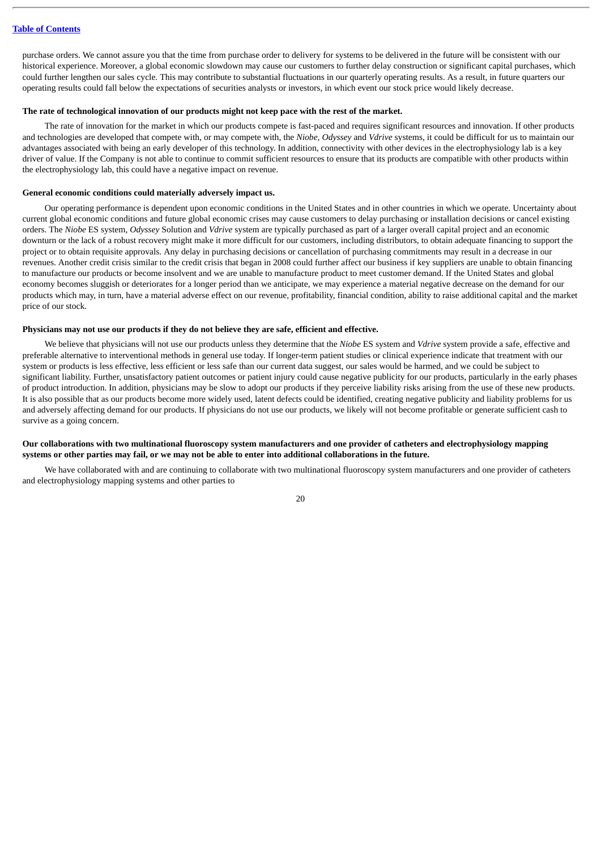purchase orders. We cannot assure you that the time from purchase order to delivery for systems to be delivered in the future will be consistent with our historical experience. Moreover, a global economic slowdown may cause our customers to further delay construction or significant capital purchases, which could further lengthen our sales cycle. This may contribute to substantial fluctuations in our quarterly operating results. As a result, in future quarters our operating results could fall below the expectations of securities analysts or investors, in which event our stock price would likely decrease.

#### **The rate of technological innovation of our products might not keep pace with the rest of the market.**

The rate of innovation for the market in which our products compete is fast-paced and requires significant resources and innovation. If other products and technologies are developed that compete with, or may compete with, the *Niobe*, *Odyssey* and *Vdrive* systems, it could be difficult for us to maintain our advantages associated with being an early developer of this technology. In addition, connectivity with other devices in the electrophysiology lab is a key driver of value. If the Company is not able to continue to commit sufficient resources to ensure that its products are compatible with other products within the electrophysiology lab, this could have a negative impact on revenue.

#### **General economic conditions could materially adversely impact us.**

Our operating performance is dependent upon economic conditions in the United States and in other countries in which we operate. Uncertainty about current global economic conditions and future global economic crises may cause customers to delay purchasing or installation decisions or cancel existing orders. The *Niobe* ES system, *Odyssey* Solution and *Vdrive* system are typically purchased as part of a larger overall capital project and an economic downturn or the lack of a robust recovery might make it more difficult for our customers, including distributors, to obtain adequate financing to support the project or to obtain requisite approvals. Any delay in purchasing decisions or cancellation of purchasing commitments may result in a decrease in our revenues. Another credit crisis similar to the credit crisis that began in 2008 could further affect our business if key suppliers are unable to obtain financing to manufacture our products or become insolvent and we are unable to manufacture product to meet customer demand. If the United States and global economy becomes sluggish or deteriorates for a longer period than we anticipate, we may experience a material negative decrease on the demand for our products which may, in turn, have a material adverse effect on our revenue, profitability, financial condition, ability to raise additional capital and the market price of our stock.

#### **Physicians may not use our products if they do not believe they are safe, efficient and effective.**

We believe that physicians will not use our products unless they determine that the *Niobe* ES system and *Vdrive* system provide a safe, effective and preferable alternative to interventional methods in general use today. If longer-term patient studies or clinical experience indicate that treatment with our system or products is less effective, less efficient or less safe than our current data suggest, our sales would be harmed, and we could be subject to significant liability. Further, unsatisfactory patient outcomes or patient injury could cause negative publicity for our products, particularly in the early phases of product introduction. In addition, physicians may be slow to adopt our products if they perceive liability risks arising from the use of these new products. It is also possible that as our products become more widely used, latent defects could be identified, creating negative publicity and liability problems for us and adversely affecting demand for our products. If physicians do not use our products, we likely will not become profitable or generate sufficient cash to survive as a going concern.

#### **Our collaborations with two multinational fluoroscopy system manufacturers and one provider of catheters and electrophysiology mapping systems or other parties may fail, or we may not be able to enter into additional collaborations in the future.**

We have collaborated with and are continuing to collaborate with two multinational fluoroscopy system manufacturers and one provider of catheters and electrophysiology mapping systems and other parties to

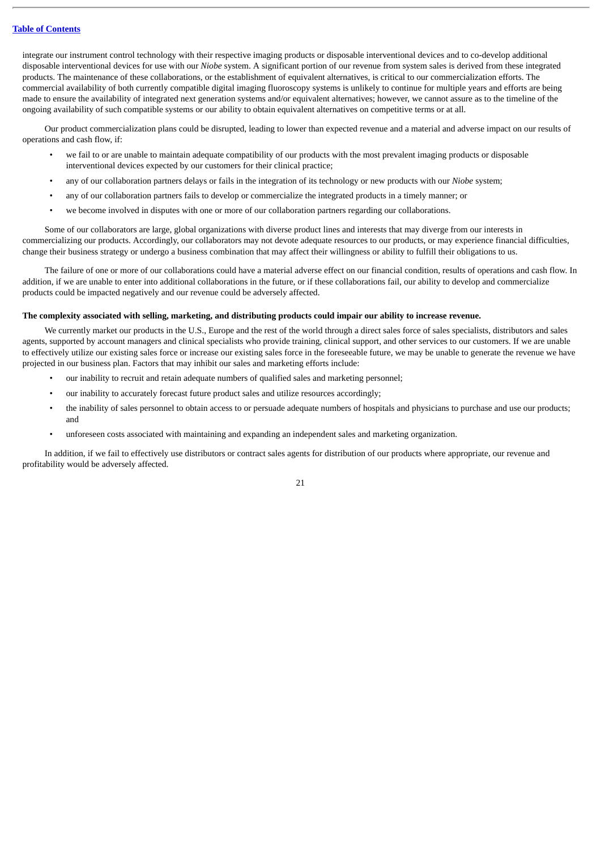integrate our instrument control technology with their respective imaging products or disposable interventional devices and to co-develop additional disposable interventional devices for use with our *Niobe* system. A significant portion of our revenue from system sales is derived from these integrated products. The maintenance of these collaborations, or the establishment of equivalent alternatives, is critical to our commercialization efforts. The commercial availability of both currently compatible digital imaging fluoroscopy systems is unlikely to continue for multiple years and efforts are being made to ensure the availability of integrated next generation systems and/or equivalent alternatives; however, we cannot assure as to the timeline of the ongoing availability of such compatible systems or our ability to obtain equivalent alternatives on competitive terms or at all.

Our product commercialization plans could be disrupted, leading to lower than expected revenue and a material and adverse impact on our results of operations and cash flow, if:

- we fail to or are unable to maintain adequate compatibility of our products with the most prevalent imaging products or disposable interventional devices expected by our customers for their clinical practice;
- any of our collaboration partners delays or fails in the integration of its technology or new products with our *Niobe* system;
- any of our collaboration partners fails to develop or commercialize the integrated products in a timely manner; or
- we become involved in disputes with one or more of our collaboration partners regarding our collaborations.

Some of our collaborators are large, global organizations with diverse product lines and interests that may diverge from our interests in commercializing our products. Accordingly, our collaborators may not devote adequate resources to our products, or may experience financial difficulties, change their business strategy or undergo a business combination that may affect their willingness or ability to fulfill their obligations to us.

The failure of one or more of our collaborations could have a material adverse effect on our financial condition, results of operations and cash flow. In addition, if we are unable to enter into additional collaborations in the future, or if these collaborations fail, our ability to develop and commercialize products could be impacted negatively and our revenue could be adversely affected.

#### **The complexity associated with selling, marketing, and distributing products could impair our ability to increase revenue.**

We currently market our products in the U.S., Europe and the rest of the world through a direct sales force of sales specialists, distributors and sales agents, supported by account managers and clinical specialists who provide training, clinical support, and other services to our customers. If we are unable to effectively utilize our existing sales force or increase our existing sales force in the foreseeable future, we may be unable to generate the revenue we have projected in our business plan. Factors that may inhibit our sales and marketing efforts include:

- our inability to recruit and retain adequate numbers of qualified sales and marketing personnel;
- our inability to accurately forecast future product sales and utilize resources accordingly;
- the inability of sales personnel to obtain access to or persuade adequate numbers of hospitals and physicians to purchase and use our products; and
- unforeseen costs associated with maintaining and expanding an independent sales and marketing organization.

In addition, if we fail to effectively use distributors or contract sales agents for distribution of our products where appropriate, our revenue and profitability would be adversely affected.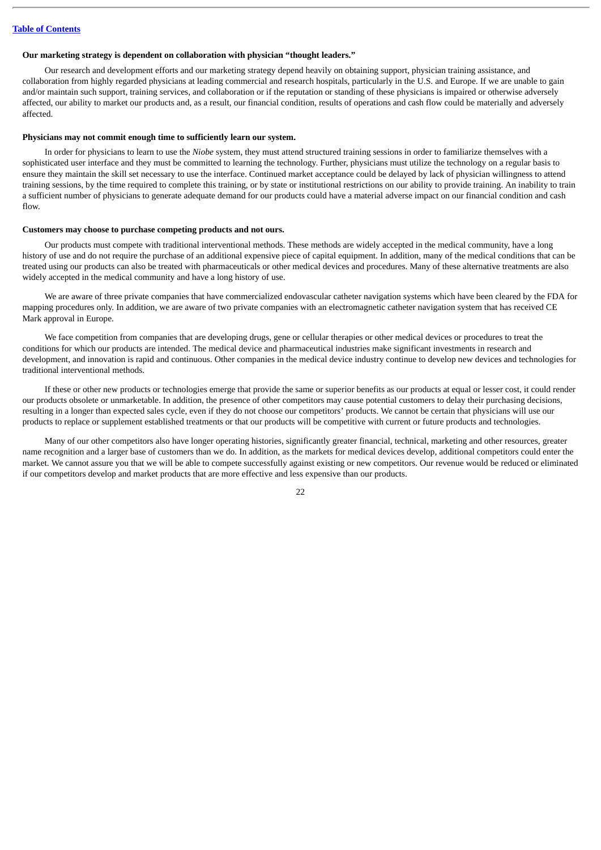#### **Our marketing strategy is dependent on collaboration with physician "thought leaders."**

Our research and development efforts and our marketing strategy depend heavily on obtaining support, physician training assistance, and collaboration from highly regarded physicians at leading commercial and research hospitals, particularly in the U.S. and Europe. If we are unable to gain and/or maintain such support, training services, and collaboration or if the reputation or standing of these physicians is impaired or otherwise adversely affected, our ability to market our products and, as a result, our financial condition, results of operations and cash flow could be materially and adversely affected.

#### **Physicians may not commit enough time to sufficiently learn our system.**

In order for physicians to learn to use the *Niobe* system, they must attend structured training sessions in order to familiarize themselves with a sophisticated user interface and they must be committed to learning the technology. Further, physicians must utilize the technology on a regular basis to ensure they maintain the skill set necessary to use the interface. Continued market acceptance could be delayed by lack of physician willingness to attend training sessions, by the time required to complete this training, or by state or institutional restrictions on our ability to provide training. An inability to train a sufficient number of physicians to generate adequate demand for our products could have a material adverse impact on our financial condition and cash flow.

#### **Customers may choose to purchase competing products and not ours.**

Our products must compete with traditional interventional methods. These methods are widely accepted in the medical community, have a long history of use and do not require the purchase of an additional expensive piece of capital equipment. In addition, many of the medical conditions that can be treated using our products can also be treated with pharmaceuticals or other medical devices and procedures. Many of these alternative treatments are also widely accepted in the medical community and have a long history of use.

We are aware of three private companies that have commercialized endovascular catheter navigation systems which have been cleared by the FDA for mapping procedures only. In addition, we are aware of two private companies with an electromagnetic catheter navigation system that has received CE Mark approval in Europe.

We face competition from companies that are developing drugs, gene or cellular therapies or other medical devices or procedures to treat the conditions for which our products are intended. The medical device and pharmaceutical industries make significant investments in research and development, and innovation is rapid and continuous. Other companies in the medical device industry continue to develop new devices and technologies for traditional interventional methods.

If these or other new products or technologies emerge that provide the same or superior benefits as our products at equal or lesser cost, it could render our products obsolete or unmarketable. In addition, the presence of other competitors may cause potential customers to delay their purchasing decisions, resulting in a longer than expected sales cycle, even if they do not choose our competitors' products. We cannot be certain that physicians will use our products to replace or supplement established treatments or that our products will be competitive with current or future products and technologies.

Many of our other competitors also have longer operating histories, significantly greater financial, technical, marketing and other resources, greater name recognition and a larger base of customers than we do. In addition, as the markets for medical devices develop, additional competitors could enter the market. We cannot assure you that we will be able to compete successfully against existing or new competitors. Our revenue would be reduced or eliminated if our competitors develop and market products that are more effective and less expensive than our products.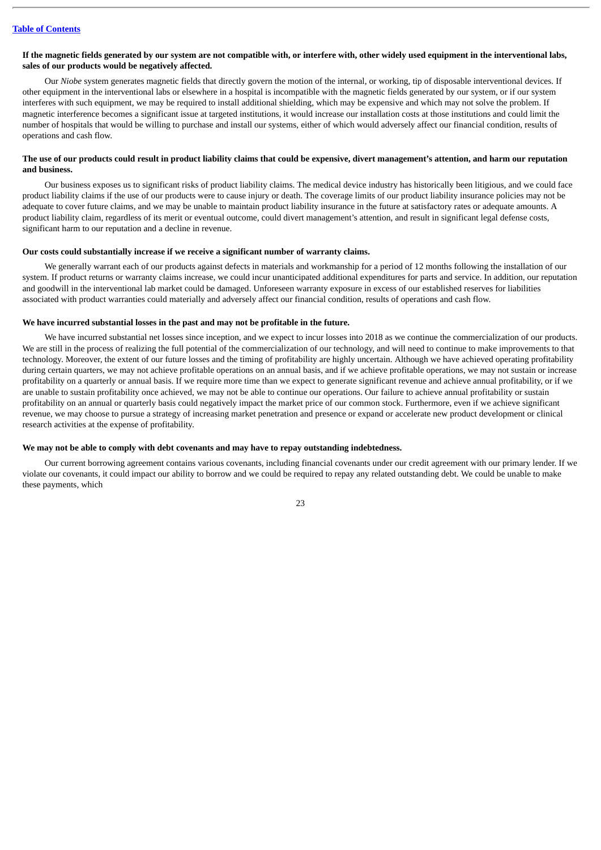#### **If the magnetic fields generated by our system are not compatible with, or interfere with, other widely used equipment in the interventional labs, sales of our products would be negatively affected.**

Our *Niobe* system generates magnetic fields that directly govern the motion of the internal, or working, tip of disposable interventional devices. If other equipment in the interventional labs or elsewhere in a hospital is incompatible with the magnetic fields generated by our system, or if our system interferes with such equipment, we may be required to install additional shielding, which may be expensive and which may not solve the problem. If magnetic interference becomes a significant issue at targeted institutions, it would increase our installation costs at those institutions and could limit the number of hospitals that would be willing to purchase and install our systems, either of which would adversely affect our financial condition, results of operations and cash flow.

#### **The use of our products could result in product liability claims that could be expensive, divert management's attention, and harm our reputation and business.**

Our business exposes us to significant risks of product liability claims. The medical device industry has historically been litigious, and we could face product liability claims if the use of our products were to cause injury or death. The coverage limits of our product liability insurance policies may not be adequate to cover future claims, and we may be unable to maintain product liability insurance in the future at satisfactory rates or adequate amounts. A product liability claim, regardless of its merit or eventual outcome, could divert management's attention, and result in significant legal defense costs, significant harm to our reputation and a decline in revenue.

#### **Our costs could substantially increase if we receive a significant number of warranty claims.**

We generally warrant each of our products against defects in materials and workmanship for a period of 12 months following the installation of our system. If product returns or warranty claims increase, we could incur unanticipated additional expenditures for parts and service. In addition, our reputation and goodwill in the interventional lab market could be damaged. Unforeseen warranty exposure in excess of our established reserves for liabilities associated with product warranties could materially and adversely affect our financial condition, results of operations and cash flow.

#### **We have incurred substantial losses in the past and may not be profitable in the future.**

We have incurred substantial net losses since inception, and we expect to incur losses into 2018 as we continue the commercialization of our products. We are still in the process of realizing the full potential of the commercialization of our technology, and will need to continue to make improvements to that technology. Moreover, the extent of our future losses and the timing of profitability are highly uncertain. Although we have achieved operating profitability during certain quarters, we may not achieve profitable operations on an annual basis, and if we achieve profitable operations, we may not sustain or increase profitability on a quarterly or annual basis. If we require more time than we expect to generate significant revenue and achieve annual profitability, or if we are unable to sustain profitability once achieved, we may not be able to continue our operations. Our failure to achieve annual profitability or sustain profitability on an annual or quarterly basis could negatively impact the market price of our common stock. Furthermore, even if we achieve significant revenue, we may choose to pursue a strategy of increasing market penetration and presence or expand or accelerate new product development or clinical research activities at the expense of profitability.

#### **We may not be able to comply with debt covenants and may have to repay outstanding indebtedness.**

Our current borrowing agreement contains various covenants, including financial covenants under our credit agreement with our primary lender. If we violate our covenants, it could impact our ability to borrow and we could be required to repay any related outstanding debt. We could be unable to make these payments, which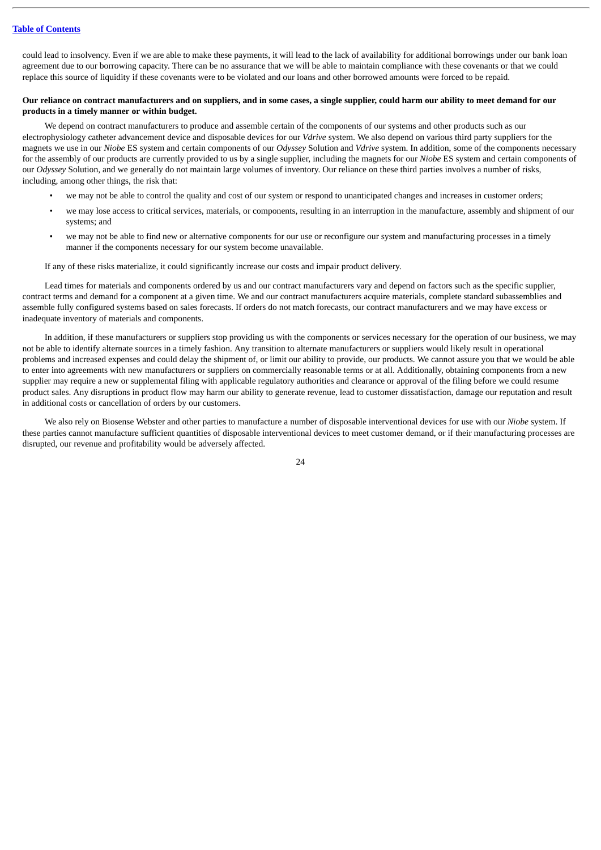could lead to insolvency. Even if we are able to make these payments, it will lead to the lack of availability for additional borrowings under our bank loan agreement due to our borrowing capacity. There can be no assurance that we will be able to maintain compliance with these covenants or that we could replace this source of liquidity if these covenants were to be violated and our loans and other borrowed amounts were forced to be repaid.

#### **Our reliance on contract manufacturers and on suppliers, and in some cases, a single supplier, could harm our ability to meet demand for our products in a timely manner or within budget.**

We depend on contract manufacturers to produce and assemble certain of the components of our systems and other products such as our electrophysiology catheter advancement device and disposable devices for our *Vdrive* system. We also depend on various third party suppliers for the magnets we use in our *Niobe* ES system and certain components of our *Odyssey* Solution and *Vdrive* system. In addition, some of the components necessary for the assembly of our products are currently provided to us by a single supplier, including the magnets for our *Niobe* ES system and certain components of our *Odyssey* Solution, and we generally do not maintain large volumes of inventory. Our reliance on these third parties involves a number of risks, including, among other things, the risk that:

- we may not be able to control the quality and cost of our system or respond to unanticipated changes and increases in customer orders;
- we may lose access to critical services, materials, or components, resulting in an interruption in the manufacture, assembly and shipment of our systems; and
- we may not be able to find new or alternative components for our use or reconfigure our system and manufacturing processes in a timely manner if the components necessary for our system become unavailable.

If any of these risks materialize, it could significantly increase our costs and impair product delivery.

Lead times for materials and components ordered by us and our contract manufacturers vary and depend on factors such as the specific supplier, contract terms and demand for a component at a given time. We and our contract manufacturers acquire materials, complete standard subassemblies and assemble fully configured systems based on sales forecasts. If orders do not match forecasts, our contract manufacturers and we may have excess or inadequate inventory of materials and components.

In addition, if these manufacturers or suppliers stop providing us with the components or services necessary for the operation of our business, we may not be able to identify alternate sources in a timely fashion. Any transition to alternate manufacturers or suppliers would likely result in operational problems and increased expenses and could delay the shipment of, or limit our ability to provide, our products. We cannot assure you that we would be able to enter into agreements with new manufacturers or suppliers on commercially reasonable terms or at all. Additionally, obtaining components from a new supplier may require a new or supplemental filing with applicable regulatory authorities and clearance or approval of the filing before we could resume product sales. Any disruptions in product flow may harm our ability to generate revenue, lead to customer dissatisfaction, damage our reputation and result in additional costs or cancellation of orders by our customers.

We also rely on Biosense Webster and other parties to manufacture a number of disposable interventional devices for use with our *Niobe* system. If these parties cannot manufacture sufficient quantities of disposable interventional devices to meet customer demand, or if their manufacturing processes are disrupted, our revenue and profitability would be adversely affected.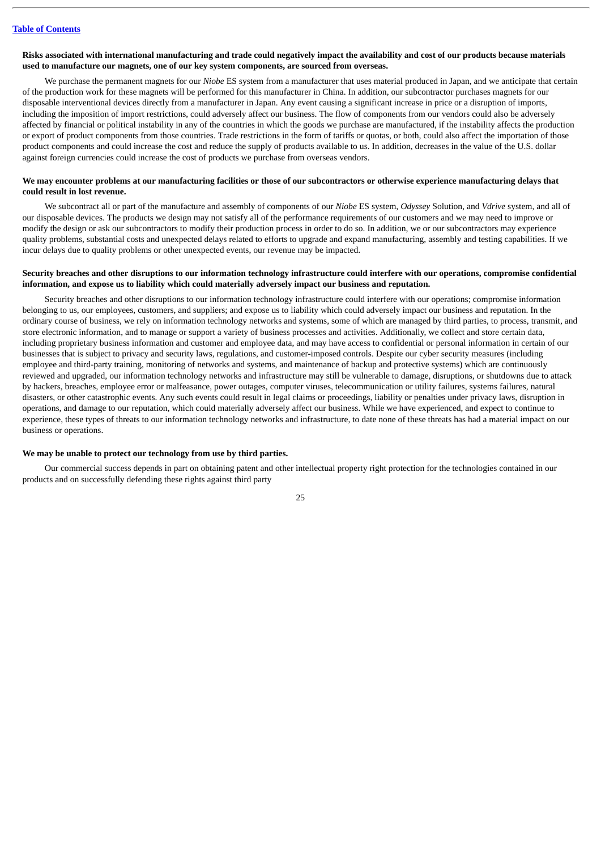#### **Risks associated with international manufacturing and trade could negatively impact the availability and cost of our products because materials used to manufacture our magnets, one of our key system components, are sourced from overseas.**

We purchase the permanent magnets for our *Niobe* ES system from a manufacturer that uses material produced in Japan, and we anticipate that certain of the production work for these magnets will be performed for this manufacturer in China. In addition, our subcontractor purchases magnets for our disposable interventional devices directly from a manufacturer in Japan. Any event causing a significant increase in price or a disruption of imports, including the imposition of import restrictions, could adversely affect our business. The flow of components from our vendors could also be adversely affected by financial or political instability in any of the countries in which the goods we purchase are manufactured, if the instability affects the production or export of product components from those countries. Trade restrictions in the form of tariffs or quotas, or both, could also affect the importation of those product components and could increase the cost and reduce the supply of products available to us. In addition, decreases in the value of the U.S. dollar against foreign currencies could increase the cost of products we purchase from overseas vendors.

#### **We may encounter problems at our manufacturing facilities or those of our subcontractors or otherwise experience manufacturing delays that could result in lost revenue.**

We subcontract all or part of the manufacture and assembly of components of our *Niobe* ES system*, Odyssey* Solution, and *Vdrive* system, and all of our disposable devices. The products we design may not satisfy all of the performance requirements of our customers and we may need to improve or modify the design or ask our subcontractors to modify their production process in order to do so. In addition, we or our subcontractors may experience quality problems, substantial costs and unexpected delays related to efforts to upgrade and expand manufacturing, assembly and testing capabilities. If we incur delays due to quality problems or other unexpected events, our revenue may be impacted.

#### **Security breaches and other disruptions to our information technology infrastructure could interfere with our operations, compromise confidential information, and expose us to liability which could materially adversely impact our business and reputation.**

Security breaches and other disruptions to our information technology infrastructure could interfere with our operations; compromise information belonging to us, our employees, customers, and suppliers; and expose us to liability which could adversely impact our business and reputation. In the ordinary course of business, we rely on information technology networks and systems, some of which are managed by third parties, to process, transmit, and store electronic information, and to manage or support a variety of business processes and activities. Additionally, we collect and store certain data, including proprietary business information and customer and employee data, and may have access to confidential or personal information in certain of our businesses that is subject to privacy and security laws, regulations, and customer-imposed controls. Despite our cyber security measures (including employee and third-party training, monitoring of networks and systems, and maintenance of backup and protective systems) which are continuously reviewed and upgraded, our information technology networks and infrastructure may still be vulnerable to damage, disruptions, or shutdowns due to attack by hackers, breaches, employee error or malfeasance, power outages, computer viruses, telecommunication or utility failures, systems failures, natural disasters, or other catastrophic events. Any such events could result in legal claims or proceedings, liability or penalties under privacy laws, disruption in operations, and damage to our reputation, which could materially adversely affect our business. While we have experienced, and expect to continue to experience, these types of threats to our information technology networks and infrastructure, to date none of these threats has had a material impact on our business or operations.

#### **We may be unable to protect our technology from use by third parties.**

Our commercial success depends in part on obtaining patent and other intellectual property right protection for the technologies contained in our products and on successfully defending these rights against third party

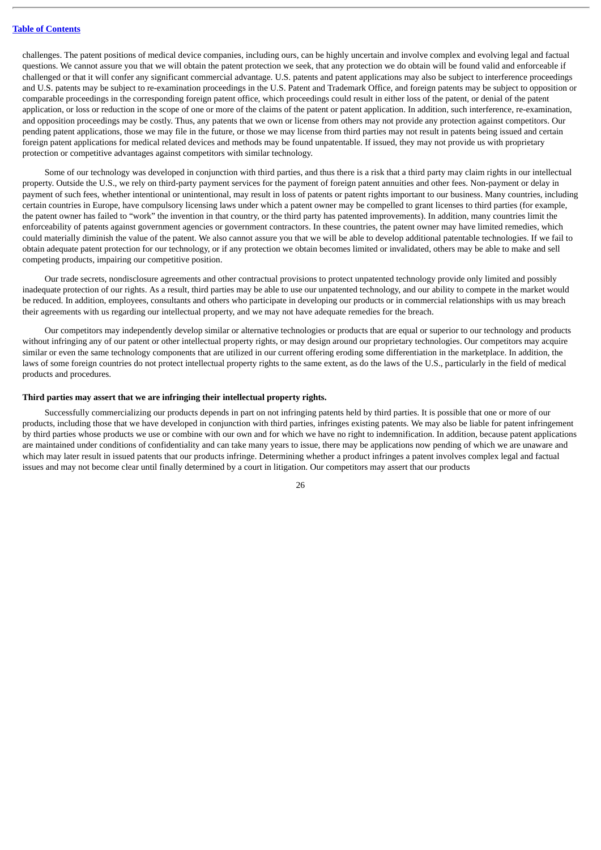challenges. The patent positions of medical device companies, including ours, can be highly uncertain and involve complex and evolving legal and factual questions. We cannot assure you that we will obtain the patent protection we seek, that any protection we do obtain will be found valid and enforceable if challenged or that it will confer any significant commercial advantage. U.S. patents and patent applications may also be subject to interference proceedings and U.S. patents may be subject to re-examination proceedings in the U.S. Patent and Trademark Office, and foreign patents may be subject to opposition or comparable proceedings in the corresponding foreign patent office, which proceedings could result in either loss of the patent, or denial of the patent application, or loss or reduction in the scope of one or more of the claims of the patent or patent application. In addition, such interference, re-examination, and opposition proceedings may be costly. Thus, any patents that we own or license from others may not provide any protection against competitors. Our pending patent applications, those we may file in the future, or those we may license from third parties may not result in patents being issued and certain foreign patent applications for medical related devices and methods may be found unpatentable. If issued, they may not provide us with proprietary protection or competitive advantages against competitors with similar technology.

Some of our technology was developed in conjunction with third parties, and thus there is a risk that a third party may claim rights in our intellectual property. Outside the U.S., we rely on third-party payment services for the payment of foreign patent annuities and other fees. Non-payment or delay in payment of such fees, whether intentional or unintentional, may result in loss of patents or patent rights important to our business. Many countries, including certain countries in Europe, have compulsory licensing laws under which a patent owner may be compelled to grant licenses to third parties (for example, the patent owner has failed to "work" the invention in that country, or the third party has patented improvements). In addition, many countries limit the enforceability of patents against government agencies or government contractors. In these countries, the patent owner may have limited remedies, which could materially diminish the value of the patent. We also cannot assure you that we will be able to develop additional patentable technologies. If we fail to obtain adequate patent protection for our technology, or if any protection we obtain becomes limited or invalidated, others may be able to make and sell competing products, impairing our competitive position.

Our trade secrets, nondisclosure agreements and other contractual provisions to protect unpatented technology provide only limited and possibly inadequate protection of our rights. As a result, third parties may be able to use our unpatented technology, and our ability to compete in the market would be reduced. In addition, employees, consultants and others who participate in developing our products or in commercial relationships with us may breach their agreements with us regarding our intellectual property, and we may not have adequate remedies for the breach.

Our competitors may independently develop similar or alternative technologies or products that are equal or superior to our technology and products without infringing any of our patent or other intellectual property rights, or may design around our proprietary technologies. Our competitors may acquire similar or even the same technology components that are utilized in our current offering eroding some differentiation in the marketplace. In addition, the laws of some foreign countries do not protect intellectual property rights to the same extent, as do the laws of the U.S., particularly in the field of medical products and procedures.

#### **Third parties may assert that we are infringing their intellectual property rights.**

Successfully commercializing our products depends in part on not infringing patents held by third parties. It is possible that one or more of our products, including those that we have developed in conjunction with third parties, infringes existing patents. We may also be liable for patent infringement by third parties whose products we use or combine with our own and for which we have no right to indemnification. In addition, because patent applications are maintained under conditions of confidentiality and can take many years to issue, there may be applications now pending of which we are unaware and which may later result in issued patents that our products infringe. Determining whether a product infringes a patent involves complex legal and factual issues and may not become clear until finally determined by a court in litigation. Our competitors may assert that our products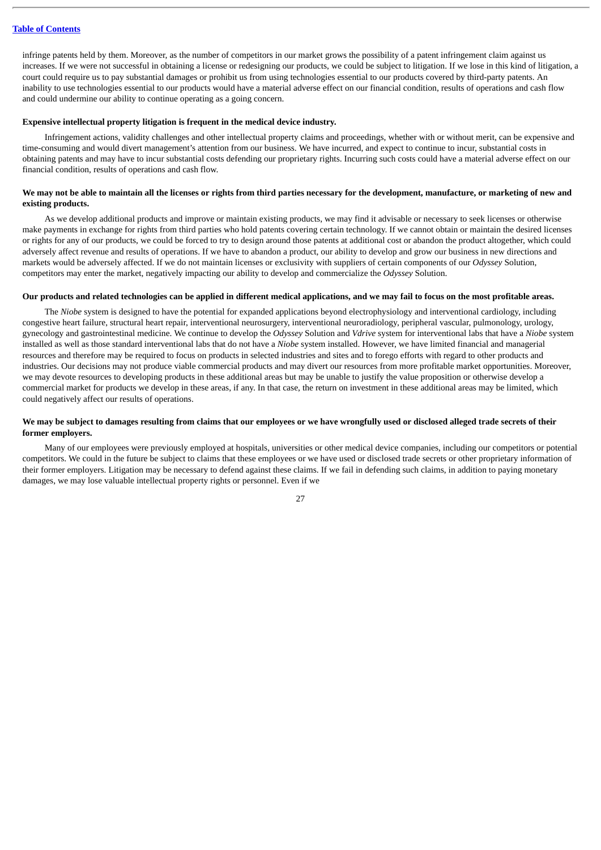#### **Table of [Contents](#page-1-0)**

infringe patents held by them. Moreover, as the number of competitors in our market grows the possibility of a patent infringement claim against us increases. If we were not successful in obtaining a license or redesigning our products, we could be subject to litigation. If we lose in this kind of litigation, a court could require us to pay substantial damages or prohibit us from using technologies essential to our products covered by third-party patents. An inability to use technologies essential to our products would have a material adverse effect on our financial condition, results of operations and cash flow and could undermine our ability to continue operating as a going concern.

#### **Expensive intellectual property litigation is frequent in the medical device industry.**

Infringement actions, validity challenges and other intellectual property claims and proceedings, whether with or without merit, can be expensive and time-consuming and would divert management's attention from our business. We have incurred, and expect to continue to incur, substantial costs in obtaining patents and may have to incur substantial costs defending our proprietary rights. Incurring such costs could have a material adverse effect on our financial condition, results of operations and cash flow.

#### **We may not be able to maintain all the licenses or rights from third parties necessary for the development, manufacture, or marketing of new and existing products.**

As we develop additional products and improve or maintain existing products, we may find it advisable or necessary to seek licenses or otherwise make payments in exchange for rights from third parties who hold patents covering certain technology. If we cannot obtain or maintain the desired licenses or rights for any of our products, we could be forced to try to design around those patents at additional cost or abandon the product altogether, which could adversely affect revenue and results of operations. If we have to abandon a product, our ability to develop and grow our business in new directions and markets would be adversely affected. If we do not maintain licenses or exclusivity with suppliers of certain components of our *Odyssey* Solution, competitors may enter the market, negatively impacting our ability to develop and commercialize the *Odyssey* Solution.

#### **Our products and related technologies can be applied in different medical applications, and we may fail to focus on the most profitable areas.**

The *Niobe* system is designed to have the potential for expanded applications beyond electrophysiology and interventional cardiology, including congestive heart failure, structural heart repair, interventional neurosurgery, interventional neuroradiology, peripheral vascular, pulmonology, urology, gynecology and gastrointestinal medicine. We continue to develop the *Odyssey* Solution and *Vdrive* system for interventional labs that have a *Niobe* system installed as well as those standard interventional labs that do not have a *Niobe* system installed. However, we have limited financial and managerial resources and therefore may be required to focus on products in selected industries and sites and to forego efforts with regard to other products and industries. Our decisions may not produce viable commercial products and may divert our resources from more profitable market opportunities. Moreover, we may devote resources to developing products in these additional areas but may be unable to justify the value proposition or otherwise develop a commercial market for products we develop in these areas, if any. In that case, the return on investment in these additional areas may be limited, which could negatively affect our results of operations.

#### **We may be subject to damages resulting from claims that our employees or we have wrongfully used or disclosed alleged trade secrets of their former employers.**

Many of our employees were previously employed at hospitals, universities or other medical device companies, including our competitors or potential competitors. We could in the future be subject to claims that these employees or we have used or disclosed trade secrets or other proprietary information of their former employers. Litigation may be necessary to defend against these claims. If we fail in defending such claims, in addition to paying monetary damages, we may lose valuable intellectual property rights or personnel. Even if we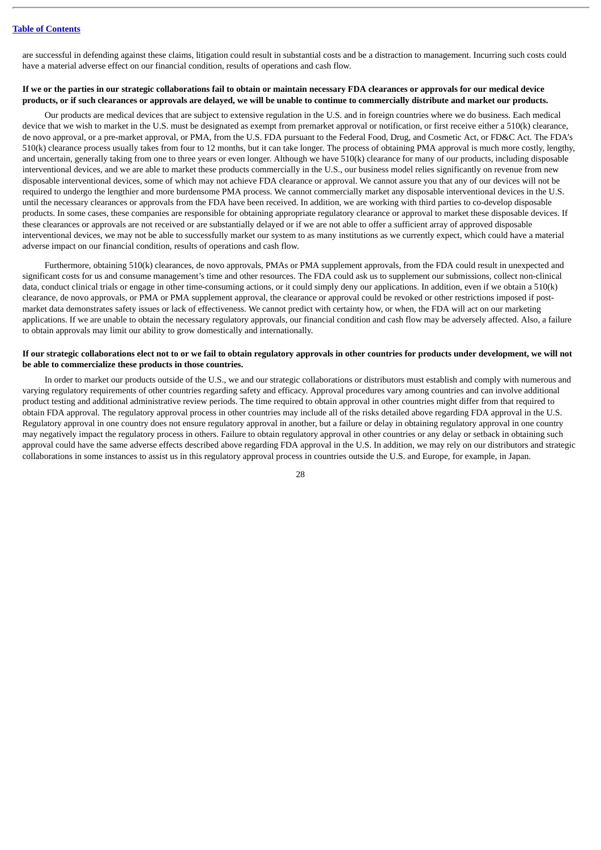are successful in defending against these claims, litigation could result in substantial costs and be a distraction to management. Incurring such costs could have a material adverse effect on our financial condition, results of operations and cash flow.

#### **If we or the parties in our strategic collaborations fail to obtain or maintain necessary FDA clearances or approvals for our medical device products, or if such clearances or approvals are delayed, we will be unable to continue to commercially distribute and market our products.**

Our products are medical devices that are subject to extensive regulation in the U.S. and in foreign countries where we do business. Each medical device that we wish to market in the U.S. must be designated as exempt from premarket approval or notification, or first receive either a 510(k) clearance, de novo approval, or a pre-market approval, or PMA, from the U.S. FDA pursuant to the Federal Food, Drug, and Cosmetic Act, or FD&C Act. The FDA's 510(k) clearance process usually takes from four to 12 months, but it can take longer. The process of obtaining PMA approval is much more costly, lengthy, and uncertain, generally taking from one to three years or even longer. Although we have 510(k) clearance for many of our products, including disposable interventional devices, and we are able to market these products commercially in the U.S., our business model relies significantly on revenue from new disposable interventional devices, some of which may not achieve FDA clearance or approval. We cannot assure you that any of our devices will not be required to undergo the lengthier and more burdensome PMA process. We cannot commercially market any disposable interventional devices in the U.S. until the necessary clearances or approvals from the FDA have been received. In addition, we are working with third parties to co-develop disposable products. In some cases, these companies are responsible for obtaining appropriate regulatory clearance or approval to market these disposable devices. If these clearances or approvals are not received or are substantially delayed or if we are not able to offer a sufficient array of approved disposable interventional devices, we may not be able to successfully market our system to as many institutions as we currently expect, which could have a material adverse impact on our financial condition, results of operations and cash flow.

Furthermore, obtaining 510(k) clearances, de novo approvals, PMAs or PMA supplement approvals, from the FDA could result in unexpected and significant costs for us and consume management's time and other resources. The FDA could ask us to supplement our submissions, collect non-clinical data, conduct clinical trials or engage in other time-consuming actions, or it could simply deny our applications. In addition, even if we obtain a 510(k) clearance, de novo approvals, or PMA or PMA supplement approval, the clearance or approval could be revoked or other restrictions imposed if postmarket data demonstrates safety issues or lack of effectiveness. We cannot predict with certainty how, or when, the FDA will act on our marketing applications. If we are unable to obtain the necessary regulatory approvals, our financial condition and cash flow may be adversely affected. Also, a failure to obtain approvals may limit our ability to grow domestically and internationally.

#### **If our strategic collaborations elect not to or we fail to obtain regulatory approvals in other countries for products under development, we will not be able to commercialize these products in those countries.**

In order to market our products outside of the U.S., we and our strategic collaborations or distributors must establish and comply with numerous and varying regulatory requirements of other countries regarding safety and efficacy. Approval procedures vary among countries and can involve additional product testing and additional administrative review periods. The time required to obtain approval in other countries might differ from that required to obtain FDA approval. The regulatory approval process in other countries may include all of the risks detailed above regarding FDA approval in the U.S. Regulatory approval in one country does not ensure regulatory approval in another, but a failure or delay in obtaining regulatory approval in one country may negatively impact the regulatory process in others. Failure to obtain regulatory approval in other countries or any delay or setback in obtaining such approval could have the same adverse effects described above regarding FDA approval in the U.S. In addition, we may rely on our distributors and strategic collaborations in some instances to assist us in this regulatory approval process in countries outside the U.S. and Europe, for example, in Japan.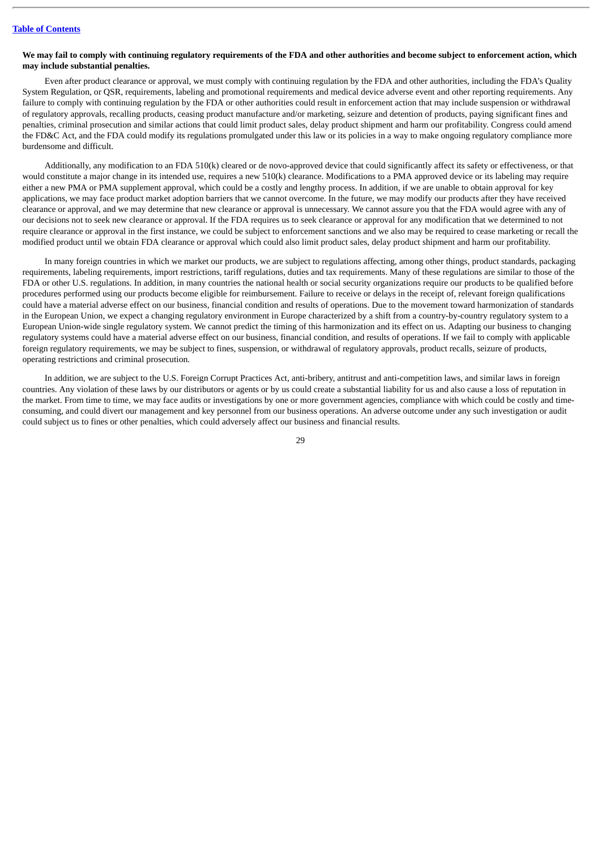#### **We may fail to comply with continuing regulatory requirements of the FDA and other authorities and become subject to enforcement action, which may include substantial penalties.**

Even after product clearance or approval, we must comply with continuing regulation by the FDA and other authorities, including the FDA's Quality System Regulation, or QSR, requirements, labeling and promotional requirements and medical device adverse event and other reporting requirements. Any failure to comply with continuing regulation by the FDA or other authorities could result in enforcement action that may include suspension or withdrawal of regulatory approvals, recalling products, ceasing product manufacture and/or marketing, seizure and detention of products, paying significant fines and penalties, criminal prosecution and similar actions that could limit product sales, delay product shipment and harm our profitability. Congress could amend the FD&C Act, and the FDA could modify its regulations promulgated under this law or its policies in a way to make ongoing regulatory compliance more burdensome and difficult.

Additionally, any modification to an FDA 510(k) cleared or de novo-approved device that could significantly affect its safety or effectiveness, or that would constitute a major change in its intended use, requires a new 510(k) clearance. Modifications to a PMA approved device or its labeling may require either a new PMA or PMA supplement approval, which could be a costly and lengthy process. In addition, if we are unable to obtain approval for key applications, we may face product market adoption barriers that we cannot overcome. In the future, we may modify our products after they have received clearance or approval, and we may determine that new clearance or approval is unnecessary. We cannot assure you that the FDA would agree with any of our decisions not to seek new clearance or approval. If the FDA requires us to seek clearance or approval for any modification that we determined to not require clearance or approval in the first instance, we could be subject to enforcement sanctions and we also may be required to cease marketing or recall the modified product until we obtain FDA clearance or approval which could also limit product sales, delay product shipment and harm our profitability.

In many foreign countries in which we market our products, we are subject to regulations affecting, among other things, product standards, packaging requirements, labeling requirements, import restrictions, tariff regulations, duties and tax requirements. Many of these regulations are similar to those of the FDA or other U.S. regulations. In addition, in many countries the national health or social security organizations require our products to be qualified before procedures performed using our products become eligible for reimbursement. Failure to receive or delays in the receipt of, relevant foreign qualifications could have a material adverse effect on our business, financial condition and results of operations. Due to the movement toward harmonization of standards in the European Union, we expect a changing regulatory environment in Europe characterized by a shift from a country-by-country regulatory system to a European Union-wide single regulatory system. We cannot predict the timing of this harmonization and its effect on us. Adapting our business to changing regulatory systems could have a material adverse effect on our business, financial condition, and results of operations. If we fail to comply with applicable foreign regulatory requirements, we may be subject to fines, suspension, or withdrawal of regulatory approvals, product recalls, seizure of products, operating restrictions and criminal prosecution.

In addition, we are subject to the U.S. Foreign Corrupt Practices Act, anti-bribery, antitrust and anti-competition laws, and similar laws in foreign countries. Any violation of these laws by our distributors or agents or by us could create a substantial liability for us and also cause a loss of reputation in the market. From time to time, we may face audits or investigations by one or more government agencies, compliance with which could be costly and timeconsuming, and could divert our management and key personnel from our business operations. An adverse outcome under any such investigation or audit could subject us to fines or other penalties, which could adversely affect our business and financial results.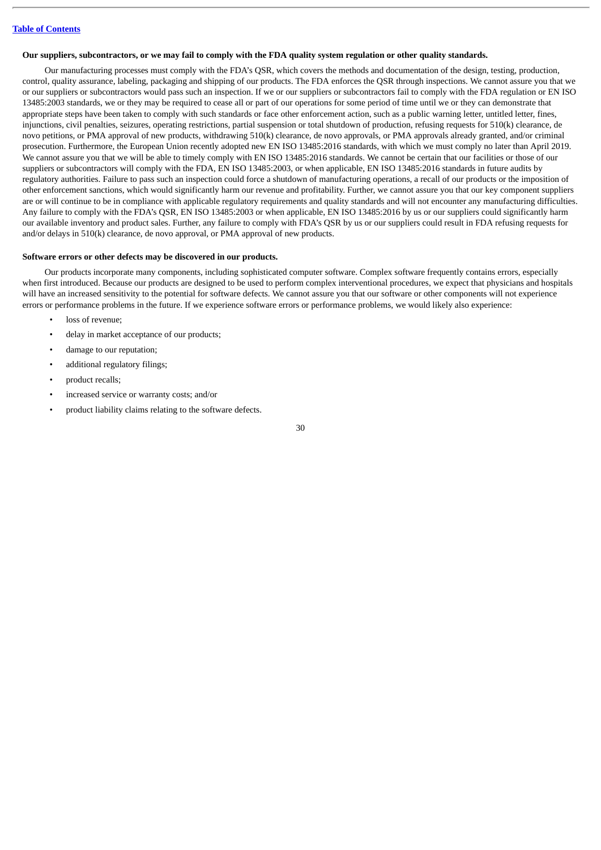#### **Our suppliers, subcontractors, or we may fail to comply with the FDA quality system regulation or other quality standards.**

Our manufacturing processes must comply with the FDA's QSR, which covers the methods and documentation of the design, testing, production, control, quality assurance, labeling, packaging and shipping of our products. The FDA enforces the QSR through inspections. We cannot assure you that we or our suppliers or subcontractors would pass such an inspection. If we or our suppliers or subcontractors fail to comply with the FDA regulation or EN ISO 13485:2003 standards, we or they may be required to cease all or part of our operations for some period of time until we or they can demonstrate that appropriate steps have been taken to comply with such standards or face other enforcement action, such as a public warning letter, untitled letter, fines, injunctions, civil penalties, seizures, operating restrictions, partial suspension or total shutdown of production, refusing requests for 510(k) clearance, de novo petitions, or PMA approval of new products, withdrawing 510(k) clearance, de novo approvals, or PMA approvals already granted, and/or criminal prosecution. Furthermore, the European Union recently adopted new EN ISO 13485:2016 standards, with which we must comply no later than April 2019. We cannot assure you that we will be able to timely comply with EN ISO 13485:2016 standards. We cannot be certain that our facilities or those of our suppliers or subcontractors will comply with the FDA, EN ISO 13485:2003, or when applicable, EN ISO 13485:2016 standards in future audits by regulatory authorities. Failure to pass such an inspection could force a shutdown of manufacturing operations, a recall of our products or the imposition of other enforcement sanctions, which would significantly harm our revenue and profitability. Further, we cannot assure you that our key component suppliers are or will continue to be in compliance with applicable regulatory requirements and quality standards and will not encounter any manufacturing difficulties. Any failure to comply with the FDA's QSR, EN ISO 13485:2003 or when applicable, EN ISO 13485:2016 by us or our suppliers could significantly harm our available inventory and product sales. Further, any failure to comply with FDA's QSR by us or our suppliers could result in FDA refusing requests for and/or delays in 510(k) clearance, de novo approval, or PMA approval of new products.

#### **Software errors or other defects may be discovered in our products.**

Our products incorporate many components, including sophisticated computer software. Complex software frequently contains errors, especially when first introduced. Because our products are designed to be used to perform complex interventional procedures, we expect that physicians and hospitals will have an increased sensitivity to the potential for software defects. We cannot assure you that our software or other components will not experience errors or performance problems in the future. If we experience software errors or performance problems, we would likely also experience:

- loss of revenue:
- delay in market acceptance of our products;
- damage to our reputation;
- additional regulatory filings;
- product recalls;
- increased service or warranty costs; and/or
- product liability claims relating to the software defects.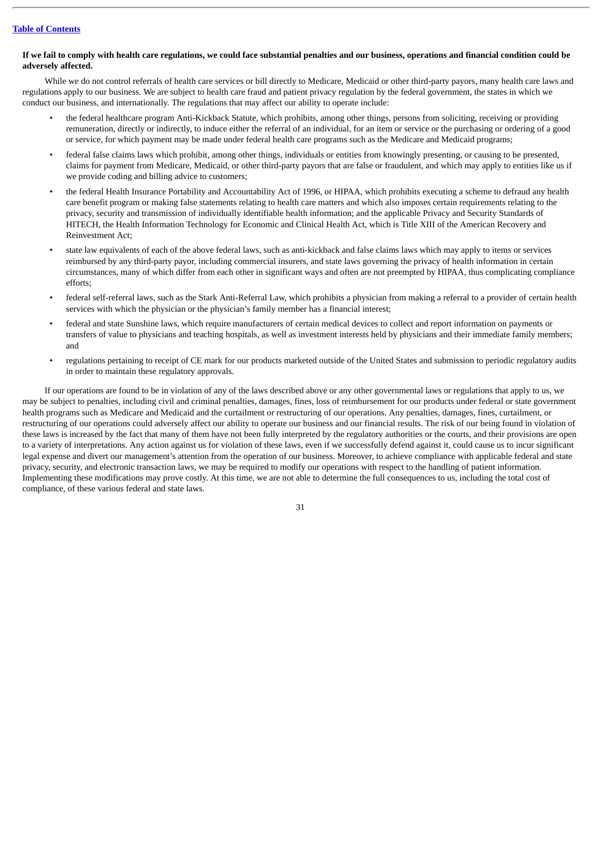### **If we fail to comply with health care regulations, we could face substantial penalties and our business, operations and financial condition could be adversely affected.**

While we do not control referrals of health care services or bill directly to Medicare, Medicaid or other third-party payors, many health care laws and regulations apply to our business. We are subject to health care fraud and patient privacy regulation by the federal government, the states in which we conduct our business, and internationally. The regulations that may affect our ability to operate include:

- the federal healthcare program Anti-Kickback Statute, which prohibits, among other things, persons from soliciting, receiving or providing remuneration, directly or indirectly, to induce either the referral of an individual, for an item or service or the purchasing or ordering of a good or service, for which payment may be made under federal health care programs such as the Medicare and Medicaid programs;
- federal false claims laws which prohibit, among other things, individuals or entities from knowingly presenting, or causing to be presented, claims for payment from Medicare, Medicaid, or other third-party payors that are false or fraudulent, and which may apply to entities like us if we provide coding and billing advice to customers;
- the federal Health Insurance Portability and Accountability Act of 1996, or HIPAA, which prohibits executing a scheme to defraud any health care benefit program or making false statements relating to health care matters and which also imposes certain requirements relating to the privacy, security and transmission of individually identifiable health information; and the applicable Privacy and Security Standards of HITECH, the Health Information Technology for Economic and Clinical Health Act, which is Title XIII of the American Recovery and Reinvestment Act;
- state law equivalents of each of the above federal laws, such as anti-kickback and false claims laws which may apply to items or services reimbursed by any third-party payor, including commercial insurers, and state laws governing the privacy of health information in certain circumstances, many of which differ from each other in significant ways and often are not preempted by HIPAA, thus complicating compliance efforts;
- federal self-referral laws, such as the Stark Anti-Referral Law, which prohibits a physician from making a referral to a provider of certain health services with which the physician or the physician's family member has a financial interest;
- federal and state Sunshine laws, which require manufacturers of certain medical devices to collect and report information on payments or transfers of value to physicians and teaching hospitals, as well as investment interests held by physicians and their immediate family members; and
- regulations pertaining to receipt of CE mark for our products marketed outside of the United States and submission to periodic regulatory audits in order to maintain these regulatory approvals.

If our operations are found to be in violation of any of the laws described above or any other governmental laws or regulations that apply to us, we may be subject to penalties, including civil and criminal penalties, damages, fines, loss of reimbursement for our products under federal or state government health programs such as Medicare and Medicaid and the curtailment or restructuring of our operations. Any penalties, damages, fines, curtailment, or restructuring of our operations could adversely affect our ability to operate our business and our financial results. The risk of our being found in violation of these laws is increased by the fact that many of them have not been fully interpreted by the regulatory authorities or the courts, and their provisions are open to a variety of interpretations. Any action against us for violation of these laws, even if we successfully defend against it, could cause us to incur significant legal expense and divert our management's attention from the operation of our business. Moreover, to achieve compliance with applicable federal and state privacy, security, and electronic transaction laws, we may be required to modify our operations with respect to the handling of patient information. Implementing these modifications may prove costly. At this time, we are not able to determine the full consequences to us, including the total cost of compliance, of these various federal and state laws.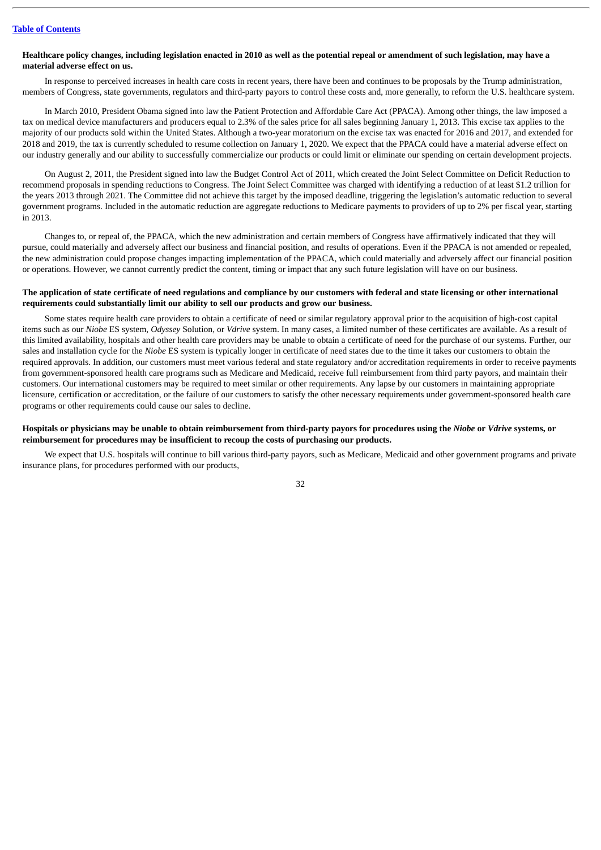#### **Healthcare policy changes, including legislation enacted in 2010 as well as the potential repeal or amendment of such legislation, may have a material adverse effect on us.**

In response to perceived increases in health care costs in recent years, there have been and continues to be proposals by the Trump administration, members of Congress, state governments, regulators and third-party payors to control these costs and, more generally, to reform the U.S. healthcare system.

In March 2010, President Obama signed into law the Patient Protection and Affordable Care Act (PPACA). Among other things, the law imposed a tax on medical device manufacturers and producers equal to 2.3% of the sales price for all sales beginning January 1, 2013. This excise tax applies to the majority of our products sold within the United States. Although a two-year moratorium on the excise tax was enacted for 2016 and 2017, and extended for 2018 and 2019, the tax is currently scheduled to resume collection on January 1, 2020. We expect that the PPACA could have a material adverse effect on our industry generally and our ability to successfully commercialize our products or could limit or eliminate our spending on certain development projects.

On August 2, 2011, the President signed into law the Budget Control Act of 2011, which created the Joint Select Committee on Deficit Reduction to recommend proposals in spending reductions to Congress. The Joint Select Committee was charged with identifying a reduction of at least \$1.2 trillion for the years 2013 through 2021. The Committee did not achieve this target by the imposed deadline, triggering the legislation's automatic reduction to several government programs. Included in the automatic reduction are aggregate reductions to Medicare payments to providers of up to 2% per fiscal year, starting in 2013.

Changes to, or repeal of, the PPACA, which the new administration and certain members of Congress have affirmatively indicated that they will pursue, could materially and adversely affect our business and financial position, and results of operations. Even if the PPACA is not amended or repealed, the new administration could propose changes impacting implementation of the PPACA, which could materially and adversely affect our financial position or operations. However, we cannot currently predict the content, timing or impact that any such future legislation will have on our business.

#### **The application of state certificate of need regulations and compliance by our customers with federal and state licensing or other international requirements could substantially limit our ability to sell our products and grow our business.**

Some states require health care providers to obtain a certificate of need or similar regulatory approval prior to the acquisition of high-cost capital items such as our *Niobe* ES system, *Odyssey* Solution, or *Vdrive* system. In many cases, a limited number of these certificates are available. As a result of this limited availability, hospitals and other health care providers may be unable to obtain a certificate of need for the purchase of our systems. Further, our sales and installation cycle for the *Niobe* ES system is typically longer in certificate of need states due to the time it takes our customers to obtain the required approvals. In addition, our customers must meet various federal and state regulatory and/or accreditation requirements in order to receive payments from government-sponsored health care programs such as Medicare and Medicaid, receive full reimbursement from third party payors, and maintain their customers. Our international customers may be required to meet similar or other requirements. Any lapse by our customers in maintaining appropriate licensure, certification or accreditation, or the failure of our customers to satisfy the other necessary requirements under government-sponsored health care programs or other requirements could cause our sales to decline.

#### **Hospitals or physicians may be unable to obtain reimbursement from third-party payors for procedures using the** *Niobe* **or** *Vdrive* **systems, or reimbursement for procedures may be insufficient to recoup the costs of purchasing our products.**

We expect that U.S. hospitals will continue to bill various third-party payors, such as Medicare, Medicaid and other government programs and private insurance plans, for procedures performed with our products,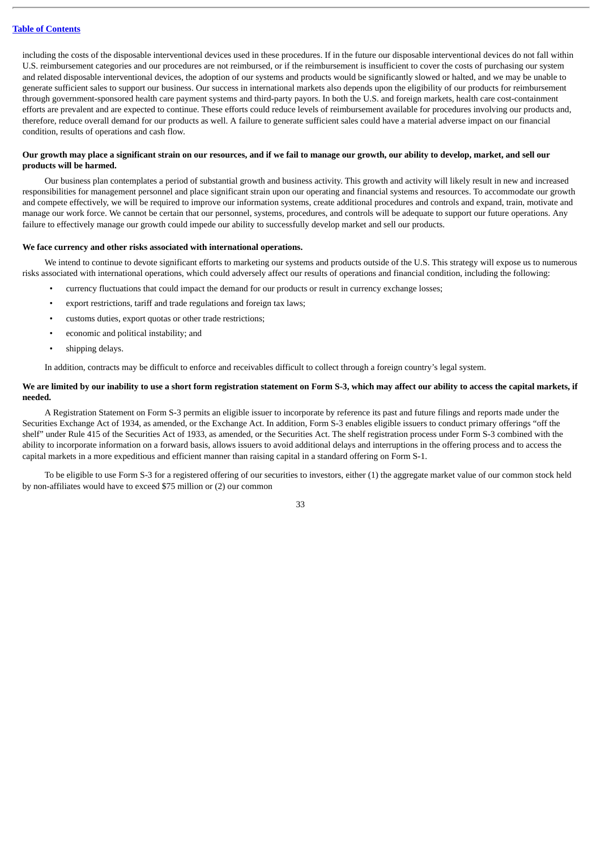#### **Table of [Contents](#page-1-0)**

including the costs of the disposable interventional devices used in these procedures. If in the future our disposable interventional devices do not fall within U.S. reimbursement categories and our procedures are not reimbursed, or if the reimbursement is insufficient to cover the costs of purchasing our system and related disposable interventional devices, the adoption of our systems and products would be significantly slowed or halted, and we may be unable to generate sufficient sales to support our business. Our success in international markets also depends upon the eligibility of our products for reimbursement through government-sponsored health care payment systems and third-party payors. In both the U.S. and foreign markets, health care cost-containment efforts are prevalent and are expected to continue. These efforts could reduce levels of reimbursement available for procedures involving our products and, therefore, reduce overall demand for our products as well. A failure to generate sufficient sales could have a material adverse impact on our financial condition, results of operations and cash flow.

#### **Our growth may place a significant strain on our resources, and if we fail to manage our growth, our ability to develop, market, and sell our products will be harmed.**

Our business plan contemplates a period of substantial growth and business activity. This growth and activity will likely result in new and increased responsibilities for management personnel and place significant strain upon our operating and financial systems and resources. To accommodate our growth and compete effectively, we will be required to improve our information systems, create additional procedures and controls and expand, train, motivate and manage our work force. We cannot be certain that our personnel, systems, procedures, and controls will be adequate to support our future operations. Any failure to effectively manage our growth could impede our ability to successfully develop market and sell our products.

#### **We face currency and other risks associated with international operations.**

We intend to continue to devote significant efforts to marketing our systems and products outside of the U.S. This strategy will expose us to numerous risks associated with international operations, which could adversely affect our results of operations and financial condition, including the following:

- currency fluctuations that could impact the demand for our products or result in currency exchange losses;
- export restrictions, tariff and trade regulations and foreign tax laws;
- customs duties, export quotas or other trade restrictions;
- economic and political instability; and
- shipping delays.

In addition, contracts may be difficult to enforce and receivables difficult to collect through a foreign country's legal system.

#### **We are limited by our inability to use a short form registration statement on Form S-3, which may affect our ability to access the capital markets, if needed.**

A Registration Statement on Form S-3 permits an eligible issuer to incorporate by reference its past and future filings and reports made under the Securities Exchange Act of 1934, as amended, or the Exchange Act. In addition, Form S-3 enables eligible issuers to conduct primary offerings "off the shelf" under Rule 415 of the Securities Act of 1933, as amended, or the Securities Act. The shelf registration process under Form S-3 combined with the ability to incorporate information on a forward basis, allows issuers to avoid additional delays and interruptions in the offering process and to access the capital markets in a more expeditious and efficient manner than raising capital in a standard offering on Form S-1.

To be eligible to use Form S-3 for a registered offering of our securities to investors, either (1) the aggregate market value of our common stock held by non-affiliates would have to exceed \$75 million or (2) our common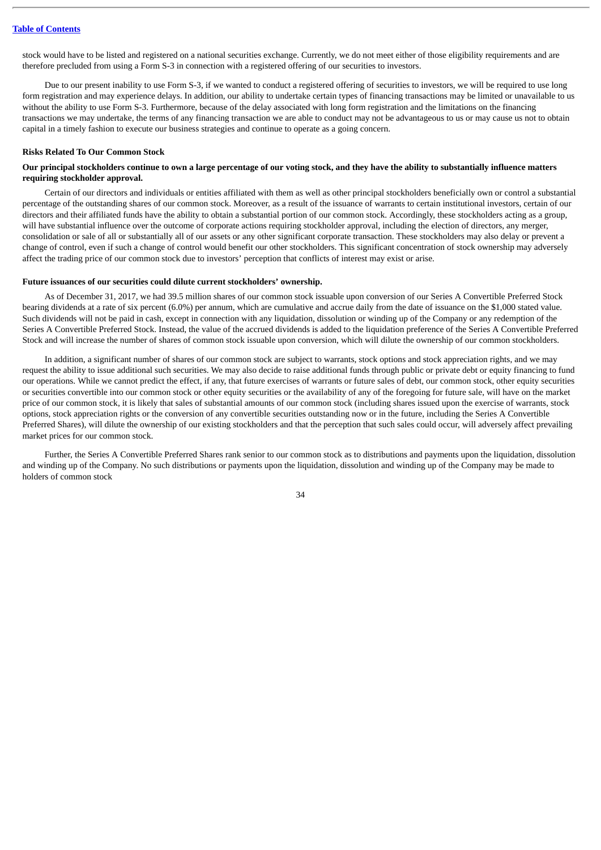stock would have to be listed and registered on a national securities exchange. Currently, we do not meet either of those eligibility requirements and are therefore precluded from using a Form S-3 in connection with a registered offering of our securities to investors.

Due to our present inability to use Form S-3, if we wanted to conduct a registered offering of securities to investors, we will be required to use long form registration and may experience delays. In addition, our ability to undertake certain types of financing transactions may be limited or unavailable to us without the ability to use Form S-3. Furthermore, because of the delay associated with long form registration and the limitations on the financing transactions we may undertake, the terms of any financing transaction we are able to conduct may not be advantageous to us or may cause us not to obtain capital in a timely fashion to execute our business strategies and continue to operate as a going concern.

#### **Risks Related To Our Common Stock**

#### **Our principal stockholders continue to own a large percentage of our voting stock, and they have the ability to substantially influence matters requiring stockholder approval.**

Certain of our directors and individuals or entities affiliated with them as well as other principal stockholders beneficially own or control a substantial percentage of the outstanding shares of our common stock. Moreover, as a result of the issuance of warrants to certain institutional investors, certain of our directors and their affiliated funds have the ability to obtain a substantial portion of our common stock. Accordingly, these stockholders acting as a group, will have substantial influence over the outcome of corporate actions requiring stockholder approval, including the election of directors, any merger, consolidation or sale of all or substantially all of our assets or any other significant corporate transaction. These stockholders may also delay or prevent a change of control, even if such a change of control would benefit our other stockholders. This significant concentration of stock ownership may adversely affect the trading price of our common stock due to investors' perception that conflicts of interest may exist or arise.

## **Future issuances of our securities could dilute current stockholders' ownership.**

As of December 31, 2017, we had 39.5 million shares of our common stock issuable upon conversion of our Series A Convertible Preferred Stock bearing dividends at a rate of six percent (6.0%) per annum, which are cumulative and accrue daily from the date of issuance on the \$1,000 stated value. Such dividends will not be paid in cash, except in connection with any liquidation, dissolution or winding up of the Company or any redemption of the Series A Convertible Preferred Stock. Instead, the value of the accrued dividends is added to the liquidation preference of the Series A Convertible Preferred Stock and will increase the number of shares of common stock issuable upon conversion, which will dilute the ownership of our common stockholders.

In addition, a significant number of shares of our common stock are subject to warrants, stock options and stock appreciation rights, and we may request the ability to issue additional such securities. We may also decide to raise additional funds through public or private debt or equity financing to fund our operations. While we cannot predict the effect, if any, that future exercises of warrants or future sales of debt, our common stock, other equity securities or securities convertible into our common stock or other equity securities or the availability of any of the foregoing for future sale, will have on the market price of our common stock, it is likely that sales of substantial amounts of our common stock (including shares issued upon the exercise of warrants, stock options, stock appreciation rights or the conversion of any convertible securities outstanding now or in the future, including the Series A Convertible Preferred Shares), will dilute the ownership of our existing stockholders and that the perception that such sales could occur, will adversely affect prevailing market prices for our common stock.

Further, the Series A Convertible Preferred Shares rank senior to our common stock as to distributions and payments upon the liquidation, dissolution and winding up of the Company. No such distributions or payments upon the liquidation, dissolution and winding up of the Company may be made to holders of common stock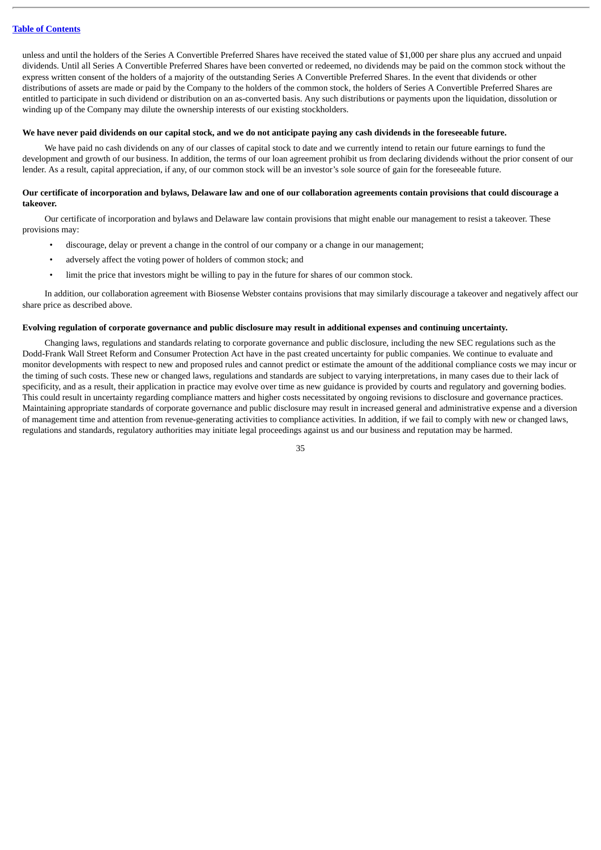# **Table of [Contents](#page-1-0)**

unless and until the holders of the Series A Convertible Preferred Shares have received the stated value of \$1,000 per share plus any accrued and unpaid dividends. Until all Series A Convertible Preferred Shares have been converted or redeemed, no dividends may be paid on the common stock without the express written consent of the holders of a majority of the outstanding Series A Convertible Preferred Shares. In the event that dividends or other distributions of assets are made or paid by the Company to the holders of the common stock, the holders of Series A Convertible Preferred Shares are entitled to participate in such dividend or distribution on an as-converted basis. Any such distributions or payments upon the liquidation, dissolution or winding up of the Company may dilute the ownership interests of our existing stockholders.

# **We have never paid dividends on our capital stock, and we do not anticipate paying any cash dividends in the foreseeable future.**

We have paid no cash dividends on any of our classes of capital stock to date and we currently intend to retain our future earnings to fund the development and growth of our business. In addition, the terms of our loan agreement prohibit us from declaring dividends without the prior consent of our lender. As a result, capital appreciation, if any, of our common stock will be an investor's sole source of gain for the foreseeable future.

# **Our certificate of incorporation and bylaws, Delaware law and one of our collaboration agreements contain provisions that could discourage a takeover.**

Our certificate of incorporation and bylaws and Delaware law contain provisions that might enable our management to resist a takeover. These provisions may:

- discourage, delay or prevent a change in the control of our company or a change in our management;
- adversely affect the voting power of holders of common stock; and
- limit the price that investors might be willing to pay in the future for shares of our common stock.

In addition, our collaboration agreement with Biosense Webster contains provisions that may similarly discourage a takeover and negatively affect our share price as described above.

### **Evolving regulation of corporate governance and public disclosure may result in additional expenses and continuing uncertainty.**

Changing laws, regulations and standards relating to corporate governance and public disclosure, including the new SEC regulations such as the Dodd-Frank Wall Street Reform and Consumer Protection Act have in the past created uncertainty for public companies. We continue to evaluate and monitor developments with respect to new and proposed rules and cannot predict or estimate the amount of the additional compliance costs we may incur or the timing of such costs. These new or changed laws, regulations and standards are subject to varying interpretations, in many cases due to their lack of specificity, and as a result, their application in practice may evolve over time as new guidance is provided by courts and regulatory and governing bodies. This could result in uncertainty regarding compliance matters and higher costs necessitated by ongoing revisions to disclosure and governance practices. Maintaining appropriate standards of corporate governance and public disclosure may result in increased general and administrative expense and a diversion of management time and attention from revenue-generating activities to compliance activities. In addition, if we fail to comply with new or changed laws, regulations and standards, regulatory authorities may initiate legal proceedings against us and our business and reputation may be harmed.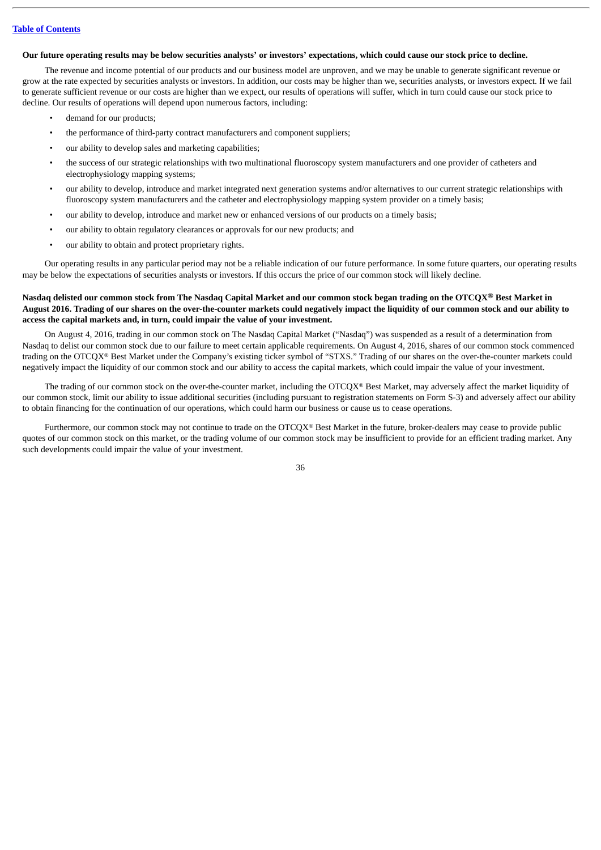### **Our future operating results may be below securities analysts' or investors' expectations, which could cause our stock price to decline.**

The revenue and income potential of our products and our business model are unproven, and we may be unable to generate significant revenue or grow at the rate expected by securities analysts or investors. In addition, our costs may be higher than we, securities analysts, or investors expect. If we fail to generate sufficient revenue or our costs are higher than we expect, our results of operations will suffer, which in turn could cause our stock price to decline. Our results of operations will depend upon numerous factors, including:

- demand for our products;
- the performance of third-party contract manufacturers and component suppliers;
- our ability to develop sales and marketing capabilities;
- the success of our strategic relationships with two multinational fluoroscopy system manufacturers and one provider of catheters and electrophysiology mapping systems;
- our ability to develop, introduce and market integrated next generation systems and/or alternatives to our current strategic relationships with fluoroscopy system manufacturers and the catheter and electrophysiology mapping system provider on a timely basis;
- our ability to develop, introduce and market new or enhanced versions of our products on a timely basis;
- our ability to obtain regulatory clearances or approvals for our new products; and
- our ability to obtain and protect proprietary rights.

Our operating results in any particular period may not be a reliable indication of our future performance. In some future quarters, our operating results may be below the expectations of securities analysts or investors. If this occurs the price of our common stock will likely decline.

# Nasdaq delisted our common stock from The Nasdaq Capital Market and our common stock began trading on the OTCQX® Best Market in **August 2016. Trading of our shares on the over-the-counter markets could negatively impact the liquidity of our common stock and our ability to access the capital markets and, in turn, could impair the value of your investment.**

On August 4, 2016, trading in our common stock on The Nasdaq Capital Market ("Nasdaq") was suspended as a result of a determination from Nasdaq to delist our common stock due to our failure to meet certain applicable requirements. On August 4, 2016, shares of our common stock commenced trading on the OTCQX® Best Market under the Company's existing ticker symbol of "STXS." Trading of our shares on the over-the-counter markets could negatively impact the liquidity of our common stock and our ability to access the capital markets, which could impair the value of your investment.

The trading of our common stock on the over-the-counter market, including the OTCQX® Best Market, may adversely affect the market liquidity of our common stock, limit our ability to issue additional securities (including pursuant to registration statements on Form S-3) and adversely affect our ability to obtain financing for the continuation of our operations, which could harm our business or cause us to cease operations.

Furthermore, our common stock may not continue to trade on the OTCQX® Best Market in the future, broker-dealers may cease to provide public quotes of our common stock on this market, or the trading volume of our common stock may be insufficient to provide for an efficient trading market. Any such developments could impair the value of your investment.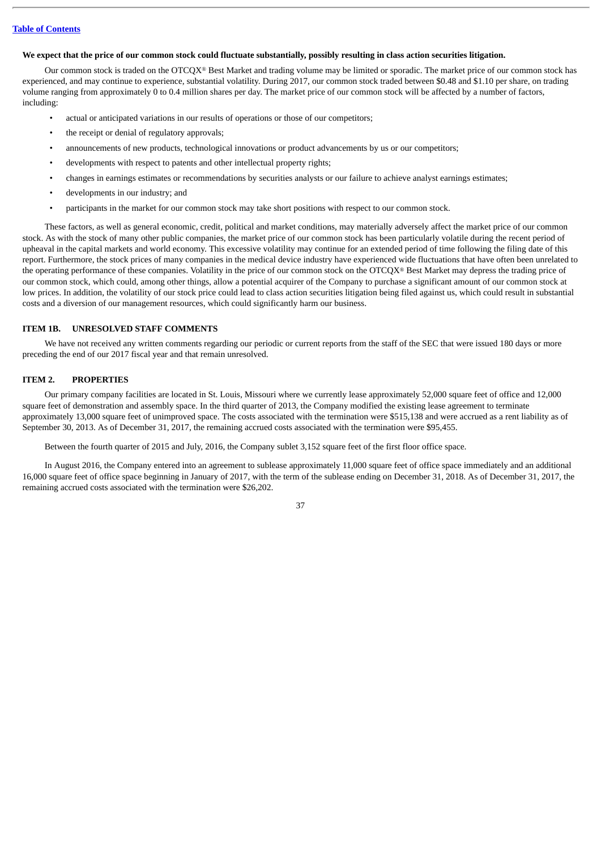### **We expect that the price of our common stock could fluctuate substantially, possibly resulting in class action securities litigation.**

Our common stock is traded on the OTCQX® Best Market and trading volume may be limited or sporadic. The market price of our common stock has experienced, and may continue to experience, substantial volatility. During 2017, our common stock traded between \$0.48 and \$1.10 per share, on trading volume ranging from approximately 0 to 0.4 million shares per day. The market price of our common stock will be affected by a number of factors, including:

- actual or anticipated variations in our results of operations or those of our competitors;
- the receipt or denial of regulatory approvals;
- announcements of new products, technological innovations or product advancements by us or our competitors;
- developments with respect to patents and other intellectual property rights;
- changes in earnings estimates or recommendations by securities analysts or our failure to achieve analyst earnings estimates;
- developments in our industry; and
- participants in the market for our common stock may take short positions with respect to our common stock.

These factors, as well as general economic, credit, political and market conditions, may materially adversely affect the market price of our common stock. As with the stock of many other public companies, the market price of our common stock has been particularly volatile during the recent period of upheaval in the capital markets and world economy. This excessive volatility may continue for an extended period of time following the filing date of this report. Furthermore, the stock prices of many companies in the medical device industry have experienced wide fluctuations that have often been unrelated to the operating performance of these companies. Volatility in the price of our common stock on the OTCQX® Best Market may depress the trading price of our common stock, which could, among other things, allow a potential acquirer of the Company to purchase a significant amount of our common stock at low prices. In addition, the volatility of our stock price could lead to class action securities litigation being filed against us, which could result in substantial costs and a diversion of our management resources, which could significantly harm our business.

# **ITEM 1B. UNRESOLVED STAFF COMMENTS**

We have not received any written comments regarding our periodic or current reports from the staff of the SEC that were issued 180 days or more preceding the end of our 2017 fiscal year and that remain unresolved.

# **ITEM 2. PROPERTIES**

Our primary company facilities are located in St. Louis, Missouri where we currently lease approximately 52,000 square feet of office and 12,000 square feet of demonstration and assembly space. In the third quarter of 2013, the Company modified the existing lease agreement to terminate approximately 13,000 square feet of unimproved space. The costs associated with the termination were \$515,138 and were accrued as a rent liability as of September 30, 2013. As of December 31, 2017, the remaining accrued costs associated with the termination were \$95,455.

Between the fourth quarter of 2015 and July, 2016, the Company sublet 3,152 square feet of the first floor office space.

In August 2016, the Company entered into an agreement to sublease approximately 11,000 square feet of office space immediately and an additional 16,000 square feet of office space beginning in January of 2017, with the term of the sublease ending on December 31, 2018. As of December 31, 2017, the remaining accrued costs associated with the termination were \$26,202.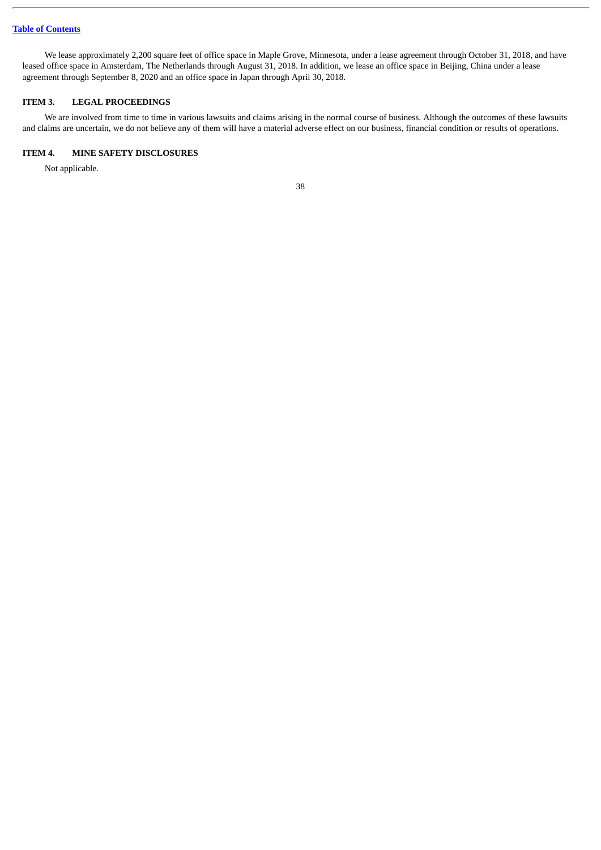We lease approximately 2,200 square feet of office space in Maple Grove, Minnesota, under a lease agreement through October 31, 2018, and have leased office space in Amsterdam, The Netherlands through August 31, 2018. In addition, we lease an office space in Beijing, China under a lease agreement through September 8, 2020 and an office space in Japan through April 30, 2018.

# **ITEM 3. LEGAL PROCEEDINGS**

We are involved from time to time in various lawsuits and claims arising in the normal course of business. Although the outcomes of these lawsuits and claims are uncertain, we do not believe any of them will have a material adverse effect on our business, financial condition or results of operations.

# **ITEM 4. MINE SAFETY DISCLOSURES**

Not applicable.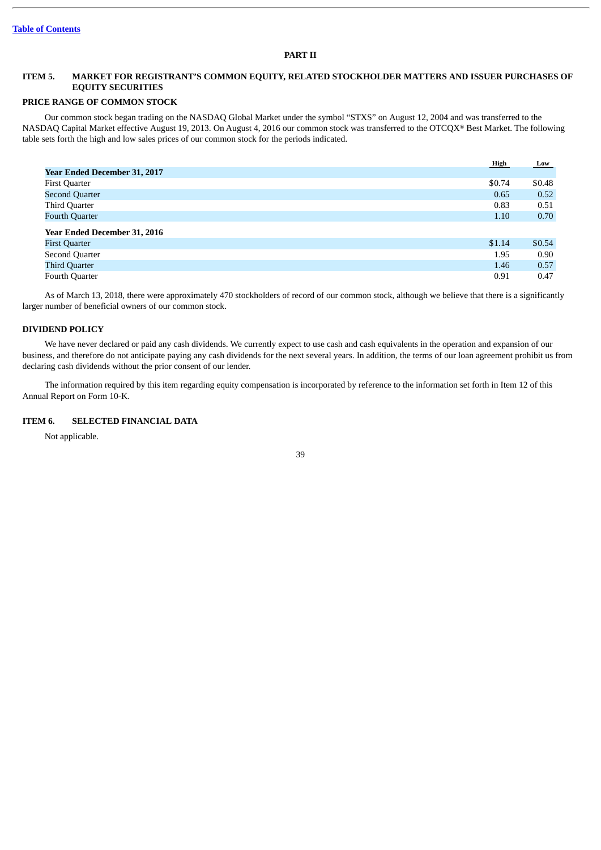# **PART II**

# **ITEM 5. MARKET FOR REGISTRANT'S COMMON EQUITY, RELATED STOCKHOLDER MATTERS AND ISSUER PURCHASES OF EQUITY SECURITIES**

## **PRICE RANGE OF COMMON STOCK**

Our common stock began trading on the NASDAQ Global Market under the symbol "STXS" on August 12, 2004 and was transferred to the NASDAQ Capital Market effective August 19, 2013. On August 4, 2016 our common stock was transferred to the OTCQX<sup>®</sup> Best Market. The following table sets forth the high and low sales prices of our common stock for the periods indicated.

|                                     | High   | Low    |
|-------------------------------------|--------|--------|
| <b>Year Ended December 31, 2017</b> |        |        |
| First Quarter                       | \$0.74 | \$0.48 |
| <b>Second Quarter</b>               | 0.65   | 0.52   |
| Third Quarter                       | 0.83   | 0.51   |
| <b>Fourth Quarter</b>               | 1.10   | 0.70   |
| Year Ended December 31, 2016        |        |        |
| <b>First Quarter</b>                | \$1.14 | \$0.54 |
| Second Quarter                      | 1.95   | 0.90   |
| <b>Third Quarter</b>                | 1.46   | 0.57   |
| Fourth Quarter                      | 0.91   | 0.47   |

As of March 13, 2018, there were approximately 470 stockholders of record of our common stock, although we believe that there is a significantly larger number of beneficial owners of our common stock.

# **DIVIDEND POLICY**

We have never declared or paid any cash dividends. We currently expect to use cash and cash equivalents in the operation and expansion of our business, and therefore do not anticipate paying any cash dividends for the next several years. In addition, the terms of our loan agreement prohibit us from declaring cash dividends without the prior consent of our lender.

The information required by this item regarding equity compensation is incorporated by reference to the information set forth in Item 12 of this Annual Report on Form 10-K.

# **ITEM 6. SELECTED FINANCIAL DATA**

Not applicable.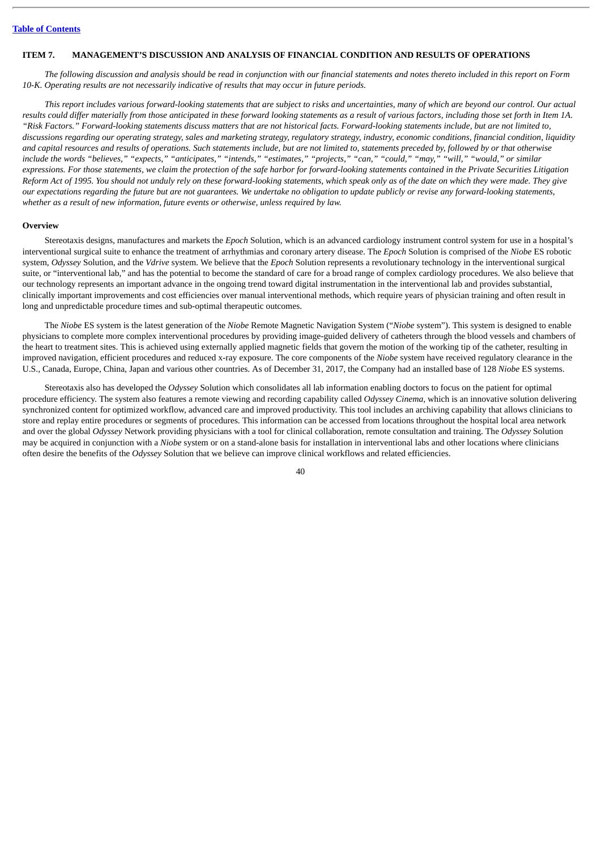# **ITEM 7. MANAGEMENT'S DISCUSSION AND ANALYSIS OF FINANCIAL CONDITION AND RESULTS OF OPERATIONS**

*The following discussion and analysis should be read in conjunction with our financial statements and notes thereto included in this report on Form 10-K. Operating results are not necessarily indicative of results that may occur in future periods.*

*This report includes various forward-looking statements that are subject to risks and uncertainties, many of which are beyond our control. Our actual results could differ materially from those anticipated in these forward looking statements as a result of various factors, including those set forth in Item 1A. "Risk Factors." Forward-looking statements discuss matters that are not historical facts. Forward-looking statements include, but are not limited to, discussions regarding our operating strategy, sales and marketing strategy, regulatory strategy, industry, economic conditions, financial condition, liquidity and capital resources and results of operations. Such statements include, but are not limited to, statements preceded by, followed by or that otherwise include the words "believes," "expects," "anticipates," "intends," "estimates," "projects," "can," "could," "may," "will," "would," or similar expressions. For those statements, we claim the protection of the safe harbor for forward-looking statements contained in the Private Securities Litigation Reform Act of 1995. You should not unduly rely on these forward-looking statements, which speak only as of the date on which they were made. They give our expectations regarding the future but are not guarantees. We undertake no obligation to update publicly or revise any forward-looking statements, whether as a result of new information, future events or otherwise, unless required by law.*

#### **Overview**

Stereotaxis designs, manufactures and markets the *Epoch* Solution, which is an advanced cardiology instrument control system for use in a hospital's interventional surgical suite to enhance the treatment of arrhythmias and coronary artery disease. The *Epoch* Solution is comprised of the *Niobe* ES robotic system, *Odyssey* Solution, and the *Vdrive* system. We believe that the *Epoch* Solution represents a revolutionary technology in the interventional surgical suite, or "interventional lab," and has the potential to become the standard of care for a broad range of complex cardiology procedures. We also believe that our technology represents an important advance in the ongoing trend toward digital instrumentation in the interventional lab and provides substantial, clinically important improvements and cost efficiencies over manual interventional methods, which require years of physician training and often result in long and unpredictable procedure times and sub-optimal therapeutic outcomes.

The *Niobe* ES system is the latest generation of the *Niobe* Remote Magnetic Navigation System ("*Niobe* system"). This system is designed to enable physicians to complete more complex interventional procedures by providing image-guided delivery of catheters through the blood vessels and chambers of the heart to treatment sites. This is achieved using externally applied magnetic fields that govern the motion of the working tip of the catheter, resulting in improved navigation, efficient procedures and reduced x-ray exposure. The core components of the *Niobe* system have received regulatory clearance in the U.S., Canada, Europe, China, Japan and various other countries. As of December 31, 2017, the Company had an installed base of 128 *Niobe* ES systems.

Stereotaxis also has developed the *Odyssey* Solution which consolidates all lab information enabling doctors to focus on the patient for optimal procedure efficiency. The system also features a remote viewing and recording capability called *Odyssey Cinema*, which is an innovative solution delivering synchronized content for optimized workflow, advanced care and improved productivity. This tool includes an archiving capability that allows clinicians to store and replay entire procedures or segments of procedures. This information can be accessed from locations throughout the hospital local area network and over the global *Odyssey* Network providing physicians with a tool for clinical collaboration, remote consultation and training. The *Odyssey* Solution may be acquired in conjunction with a *Niobe* system or on a stand-alone basis for installation in interventional labs and other locations where clinicians often desire the benefits of the *Odyssey* Solution that we believe can improve clinical workflows and related efficiencies.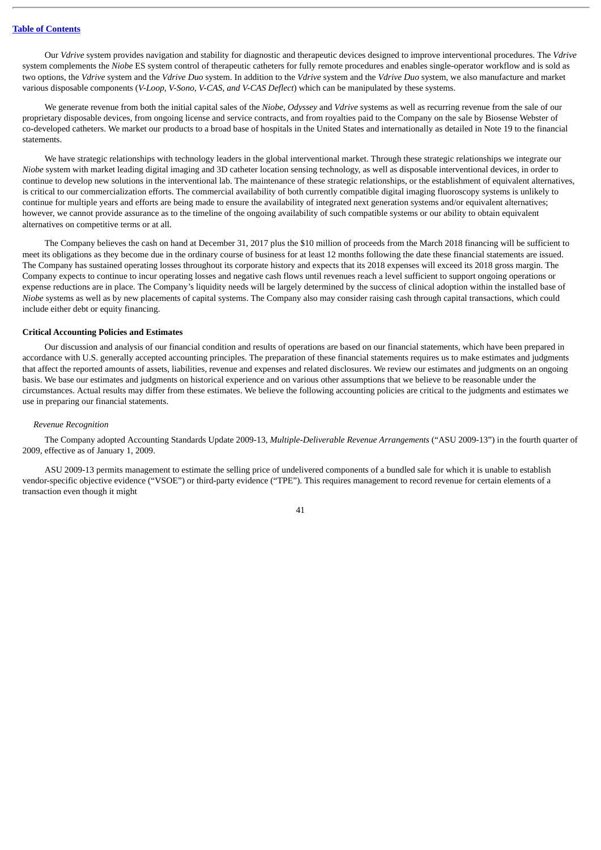Our *Vdrive* system provides navigation and stability for diagnostic and therapeutic devices designed to improve interventional procedures. The *Vdrive* system complements the *Niobe* ES system control of therapeutic catheters for fully remote procedures and enables single-operator workflow and is sold as two options, the *Vdrive* system and the *Vdrive Duo* system. In addition to the *Vdrive* system and the *Vdrive Duo* system, we also manufacture and market various disposable components (*V-Loop*, *V-Sono*, *V-CAS, and V-CAS Deflect*) which can be manipulated by these systems.

We generate revenue from both the initial capital sales of the *Niobe*, *Odyssey* and *Vdrive* systems as well as recurring revenue from the sale of our proprietary disposable devices, from ongoing license and service contracts, and from royalties paid to the Company on the sale by Biosense Webster of co-developed catheters. We market our products to a broad base of hospitals in the United States and internationally as detailed in Note 19 to the financial statements.

We have strategic relationships with technology leaders in the global interventional market. Through these strategic relationships we integrate our *Niobe* system with market leading digital imaging and 3D catheter location sensing technology, as well as disposable interventional devices, in order to continue to develop new solutions in the interventional lab. The maintenance of these strategic relationships, or the establishment of equivalent alternatives, is critical to our commercialization efforts. The commercial availability of both currently compatible digital imaging fluoroscopy systems is unlikely to continue for multiple years and efforts are being made to ensure the availability of integrated next generation systems and/or equivalent alternatives; however, we cannot provide assurance as to the timeline of the ongoing availability of such compatible systems or our ability to obtain equivalent alternatives on competitive terms or at all.

The Company believes the cash on hand at December 31, 2017 plus the \$10 million of proceeds from the March 2018 financing will be sufficient to meet its obligations as they become due in the ordinary course of business for at least 12 months following the date these financial statements are issued. The Company has sustained operating losses throughout its corporate history and expects that its 2018 expenses will exceed its 2018 gross margin. The Company expects to continue to incur operating losses and negative cash flows until revenues reach a level sufficient to support ongoing operations or expense reductions are in place. The Company's liquidity needs will be largely determined by the success of clinical adoption within the installed base of *Niobe* systems as well as by new placements of capital systems. The Company also may consider raising cash through capital transactions, which could include either debt or equity financing.

# **Critical Accounting Policies and Estimates**

Our discussion and analysis of our financial condition and results of operations are based on our financial statements, which have been prepared in accordance with U.S. generally accepted accounting principles. The preparation of these financial statements requires us to make estimates and judgments that affect the reported amounts of assets, liabilities, revenue and expenses and related disclosures. We review our estimates and judgments on an ongoing basis. We base our estimates and judgments on historical experience and on various other assumptions that we believe to be reasonable under the circumstances. Actual results may differ from these estimates. We believe the following accounting policies are critical to the judgments and estimates we use in preparing our financial statements.

### *Revenue Recognition*

The Company adopted Accounting Standards Update 2009-13, *Multiple-Deliverable Revenue Arrangements* ("ASU 2009-13") in the fourth quarter of 2009, effective as of January 1, 2009.

ASU 2009-13 permits management to estimate the selling price of undelivered components of a bundled sale for which it is unable to establish vendor-specific objective evidence ("VSOE") or third-party evidence ("TPE"). This requires management to record revenue for certain elements of a transaction even though it might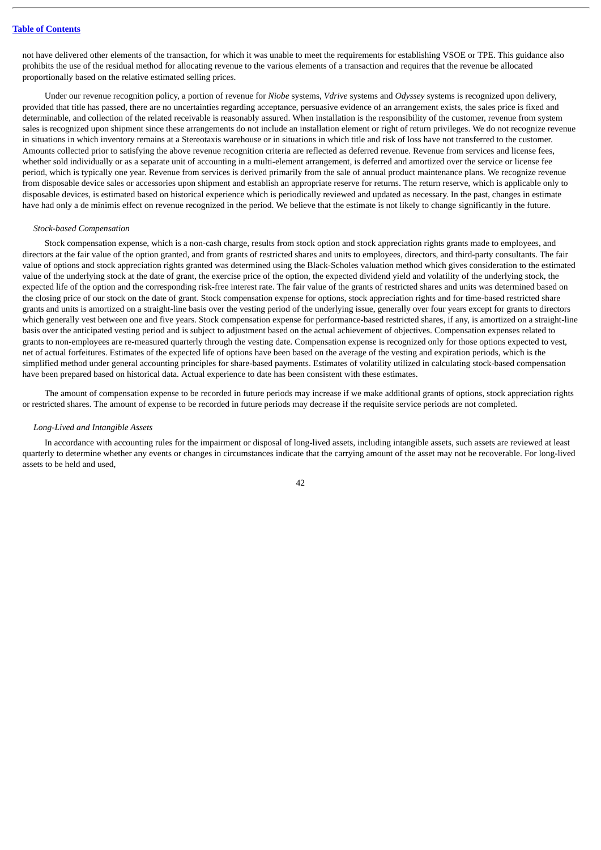not have delivered other elements of the transaction, for which it was unable to meet the requirements for establishing VSOE or TPE. This guidance also prohibits the use of the residual method for allocating revenue to the various elements of a transaction and requires that the revenue be allocated proportionally based on the relative estimated selling prices.

Under our revenue recognition policy, a portion of revenue for *Niobe* systems, *Vdrive* systems and *Odyssey* systems is recognized upon delivery, provided that title has passed, there are no uncertainties regarding acceptance, persuasive evidence of an arrangement exists, the sales price is fixed and determinable, and collection of the related receivable is reasonably assured. When installation is the responsibility of the customer, revenue from system sales is recognized upon shipment since these arrangements do not include an installation element or right of return privileges. We do not recognize revenue in situations in which inventory remains at a Stereotaxis warehouse or in situations in which title and risk of loss have not transferred to the customer. Amounts collected prior to satisfying the above revenue recognition criteria are reflected as deferred revenue. Revenue from services and license fees, whether sold individually or as a separate unit of accounting in a multi-element arrangement, is deferred and amortized over the service or license fee period, which is typically one year. Revenue from services is derived primarily from the sale of annual product maintenance plans. We recognize revenue from disposable device sales or accessories upon shipment and establish an appropriate reserve for returns. The return reserve, which is applicable only to disposable devices, is estimated based on historical experience which is periodically reviewed and updated as necessary. In the past, changes in estimate have had only a de minimis effect on revenue recognized in the period. We believe that the estimate is not likely to change significantly in the future.

#### *Stock-based Compensation*

Stock compensation expense, which is a non-cash charge, results from stock option and stock appreciation rights grants made to employees, and directors at the fair value of the option granted, and from grants of restricted shares and units to employees, directors, and third-party consultants. The fair value of options and stock appreciation rights granted was determined using the Black-Scholes valuation method which gives consideration to the estimated value of the underlying stock at the date of grant, the exercise price of the option, the expected dividend yield and volatility of the underlying stock, the expected life of the option and the corresponding risk-free interest rate. The fair value of the grants of restricted shares and units was determined based on the closing price of our stock on the date of grant. Stock compensation expense for options, stock appreciation rights and for time-based restricted share grants and units is amortized on a straight-line basis over the vesting period of the underlying issue, generally over four years except for grants to directors which generally vest between one and five years. Stock compensation expense for performance-based restricted shares, if any, is amortized on a straight-line basis over the anticipated vesting period and is subject to adjustment based on the actual achievement of objectives. Compensation expenses related to grants to non-employees are re-measured quarterly through the vesting date. Compensation expense is recognized only for those options expected to vest, net of actual forfeitures. Estimates of the expected life of options have been based on the average of the vesting and expiration periods, which is the simplified method under general accounting principles for share-based payments. Estimates of volatility utilized in calculating stock-based compensation have been prepared based on historical data. Actual experience to date has been consistent with these estimates.

The amount of compensation expense to be recorded in future periods may increase if we make additional grants of options, stock appreciation rights or restricted shares. The amount of expense to be recorded in future periods may decrease if the requisite service periods are not completed.

### *Long-Lived and Intangible Assets*

In accordance with accounting rules for the impairment or disposal of long-lived assets, including intangible assets, such assets are reviewed at least quarterly to determine whether any events or changes in circumstances indicate that the carrying amount of the asset may not be recoverable. For long-lived assets to be held and used,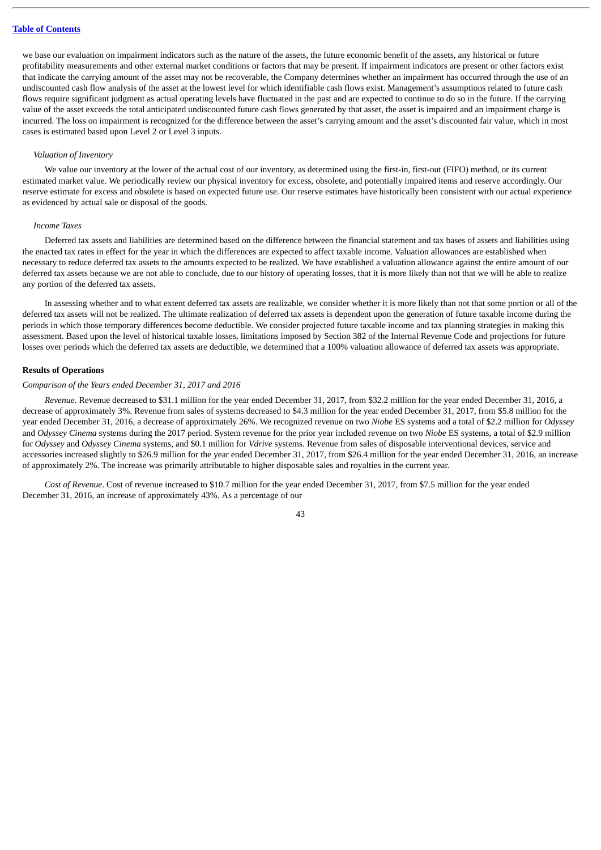## **Table of [Contents](#page-1-0)**

we base our evaluation on impairment indicators such as the nature of the assets, the future economic benefit of the assets, any historical or future profitability measurements and other external market conditions or factors that may be present. If impairment indicators are present or other factors exist that indicate the carrying amount of the asset may not be recoverable, the Company determines whether an impairment has occurred through the use of an undiscounted cash flow analysis of the asset at the lowest level for which identifiable cash flows exist. Management's assumptions related to future cash flows require significant judgment as actual operating levels have fluctuated in the past and are expected to continue to do so in the future. If the carrying value of the asset exceeds the total anticipated undiscounted future cash flows generated by that asset, the asset is impaired and an impairment charge is incurred. The loss on impairment is recognized for the difference between the asset's carrying amount and the asset's discounted fair value, which in most cases is estimated based upon Level 2 or Level 3 inputs.

### *Valuation of Inventory*

We value our inventory at the lower of the actual cost of our inventory, as determined using the first-in, first-out (FIFO) method, or its current estimated market value. We periodically review our physical inventory for excess, obsolete, and potentially impaired items and reserve accordingly. Our reserve estimate for excess and obsolete is based on expected future use. Our reserve estimates have historically been consistent with our actual experience as evidenced by actual sale or disposal of the goods.

### *Income Taxes*

Deferred tax assets and liabilities are determined based on the difference between the financial statement and tax bases of assets and liabilities using the enacted tax rates in effect for the year in which the differences are expected to affect taxable income. Valuation allowances are established when necessary to reduce deferred tax assets to the amounts expected to be realized. We have established a valuation allowance against the entire amount of our deferred tax assets because we are not able to conclude, due to our history of operating losses, that it is more likely than not that we will be able to realize any portion of the deferred tax assets.

In assessing whether and to what extent deferred tax assets are realizable, we consider whether it is more likely than not that some portion or all of the deferred tax assets will not be realized. The ultimate realization of deferred tax assets is dependent upon the generation of future taxable income during the periods in which those temporary differences become deductible. We consider projected future taxable income and tax planning strategies in making this assessment. Based upon the level of historical taxable losses, limitations imposed by Section 382 of the Internal Revenue Code and projections for future losses over periods which the deferred tax assets are deductible, we determined that a 100% valuation allowance of deferred tax assets was appropriate.

### **Results of Operations**

## *Comparison of the Years ended December 31, 2017 and 2016*

*Revenue*. Revenue decreased to \$31.1 million for the year ended December 31, 2017, from \$32.2 million for the year ended December 31, 2016, a decrease of approximately 3%. Revenue from sales of systems decreased to \$4.3 million for the year ended December 31, 2017, from \$5.8 million for the year ended December 31, 2016, a decrease of approximately 26%. We recognized revenue on two *Niobe* ES systems and a total of \$2.2 million for *Odyssey* and *Odyssey Cinema* systems during the 2017 period. System revenue for the prior year included revenue on two *Niobe* ES systems, a total of \$2.9 million for *Odyssey* and *Odyssey Cinema* systems, and \$0.1 million for *Vdrive* systems. Revenue from sales of disposable interventional devices, service and accessories increased slightly to \$26.9 million for the year ended December 31, 2017, from \$26.4 million for the year ended December 31, 2016, an increase of approximately 2%. The increase was primarily attributable to higher disposable sales and royalties in the current year.

*Cost of Revenue*. Cost of revenue increased to \$10.7 million for the year ended December 31, 2017, from \$7.5 million for the year ended December 31, 2016, an increase of approximately 43%. As a percentage of our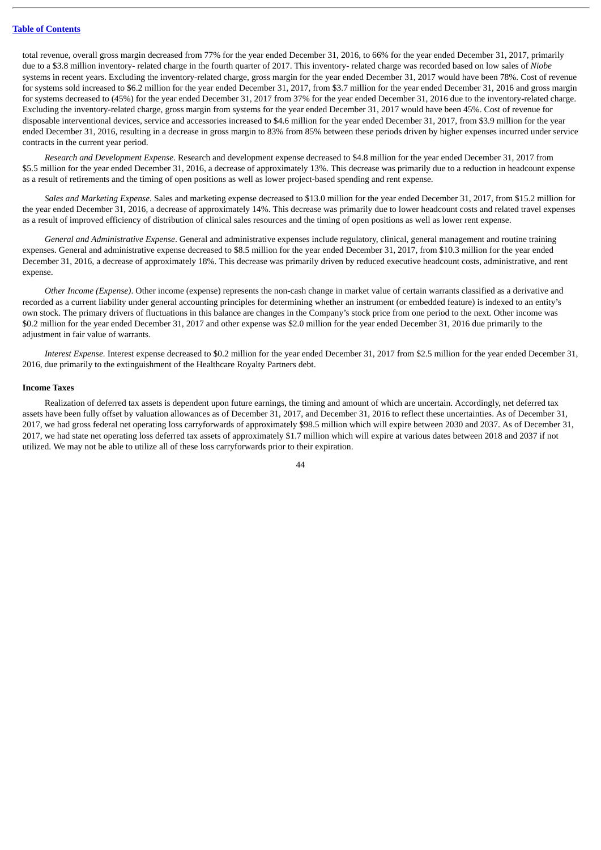## **Table of [Contents](#page-1-0)**

total revenue, overall gross margin decreased from 77% for the year ended December 31, 2016, to 66% for the year ended December 31, 2017, primarily due to a \$3.8 million inventory- related charge in the fourth quarter of 2017. This inventory- related charge was recorded based on low sales of *Niobe* systems in recent years. Excluding the inventory-related charge, gross margin for the year ended December 31, 2017 would have been 78%. Cost of revenue for systems sold increased to \$6.2 million for the year ended December 31, 2017, from \$3.7 million for the year ended December 31, 2016 and gross margin for systems decreased to (45%) for the year ended December 31, 2017 from 37% for the year ended December 31, 2016 due to the inventory-related charge. Excluding the inventory-related charge, gross margin from systems for the year ended December 31, 2017 would have been 45%. Cost of revenue for disposable interventional devices, service and accessories increased to \$4.6 million for the year ended December 31, 2017, from \$3.9 million for the year ended December 31, 2016, resulting in a decrease in gross margin to 83% from 85% between these periods driven by higher expenses incurred under service contracts in the current year period.

*Research and Development Expense*. Research and development expense decreased to \$4.8 million for the year ended December 31, 2017 from \$5.5 million for the year ended December 31, 2016, a decrease of approximately 13%. This decrease was primarily due to a reduction in headcount expense as a result of retirements and the timing of open positions as well as lower project-based spending and rent expense.

*Sales and Marketing Expense*. Sales and marketing expense decreased to \$13.0 million for the year ended December 31, 2017, from \$15.2 million for the year ended December 31, 2016, a decrease of approximately 14%. This decrease was primarily due to lower headcount costs and related travel expenses as a result of improved efficiency of distribution of clinical sales resources and the timing of open positions as well as lower rent expense.

*General and Administrative Expense*. General and administrative expenses include regulatory, clinical, general management and routine training expenses. General and administrative expense decreased to \$8.5 million for the year ended December 31, 2017, from \$10.3 million for the year ended December 31, 2016, a decrease of approximately 18%. This decrease was primarily driven by reduced executive headcount costs, administrative, and rent expense.

*Other Income (Expense)*. Other income (expense) represents the non-cash change in market value of certain warrants classified as a derivative and recorded as a current liability under general accounting principles for determining whether an instrument (or embedded feature) is indexed to an entity's own stock. The primary drivers of fluctuations in this balance are changes in the Company's stock price from one period to the next. Other income was \$0.2 million for the year ended December 31, 2017 and other expense was \$2.0 million for the year ended December 31, 2016 due primarily to the adjustment in fair value of warrants.

*Interest Expense.* Interest expense decreased to \$0.2 million for the year ended December 31, 2017 from \$2.5 million for the year ended December 31, 2016, due primarily to the extinguishment of the Healthcare Royalty Partners debt.

### **Income Taxes**

Realization of deferred tax assets is dependent upon future earnings, the timing and amount of which are uncertain. Accordingly, net deferred tax assets have been fully offset by valuation allowances as of December 31, 2017, and December 31, 2016 to reflect these uncertainties. As of December 31, 2017, we had gross federal net operating loss carryforwards of approximately \$98.5 million which will expire between 2030 and 2037. As of December 31, 2017, we had state net operating loss deferred tax assets of approximately \$1.7 million which will expire at various dates between 2018 and 2037 if not utilized. We may not be able to utilize all of these loss carryforwards prior to their expiration.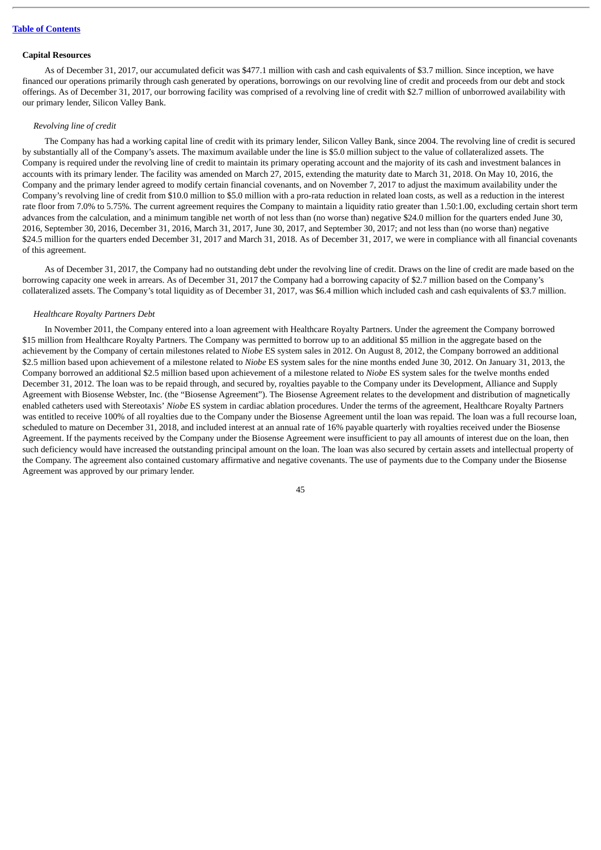#### **Capital Resources**

As of December 31, 2017, our accumulated deficit was \$477.1 million with cash and cash equivalents of \$3.7 million. Since inception, we have financed our operations primarily through cash generated by operations, borrowings on our revolving line of credit and proceeds from our debt and stock offerings. As of December 31, 2017, our borrowing facility was comprised of a revolving line of credit with \$2.7 million of unborrowed availability with our primary lender, Silicon Valley Bank.

# *Revolving line of credit*

The Company has had a working capital line of credit with its primary lender, Silicon Valley Bank, since 2004. The revolving line of credit is secured by substantially all of the Company's assets. The maximum available under the line is \$5.0 million subject to the value of collateralized assets. The Company is required under the revolving line of credit to maintain its primary operating account and the majority of its cash and investment balances in accounts with its primary lender. The facility was amended on March 27, 2015, extending the maturity date to March 31, 2018. On May 10, 2016, the Company and the primary lender agreed to modify certain financial covenants, and on November 7, 2017 to adjust the maximum availability under the Company's revolving line of credit from \$10.0 million to \$5.0 million with a pro-rata reduction in related loan costs, as well as a reduction in the interest rate floor from 7.0% to 5.75%. The current agreement requires the Company to maintain a liquidity ratio greater than 1.50:1.00, excluding certain short term advances from the calculation, and a minimum tangible net worth of not less than (no worse than) negative \$24.0 million for the quarters ended June 30, 2016, September 30, 2016, December 31, 2016, March 31, 2017, June 30, 2017, and September 30, 2017; and not less than (no worse than) negative \$24.5 million for the quarters ended December 31, 2017 and March 31, 2018. As of December 31, 2017, we were in compliance with all financial covenants of this agreement.

As of December 31, 2017, the Company had no outstanding debt under the revolving line of credit. Draws on the line of credit are made based on the borrowing capacity one week in arrears. As of December 31, 2017 the Company had a borrowing capacity of \$2.7 million based on the Company's collateralized assets. The Company's total liquidity as of December 31, 2017, was \$6.4 million which included cash and cash equivalents of \$3.7 million.

## *Healthcare Royalty Partners Debt*

In November 2011, the Company entered into a loan agreement with Healthcare Royalty Partners. Under the agreement the Company borrowed \$15 million from Healthcare Royalty Partners. The Company was permitted to borrow up to an additional \$5 million in the aggregate based on the achievement by the Company of certain milestones related to *Niobe* ES system sales in 2012. On August 8, 2012, the Company borrowed an additional \$2.5 million based upon achievement of a milestone related to *Niobe* ES system sales for the nine months ended June 30, 2012. On January 31, 2013, the Company borrowed an additional \$2.5 million based upon achievement of a milestone related to *Niobe* ES system sales for the twelve months ended December 31, 2012. The loan was to be repaid through, and secured by, royalties payable to the Company under its Development, Alliance and Supply Agreement with Biosense Webster, Inc. (the "Biosense Agreement"). The Biosense Agreement relates to the development and distribution of magnetically enabled catheters used with Stereotaxis' *Niobe* ES system in cardiac ablation procedures. Under the terms of the agreement, Healthcare Royalty Partners was entitled to receive 100% of all royalties due to the Company under the Biosense Agreement until the loan was repaid. The loan was a full recourse loan, scheduled to mature on December 31, 2018, and included interest at an annual rate of 16% payable quarterly with royalties received under the Biosense Agreement. If the payments received by the Company under the Biosense Agreement were insufficient to pay all amounts of interest due on the loan, then such deficiency would have increased the outstanding principal amount on the loan. The loan was also secured by certain assets and intellectual property of the Company. The agreement also contained customary affirmative and negative covenants. The use of payments due to the Company under the Biosense Agreement was approved by our primary lender.

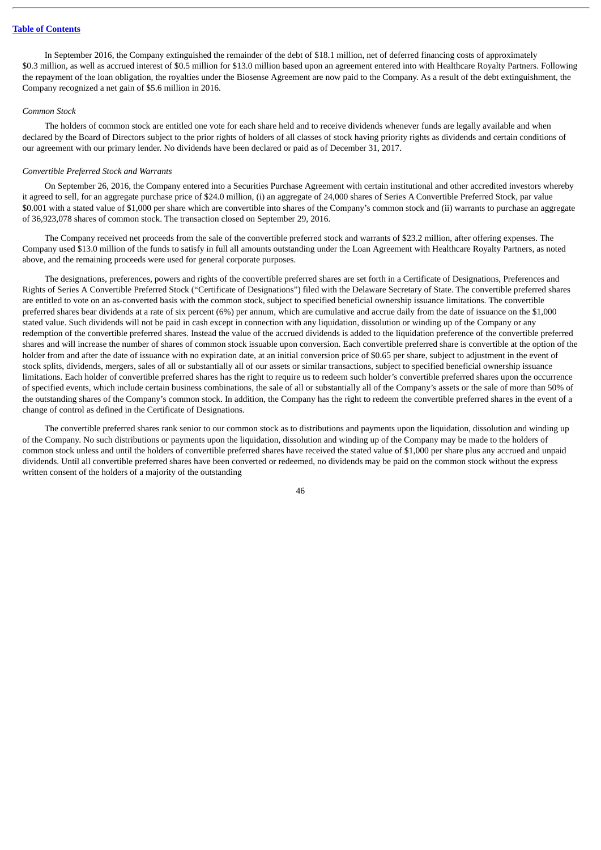In September 2016, the Company extinguished the remainder of the debt of \$18.1 million, net of deferred financing costs of approximately \$0.3 million, as well as accrued interest of \$0.5 million for \$13.0 million based upon an agreement entered into with Healthcare Royalty Partners. Following the repayment of the loan obligation, the royalties under the Biosense Agreement are now paid to the Company. As a result of the debt extinguishment, the Company recognized a net gain of \$5.6 million in 2016.

## *Common Stock*

The holders of common stock are entitled one vote for each share held and to receive dividends whenever funds are legally available and when declared by the Board of Directors subject to the prior rights of holders of all classes of stock having priority rights as dividends and certain conditions of our agreement with our primary lender. No dividends have been declared or paid as of December 31, 2017.

## *Convertible Preferred Stock and Warrants*

On September 26, 2016, the Company entered into a Securities Purchase Agreement with certain institutional and other accredited investors whereby it agreed to sell, for an aggregate purchase price of \$24.0 million, (i) an aggregate of 24,000 shares of Series A Convertible Preferred Stock, par value \$0.001 with a stated value of \$1,000 per share which are convertible into shares of the Company's common stock and (ii) warrants to purchase an aggregate of 36,923,078 shares of common stock. The transaction closed on September 29, 2016.

The Company received net proceeds from the sale of the convertible preferred stock and warrants of \$23.2 million, after offering expenses. The Company used \$13.0 million of the funds to satisfy in full all amounts outstanding under the Loan Agreement with Healthcare Royalty Partners, as noted above, and the remaining proceeds were used for general corporate purposes.

The designations, preferences, powers and rights of the convertible preferred shares are set forth in a Certificate of Designations, Preferences and Rights of Series A Convertible Preferred Stock ("Certificate of Designations") filed with the Delaware Secretary of State. The convertible preferred shares are entitled to vote on an as-converted basis with the common stock, subject to specified beneficial ownership issuance limitations. The convertible preferred shares bear dividends at a rate of six percent (6%) per annum, which are cumulative and accrue daily from the date of issuance on the \$1,000 stated value. Such dividends will not be paid in cash except in connection with any liquidation, dissolution or winding up of the Company or any redemption of the convertible preferred shares. Instead the value of the accrued dividends is added to the liquidation preference of the convertible preferred shares and will increase the number of shares of common stock issuable upon conversion. Each convertible preferred share is convertible at the option of the holder from and after the date of issuance with no expiration date, at an initial conversion price of \$0.65 per share, subject to adjustment in the event of stock splits, dividends, mergers, sales of all or substantially all of our assets or similar transactions, subject to specified beneficial ownership issuance limitations. Each holder of convertible preferred shares has the right to require us to redeem such holder's convertible preferred shares upon the occurrence of specified events, which include certain business combinations, the sale of all or substantially all of the Company's assets or the sale of more than 50% of the outstanding shares of the Company's common stock. In addition, the Company has the right to redeem the convertible preferred shares in the event of a change of control as defined in the Certificate of Designations.

The convertible preferred shares rank senior to our common stock as to distributions and payments upon the liquidation, dissolution and winding up of the Company. No such distributions or payments upon the liquidation, dissolution and winding up of the Company may be made to the holders of common stock unless and until the holders of convertible preferred shares have received the stated value of \$1,000 per share plus any accrued and unpaid dividends. Until all convertible preferred shares have been converted or redeemed, no dividends may be paid on the common stock without the express written consent of the holders of a majority of the outstanding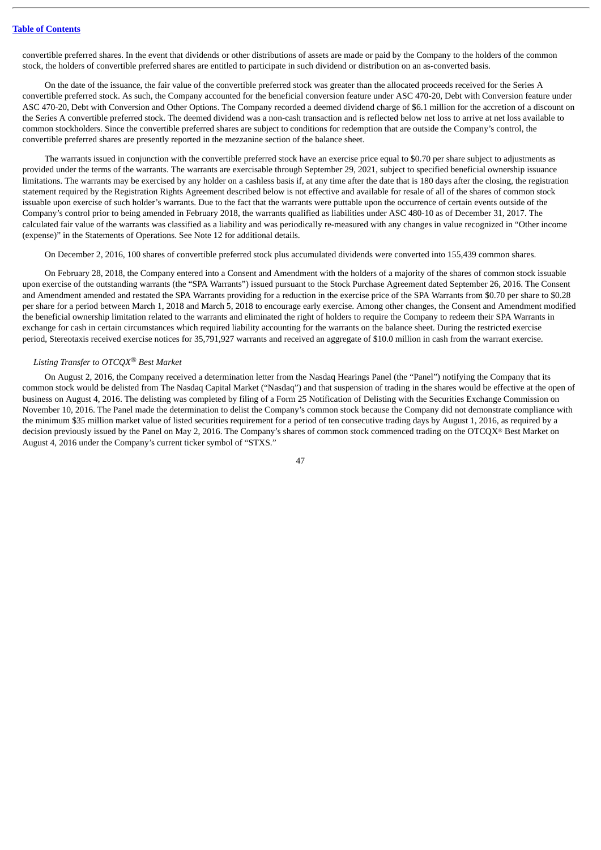convertible preferred shares. In the event that dividends or other distributions of assets are made or paid by the Company to the holders of the common stock, the holders of convertible preferred shares are entitled to participate in such dividend or distribution on an as-converted basis.

On the date of the issuance, the fair value of the convertible preferred stock was greater than the allocated proceeds received for the Series A convertible preferred stock. As such, the Company accounted for the beneficial conversion feature under ASC 470-20, Debt with Conversion feature under ASC 470-20, Debt with Conversion and Other Options. The Company recorded a deemed dividend charge of \$6.1 million for the accretion of a discount on the Series A convertible preferred stock. The deemed dividend was a non-cash transaction and is reflected below net loss to arrive at net loss available to common stockholders. Since the convertible preferred shares are subject to conditions for redemption that are outside the Company's control, the convertible preferred shares are presently reported in the mezzanine section of the balance sheet.

The warrants issued in conjunction with the convertible preferred stock have an exercise price equal to \$0.70 per share subject to adjustments as provided under the terms of the warrants. The warrants are exercisable through September 29, 2021, subject to specified beneficial ownership issuance limitations. The warrants may be exercised by any holder on a cashless basis if, at any time after the date that is 180 days after the closing, the registration statement required by the Registration Rights Agreement described below is not effective and available for resale of all of the shares of common stock issuable upon exercise of such holder's warrants. Due to the fact that the warrants were puttable upon the occurrence of certain events outside of the Company's control prior to being amended in February 2018, the warrants qualified as liabilities under ASC 480-10 as of December 31, 2017. The calculated fair value of the warrants was classified as a liability and was periodically re-measured with any changes in value recognized in "Other income (expense)" in the Statements of Operations. See Note 12 for additional details.

On December 2, 2016, 100 shares of convertible preferred stock plus accumulated dividends were converted into 155,439 common shares.

On February 28, 2018, the Company entered into a Consent and Amendment with the holders of a majority of the shares of common stock issuable upon exercise of the outstanding warrants (the "SPA Warrants") issued pursuant to the Stock Purchase Agreement dated September 26, 2016. The Consent and Amendment amended and restated the SPA Warrants providing for a reduction in the exercise price of the SPA Warrants from \$0.70 per share to \$0.28 per share for a period between March 1, 2018 and March 5, 2018 to encourage early exercise. Among other changes, the Consent and Amendment modified the beneficial ownership limitation related to the warrants and eliminated the right of holders to require the Company to redeem their SPA Warrants in exchange for cash in certain circumstances which required liability accounting for the warrants on the balance sheet. During the restricted exercise period, Stereotaxis received exercise notices for 35,791,927 warrants and received an aggregate of \$10.0 million in cash from the warrant exercise.

# *Listing Transfer to OTCQX Best Market ®*

On August 2, 2016, the Company received a determination letter from the Nasdaq Hearings Panel (the "Panel") notifying the Company that its common stock would be delisted from The Nasdaq Capital Market ("Nasdaq") and that suspension of trading in the shares would be effective at the open of business on August 4, 2016. The delisting was completed by filing of a Form 25 Notification of Delisting with the Securities Exchange Commission on November 10, 2016. The Panel made the determination to delist the Company's common stock because the Company did not demonstrate compliance with the minimum \$35 million market value of listed securities requirement for a period of ten consecutive trading days by August 1, 2016, as required by a decision previously issued by the Panel on May 2, 2016. The Company's shares of common stock commenced trading on the OTCQX® Best Market on August 4, 2016 under the Company's current ticker symbol of "STXS."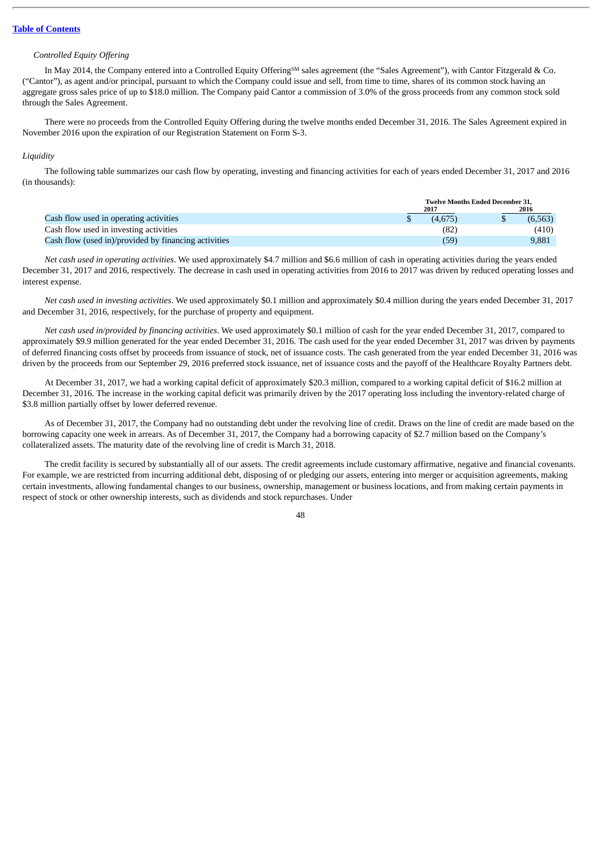# **Table of [Contents](#page-1-0)**

## *Controlled Equity Offering*

In May 2014, the Company entered into a Controlled Equity Offering<sup>sM</sup> sales agreement (the "Sales Agreement"), with Cantor Fitzgerald & Co. ("Cantor"), as agent and/or principal, pursuant to which the Company could issue and sell, from time to time, shares of its common stock having an aggregate gross sales price of up to \$18.0 million. The Company paid Cantor a commission of 3.0% of the gross proceeds from any common stock sold through the Sales Agreement.

There were no proceeds from the Controlled Equity Offering during the twelve months ended December 31, 2016. The Sales Agreement expired in November 2016 upon the expiration of our Registration Statement on Form S-3.

## *Liquidity*

The following table summarizes our cash flow by operating, investing and financing activities for each of years ended December 31, 2017 and 2016 (in thousands):

|                                                      | <b>Twelve Months Ended December 31.</b> |  |          |
|------------------------------------------------------|-----------------------------------------|--|----------|
|                                                      | 2017                                    |  | 2016     |
| Cash flow used in operating activities               | (4.675)                                 |  | (6, 563) |
| Cash flow used in investing activities               | (82)                                    |  | (410)    |
| Cash flow (used in)/provided by financing activities | (59)                                    |  | 9.881    |

*Net cash used in operating activities*. We used approximately \$4.7 million and \$6.6 million of cash in operating activities during the years ended December 31, 2017 and 2016, respectively. The decrease in cash used in operating activities from 2016 to 2017 was driven by reduced operating losses and interest expense.

*Net cash used in investing activities*. We used approximately \$0.1 million and approximately \$0.4 million during the years ended December 31, 2017 and December 31, 2016, respectively, for the purchase of property and equipment.

*Net cash used in/provided by financing activities*. We used approximately \$0.1 million of cash for the year ended December 31, 2017, compared to approximately \$9.9 million generated for the year ended December 31, 2016. The cash used for the year ended December 31, 2017 was driven by payments of deferred financing costs offset by proceeds from issuance of stock, net of issuance costs. The cash generated from the year ended December 31, 2016 was driven by the proceeds from our September 29, 2016 preferred stock issuance, net of issuance costs and the payoff of the Healthcare Royalty Partners debt.

At December 31, 2017, we had a working capital deficit of approximately \$20.3 million, compared to a working capital deficit of \$16.2 million at December 31, 2016. The increase in the working capital deficit was primarily driven by the 2017 operating loss including the inventory-related charge of \$3.8 million partially offset by lower deferred revenue.

As of December 31, 2017, the Company had no outstanding debt under the revolving line of credit. Draws on the line of credit are made based on the borrowing capacity one week in arrears. As of December 31, 2017, the Company had a borrowing capacity of \$2.7 million based on the Company's collateralized assets. The maturity date of the revolving line of credit is March 31, 2018.

The credit facility is secured by substantially all of our assets. The credit agreements include customary affirmative, negative and financial covenants. For example, we are restricted from incurring additional debt, disposing of or pledging our assets, entering into merger or acquisition agreements, making certain investments, allowing fundamental changes to our business, ownership, management or business locations, and from making certain payments in respect of stock or other ownership interests, such as dividends and stock repurchases. Under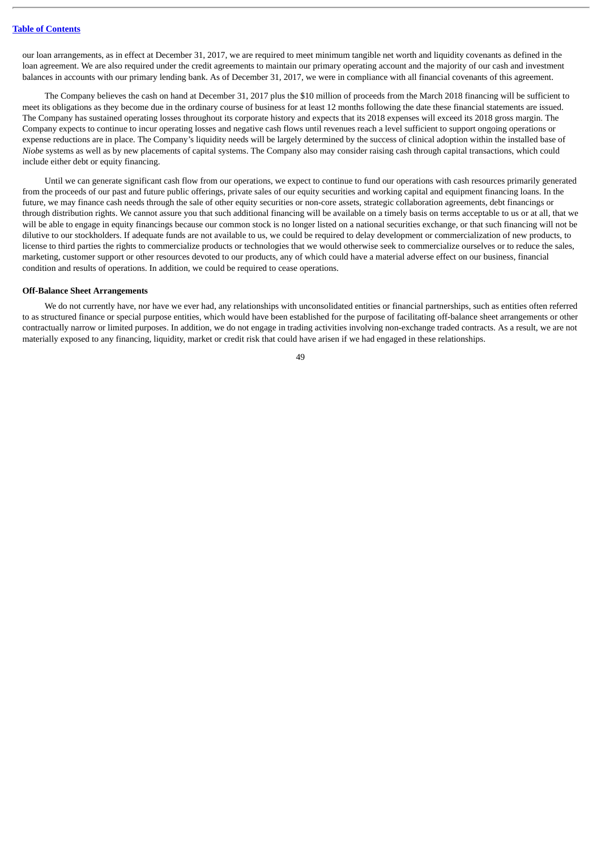our loan arrangements, as in effect at December 31, 2017, we are required to meet minimum tangible net worth and liquidity covenants as defined in the loan agreement. We are also required under the credit agreements to maintain our primary operating account and the majority of our cash and investment balances in accounts with our primary lending bank. As of December 31, 2017, we were in compliance with all financial covenants of this agreement.

The Company believes the cash on hand at December 31, 2017 plus the \$10 million of proceeds from the March 2018 financing will be sufficient to meet its obligations as they become due in the ordinary course of business for at least 12 months following the date these financial statements are issued. The Company has sustained operating losses throughout its corporate history and expects that its 2018 expenses will exceed its 2018 gross margin. The Company expects to continue to incur operating losses and negative cash flows until revenues reach a level sufficient to support ongoing operations or expense reductions are in place. The Company's liquidity needs will be largely determined by the success of clinical adoption within the installed base of *Niobe* systems as well as by new placements of capital systems. The Company also may consider raising cash through capital transactions, which could include either debt or equity financing.

Until we can generate significant cash flow from our operations, we expect to continue to fund our operations with cash resources primarily generated from the proceeds of our past and future public offerings, private sales of our equity securities and working capital and equipment financing loans. In the future, we may finance cash needs through the sale of other equity securities or non-core assets, strategic collaboration agreements, debt financings or through distribution rights. We cannot assure you that such additional financing will be available on a timely basis on terms acceptable to us or at all, that we will be able to engage in equity financings because our common stock is no longer listed on a national securities exchange, or that such financing will not be dilutive to our stockholders. If adequate funds are not available to us, we could be required to delay development or commercialization of new products, to license to third parties the rights to commercialize products or technologies that we would otherwise seek to commercialize ourselves or to reduce the sales, marketing, customer support or other resources devoted to our products, any of which could have a material adverse effect on our business, financial condition and results of operations. In addition, we could be required to cease operations.

# **Off-Balance Sheet Arrangements**

We do not currently have, nor have we ever had, any relationships with unconsolidated entities or financial partnerships, such as entities often referred to as structured finance or special purpose entities, which would have been established for the purpose of facilitating off-balance sheet arrangements or other contractually narrow or limited purposes. In addition, we do not engage in trading activities involving non-exchange traded contracts. As a result, we are not materially exposed to any financing, liquidity, market or credit risk that could have arisen if we had engaged in these relationships.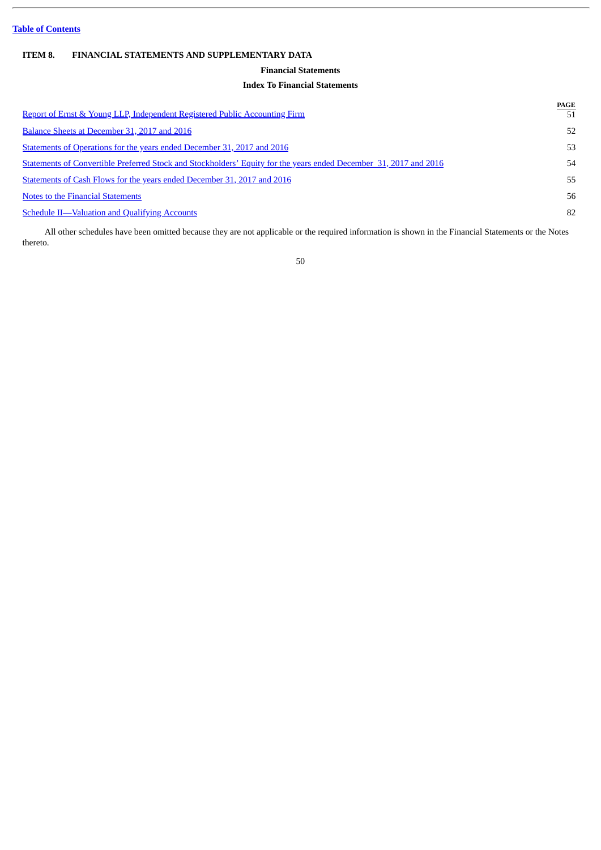# **Table of [Contents](#page-1-0)**

# **ITEM 8. FINANCIAL STATEMENTS AND SUPPLEMENTARY DATA**

# **Financial Statements**

# **Index To Financial Statements**

| <b>Report of Ernst &amp; Young LLP, Independent Registered Public Accounting Firm</b>                             | PAGE<br>51 |
|-------------------------------------------------------------------------------------------------------------------|------------|
| Balance Sheets at December 31, 2017 and 2016                                                                      | 52         |
| Statements of Operations for the years ended December 31, 2017 and 2016                                           | 53         |
| Statements of Convertible Preferred Stock and Stockholders' Equity for the years ended December 31, 2017 and 2016 | 54         |
| Statements of Cash Flows for the years ended December 31, 2017 and 2016                                           | 55         |
| Notes to the Financial Statements                                                                                 | 56         |
| Schedule II—Valuation and Qualifying Accounts                                                                     | 82         |
|                                                                                                                   |            |

All other schedules have been omitted because they are not applicable or the required information is shown in the Financial Statements or the Notes thereto.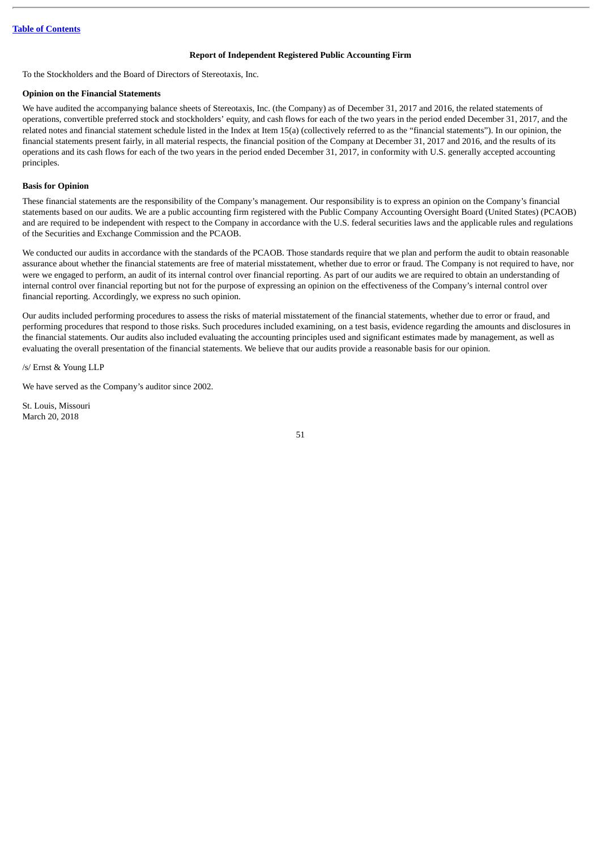### **Report of Independent Registered Public Accounting Firm**

<span id="page-52-0"></span>To the Stockholders and the Board of Directors of Stereotaxis, Inc.

# **Opinion on the Financial Statements**

We have audited the accompanying balance sheets of Stereotaxis, Inc. (the Company) as of December 31, 2017 and 2016, the related statements of operations, convertible preferred stock and stockholders' equity, and cash flows for each of the two years in the period ended December 31, 2017, and the related notes and financial statement schedule listed in the Index at Item 15(a) (collectively referred to as the "financial statements"). In our opinion, the financial statements present fairly, in all material respects, the financial position of the Company at December 31, 2017 and 2016, and the results of its operations and its cash flows for each of the two years in the period ended December 31, 2017, in conformity with U.S. generally accepted accounting principles.

### **Basis for Opinion**

These financial statements are the responsibility of the Company's management. Our responsibility is to express an opinion on the Company's financial statements based on our audits. We are a public accounting firm registered with the Public Company Accounting Oversight Board (United States) (PCAOB) and are required to be independent with respect to the Company in accordance with the U.S. federal securities laws and the applicable rules and regulations of the Securities and Exchange Commission and the PCAOB.

We conducted our audits in accordance with the standards of the PCAOB. Those standards require that we plan and perform the audit to obtain reasonable assurance about whether the financial statements are free of material misstatement, whether due to error or fraud. The Company is not required to have, nor were we engaged to perform, an audit of its internal control over financial reporting. As part of our audits we are required to obtain an understanding of internal control over financial reporting but not for the purpose of expressing an opinion on the effectiveness of the Company's internal control over financial reporting. Accordingly, we express no such opinion.

Our audits included performing procedures to assess the risks of material misstatement of the financial statements, whether due to error or fraud, and performing procedures that respond to those risks. Such procedures included examining, on a test basis, evidence regarding the amounts and disclosures in the financial statements. Our audits also included evaluating the accounting principles used and significant estimates made by management, as well as evaluating the overall presentation of the financial statements. We believe that our audits provide a reasonable basis for our opinion.

/s/ Ernst & Young LLP

We have served as the Company's auditor since 2002.

St. Louis, Missouri March 20, 2018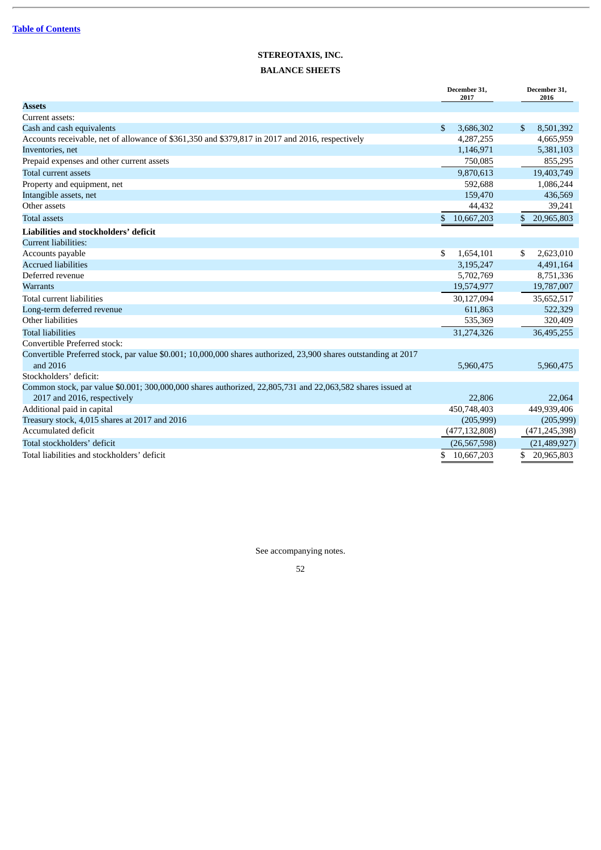# **BALANCE SHEETS**

<span id="page-53-0"></span>

|                                                                                                                             | December 31,<br>2017 | December 31,<br>2016 |
|-----------------------------------------------------------------------------------------------------------------------------|----------------------|----------------------|
| <b>Assets</b>                                                                                                               |                      |                      |
| Current assets:                                                                                                             |                      |                      |
| Cash and cash equivalents                                                                                                   | \$<br>3,686,302      | \$<br>8,501,392      |
| Accounts receivable, net of allowance of \$361,350 and \$379,817 in 2017 and 2016, respectively                             | 4,287,255            | 4,665,959            |
| Inventories, net                                                                                                            | 1,146,971            | 5,381,103            |
| Prepaid expenses and other current assets                                                                                   | 750,085              | 855,295              |
| Total current assets                                                                                                        | 9,870,613            | 19,403,749           |
| Property and equipment, net                                                                                                 | 592,688              | 1,086,244            |
| Intangible assets, net                                                                                                      | 159,470              | 436,569              |
| Other assets                                                                                                                | 44,432               | 39,241               |
| <b>Total assets</b>                                                                                                         | 10,667,203<br>\$     | 20,965,803<br>\$     |
| Liabilities and stockholders' deficit                                                                                       |                      |                      |
| <b>Current liabilities:</b>                                                                                                 |                      |                      |
| Accounts payable                                                                                                            | \$<br>1,654,101      | \$<br>2,623,010      |
| <b>Accrued liabilities</b>                                                                                                  | 3,195,247            | 4,491,164            |
| Deferred revenue                                                                                                            | 5,702,769            | 8,751,336            |
| Warrants                                                                                                                    | 19,574,977           | 19,787,007           |
| Total current liabilities                                                                                                   | 30,127,094           | 35,652,517           |
| Long-term deferred revenue                                                                                                  | 611,863              | 522,329              |
| Other liabilities                                                                                                           | 535,369              | 320,409              |
| <b>Total liabilities</b>                                                                                                    | 31,274,326           | 36,495,255           |
| Convertible Preferred stock:                                                                                                |                      |                      |
| Convertible Preferred stock, par value \$0.001; 10,000,000 shares authorized, 23,900 shares outstanding at 2017<br>and 2016 | 5,960,475            | 5,960,475            |
| Stockholders' deficit:                                                                                                      |                      |                      |
| Common stock, par value \$0.001; 300,000,000 shares authorized, 22,805,731 and 22,063,582 shares issued at                  |                      |                      |
| 2017 and 2016, respectively                                                                                                 | 22,806               | 22,064               |
| Additional paid in capital                                                                                                  | 450,748,403          | 449,939,406          |
| Treasury stock, 4,015 shares at 2017 and 2016                                                                               | (205,999)            | (205,999)            |
| Accumulated deficit                                                                                                         | (477, 132, 808)      | (471, 245, 398)      |
| Total stockholders' deficit                                                                                                 | (26, 567, 598)       | (21, 489, 927)       |
| Total liabilities and stockholders' deficit                                                                                 | \$<br>10,667,203     | \$<br>20,965,803     |

See accompanying notes.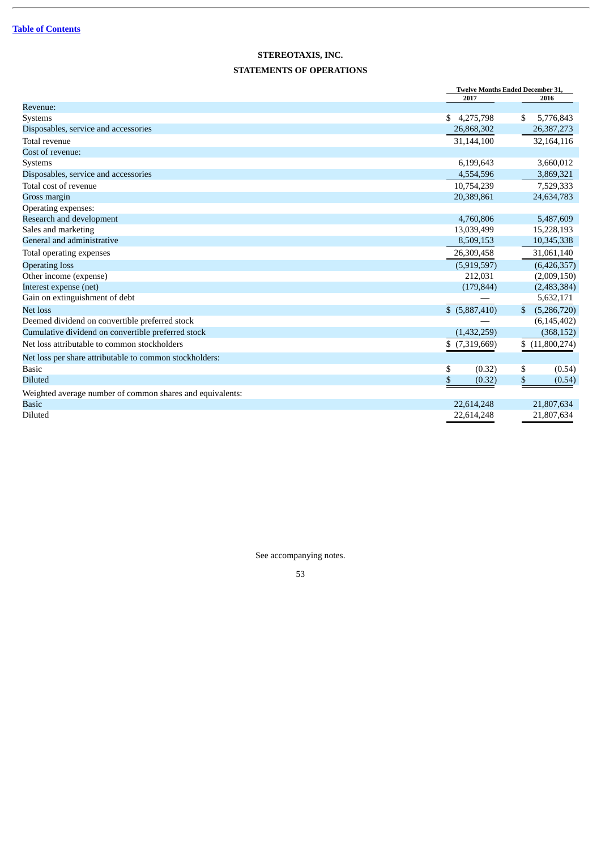# **STATEMENTS OF OPERATIONS**

<span id="page-54-0"></span>

|                                                           |                   | <b>Twelve Months Ended December 31,</b> |
|-----------------------------------------------------------|-------------------|-----------------------------------------|
|                                                           | 2017              | 2016                                    |
| Revenue:                                                  |                   |                                         |
| Systems                                                   | \$<br>4,275,798   | \$<br>5,776,843                         |
| Disposables, service and accessories                      | 26,868,302        | 26,387,273                              |
| Total revenue                                             | 31,144,100        | 32,164,116                              |
| Cost of revenue:                                          |                   |                                         |
| Systems                                                   | 6,199,643         | 3,660,012                               |
| Disposables, service and accessories                      | 4,554,596         | 3,869,321                               |
| Total cost of revenue                                     | 10,754,239        | 7,529,333                               |
| Gross margin                                              | 20,389,861        | 24,634,783                              |
| Operating expenses:                                       |                   |                                         |
| Research and development                                  | 4,760,806         | 5,487,609                               |
| Sales and marketing                                       | 13,039,499        | 15,228,193                              |
| General and administrative                                | 8,509,153         | 10,345,338                              |
| Total operating expenses                                  | 26,309,458        | 31,061,140                              |
| <b>Operating loss</b>                                     | (5,919,597)       | (6,426,357)                             |
| Other income (expense)                                    | 212,031           | (2,009,150)                             |
| Interest expense (net)                                    | (179, 844)        | (2,483,384)                             |
| Gain on extinguishment of debt                            |                   | 5,632,171                               |
| <b>Net loss</b>                                           | $$$ (5,887,410)   | (5,286,720)<br>\$                       |
| Deemed dividend on convertible preferred stock            |                   | (6, 145, 402)                           |
| Cumulative dividend on convertible preferred stock        | (1,432,259)       | (368, 152)                              |
| Net loss attributable to common stockholders              | $$$ $(7,319,669)$ | \$<br>(11,800,274)                      |
| Net loss per share attributable to common stockholders:   |                   |                                         |
| <b>Basic</b>                                              | \$<br>(0.32)      | \$<br>(0.54)                            |
| <b>Diluted</b>                                            | \$<br>(0.32)      | \$<br>(0.54)                            |
| Weighted average number of common shares and equivalents: |                   |                                         |
| <b>Basic</b>                                              | 22,614,248        | 21,807,634                              |
| <b>Diluted</b>                                            | 22,614,248        | 21,807,634                              |

See accompanying notes.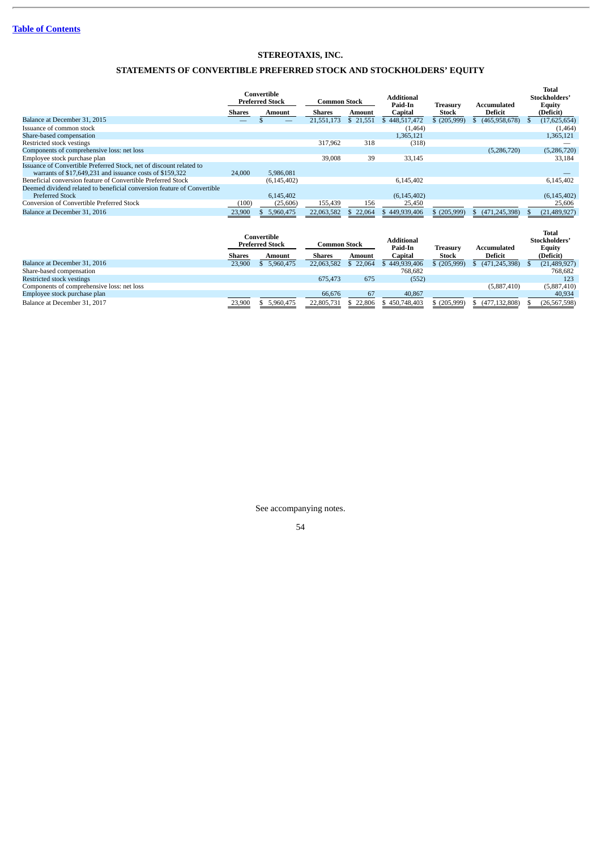# **STATEMENTS OF CONVERTIBLE PREFERRED STOCK AND STOCKHOLDERS' EQUITY**

<span id="page-55-0"></span>

|                                                                                                                                 |                          | Convertible<br><b>Preferred Stock</b> | <b>Common Stock</b> |           | <b>Additional</b><br>Paid-In | <b>Treasury</b> | Accumulated     | <b>Total</b><br>Stockholders'<br><b>Equity</b> |
|---------------------------------------------------------------------------------------------------------------------------------|--------------------------|---------------------------------------|---------------------|-----------|------------------------------|-----------------|-----------------|------------------------------------------------|
|                                                                                                                                 | <b>Shares</b>            | Amount                                | Shares              | Amount    | Capital                      | Stock           | <b>Deficit</b>  | (Deficit)                                      |
| Balance at December 31, 2015                                                                                                    | $\overline{\phantom{m}}$ |                                       | 21,551,173          | \$ 21,551 | 448,517,472                  | \$(205,999)     | (465, 958, 678) | (17, 625, 654)                                 |
| Issuance of common stock                                                                                                        |                          |                                       |                     |           | (1,464)                      |                 |                 | (1,464)                                        |
| Share-based compensation                                                                                                        |                          |                                       |                     |           | 1.365.121                    |                 |                 | 1,365,121                                      |
| Restricted stock vestings                                                                                                       |                          |                                       | 317,962             | 318       | (318)                        |                 |                 |                                                |
| Components of comprehensive loss: net loss                                                                                      |                          |                                       |                     |           |                              |                 | (5,286,720)     | (5,286,720)                                    |
| Employee stock purchase plan                                                                                                    |                          |                                       | 39,008              | 39        | 33,145                       |                 |                 | 33.184                                         |
| Issuance of Convertible Preferred Stock, net of discount related to<br>warrants of \$17,649,231 and issuance costs of \$159,322 | 24,000                   | 5.986.081                             |                     |           |                              |                 |                 |                                                |
| Beneficial conversion feature of Convertible Preferred Stock                                                                    |                          | (6, 145, 402)                         |                     |           | 6,145,402                    |                 |                 | 6,145,402                                      |
| Deemed dividend related to beneficial conversion feature of Convertible                                                         |                          |                                       |                     |           |                              |                 |                 |                                                |
| Preferred Stock                                                                                                                 |                          | 6.145.402                             |                     |           | (6, 145, 402)                |                 |                 | (6, 145, 402)                                  |
| Conversion of Convertible Preferred Stock                                                                                       | (100)                    | (25,606)                              | 155,439             | 156       | 25,450                       |                 |                 | 25,606                                         |
| Balance at December 31, 2016                                                                                                    | 23,900                   | 5.960,475                             | 22.063.582          | 22,064    | \$449,939,406                | \$(205,999)     | (471, 245, 398) | (21, 489, 927)                                 |

|                                            |               | Convertible<br><b>Preferred Stock</b> | Common Stock  |        | <b>Additional</b><br>Paid-In | Treasury    | Accumulated     | <b>Total</b><br>Stockholders'<br>Equity |
|--------------------------------------------|---------------|---------------------------------------|---------------|--------|------------------------------|-------------|-----------------|-----------------------------------------|
|                                            | <b>Shares</b> | Amount                                | <b>Shares</b> | Amount | Capital                      | Stock       | <b>Deficit</b>  | (Deficit)                               |
| Balance at December 31, 2016               | 23.900        | 5,960,475                             | 22,063,582    | 22,064 | 449,939,406                  | \$(205.999) | (471, 245, 398) | (21, 489, 927)                          |
| Share-based compensation                   |               |                                       |               |        | 768.682                      |             |                 | 768,682                                 |
| Restricted stock vestings                  |               |                                       | 675,473       | 675    | (552)                        |             |                 | 123                                     |
| Components of comprehensive loss: net loss |               |                                       |               |        |                              |             | (5,887,410)     | (5,887,410)                             |
| Employee stock purchase plan               |               |                                       | 66,676        | 67     | 40,867                       |             |                 | 40,934                                  |
| Balance at December 31, 2017               | 23,900        | 5,960,475                             | 22,805,731    | 22,806 | 450,748,403                  | \$(205,999) | (477, 132, 808) | (26, 567, 598)                          |

See accompanying notes.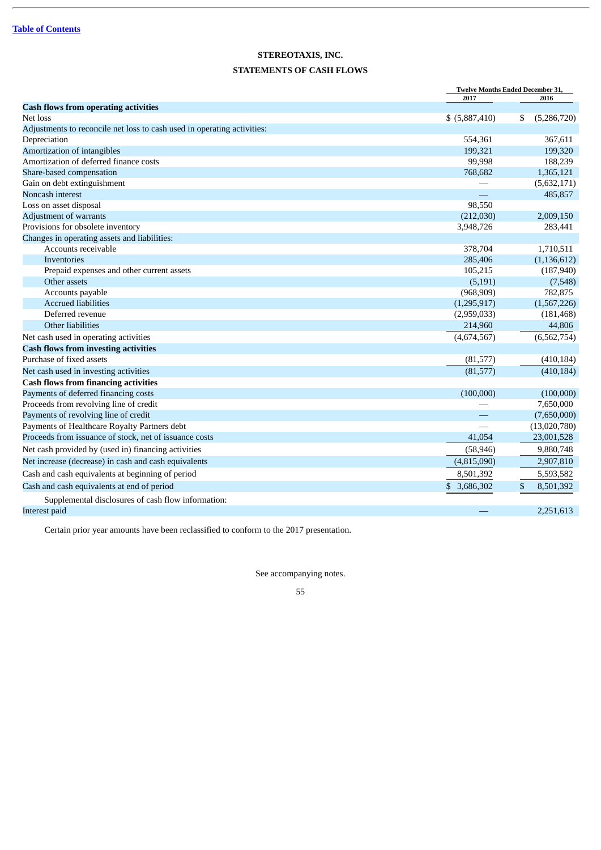# **STATEMENTS OF CASH FLOWS**

<span id="page-56-0"></span>

|                                                                                         | <b>Twelve Months Ended December 31,</b> |                 |
|-----------------------------------------------------------------------------------------|-----------------------------------------|-----------------|
|                                                                                         | 2017                                    | 2016            |
| <b>Cash flows from operating activities</b><br>Net loss                                 | \$ (5,887,410)                          | (5,286,720)     |
|                                                                                         |                                         | \$              |
| Adjustments to reconcile net loss to cash used in operating activities:<br>Depreciation | 554,361                                 | 367,611         |
|                                                                                         | 199,321                                 | 199,320         |
| Amortization of intangibles                                                             |                                         |                 |
| Amortization of deferred finance costs                                                  | 99,998                                  | 188,239         |
| Share-based compensation                                                                | 768,682                                 | 1,365,121       |
| Gain on debt extinguishment                                                             |                                         | (5,632,171)     |
| Noncash interest                                                                        |                                         | 485,857         |
| Loss on asset disposal                                                                  | 98,550                                  |                 |
| Adjustment of warrants                                                                  | (212,030)                               | 2,009,150       |
| Provisions for obsolete inventory                                                       | 3,948,726                               | 283,441         |
| Changes in operating assets and liabilities:                                            |                                         |                 |
| Accounts receivable                                                                     | 378,704                                 | 1,710,511       |
| Inventories                                                                             | 285,406                                 | (1, 136, 612)   |
| Prepaid expenses and other current assets                                               | 105,215                                 | (187, 940)      |
| Other assets                                                                            | (5, 191)                                | (7,548)         |
| Accounts payable                                                                        | (968,909)                               | 782,875         |
| <b>Accrued liabilities</b>                                                              | (1,295,917)                             | (1,567,226)     |
| Deferred revenue                                                                        | (2,959,033)                             | (181, 468)      |
| Other liabilities                                                                       | 214,960                                 | 44,806          |
| Net cash used in operating activities                                                   | (4,674,567)                             | (6, 562, 754)   |
| <b>Cash flows from investing activities</b>                                             |                                         |                 |
| Purchase of fixed assets                                                                | (81,577)                                | (410, 184)      |
| Net cash used in investing activities                                                   | (81,577)                                | (410, 184)      |
| <b>Cash flows from financing activities</b>                                             |                                         |                 |
| Payments of deferred financing costs                                                    | (100,000)                               | (100,000)       |
| Proceeds from revolving line of credit                                                  |                                         | 7,650,000       |
| Payments of revolving line of credit                                                    |                                         | (7,650,000)     |
| Payments of Healthcare Royalty Partners debt                                            |                                         | (13,020,780)    |
| Proceeds from issuance of stock, net of issuance costs                                  | 41,054                                  | 23,001,528      |
| Net cash provided by (used in) financing activities                                     | (58, 946)                               | 9,880,748       |
| Net increase (decrease) in cash and cash equivalents                                    | (4,815,090)                             | 2,907,810       |
| Cash and cash equivalents at beginning of period                                        | 8,501,392                               | 5,593,582       |
| Cash and cash equivalents at end of period                                              | \$<br>3,686,302                         | \$<br>8,501,392 |
| Supplemental disclosures of cash flow information:                                      |                                         |                 |
| Interest paid                                                                           |                                         | 2,251,613       |

Certain prior year amounts have been reclassified to conform to the 2017 presentation.

See accompanying notes.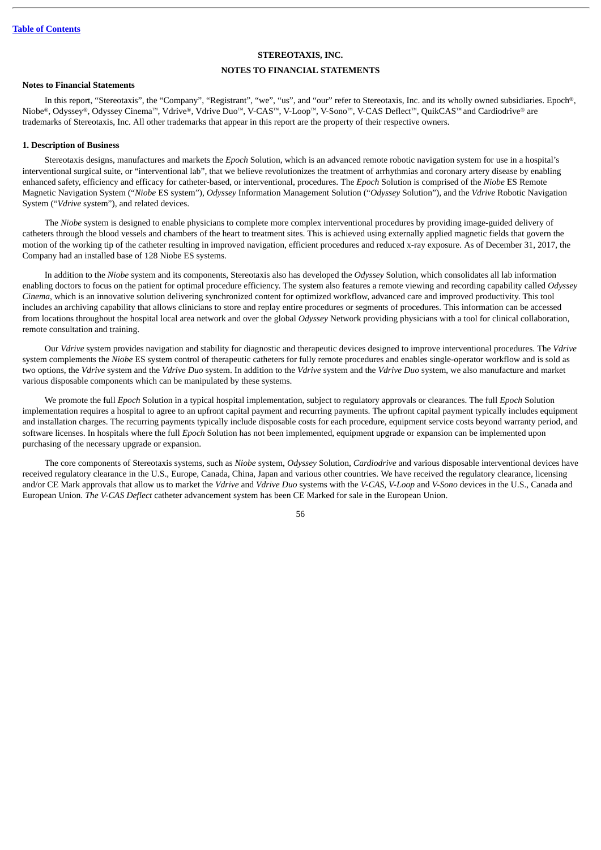## **NOTES TO FINANCIAL STATEMENTS**

# <span id="page-57-0"></span>**Notes to Financial Statements**

In this report, "Stereotaxis", the "Company", "Registrant", "we", "us", and "our" refer to Stereotaxis, Inc. and its wholly owned subsidiaries. Epoch<sup>®</sup>, Niobe®, Odyssey®, Odyssey Cinema™, Vdrive®, Vdrive Duo™, V-CAS™, V-Loop™, V-Sono™, V-CAS Deflect™, QuikCAS™ and Cardiodrive® are trademarks of Stereotaxis, Inc. All other trademarks that appear in this report are the property of their respective owners.

## **1. Description of Business**

Stereotaxis designs, manufactures and markets the *Epoch* Solution, which is an advanced remote robotic navigation system for use in a hospital's interventional surgical suite, or "interventional lab", that we believe revolutionizes the treatment of arrhythmias and coronary artery disease by enabling enhanced safety, efficiency and efficacy for catheter-based, or interventional, procedures. The *Epoch* Solution is comprised of the *Niobe* ES Remote Magnetic Navigation System ("*Niobe* ES system"), *Odyssey* Information Management Solution ("*Odyssey* Solution"), and the *Vdrive* Robotic Navigation System ("*Vdrive* system"), and related devices.

The *Niobe* system is designed to enable physicians to complete more complex interventional procedures by providing image-guided delivery of catheters through the blood vessels and chambers of the heart to treatment sites. This is achieved using externally applied magnetic fields that govern the motion of the working tip of the catheter resulting in improved navigation, efficient procedures and reduced x-ray exposure. As of December 31, 2017, the Company had an installed base of 128 Niobe ES systems.

In addition to the *Niobe* system and its components, Stereotaxis also has developed the *Odyssey* Solution, which consolidates all lab information enabling doctors to focus on the patient for optimal procedure efficiency. The system also features a remote viewing and recording capability called *Odyssey Cinema*, which is an innovative solution delivering synchronized content for optimized workflow, advanced care and improved productivity. This tool includes an archiving capability that allows clinicians to store and replay entire procedures or segments of procedures. This information can be accessed from locations throughout the hospital local area network and over the global *Odyssey* Network providing physicians with a tool for clinical collaboration, remote consultation and training.

Our *Vdrive* system provides navigation and stability for diagnostic and therapeutic devices designed to improve interventional procedures. The *Vdrive* system complements the *Niobe* ES system control of therapeutic catheters for fully remote procedures and enables single-operator workflow and is sold as two options, the *Vdrive* system and the *Vdrive Duo* system. In addition to the *Vdrive* system and the *Vdrive Duo* system, we also manufacture and market various disposable components which can be manipulated by these systems.

We promote the full *Epoch* Solution in a typical hospital implementation, subject to regulatory approvals or clearances. The full *Epoch* Solution implementation requires a hospital to agree to an upfront capital payment and recurring payments. The upfront capital payment typically includes equipment and installation charges. The recurring payments typically include disposable costs for each procedure, equipment service costs beyond warranty period, and software licenses. In hospitals where the full *Epoch* Solution has not been implemented, equipment upgrade or expansion can be implemented upon purchasing of the necessary upgrade or expansion.

The core components of Stereotaxis systems, such as *Niobe* system, *Odyssey* Solution, *Cardiodrive* and various disposable interventional devices have received regulatory clearance in the U.S., Europe, Canada, China, Japan and various other countries. We have received the regulatory clearance, licensing and/or CE Mark approvals that allow us to market the *Vdrive* and *Vdrive Duo* systems with the *V-CAS*, *V-Loop* and *V-Sono* devices in the U.S., Canada and European Union. *The V-CAS Deflect* catheter advancement system has been CE Marked for sale in the European Union.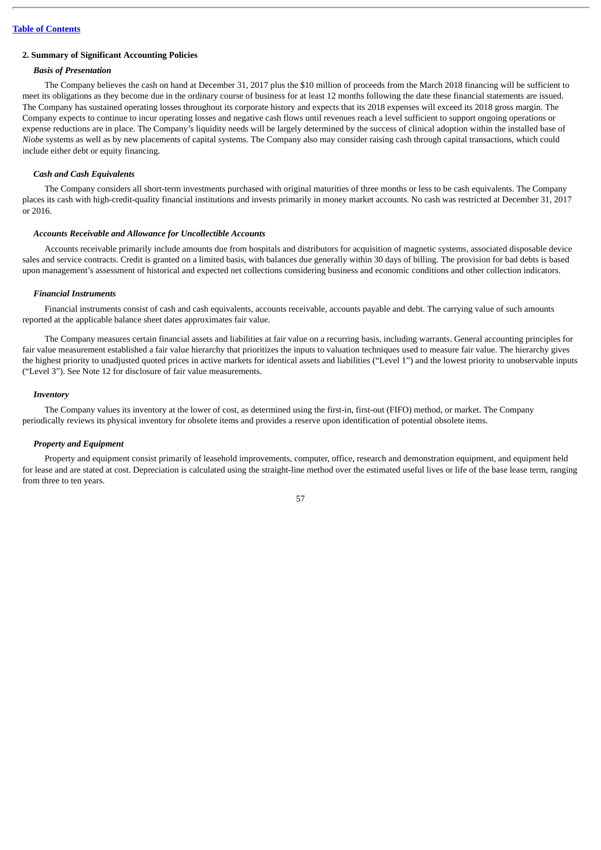# **2. Summary of Significant Accounting Policies**

# *Basis of Presentation*

The Company believes the cash on hand at December 31, 2017 plus the \$10 million of proceeds from the March 2018 financing will be sufficient to meet its obligations as they become due in the ordinary course of business for at least 12 months following the date these financial statements are issued. The Company has sustained operating losses throughout its corporate history and expects that its 2018 expenses will exceed its 2018 gross margin. The Company expects to continue to incur operating losses and negative cash flows until revenues reach a level sufficient to support ongoing operations or expense reductions are in place. The Company's liquidity needs will be largely determined by the success of clinical adoption within the installed base of *Niobe* systems as well as by new placements of capital systems. The Company also may consider raising cash through capital transactions, which could include either debt or equity financing.

# *Cash and Cash Equivalents*

The Company considers all short-term investments purchased with original maturities of three months or less to be cash equivalents. The Company places its cash with high-credit-quality financial institutions and invests primarily in money market accounts. No cash was restricted at December 31, 2017 or 2016.

# *Accounts Receivable and Allowance for Uncollectible Accounts*

Accounts receivable primarily include amounts due from hospitals and distributors for acquisition of magnetic systems, associated disposable device sales and service contracts. Credit is granted on a limited basis, with balances due generally within 30 days of billing. The provision for bad debts is based upon management's assessment of historical and expected net collections considering business and economic conditions and other collection indicators.

# *Financial Instruments*

Financial instruments consist of cash and cash equivalents, accounts receivable, accounts payable and debt. The carrying value of such amounts reported at the applicable balance sheet dates approximates fair value.

The Company measures certain financial assets and liabilities at fair value on a recurring basis, including warrants. General accounting principles for fair value measurement established a fair value hierarchy that prioritizes the inputs to valuation techniques used to measure fair value. The hierarchy gives the highest priority to unadjusted quoted prices in active markets for identical assets and liabilities ("Level 1") and the lowest priority to unobservable inputs ("Level 3"). See Note 12 for disclosure of fair value measurements.

## *Inventory*

The Company values its inventory at the lower of cost, as determined using the first-in, first-out (FIFO) method, or market. The Company periodically reviews its physical inventory for obsolete items and provides a reserve upon identification of potential obsolete items.

## *Property and Equipment*

Property and equipment consist primarily of leasehold improvements, computer, office, research and demonstration equipment, and equipment held for lease and are stated at cost. Depreciation is calculated using the straight-line method over the estimated useful lives or life of the base lease term, ranging from three to ten years.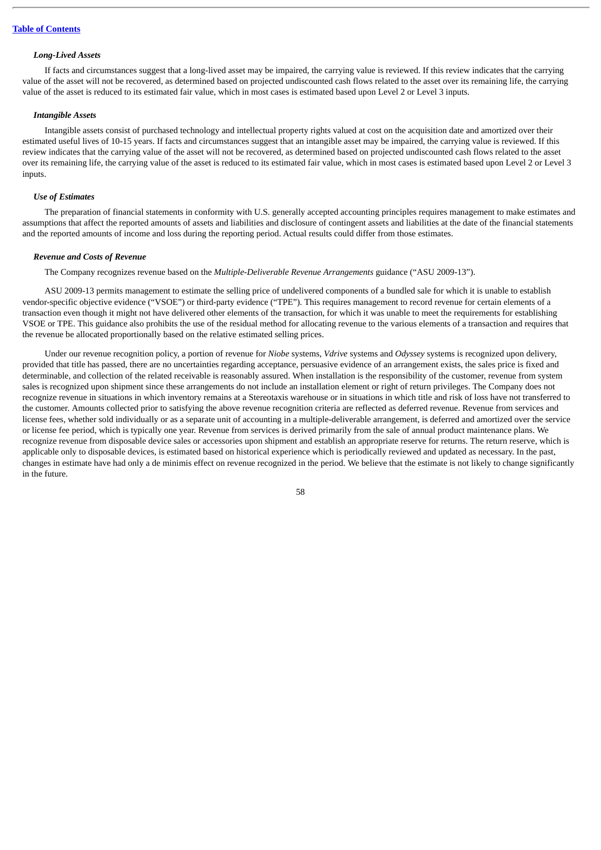#### *Long-Lived Assets*

If facts and circumstances suggest that a long-lived asset may be impaired, the carrying value is reviewed. If this review indicates that the carrying value of the asset will not be recovered, as determined based on projected undiscounted cash flows related to the asset over its remaining life, the carrying value of the asset is reduced to its estimated fair value, which in most cases is estimated based upon Level 2 or Level 3 inputs.

### *Intangible Assets*

Intangible assets consist of purchased technology and intellectual property rights valued at cost on the acquisition date and amortized over their estimated useful lives of 10-15 years. If facts and circumstances suggest that an intangible asset may be impaired, the carrying value is reviewed. If this review indicates that the carrying value of the asset will not be recovered, as determined based on projected undiscounted cash flows related to the asset over its remaining life, the carrying value of the asset is reduced to its estimated fair value, which in most cases is estimated based upon Level 2 or Level 3 inputs.

### *Use of Estimates*

The preparation of financial statements in conformity with U.S. generally accepted accounting principles requires management to make estimates and assumptions that affect the reported amounts of assets and liabilities and disclosure of contingent assets and liabilities at the date of the financial statements and the reported amounts of income and loss during the reporting period. Actual results could differ from those estimates.

#### *Revenue and Costs of Revenue*

The Company recognizes revenue based on the *Multiple-Deliverable Revenue Arrangements* guidance ("ASU 2009-13").

ASU 2009-13 permits management to estimate the selling price of undelivered components of a bundled sale for which it is unable to establish vendor-specific objective evidence ("VSOE") or third-party evidence ("TPE"). This requires management to record revenue for certain elements of a transaction even though it might not have delivered other elements of the transaction, for which it was unable to meet the requirements for establishing VSOE or TPE. This guidance also prohibits the use of the residual method for allocating revenue to the various elements of a transaction and requires that the revenue be allocated proportionally based on the relative estimated selling prices.

Under our revenue recognition policy, a portion of revenue for *Niobe* systems, *Vdrive* systems and *Odyssey* systems is recognized upon delivery, provided that title has passed, there are no uncertainties regarding acceptance, persuasive evidence of an arrangement exists, the sales price is fixed and determinable, and collection of the related receivable is reasonably assured. When installation is the responsibility of the customer, revenue from system sales is recognized upon shipment since these arrangements do not include an installation element or right of return privileges. The Company does not recognize revenue in situations in which inventory remains at a Stereotaxis warehouse or in situations in which title and risk of loss have not transferred to the customer. Amounts collected prior to satisfying the above revenue recognition criteria are reflected as deferred revenue. Revenue from services and license fees, whether sold individually or as a separate unit of accounting in a multiple-deliverable arrangement, is deferred and amortized over the service or license fee period, which is typically one year. Revenue from services is derived primarily from the sale of annual product maintenance plans. We recognize revenue from disposable device sales or accessories upon shipment and establish an appropriate reserve for returns. The return reserve, which is applicable only to disposable devices, is estimated based on historical experience which is periodically reviewed and updated as necessary. In the past, changes in estimate have had only a de minimis effect on revenue recognized in the period. We believe that the estimate is not likely to change significantly in the future.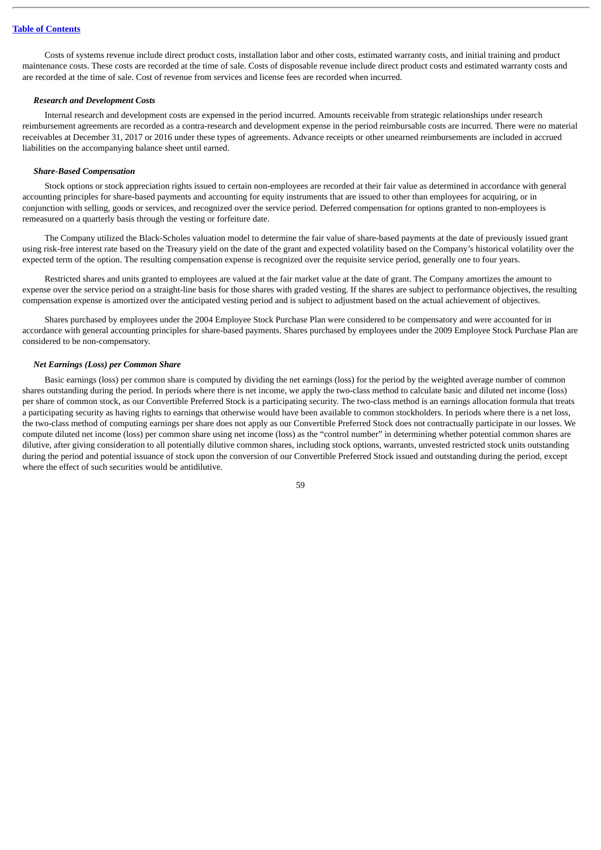Costs of systems revenue include direct product costs, installation labor and other costs, estimated warranty costs, and initial training and product maintenance costs. These costs are recorded at the time of sale. Costs of disposable revenue include direct product costs and estimated warranty costs and are recorded at the time of sale. Cost of revenue from services and license fees are recorded when incurred.

# *Research and Development Costs*

Internal research and development costs are expensed in the period incurred. Amounts receivable from strategic relationships under research reimbursement agreements are recorded as a contra-research and development expense in the period reimbursable costs are incurred. There were no material receivables at December 31, 2017 or 2016 under these types of agreements. Advance receipts or other unearned reimbursements are included in accrued liabilities on the accompanying balance sheet until earned.

### *Share-Based Compensation*

Stock options or stock appreciation rights issued to certain non-employees are recorded at their fair value as determined in accordance with general accounting principles for share-based payments and accounting for equity instruments that are issued to other than employees for acquiring, or in conjunction with selling, goods or services, and recognized over the service period. Deferred compensation for options granted to non-employees is remeasured on a quarterly basis through the vesting or forfeiture date.

The Company utilized the Black-Scholes valuation model to determine the fair value of share-based payments at the date of previously issued grant using risk-free interest rate based on the Treasury yield on the date of the grant and expected volatility based on the Company's historical volatility over the expected term of the option. The resulting compensation expense is recognized over the requisite service period, generally one to four years.

Restricted shares and units granted to employees are valued at the fair market value at the date of grant. The Company amortizes the amount to expense over the service period on a straight-line basis for those shares with graded vesting. If the shares are subject to performance objectives, the resulting compensation expense is amortized over the anticipated vesting period and is subject to adjustment based on the actual achievement of objectives.

Shares purchased by employees under the 2004 Employee Stock Purchase Plan were considered to be compensatory and were accounted for in accordance with general accounting principles for share-based payments. Shares purchased by employees under the 2009 Employee Stock Purchase Plan are considered to be non-compensatory.

### *Net Earnings (Loss) per Common Share*

Basic earnings (loss) per common share is computed by dividing the net earnings (loss) for the period by the weighted average number of common shares outstanding during the period. In periods where there is net income, we apply the two-class method to calculate basic and diluted net income (loss) per share of common stock, as our Convertible Preferred Stock is a participating security. The two-class method is an earnings allocation formula that treats a participating security as having rights to earnings that otherwise would have been available to common stockholders. In periods where there is a net loss, the two-class method of computing earnings per share does not apply as our Convertible Preferred Stock does not contractually participate in our losses. We compute diluted net income (loss) per common share using net income (loss) as the "control number" in determining whether potential common shares are dilutive, after giving consideration to all potentially dilutive common shares, including stock options, warrants, unvested restricted stock units outstanding during the period and potential issuance of stock upon the conversion of our Convertible Preferred Stock issued and outstanding during the period, except where the effect of such securities would be antidilutive.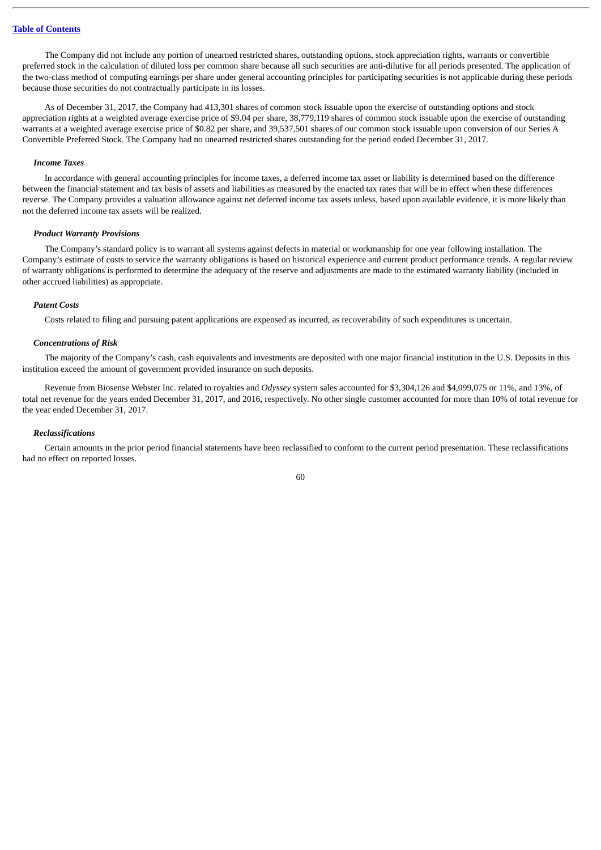The Company did not include any portion of unearned restricted shares, outstanding options, stock appreciation rights, warrants or convertible preferred stock in the calculation of diluted loss per common share because all such securities are anti-dilutive for all periods presented. The application of the two-class method of computing earnings per share under general accounting principles for participating securities is not applicable during these periods because those securities do not contractually participate in its losses.

As of December 31, 2017, the Company had 413,301 shares of common stock issuable upon the exercise of outstanding options and stock appreciation rights at a weighted average exercise price of \$9.04 per share, 38,779,119 shares of common stock issuable upon the exercise of outstanding warrants at a weighted average exercise price of \$0.82 per share, and 39,537,501 shares of our common stock issuable upon conversion of our Series A Convertible Preferred Stock. The Company had no unearned restricted shares outstanding for the period ended December 31, 2017.

### *Income Taxes*

In accordance with general accounting principles for income taxes*,* a deferred income tax asset or liability is determined based on the difference between the financial statement and tax basis of assets and liabilities as measured by the enacted tax rates that will be in effect when these differences reverse. The Company provides a valuation allowance against net deferred income tax assets unless, based upon available evidence, it is more likely than not the deferred income tax assets will be realized.

#### *Product Warranty Provisions*

The Company's standard policy is to warrant all systems against defects in material or workmanship for one year following installation. The Company's estimate of costs to service the warranty obligations is based on historical experience and current product performance trends. A regular review of warranty obligations is performed to determine the adequacy of the reserve and adjustments are made to the estimated warranty liability (included in other accrued liabilities) as appropriate.

### *Patent Costs*

Costs related to filing and pursuing patent applications are expensed as incurred, as recoverability of such expenditures is uncertain.

### *Concentrations of Risk*

The majority of the Company's cash, cash equivalents and investments are deposited with one major financial institution in the U.S. Deposits in this institution exceed the amount of government provided insurance on such deposits.

Revenue from Biosense Webster Inc. related to royalties and *Odyssey* system sales accounted for \$3,304,126 and \$4,099,075 or 11%, and 13%, of total net revenue for the years ended December 31, 2017, and 2016, respectively. No other single customer accounted for more than 10% of total revenue for the year ended December 31, 2017.

### *Reclassifications*

Certain amounts in the prior period financial statements have been reclassified to conform to the current period presentation. These reclassifications had no effect on reported losses.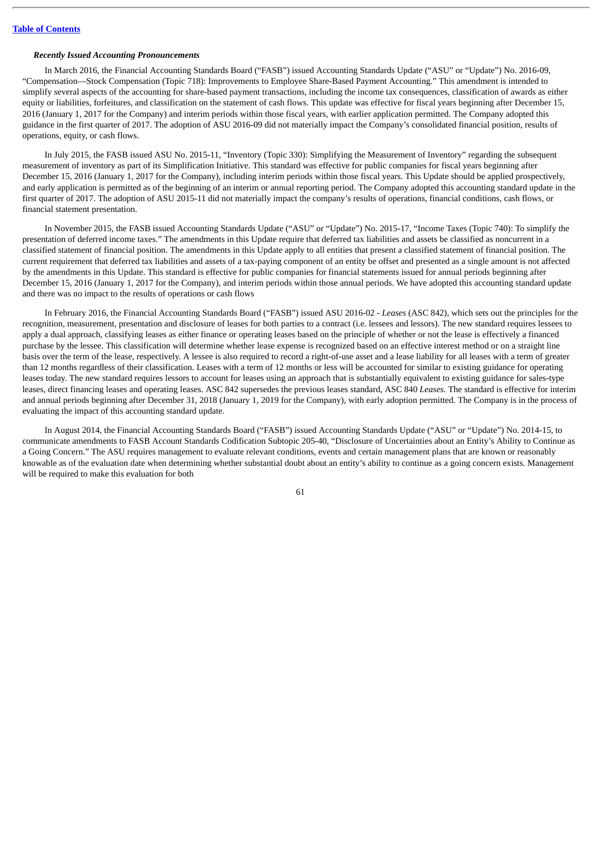# *Recently Issued Accounting Pronouncements*

In March 2016, the Financial Accounting Standards Board ("FASB") issued Accounting Standards Update ("ASU" or "Update") No. 2016-09, "Compensation—Stock Compensation (Topic 718): Improvements to Employee Share-Based Payment Accounting." This amendment is intended to simplify several aspects of the accounting for share-based payment transactions, including the income tax consequences, classification of awards as either equity or liabilities, forfeitures, and classification on the statement of cash flows. This update was effective for fiscal years beginning after December 15, 2016 (January 1, 2017 for the Company) and interim periods within those fiscal years, with earlier application permitted. The Company adopted this guidance in the first quarter of 2017. The adoption of ASU 2016-09 did not materially impact the Company's consolidated financial position, results of operations, equity, or cash flows.

In July 2015, the FASB issued ASU No. 2015-11, "Inventory (Topic 330): Simplifying the Measurement of Inventory" regarding the subsequent measurement of inventory as part of its Simplification Initiative. This standard was effective for public companies for fiscal years beginning after December 15, 2016 (January 1, 2017 for the Company), including interim periods within those fiscal years. This Update should be applied prospectively, and early application is permitted as of the beginning of an interim or annual reporting period. The Company adopted this accounting standard update in the first quarter of 2017. The adoption of ASU 2015-11 did not materially impact the company's results of operations, financial conditions, cash flows, or financial statement presentation.

In November 2015, the FASB issued Accounting Standards Update ("ASU" or "Update") No. 2015-17, "Income Taxes (Topic 740): To simplify the presentation of deferred income taxes." The amendments in this Update require that deferred tax liabilities and assets be classified as noncurrent in a classified statement of financial position. The amendments in this Update apply to all entities that present a classified statement of financial position. The current requirement that deferred tax liabilities and assets of a tax-paying component of an entity be offset and presented as a single amount is not affected by the amendments in this Update. This standard is effective for public companies for financial statements issued for annual periods beginning after December 15, 2016 (January 1, 2017 for the Company), and interim periods within those annual periods. We have adopted this accounting standard update and there was no impact to the results of operations or cash flows

In February 2016, the Financial Accounting Standards Board ("FASB") issued ASU 2016-02 - *Leases* (ASC 842), which sets out the principles for the recognition, measurement, presentation and disclosure of leases for both parties to a contract (i.e. lessees and lessors). The new standard requires lessees to apply a dual approach, classifying leases as either finance or operating leases based on the principle of whether or not the lease is effectively a financed purchase by the lessee. This classification will determine whether lease expense is recognized based on an effective interest method or on a straight line basis over the term of the lease, respectively. A lessee is also required to record a right-of-use asset and a lease liability for all leases with a term of greater than 12 months regardless of their classification. Leases with a term of 12 months or less will be accounted for similar to existing guidance for operating leases today. The new standard requires lessors to account for leases using an approach that is substantially equivalent to existing guidance for sales-type leases, direct financing leases and operating leases. ASC 842 supersedes the previous leases standard, ASC 840 *Leases.* The standard is effective for interim and annual periods beginning after December 31, 2018 (January 1, 2019 for the Company), with early adoption permitted. The Company is in the process of evaluating the impact of this accounting standard update.

In August 2014, the Financial Accounting Standards Board ("FASB") issued Accounting Standards Update ("ASU" or "Update") No. 2014-15, to communicate amendments to FASB Account Standards Codification Subtopic 205-40, "Disclosure of Uncertainties about an Entity's Ability to Continue as a Going Concern." The ASU requires management to evaluate relevant conditions, events and certain management plans that are known or reasonably knowable as of the evaluation date when determining whether substantial doubt about an entity's ability to continue as a going concern exists. Management will be required to make this evaluation for both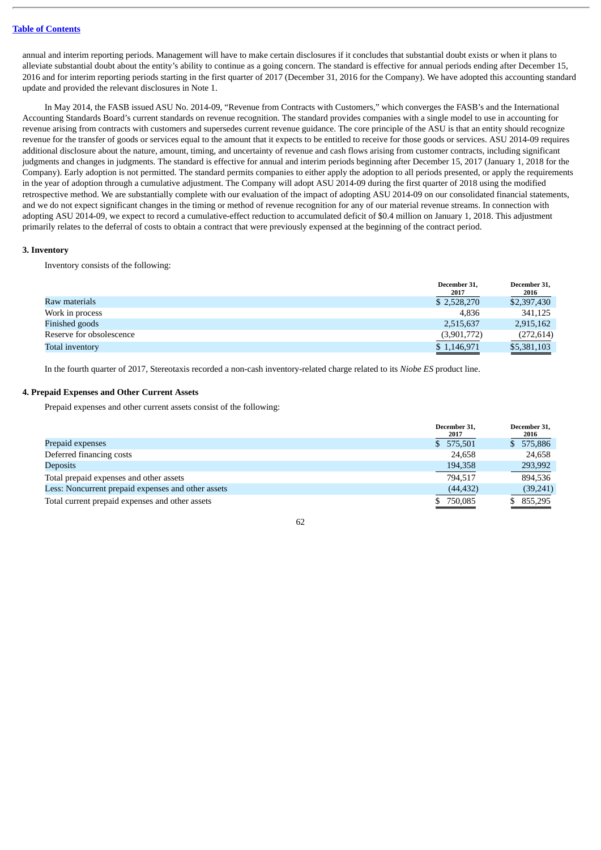annual and interim reporting periods. Management will have to make certain disclosures if it concludes that substantial doubt exists or when it plans to alleviate substantial doubt about the entity's ability to continue as a going concern. The standard is effective for annual periods ending after December 15, 2016 and for interim reporting periods starting in the first quarter of 2017 (December 31, 2016 for the Company). We have adopted this accounting standard update and provided the relevant disclosures in Note 1.

In May 2014, the FASB issued ASU No. 2014-09, "Revenue from Contracts with Customers," which converges the FASB's and the International Accounting Standards Board's current standards on revenue recognition. The standard provides companies with a single model to use in accounting for revenue arising from contracts with customers and supersedes current revenue guidance. The core principle of the ASU is that an entity should recognize revenue for the transfer of goods or services equal to the amount that it expects to be entitled to receive for those goods or services. ASU 2014-09 requires additional disclosure about the nature, amount, timing, and uncertainty of revenue and cash flows arising from customer contracts, including significant judgments and changes in judgments. The standard is effective for annual and interim periods beginning after December 15, 2017 (January 1, 2018 for the Company). Early adoption is not permitted. The standard permits companies to either apply the adoption to all periods presented, or apply the requirements in the year of adoption through a cumulative adjustment. The Company will adopt ASU 2014-09 during the first quarter of 2018 using the modified retrospective method. We are substantially complete with our evaluation of the impact of adopting ASU 2014-09 on our consolidated financial statements, and we do not expect significant changes in the timing or method of revenue recognition for any of our material revenue streams. In connection with adopting ASU 2014-09, we expect to record a cumulative-effect reduction to accumulated deficit of \$0.4 million on January 1, 2018. This adjustment primarily relates to the deferral of costs to obtain a contract that were previously expensed at the beginning of the contract period.

## **3. Inventory**

Inventory consists of the following:

|                          | December 31,<br>2017 | December 31.<br>2016 |
|--------------------------|----------------------|----------------------|
| Raw materials            | \$2,528,270          | \$2,397,430          |
| Work in process          | 4.836                | 341,125              |
| Finished goods           | 2,515,637            | 2,915,162            |
| Reserve for obsolescence | (3,901,772)          | (272, 614)           |
| Total inventory          | \$1,146,971          | \$5,381,103          |

In the fourth quarter of 2017, Stereotaxis recorded a non-cash inventory-related charge related to its *Niobe ES* product line.

# **4. Prepaid Expenses and Other Current Assets**

Prepaid expenses and other current assets consist of the following:

|                                                    | December 31,<br>2017 | December 31,<br>2016 |
|----------------------------------------------------|----------------------|----------------------|
| Prepaid expenses                                   | \$ 575,501           | \$ 575,886           |
| Deferred financing costs                           | 24.658               | 24,658               |
| <b>Deposits</b>                                    | 194,358              | 293,992              |
| Total prepaid expenses and other assets            | 794.517              | 894.536              |
| Less: Noncurrent prepaid expenses and other assets | (44, 432)            | (39, 241)            |
| Total current prepaid expenses and other assets    | 750,085              | 855,295              |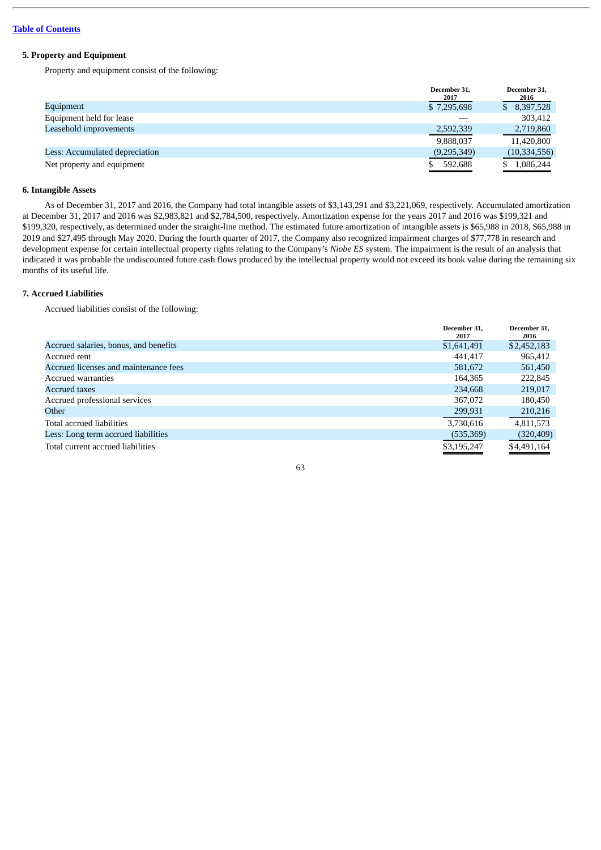# **5. Property and Equipment**

Property and equipment consist of the following:

|                                | December 31.<br>2017                                                                                                            | December 31,<br>2016 |
|--------------------------------|---------------------------------------------------------------------------------------------------------------------------------|----------------------|
| Equipment                      | \$7,295,698                                                                                                                     | 8,397,528<br>S.      |
| Equipment held for lease       |                                                                                                                                 | 303.412              |
| Leasehold improvements         | 2,592,339                                                                                                                       | 2,719,860            |
|                                | 9,888,037                                                                                                                       | 11.420.800           |
| Less: Accumulated depreciation | (9,295,349)                                                                                                                     | (10, 334, 556)       |
| Net property and equipment     | 592,688<br><u> 1989 - Johann Stoff, deutscher Stoff, der Stoff, deutscher Stoff, der Stoff, der Stoff, der Stoff, der Stoff</u> | 1,086,244<br>S.      |
|                                |                                                                                                                                 |                      |

# **6. Intangible Assets**

As of December 31, 2017 and 2016, the Company had total intangible assets of \$3,143,291 and \$3,221,069, respectively. Accumulated amortization at December 31, 2017 and 2016 was \$2,983,821 and \$2,784,500, respectively. Amortization expense for the years 2017 and 2016 was \$199,321 and \$199,320, respectively, as determined under the straight-line method. The estimated future amortization of intangible assets is \$65,988 in 2018, \$65,988 in 2019 and \$27,495 through May 2020. During the fourth quarter of 2017, the Company also recognized impairment charges of \$77,778 in research and development expense for certain intellectual property rights relating to the Company's *Niobe ES* system. The impairment is the result of an analysis that indicated it was probable the undiscounted future cash flows produced by the intellectual property would not exceed its book value during the remaining six months of its useful life.

# **7. Accrued Liabilities**

Accrued liabilities consist of the following:

|                                       | December 31.<br>2017 | December 31.<br>2016 |
|---------------------------------------|----------------------|----------------------|
| Accrued salaries, bonus, and benefits | \$1,641,491          | \$2,452,183          |
| Accrued rent                          | 441,417              | 965,412              |
| Accrued licenses and maintenance fees | 581.672              | 561,450              |
| Accrued warranties                    | 164,365              | 222,845              |
| Accrued taxes                         | 234,668              | 219,017              |
| Accrued professional services         | 367,072              | 180,450              |
| Other                                 | 299,931              | 210,216              |
| Total accrued liabilities             | 3,730,616            | 4,811,573            |
| Less: Long term accrued liabilities   | (535, 369)           | (320, 409)           |
| Total current accrued liabilities     | \$3,195,247          | \$4,491,164          |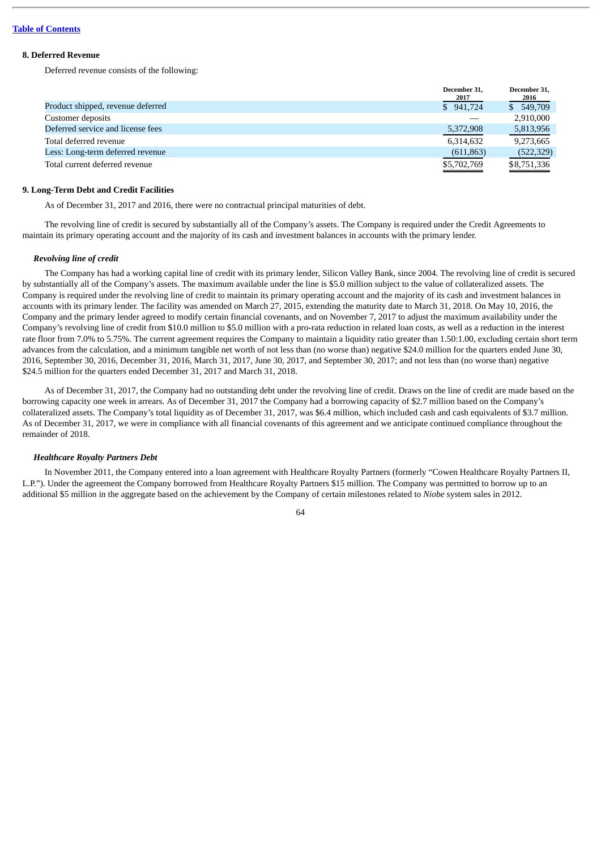# **8. Deferred Revenue**

Deferred revenue consists of the following:

|                                   | December 31,<br>2017 | December 31,<br>2016 |
|-----------------------------------|----------------------|----------------------|
| Product shipped, revenue deferred | \$941,724            | \$ 549,709           |
| Customer deposits                 |                      | 2,910,000            |
| Deferred service and license fees | 5,372,908            | 5,813,956            |
| Total deferred revenue            | 6,314,632            | 9,273,665            |
| Less: Long-term deferred revenue  | (611, 863)           | (522, 329)           |
| Total current deferred revenue    | \$5,702,769          | \$8,751,336          |
|                                   |                      |                      |

### **9. Long-Term Debt and Credit Facilities**

As of December 31, 2017 and 2016, there were no contractual principal maturities of debt.

The revolving line of credit is secured by substantially all of the Company's assets. The Company is required under the Credit Agreements to maintain its primary operating account and the majority of its cash and investment balances in accounts with the primary lender.

## *Revolving line of credit*

The Company has had a working capital line of credit with its primary lender, Silicon Valley Bank, since 2004. The revolving line of credit is secured by substantially all of the Company's assets. The maximum available under the line is \$5.0 million subject to the value of collateralized assets. The Company is required under the revolving line of credit to maintain its primary operating account and the majority of its cash and investment balances in accounts with its primary lender. The facility was amended on March 27, 2015, extending the maturity date to March 31, 2018. On May 10, 2016, the Company and the primary lender agreed to modify certain financial covenants, and on November 7, 2017 to adjust the maximum availability under the Company's revolving line of credit from \$10.0 million to \$5.0 million with a pro-rata reduction in related loan costs, as well as a reduction in the interest rate floor from 7.0% to 5.75%. The current agreement requires the Company to maintain a liquidity ratio greater than 1.50:1.00, excluding certain short term advances from the calculation, and a minimum tangible net worth of not less than (no worse than) negative \$24.0 million for the quarters ended June 30, 2016, September 30, 2016, December 31, 2016, March 31, 2017, June 30, 2017, and September 30, 2017; and not less than (no worse than) negative \$24.5 million for the quarters ended December 31, 2017 and March 31, 2018.

As of December 31, 2017, the Company had no outstanding debt under the revolving line of credit. Draws on the line of credit are made based on the borrowing capacity one week in arrears. As of December 31, 2017 the Company had a borrowing capacity of \$2.7 million based on the Company's collateralized assets. The Company's total liquidity as of December 31, 2017, was \$6.4 million, which included cash and cash equivalents of \$3.7 million. As of December 31, 2017, we were in compliance with all financial covenants of this agreement and we anticipate continued compliance throughout the remainder of 2018.

# *Healthcare Royalty Partners Debt*

In November 2011, the Company entered into a loan agreement with Healthcare Royalty Partners (formerly "Cowen Healthcare Royalty Partners II, L.P."). Under the agreement the Company borrowed from Healthcare Royalty Partners \$15 million. The Company was permitted to borrow up to an additional \$5 million in the aggregate based on the achievement by the Company of certain milestones related to *Niobe* system sales in 2012.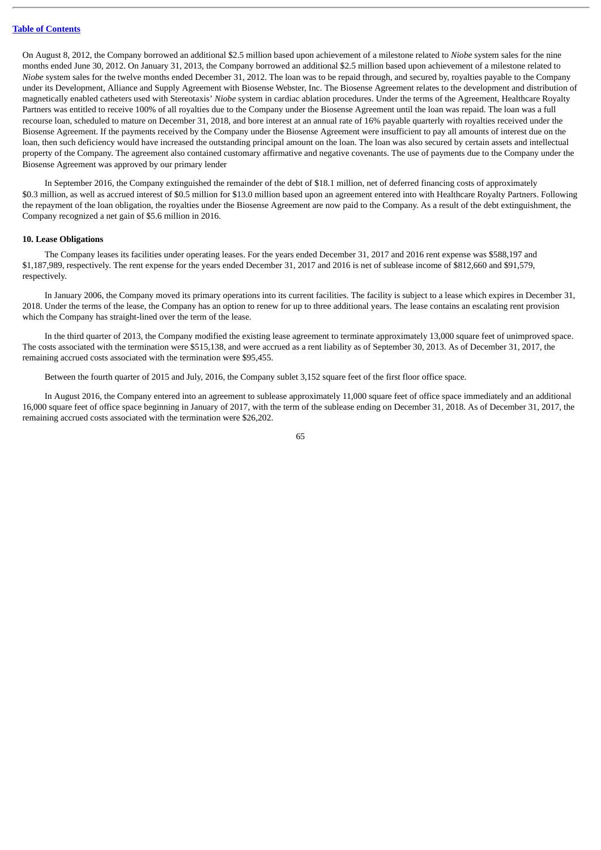On August 8, 2012, the Company borrowed an additional \$2.5 million based upon achievement of a milestone related to *Niobe* system sales for the nine months ended June 30, 2012. On January 31, 2013, the Company borrowed an additional \$2.5 million based upon achievement of a milestone related to *Niobe* system sales for the twelve months ended December 31, 2012. The loan was to be repaid through, and secured by, royalties payable to the Company under its Development, Alliance and Supply Agreement with Biosense Webster, Inc. The Biosense Agreement relates to the development and distribution of magnetically enabled catheters used with Stereotaxis' *Niobe* system in cardiac ablation procedures. Under the terms of the Agreement, Healthcare Royalty Partners was entitled to receive 100% of all royalties due to the Company under the Biosense Agreement until the loan was repaid. The loan was a full recourse loan, scheduled to mature on December 31, 2018, and bore interest at an annual rate of 16% payable quarterly with royalties received under the Biosense Agreement. If the payments received by the Company under the Biosense Agreement were insufficient to pay all amounts of interest due on the loan, then such deficiency would have increased the outstanding principal amount on the loan. The loan was also secured by certain assets and intellectual property of the Company. The agreement also contained customary affirmative and negative covenants. The use of payments due to the Company under the Biosense Agreement was approved by our primary lender

In September 2016, the Company extinguished the remainder of the debt of \$18.1 million, net of deferred financing costs of approximately \$0.3 million, as well as accrued interest of \$0.5 million for \$13.0 million based upon an agreement entered into with Healthcare Royalty Partners. Following the repayment of the loan obligation, the royalties under the Biosense Agreement are now paid to the Company. As a result of the debt extinguishment, the Company recognized a net gain of \$5.6 million in 2016.

## **10. Lease Obligations**

The Company leases its facilities under operating leases. For the years ended December 31, 2017 and 2016 rent expense was \$588,197 and \$1,187,989, respectively. The rent expense for the years ended December 31, 2017 and 2016 is net of sublease income of \$812,660 and \$91,579, respectively.

In January 2006, the Company moved its primary operations into its current facilities. The facility is subject to a lease which expires in December 31, 2018. Under the terms of the lease, the Company has an option to renew for up to three additional years. The lease contains an escalating rent provision which the Company has straight-lined over the term of the lease.

In the third quarter of 2013, the Company modified the existing lease agreement to terminate approximately 13,000 square feet of unimproved space. The costs associated with the termination were \$515,138, and were accrued as a rent liability as of September 30, 2013. As of December 31, 2017, the remaining accrued costs associated with the termination were \$95,455.

Between the fourth quarter of 2015 and July, 2016, the Company sublet 3,152 square feet of the first floor office space.

In August 2016, the Company entered into an agreement to sublease approximately 11,000 square feet of office space immediately and an additional 16,000 square feet of office space beginning in January of 2017, with the term of the sublease ending on December 31, 2018. As of December 31, 2017, the remaining accrued costs associated with the termination were \$26,202.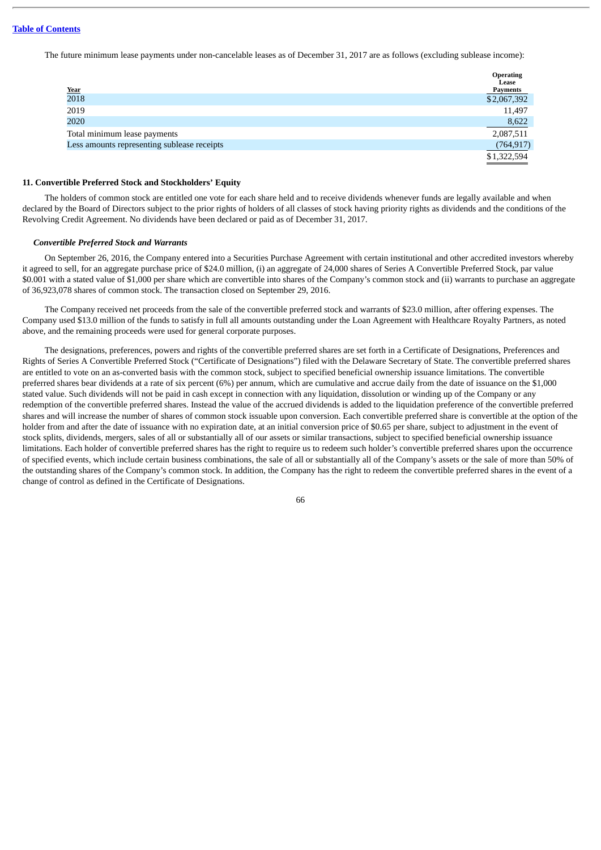## **Table of [Contents](#page-1-0)**

The future minimum lease payments under non-cancelable leases as of December 31, 2017 are as follows (excluding sublease income):

|                                             | <b>Operating</b><br>Lease |
|---------------------------------------------|---------------------------|
|                                             | <b>Payments</b>           |
| $\frac{\text{Year}}{2018}$                  | \$2,067,392               |
| 2019                                        | 11,497                    |
| 2020                                        | 8,622                     |
| Total minimum lease payments                | 2,087,511                 |
| Less amounts representing sublease receipts | (764, 917)                |
|                                             | \$1,322,594               |

# **11. Convertible Preferred Stock and Stockholders' Equity**

The holders of common stock are entitled one vote for each share held and to receive dividends whenever funds are legally available and when declared by the Board of Directors subject to the prior rights of holders of all classes of stock having priority rights as dividends and the conditions of the Revolving Credit Agreement. No dividends have been declared or paid as of December 31, 2017.

#### *Convertible Preferred Stock and Warrants*

On September 26, 2016, the Company entered into a Securities Purchase Agreement with certain institutional and other accredited investors whereby it agreed to sell, for an aggregate purchase price of \$24.0 million, (i) an aggregate of 24,000 shares of Series A Convertible Preferred Stock, par value \$0.001 with a stated value of \$1,000 per share which are convertible into shares of the Company's common stock and (ii) warrants to purchase an aggregate of 36,923,078 shares of common stock. The transaction closed on September 29, 2016.

The Company received net proceeds from the sale of the convertible preferred stock and warrants of \$23.0 million, after offering expenses. The Company used \$13.0 million of the funds to satisfy in full all amounts outstanding under the Loan Agreement with Healthcare Royalty Partners, as noted above, and the remaining proceeds were used for general corporate purposes.

The designations, preferences, powers and rights of the convertible preferred shares are set forth in a Certificate of Designations, Preferences and Rights of Series A Convertible Preferred Stock ("Certificate of Designations") filed with the Delaware Secretary of State. The convertible preferred shares are entitled to vote on an as-converted basis with the common stock, subject to specified beneficial ownership issuance limitations. The convertible preferred shares bear dividends at a rate of six percent (6%) per annum, which are cumulative and accrue daily from the date of issuance on the \$1,000 stated value. Such dividends will not be paid in cash except in connection with any liquidation, dissolution or winding up of the Company or any redemption of the convertible preferred shares. Instead the value of the accrued dividends is added to the liquidation preference of the convertible preferred shares and will increase the number of shares of common stock issuable upon conversion. Each convertible preferred share is convertible at the option of the holder from and after the date of issuance with no expiration date, at an initial conversion price of \$0.65 per share, subject to adjustment in the event of stock splits, dividends, mergers, sales of all or substantially all of our assets or similar transactions, subject to specified beneficial ownership issuance limitations. Each holder of convertible preferred shares has the right to require us to redeem such holder's convertible preferred shares upon the occurrence of specified events, which include certain business combinations, the sale of all or substantially all of the Company's assets or the sale of more than 50% of the outstanding shares of the Company's common stock. In addition, the Company has the right to redeem the convertible preferred shares in the event of a change of control as defined in the Certificate of Designations.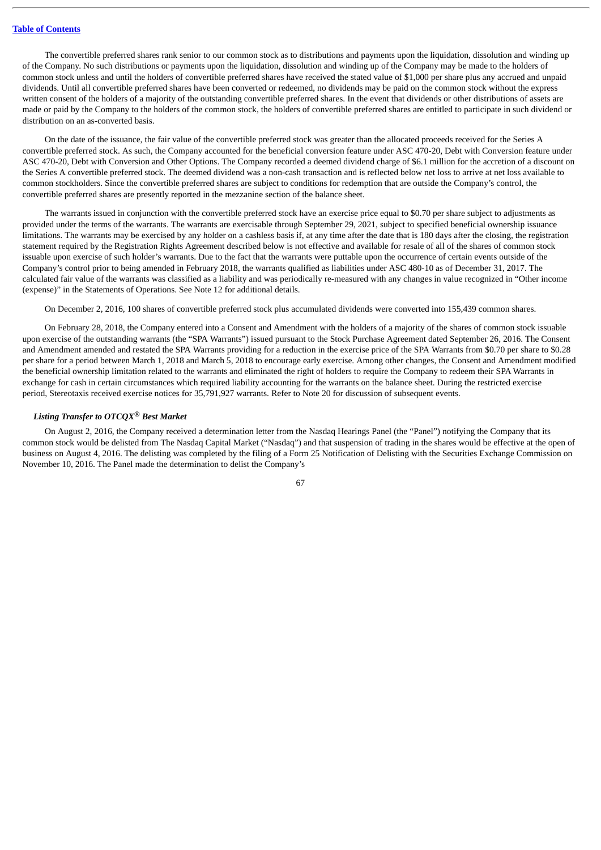The convertible preferred shares rank senior to our common stock as to distributions and payments upon the liquidation, dissolution and winding up of the Company. No such distributions or payments upon the liquidation, dissolution and winding up of the Company may be made to the holders of common stock unless and until the holders of convertible preferred shares have received the stated value of \$1,000 per share plus any accrued and unpaid dividends. Until all convertible preferred shares have been converted or redeemed, no dividends may be paid on the common stock without the express written consent of the holders of a majority of the outstanding convertible preferred shares. In the event that dividends or other distributions of assets are made or paid by the Company to the holders of the common stock, the holders of convertible preferred shares are entitled to participate in such dividend or distribution on an as-converted basis.

On the date of the issuance, the fair value of the convertible preferred stock was greater than the allocated proceeds received for the Series A convertible preferred stock. As such, the Company accounted for the beneficial conversion feature under ASC 470-20, Debt with Conversion feature under ASC 470-20, Debt with Conversion and Other Options. The Company recorded a deemed dividend charge of \$6.1 million for the accretion of a discount on the Series A convertible preferred stock. The deemed dividend was a non-cash transaction and is reflected below net loss to arrive at net loss available to common stockholders. Since the convertible preferred shares are subject to conditions for redemption that are outside the Company's control, the convertible preferred shares are presently reported in the mezzanine section of the balance sheet.

The warrants issued in conjunction with the convertible preferred stock have an exercise price equal to \$0.70 per share subject to adjustments as provided under the terms of the warrants. The warrants are exercisable through September 29, 2021, subject to specified beneficial ownership issuance limitations. The warrants may be exercised by any holder on a cashless basis if, at any time after the date that is 180 days after the closing, the registration statement required by the Registration Rights Agreement described below is not effective and available for resale of all of the shares of common stock issuable upon exercise of such holder's warrants. Due to the fact that the warrants were puttable upon the occurrence of certain events outside of the Company's control prior to being amended in February 2018, the warrants qualified as liabilities under ASC 480-10 as of December 31, 2017. The calculated fair value of the warrants was classified as a liability and was periodically re-measured with any changes in value recognized in "Other income (expense)" in the Statements of Operations. See Note 12 for additional details.

On December 2, 2016, 100 shares of convertible preferred stock plus accumulated dividends were converted into 155,439 common shares.

On February 28, 2018, the Company entered into a Consent and Amendment with the holders of a majority of the shares of common stock issuable upon exercise of the outstanding warrants (the "SPA Warrants") issued pursuant to the Stock Purchase Agreement dated September 26, 2016. The Consent and Amendment amended and restated the SPA Warrants providing for a reduction in the exercise price of the SPA Warrants from \$0.70 per share to \$0.28 per share for a period between March 1, 2018 and March 5, 2018 to encourage early exercise. Among other changes, the Consent and Amendment modified the beneficial ownership limitation related to the warrants and eliminated the right of holders to require the Company to redeem their SPA Warrants in exchange for cash in certain circumstances which required liability accounting for the warrants on the balance sheet. During the restricted exercise period, Stereotaxis received exercise notices for 35,791,927 warrants. Refer to Note 20 for discussion of subsequent events.

# *Listing Transfer to OTCQX Best Market ®*

On August 2, 2016, the Company received a determination letter from the Nasdaq Hearings Panel (the "Panel") notifying the Company that its common stock would be delisted from The Nasdaq Capital Market ("Nasdaq") and that suspension of trading in the shares would be effective at the open of business on August 4, 2016. The delisting was completed by the filing of a Form 25 Notification of Delisting with the Securities Exchange Commission on November 10, 2016. The Panel made the determination to delist the Company's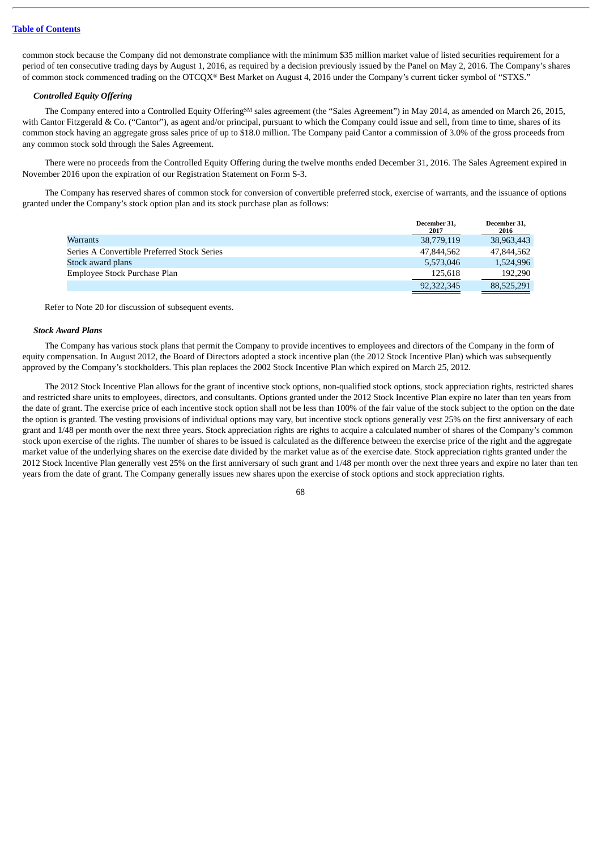common stock because the Company did not demonstrate compliance with the minimum \$35 million market value of listed securities requirement for a period of ten consecutive trading days by August 1, 2016, as required by a decision previously issued by the Panel on May 2, 2016. The Company's shares of common stock commenced trading on the OTCQX® Best Market on August 4, 2016 under the Company's current ticker symbol of "STXS."

# *Controlled Equity Offering*

The Company entered into a Controlled Equity Offering<sup>SM</sup> sales agreement (the "Sales Agreement") in May 2014, as amended on March 26, 2015, with Cantor Fitzgerald & Co. ("Cantor"), as agent and/or principal, pursuant to which the Company could issue and sell, from time to time, shares of its common stock having an aggregate gross sales price of up to \$18.0 million. The Company paid Cantor a commission of 3.0% of the gross proceeds from any common stock sold through the Sales Agreement.

There were no proceeds from the Controlled Equity Offering during the twelve months ended December 31, 2016. The Sales Agreement expired in November 2016 upon the expiration of our Registration Statement on Form S-3.

The Company has reserved shares of common stock for conversion of convertible preferred stock, exercise of warrants, and the issuance of options granted under the Company's stock option plan and its stock purchase plan as follows:

|                                             | December 31.<br>2017 | December 31.<br>2016 |
|---------------------------------------------|----------------------|----------------------|
| Warrants                                    | 38,779,119           | 38,963,443           |
| Series A Convertible Preferred Stock Series | 47.844.562           | 47.844.562           |
| Stock award plans                           | 5,573,046            | 1,524,996            |
| Employee Stock Purchase Plan                | 125.618              | 192.290              |
|                                             | 92,322,345           | 88,525,291           |

Refer to Note 20 for discussion of subsequent events.

### *Stock Award Plans*

The Company has various stock plans that permit the Company to provide incentives to employees and directors of the Company in the form of equity compensation. In August 2012, the Board of Directors adopted a stock incentive plan (the 2012 Stock Incentive Plan) which was subsequently approved by the Company's stockholders. This plan replaces the 2002 Stock Incentive Plan which expired on March 25, 2012.

The 2012 Stock Incentive Plan allows for the grant of incentive stock options, non-qualified stock options, stock appreciation rights, restricted shares and restricted share units to employees, directors, and consultants. Options granted under the 2012 Stock Incentive Plan expire no later than ten years from the date of grant. The exercise price of each incentive stock option shall not be less than 100% of the fair value of the stock subject to the option on the date the option is granted. The vesting provisions of individual options may vary, but incentive stock options generally vest 25% on the first anniversary of each grant and 1/48 per month over the next three years. Stock appreciation rights are rights to acquire a calculated number of shares of the Company's common stock upon exercise of the rights. The number of shares to be issued is calculated as the difference between the exercise price of the right and the aggregate market value of the underlying shares on the exercise date divided by the market value as of the exercise date. Stock appreciation rights granted under the 2012 Stock Incentive Plan generally vest 25% on the first anniversary of such grant and 1/48 per month over the next three years and expire no later than ten years from the date of grant. The Company generally issues new shares upon the exercise of stock options and stock appreciation rights.

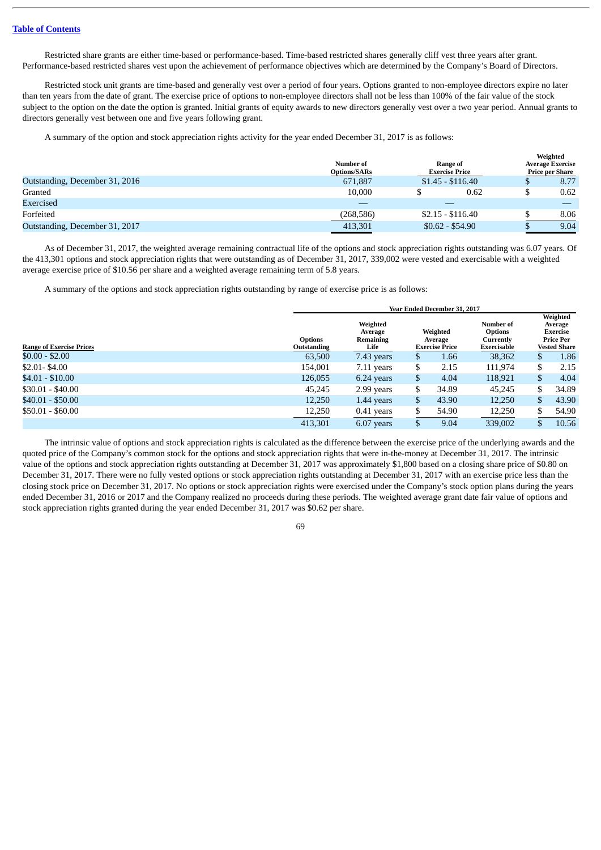Restricted share grants are either time-based or performance-based. Time-based restricted shares generally cliff vest three years after grant. Performance-based restricted shares vest upon the achievement of performance objectives which are determined by the Company's Board of Directors.

Restricted stock unit grants are time-based and generally vest over a period of four years. Options granted to non-employee directors expire no later than ten years from the date of grant. The exercise price of options to non-employee directors shall not be less than 100% of the fair value of the stock subject to the option on the date the option is granted. Initial grants of equity awards to new directors generally vest over a two year period. Annual grants to directors generally vest between one and five years following grant.

A summary of the option and stock appreciation rights activity for the year ended December 31, 2017 is as follows:

|                                | Number of<br><b>Options/SARs</b> | Range of<br><b>Exercise Price</b> | Weighted<br><b>Average Exercise</b><br>Price per Share |
|--------------------------------|----------------------------------|-----------------------------------|--------------------------------------------------------|
| Outstanding, December 31, 2016 | 671.887                          | $$1.45 - $116.40$                 | 8.77                                                   |
| Granted                        | 10.000                           | 0.62                              | 0.62                                                   |
| Exercised                      |                                  |                                   |                                                        |
| Forfeited                      | (268, 586)                       | $$2.15 - $116.40$                 | 8.06                                                   |
| Outstanding, December 31, 2017 | 413,301                          | $$0.62 - $54.90$                  | 9.04                                                   |

As of December 31, 2017, the weighted average remaining contractual life of the options and stock appreciation rights outstanding was 6.07 years. Of the 413,301 options and stock appreciation rights that were outstanding as of December 31, 2017, 339,002 were vested and exercisable with a weighted average exercise price of \$10.56 per share and a weighted average remaining term of 5.8 years.

A summary of the options and stock appreciation rights outstanding by range of exercise price is as follows:

|                                 |                               |                                          |     | <b>Year Ended December 31, 2017</b>          |                                                         |    |                                                                                   |  |
|---------------------------------|-------------------------------|------------------------------------------|-----|----------------------------------------------|---------------------------------------------------------|----|-----------------------------------------------------------------------------------|--|
| <b>Range of Exercise Prices</b> | <b>Options</b><br>Outstanding | Weighted<br>Average<br>Remaining<br>Life |     | Weighted<br>Average<br><b>Exercise Price</b> | Number of<br><b>Options</b><br>Currently<br>Exercisable |    | Weighted<br>Average<br><b>Exercise</b><br><b>Price Per</b><br><b>Vested Share</b> |  |
| $$0.00 - $2.00$                 | 63,500                        | 7.43 years                               | \$. | 1.66                                         | 38,362                                                  | S. | 1.86                                                                              |  |
| $$2.01 - $4.00$                 | 154,001                       | 7.11 years                               | \$  | 2.15                                         | 111,974                                                 | \$ | 2.15                                                                              |  |
| $$4.01 - $10.00$                | 126,055                       | 6.24 years                               | \$  | 4.04                                         | 118,921                                                 | \$ | 4.04                                                                              |  |
| $$30.01 - $40.00$               | 45,245                        | 2.99 years                               | \$  | 34.89                                        | 45,245                                                  | \$ | 34.89                                                                             |  |
| \$40.01 - \$50.00               | 12,250                        | 1.44 years                               | \$  | 43.90                                        | 12,250                                                  | \$ | 43.90                                                                             |  |
| $$50.01 - $60.00$               | 12,250                        | $0.41$ years                             |     | 54.90                                        | 12,250                                                  |    | 54.90                                                                             |  |
|                                 | 413,301                       | 6.07 years                               |     | 9.04                                         | 339,002                                                 |    | 10.56                                                                             |  |

The intrinsic value of options and stock appreciation rights is calculated as the difference between the exercise price of the underlying awards and the quoted price of the Company's common stock for the options and stock appreciation rights that were in-the-money at December 31, 2017. The intrinsic value of the options and stock appreciation rights outstanding at December 31, 2017 was approximately \$1,800 based on a closing share price of \$0.80 on December 31, 2017. There were no fully vested options or stock appreciation rights outstanding at December 31, 2017 with an exercise price less than the closing stock price on December 31, 2017. No options or stock appreciation rights were exercised under the Company's stock option plans during the years ended December 31, 2016 or 2017 and the Company realized no proceeds during these periods. The weighted average grant date fair value of options and stock appreciation rights granted during the year ended December 31, 2017 was \$0.62 per share.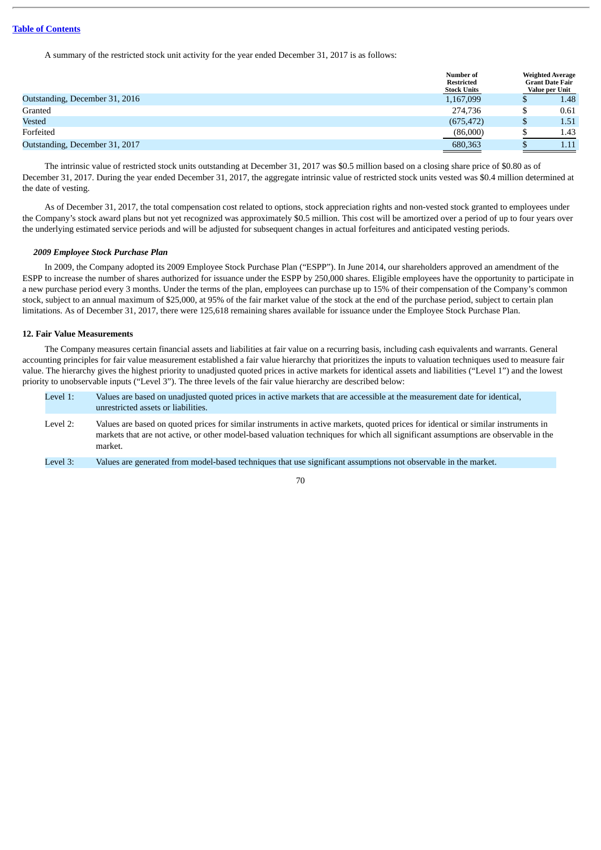A summary of the restricted stock unit activity for the year ended December 31, 2017 is as follows:

|                                | Number of<br><b>Restricted</b><br><b>Stock Units</b> |   | <b>Weighted Average</b><br><b>Grant Date Fair</b><br>Value per Unit |  |  |
|--------------------------------|------------------------------------------------------|---|---------------------------------------------------------------------|--|--|
| Outstanding, December 31, 2016 | 1,167,099                                            |   | 1.48 <sub>1</sub>                                                   |  |  |
| Granted                        | 274.736                                              |   | 0.61                                                                |  |  |
| Vested                         | (675, 472)                                           | Φ | 1.51                                                                |  |  |
| Forfeited                      | (86,000)                                             |   | 1.43                                                                |  |  |
| Outstanding, December 31, 2017 | 680,363                                              |   | 1.11                                                                |  |  |

The intrinsic value of restricted stock units outstanding at December 31, 2017 was \$0.5 million based on a closing share price of \$0.80 as of December 31, 2017. During the year ended December 31, 2017, the aggregate intrinsic value of restricted stock units vested was \$0.4 million determined at the date of vesting.

As of December 31, 2017, the total compensation cost related to options, stock appreciation rights and non-vested stock granted to employees under the Company's stock award plans but not yet recognized was approximately \$0.5 million. This cost will be amortized over a period of up to four years over the underlying estimated service periods and will be adjusted for subsequent changes in actual forfeitures and anticipated vesting periods.

## *2009 Employee Stock Purchase Plan*

In 2009, the Company adopted its 2009 Employee Stock Purchase Plan ("ESPP"). In June 2014, our shareholders approved an amendment of the ESPP to increase the number of shares authorized for issuance under the ESPP by 250,000 shares. Eligible employees have the opportunity to participate in a new purchase period every 3 months. Under the terms of the plan, employees can purchase up to 15% of their compensation of the Company's common stock, subject to an annual maximum of \$25,000, at 95% of the fair market value of the stock at the end of the purchase period, subject to certain plan limitations. As of December 31, 2017, there were 125,618 remaining shares available for issuance under the Employee Stock Purchase Plan.

### **12. Fair Value Measurements**

The Company measures certain financial assets and liabilities at fair value on a recurring basis, including cash equivalents and warrants. General accounting principles for fair value measurement established a fair value hierarchy that prioritizes the inputs to valuation techniques used to measure fair value. The hierarchy gives the highest priority to unadjusted quoted prices in active markets for identical assets and liabilities ("Level 1") and the lowest priority to unobservable inputs ("Level 3"). The three levels of the fair value hierarchy are described below:

| Level 1: | Values are based on unadjusted quoted prices in active markets that are accessible at the measurement date for identical,<br>unrestricted assets or liabilities.                                                                                                                    |
|----------|-------------------------------------------------------------------------------------------------------------------------------------------------------------------------------------------------------------------------------------------------------------------------------------|
| Level 2: | Values are based on quoted prices for similar instruments in active markets, quoted prices for identical or similar instruments in<br>markets that are not active, or other model-based valuation techniques for which all significant assumptions are observable in the<br>market. |
| Level 3: | Values are generated from model-based techniques that use significant assumptions not observable in the market.                                                                                                                                                                     |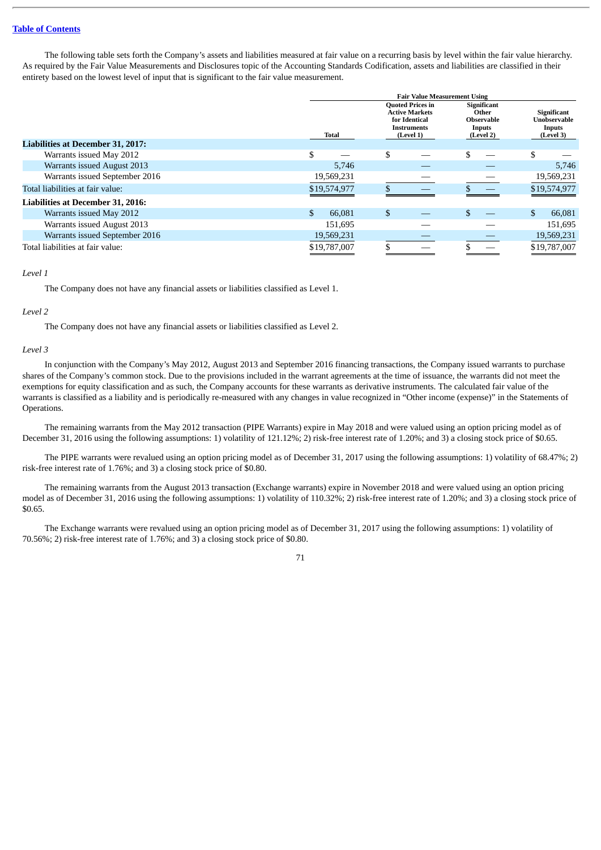The following table sets forth the Company's assets and liabilities measured at fair value on a recurring basis by level within the fair value hierarchy. As required by the Fair Value Measurements and Disclosures topic of the Accounting Standards Codification, assets and liabilities are classified in their entirety based on the lowest level of input that is significant to the fair value measurement.

|                                          |              | <b>Fair Value Measurement Using</b>                                                                  |                                                                  |                                                           |
|------------------------------------------|--------------|------------------------------------------------------------------------------------------------------|------------------------------------------------------------------|-----------------------------------------------------------|
|                                          | <b>Total</b> | <b>Quoted Prices in</b><br><b>Active Markets</b><br>for Identical<br><b>Instruments</b><br>(Level 1) | Significant<br>Other<br><b>Observable</b><br>Inputs<br>(Level 2) | Significant<br><b>Unobservable</b><br>Inputs<br>(Level 3) |
| <b>Liabilities at December 31, 2017:</b> |              |                                                                                                      |                                                                  |                                                           |
| Warrants issued May 2012                 | \$           | \$                                                                                                   |                                                                  | \$                                                        |
| Warrants issued August 2013              | 5.746        |                                                                                                      |                                                                  | 5.746                                                     |
| Warrants issued September 2016           | 19,569,231   |                                                                                                      |                                                                  | 19,569,231                                                |
| Total liabilities at fair value:         | \$19,574,977 |                                                                                                      |                                                                  | \$19,574,977                                              |
| <b>Liabilities at December 31, 2016:</b> |              |                                                                                                      |                                                                  |                                                           |
| Warrants issued May 2012                 | 66.081       | \$                                                                                                   |                                                                  | $\mathbb{S}$<br>66,081                                    |
| Warrants issued August 2013              | 151.695      |                                                                                                      |                                                                  | 151,695                                                   |
| Warrants issued September 2016           | 19,569,231   |                                                                                                      |                                                                  | 19,569,231                                                |
| Total liabilities at fair value:         | \$19,787,007 |                                                                                                      |                                                                  | \$19,787,007                                              |

### *Level 1*

The Company does not have any financial assets or liabilities classified as Level 1.

#### *Level 2*

The Company does not have any financial assets or liabilities classified as Level 2.

### *Level 3*

In conjunction with the Company's May 2012, August 2013 and September 2016 financing transactions, the Company issued warrants to purchase shares of the Company's common stock. Due to the provisions included in the warrant agreements at the time of issuance, the warrants did not meet the exemptions for equity classification and as such, the Company accounts for these warrants as derivative instruments. The calculated fair value of the warrants is classified as a liability and is periodically re-measured with any changes in value recognized in "Other income (expense)" in the Statements of Operations.

The remaining warrants from the May 2012 transaction (PIPE Warrants) expire in May 2018 and were valued using an option pricing model as of December 31, 2016 using the following assumptions: 1) volatility of 121.12%; 2) risk-free interest rate of 1.20%; and 3) a closing stock price of \$0.65.

The PIPE warrants were revalued using an option pricing model as of December 31, 2017 using the following assumptions: 1) volatility of 68.47%; 2) risk-free interest rate of 1.76%; and 3) a closing stock price of \$0.80.

The remaining warrants from the August 2013 transaction (Exchange warrants) expire in November 2018 and were valued using an option pricing model as of December 31, 2016 using the following assumptions: 1) volatility of 110.32%; 2) risk-free interest rate of 1.20%; and 3) a closing stock price of \$0.65.

The Exchange warrants were revalued using an option pricing model as of December 31, 2017 using the following assumptions: 1) volatility of 70.56%; 2) risk-free interest rate of 1.76%; and 3) a closing stock price of \$0.80.

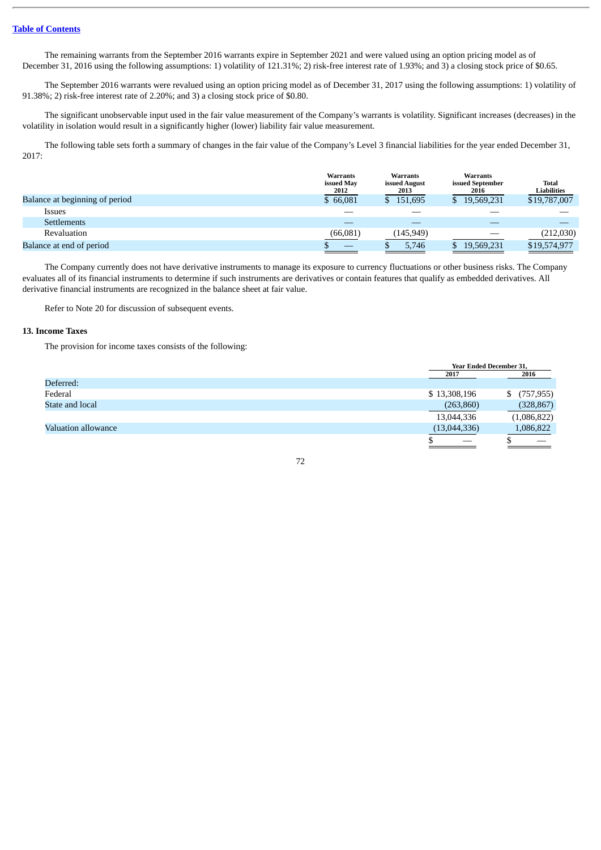The remaining warrants from the September 2016 warrants expire in September 2021 and were valued using an option pricing model as of December 31, 2016 using the following assumptions: 1) volatility of 121.31%; 2) risk-free interest rate of 1.93%; and 3) a closing stock price of \$0.65.

The September 2016 warrants were revalued using an option pricing model as of December 31, 2017 using the following assumptions: 1) volatility of 91.38%; 2) risk-free interest rate of 2.20%; and 3) a closing stock price of \$0.80.

The significant unobservable input used in the fair value measurement of the Company's warrants is volatility. Significant increases (decreases) in the volatility in isolation would result in a significantly higher (lower) liability fair value measurement.

The following table sets forth a summary of changes in the fair value of the Company's Level 3 financial liabilities for the year ended December 31, 2017:

|                                | <b>Warrants</b><br>issued May<br>2012 | <b>Warrants</b><br>issued August<br>2013 | <b>Warrants</b><br>issued September<br>2016 | <b>Total</b><br>Liabilities |
|--------------------------------|---------------------------------------|------------------------------------------|---------------------------------------------|-----------------------------|
| Balance at beginning of period | \$66.081                              | 151.695                                  | 19.569.231                                  | \$19,787,007                |
| Issues                         |                                       |                                          |                                             |                             |
| <b>Settlements</b>             |                                       |                                          |                                             |                             |
| Revaluation                    | (66,081)                              | (145, 949)                               |                                             | (212,030)                   |
| Balance at end of period       |                                       | 5,746                                    | 19,569,231                                  | \$19,574,977                |

The Company currently does not have derivative instruments to manage its exposure to currency fluctuations or other business risks. The Company evaluates all of its financial instruments to determine if such instruments are derivatives or contain features that qualify as embedded derivatives. All derivative financial instruments are recognized in the balance sheet at fair value.

Refer to Note 20 for discussion of subsequent events.

#### **13. Income Taxes**

The provision for income taxes consists of the following:

|                     |              | Year Ended December 31, |  |  |
|---------------------|--------------|-------------------------|--|--|
|                     | 2017         | 2016                    |  |  |
| Deferred:           |              |                         |  |  |
| Federal             | \$13,308,196 | (757, 955)<br>S         |  |  |
| State and local     | (263, 860)   | (328, 867)              |  |  |
|                     | 13,044,336   | (1,086,822)             |  |  |
| Valuation allowance | (13,044,336) | 1,086,822               |  |  |
|                     |              |                         |  |  |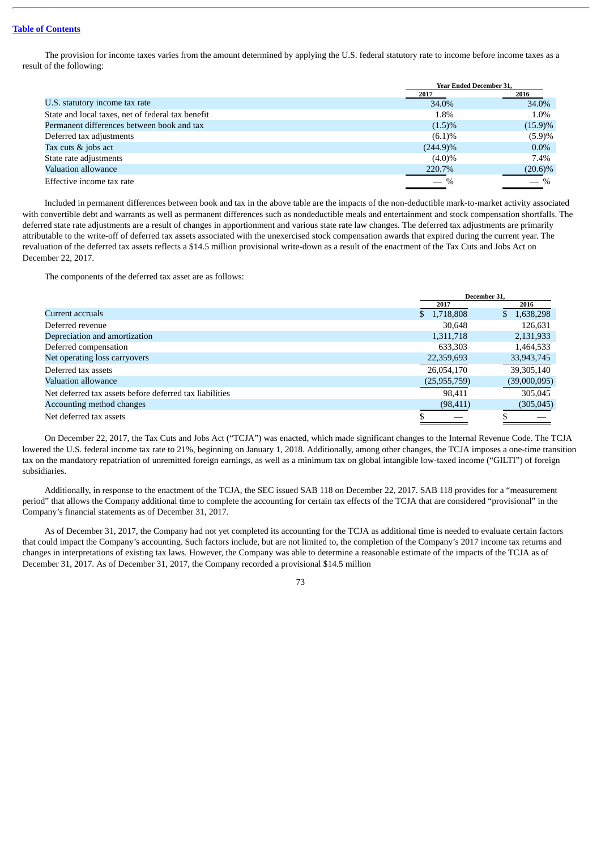The provision for income taxes varies from the amount determined by applying the U.S. federal statutory rate to income before income taxes as a result of the following:

|                                                   |             | <b>Year Ended December 31,</b> |  |
|---------------------------------------------------|-------------|--------------------------------|--|
|                                                   | 2017        | 2016                           |  |
| U.S. statutory income tax rate                    | 34.0%       | 34.0%                          |  |
| State and local taxes, net of federal tax benefit | 1.8%        | 1.0%                           |  |
| Permanent differences between book and tax        | $(1.5)\%$   | $(15.9)\%$                     |  |
| Deferred tax adjustments                          | (6.1)%      | (5.9)%                         |  |
| Tax cuts & jobs act                               | $(244.9)\%$ | $0.0\%$                        |  |
| State rate adjustments                            | $(4.0)\%$   | 7.4%                           |  |
| Valuation allowance                               | 220.7%      | $(20.6)\%$                     |  |
| Effective income tax rate                         | $-$ %       | $-$ %                          |  |

Included in permanent differences between book and tax in the above table are the impacts of the non-deductible mark-to-market activity associated with convertible debt and warrants as well as permanent differences such as nondeductible meals and entertainment and stock compensation shortfalls. The deferred state rate adjustments are a result of changes in apportionment and various state rate law changes. The deferred tax adjustments are primarily attributable to the write-off of deferred tax assets associated with the unexercised stock compensation awards that expired during the current year. The revaluation of the deferred tax assets reflects a \$14.5 million provisional write-down as a result of the enactment of the Tax Cuts and Jobs Act on December 22, 2017.

The components of the deferred tax asset are as follows:

|                                                         |                 | December 31.    |  |  |
|---------------------------------------------------------|-----------------|-----------------|--|--|
|                                                         | 2017            | 2016            |  |  |
| Current accruals                                        | 1,718,808<br>S. | 1,638,298<br>S. |  |  |
| Deferred revenue                                        | 30,648          | 126,631         |  |  |
| Depreciation and amortization                           | 1,311,718       | 2,131,933       |  |  |
| Deferred compensation                                   | 633,303         | 1,464,533       |  |  |
| Net operating loss carryovers                           | 22,359,693      | 33,943,745      |  |  |
| Deferred tax assets                                     | 26,054,170      | 39,305,140      |  |  |
| Valuation allowance                                     | (25, 955, 759)  | (39,000,095)    |  |  |
| Net deferred tax assets before deferred tax liabilities | 98,411          | 305,045         |  |  |
| Accounting method changes                               | (98, 411)       | (305, 045)      |  |  |
| Net deferred tax assets                                 |                 |                 |  |  |

On December 22, 2017, the Tax Cuts and Jobs Act ("TCJA") was enacted, which made significant changes to the Internal Revenue Code. The TCJA lowered the U.S. federal income tax rate to 21%, beginning on January 1, 2018. Additionally, among other changes, the TCJA imposes a one-time transition tax on the mandatory repatriation of unremitted foreign earnings, as well as a minimum tax on global intangible low-taxed income ("GILTI") of foreign subsidiaries.

Additionally, in response to the enactment of the TCJA, the SEC issued SAB 118 on December 22, 2017. SAB 118 provides for a "measurement period" that allows the Company additional time to complete the accounting for certain tax effects of the TCJA that are considered "provisional" in the Company's financial statements as of December 31, 2017.

As of December 31, 2017, the Company had not yet completed its accounting for the TCJA as additional time is needed to evaluate certain factors that could impact the Company's accounting. Such factors include, but are not limited to, the completion of the Company's 2017 income tax returns and changes in interpretations of existing tax laws. However, the Company was able to determine a reasonable estimate of the impacts of the TCJA as of December 31, 2017. As of December 31, 2017, the Company recorded a provisional \$14.5 million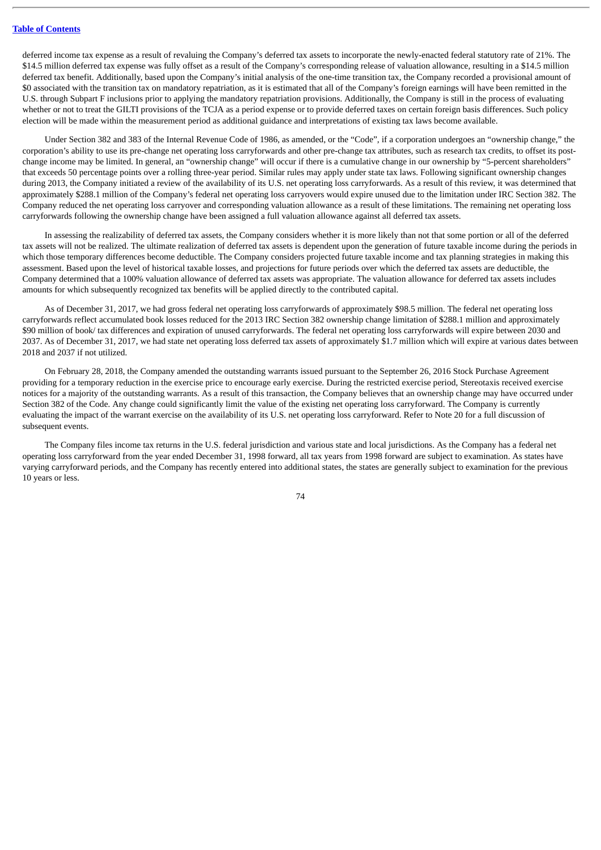deferred income tax expense as a result of revaluing the Company's deferred tax assets to incorporate the newly-enacted federal statutory rate of 21%. The \$14.5 million deferred tax expense was fully offset as a result of the Company's corresponding release of valuation allowance, resulting in a \$14.5 million deferred tax benefit. Additionally, based upon the Company's initial analysis of the one-time transition tax, the Company recorded a provisional amount of \$0 associated with the transition tax on mandatory repatriation, as it is estimated that all of the Company's foreign earnings will have been remitted in the U.S. through Subpart F inclusions prior to applying the mandatory repatriation provisions. Additionally, the Company is still in the process of evaluating whether or not to treat the GILTI provisions of the TCJA as a period expense or to provide deferred taxes on certain foreign basis differences. Such policy election will be made within the measurement period as additional guidance and interpretations of existing tax laws become available.

Under Section 382 and 383 of the Internal Revenue Code of 1986, as amended, or the "Code", if a corporation undergoes an "ownership change," the corporation's ability to use its pre-change net operating loss carryforwards and other pre-change tax attributes, such as research tax credits, to offset its postchange income may be limited. In general, an "ownership change" will occur if there is a cumulative change in our ownership by "5-percent shareholders" that exceeds 50 percentage points over a rolling three-year period. Similar rules may apply under state tax laws. Following significant ownership changes during 2013, the Company initiated a review of the availability of its U.S. net operating loss carryforwards. As a result of this review, it was determined that approximately \$288.1 million of the Company's federal net operating loss carryovers would expire unused due to the limitation under IRC Section 382. The Company reduced the net operating loss carryover and corresponding valuation allowance as a result of these limitations. The remaining net operating loss carryforwards following the ownership change have been assigned a full valuation allowance against all deferred tax assets.

In assessing the realizability of deferred tax assets, the Company considers whether it is more likely than not that some portion or all of the deferred tax assets will not be realized. The ultimate realization of deferred tax assets is dependent upon the generation of future taxable income during the periods in which those temporary differences become deductible. The Company considers projected future taxable income and tax planning strategies in making this assessment. Based upon the level of historical taxable losses, and projections for future periods over which the deferred tax assets are deductible, the Company determined that a 100% valuation allowance of deferred tax assets was appropriate. The valuation allowance for deferred tax assets includes amounts for which subsequently recognized tax benefits will be applied directly to the contributed capital.

As of December 31, 2017, we had gross federal net operating loss carryforwards of approximately \$98.5 million. The federal net operating loss carryforwards reflect accumulated book losses reduced for the 2013 IRC Section 382 ownership change limitation of \$288.1 million and approximately \$90 million of book/ tax differences and expiration of unused carryforwards. The federal net operating loss carryforwards will expire between 2030 and 2037. As of December 31, 2017, we had state net operating loss deferred tax assets of approximately \$1.7 million which will expire at various dates between 2018 and 2037 if not utilized.

On February 28, 2018, the Company amended the outstanding warrants issued pursuant to the September 26, 2016 Stock Purchase Agreement providing for a temporary reduction in the exercise price to encourage early exercise. During the restricted exercise period, Stereotaxis received exercise notices for a majority of the outstanding warrants. As a result of this transaction, the Company believes that an ownership change may have occurred under Section 382 of the Code. Any change could significantly limit the value of the existing net operating loss carryforward. The Company is currently evaluating the impact of the warrant exercise on the availability of its U.S. net operating loss carryforward. Refer to Note 20 for a full discussion of subsequent events.

The Company files income tax returns in the U.S. federal jurisdiction and various state and local jurisdictions. As the Company has a federal net operating loss carryforward from the year ended December 31, 1998 forward, all tax years from 1998 forward are subject to examination. As states have varying carryforward periods, and the Company has recently entered into additional states, the states are generally subject to examination for the previous 10 years or less.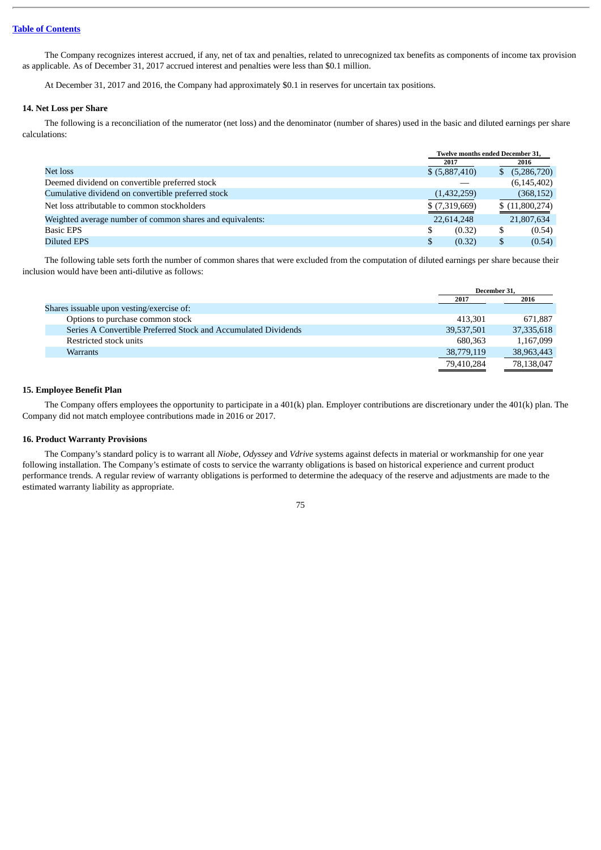The Company recognizes interest accrued, if any, net of tax and penalties, related to unrecognized tax benefits as components of income tax provision as applicable. As of December 31, 2017 accrued interest and penalties were less than \$0.1 million.

At December 31, 2017 and 2016, the Company had approximately \$0.1 in reserves for uncertain tax positions.

## **14. Net Loss per Share**

The following is a reconciliation of the numerator (net loss) and the denominator (number of shares) used in the basic and diluted earnings per share calculations:

|                                                           | <b>Twelve months ended December 31.</b> |    |                |
|-----------------------------------------------------------|-----------------------------------------|----|----------------|
|                                                           | 2017                                    |    | 2016           |
| Net loss                                                  | \$ (5,887,410)                          | S. | (5,286,720)    |
| Deemed dividend on convertible preferred stock            |                                         |    | (6, 145, 402)  |
| Cumulative dividend on convertible preferred stock        | (1,432,259)                             |    | (368, 152)     |
| Net loss attributable to common stockholders              | $$$ (7,319,669)                         |    | \$(11,800,274) |
| Weighted average number of common shares and equivalents: | 22,614,248                              |    | 21,807,634     |
| <b>Basic EPS</b>                                          | \$<br>(0.32)                            |    | (0.54)         |
| <b>Diluted EPS</b>                                        | \$<br>(0.32)                            |    | (0.54)         |

The following table sets forth the number of common shares that were excluded from the computation of diluted earnings per share because their inclusion would have been anti-dilutive as follows:

|                                                                |            | December 31. |  |
|----------------------------------------------------------------|------------|--------------|--|
|                                                                | 2017       | 2016         |  |
| Shares issuable upon vesting/exercise of:                      |            |              |  |
| Options to purchase common stock                               | 413.301    | 671.887      |  |
| Series A Convertible Preferred Stock and Accumulated Dividends | 39,537,501 | 37,335,618   |  |
| Restricted stock units                                         | 680.363    | 1,167,099    |  |
| <b>Warrants</b>                                                | 38,779,119 | 38,963,443   |  |
|                                                                | 79,410,284 | 78,138,047   |  |

### **15. Employee Benefit Plan**

The Company offers employees the opportunity to participate in a 401(k) plan. Employer contributions are discretionary under the 401(k) plan. The Company did not match employee contributions made in 2016 or 2017.

### **16. Product Warranty Provisions**

The Company's standard policy is to warrant all *Niobe*, *Odyssey* and *Vdrive* systems against defects in material or workmanship for one year following installation. The Company's estimate of costs to service the warranty obligations is based on historical experience and current product performance trends. A regular review of warranty obligations is performed to determine the adequacy of the reserve and adjustments are made to the estimated warranty liability as appropriate.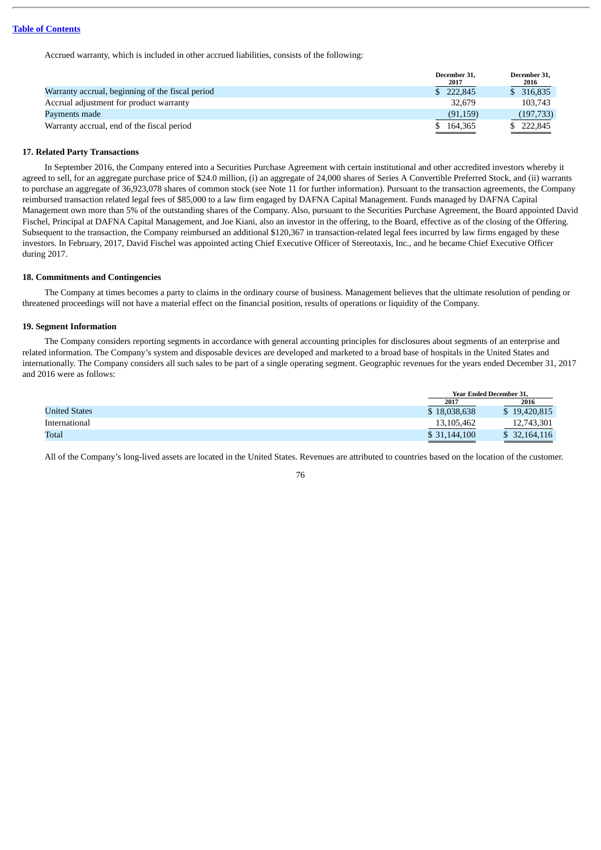Accrued warranty, which is included in other accrued liabilities, consists of the following:

|                                                  | December 31,<br>2017 | December 31,<br>2016 |
|--------------------------------------------------|----------------------|----------------------|
| Warranty accrual, beginning of the fiscal period | \$222.845            | \$316,835            |
| Accrual adjustment for product warranty          | 32.679               | 103,743              |
| Payments made                                    | (91, 159)            | (197, 733)           |
| Warranty accrual, end of the fiscal period       | \$164,365            | 222,845              |

#### **17. Related Party Transactions**

In September 2016, the Company entered into a Securities Purchase Agreement with certain institutional and other accredited investors whereby it agreed to sell, for an aggregate purchase price of \$24.0 million, (i) an aggregate of 24,000 shares of Series A Convertible Preferred Stock, and (ii) warrants to purchase an aggregate of 36,923,078 shares of common stock (see Note 11 for further information). Pursuant to the transaction agreements, the Company reimbursed transaction related legal fees of \$85,000 to a law firm engaged by DAFNA Capital Management. Funds managed by DAFNA Capital Management own more than 5% of the outstanding shares of the Company. Also, pursuant to the Securities Purchase Agreement, the Board appointed David Fischel, Principal at DAFNA Capital Management, and Joe Kiani, also an investor in the offering, to the Board, effective as of the closing of the Offering. Subsequent to the transaction, the Company reimbursed an additional \$120,367 in transaction-related legal fees incurred by law firms engaged by these investors. In February, 2017, David Fischel was appointed acting Chief Executive Officer of Stereotaxis, Inc., and he became Chief Executive Officer during 2017.

#### **18. Commitments and Contingencies**

The Company at times becomes a party to claims in the ordinary course of business. Management believes that the ultimate resolution of pending or threatened proceedings will not have a material effect on the financial position, results of operations or liquidity of the Company.

### **19. Segment Information**

The Company considers reporting segments in accordance with general accounting principles for disclosures about segments of an enterprise and related information. The Company's system and disposable devices are developed and marketed to a broad base of hospitals in the United States and internationally. The Company considers all such sales to be part of a single operating segment. Geographic revenues for the years ended December 31, 2017 and 2016 were as follows:

|                      |               | <b>Year Ended December 31.</b> |  |
|----------------------|---------------|--------------------------------|--|
|                      | 2017          | 2016                           |  |
| <b>United States</b> | \$18,038,638  | \$19,420,815                   |  |
| International        | 13,105,462    | 12,743,301                     |  |
| Total                | \$ 31,144,100 | \$32,164,116                   |  |

All of the Company's long-lived assets are located in the United States. Revenues are attributed to countries based on the location of the customer.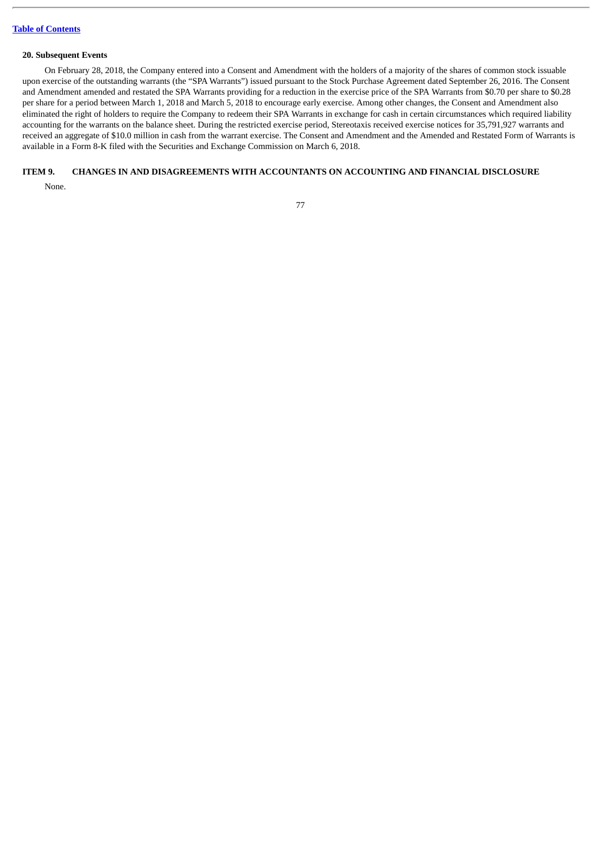#### **20. Subsequent Events**

On February 28, 2018, the Company entered into a Consent and Amendment with the holders of a majority of the shares of common stock issuable upon exercise of the outstanding warrants (the "SPA Warrants") issued pursuant to the Stock Purchase Agreement dated September 26, 2016. The Consent and Amendment amended and restated the SPA Warrants providing for a reduction in the exercise price of the SPA Warrants from \$0.70 per share to \$0.28 per share for a period between March 1, 2018 and March 5, 2018 to encourage early exercise. Among other changes, the Consent and Amendment also eliminated the right of holders to require the Company to redeem their SPA Warrants in exchange for cash in certain circumstances which required liability accounting for the warrants on the balance sheet. During the restricted exercise period, Stereotaxis received exercise notices for 35,791,927 warrants and received an aggregate of \$10.0 million in cash from the warrant exercise. The Consent and Amendment and the Amended and Restated Form of Warrants is available in a Form 8-K filed with the Securities and Exchange Commission on March 6, 2018.

# **ITEM 9. CHANGES IN AND DISAGREEMENTS WITH ACCOUNTANTS ON ACCOUNTING AND FINANCIAL DISCLOSURE**

None.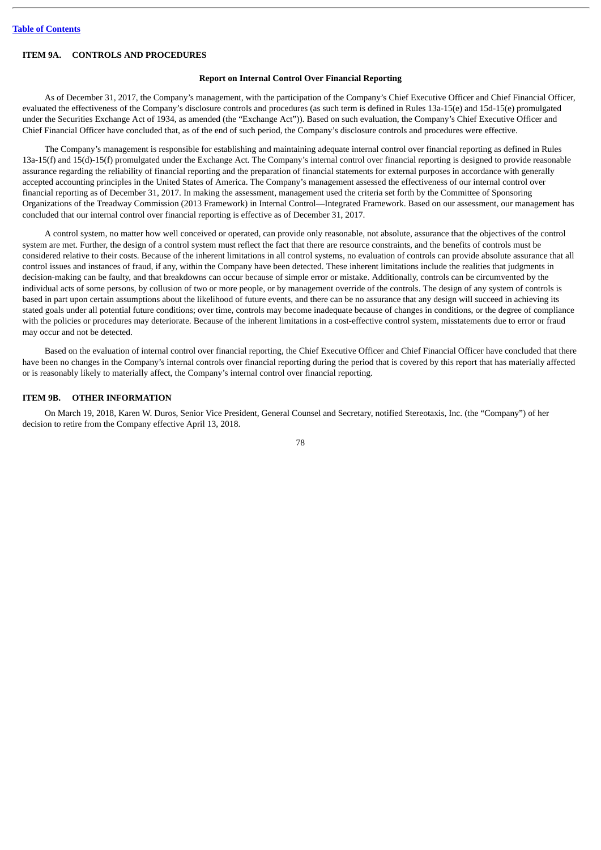## **ITEM 9A. CONTROLS AND PROCEDURES**

#### **Report on Internal Control Over Financial Reporting**

As of December 31, 2017, the Company's management, with the participation of the Company's Chief Executive Officer and Chief Financial Officer, evaluated the effectiveness of the Company's disclosure controls and procedures (as such term is defined in Rules 13a-15(e) and 15d-15(e) promulgated under the Securities Exchange Act of 1934, as amended (the "Exchange Act")). Based on such evaluation, the Company's Chief Executive Officer and Chief Financial Officer have concluded that, as of the end of such period, the Company's disclosure controls and procedures were effective.

The Company's management is responsible for establishing and maintaining adequate internal control over financial reporting as defined in Rules 13a-15(f) and 15(d)-15(f) promulgated under the Exchange Act. The Company's internal control over financial reporting is designed to provide reasonable assurance regarding the reliability of financial reporting and the preparation of financial statements for external purposes in accordance with generally accepted accounting principles in the United States of America. The Company's management assessed the effectiveness of our internal control over financial reporting as of December 31, 2017. In making the assessment, management used the criteria set forth by the Committee of Sponsoring Organizations of the Treadway Commission (2013 Framework) in Internal Control—Integrated Framework. Based on our assessment, our management has concluded that our internal control over financial reporting is effective as of December 31, 2017.

A control system, no matter how well conceived or operated, can provide only reasonable, not absolute, assurance that the objectives of the control system are met. Further, the design of a control system must reflect the fact that there are resource constraints, and the benefits of controls must be considered relative to their costs. Because of the inherent limitations in all control systems, no evaluation of controls can provide absolute assurance that all control issues and instances of fraud, if any, within the Company have been detected. These inherent limitations include the realities that judgments in decision-making can be faulty, and that breakdowns can occur because of simple error or mistake. Additionally, controls can be circumvented by the individual acts of some persons, by collusion of two or more people, or by management override of the controls. The design of any system of controls is based in part upon certain assumptions about the likelihood of future events, and there can be no assurance that any design will succeed in achieving its stated goals under all potential future conditions; over time, controls may become inadequate because of changes in conditions, or the degree of compliance with the policies or procedures may deteriorate. Because of the inherent limitations in a cost-effective control system, misstatements due to error or fraud may occur and not be detected.

Based on the evaluation of internal control over financial reporting, the Chief Executive Officer and Chief Financial Officer have concluded that there have been no changes in the Company's internal controls over financial reporting during the period that is covered by this report that has materially affected or is reasonably likely to materially affect, the Company's internal control over financial reporting.

## **ITEM 9B. OTHER INFORMATION**

On March 19, 2018, Karen W. Duros, Senior Vice President, General Counsel and Secretary, notified Stereotaxis, Inc. (the "Company") of her decision to retire from the Company effective April 13, 2018.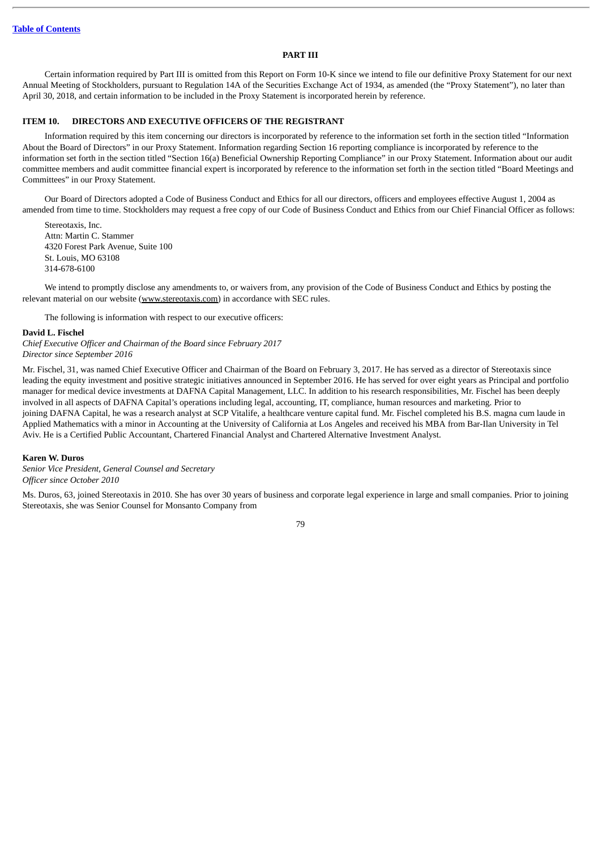### **PART III**

Certain information required by Part III is omitted from this Report on Form 10-K since we intend to file our definitive Proxy Statement for our next Annual Meeting of Stockholders, pursuant to Regulation 14A of the Securities Exchange Act of 1934, as amended (the "Proxy Statement"), no later than April 30, 2018, and certain information to be included in the Proxy Statement is incorporated herein by reference.

### **ITEM 10. DIRECTORS AND EXECUTIVE OFFICERS OF THE REGISTRANT**

Information required by this item concerning our directors is incorporated by reference to the information set forth in the section titled "Information About the Board of Directors" in our Proxy Statement. Information regarding Section 16 reporting compliance is incorporated by reference to the information set forth in the section titled "Section 16(a) Beneficial Ownership Reporting Compliance" in our Proxy Statement. Information about our audit committee members and audit committee financial expert is incorporated by reference to the information set forth in the section titled "Board Meetings and Committees" in our Proxy Statement.

Our Board of Directors adopted a Code of Business Conduct and Ethics for all our directors, officers and employees effective August 1, 2004 as amended from time to time. Stockholders may request a free copy of our Code of Business Conduct and Ethics from our Chief Financial Officer as follows:

Stereotaxis, Inc. Attn: Martin C. Stammer 4320 Forest Park Avenue, Suite 100 St. Louis, MO 63108 314-678-6100

We intend to promptly disclose any amendments to, or waivers from, any provision of the Code of Business Conduct and Ethics by posting the relevant material on our website (www.stereotaxis.com) in accordance with SEC rules.

The following is information with respect to our executive officers:

#### **David L. Fischel**

*Chief Executive Officer and Chairman of the Board since February 2017 Director since September 2016*

Mr. Fischel, 31, was named Chief Executive Officer and Chairman of the Board on February 3, 2017. He has served as a director of Stereotaxis since leading the equity investment and positive strategic initiatives announced in September 2016. He has served for over eight years as Principal and portfolio manager for medical device investments at DAFNA Capital Management, LLC. In addition to his research responsibilities, Mr. Fischel has been deeply involved in all aspects of DAFNA Capital's operations including legal, accounting, IT, compliance, human resources and marketing. Prior to joining DAFNA Capital, he was a research analyst at SCP Vitalife, a healthcare venture capital fund. Mr. Fischel completed his B.S. magna cum laude in Applied Mathematics with a minor in Accounting at the University of California at Los Angeles and received his MBA from Bar-Ilan University in Tel Aviv. He is a Certified Public Accountant, Chartered Financial Analyst and Chartered Alternative Investment Analyst.

#### **Karen W. Duros**

*Senior Vice President, General Counsel and Secretary Officer since October 2010*

Ms. Duros, 63, joined Stereotaxis in 2010. She has over 30 years of business and corporate legal experience in large and small companies. Prior to joining Stereotaxis, she was Senior Counsel for Monsanto Company from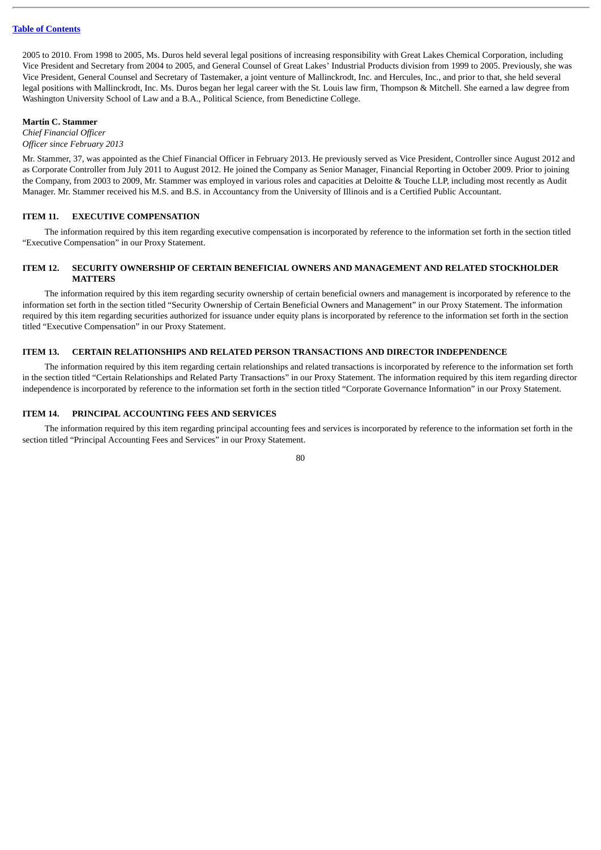2005 to 2010. From 1998 to 2005, Ms. Duros held several legal positions of increasing responsibility with Great Lakes Chemical Corporation, including Vice President and Secretary from 2004 to 2005, and General Counsel of Great Lakes' Industrial Products division from 1999 to 2005. Previously, she was Vice President, General Counsel and Secretary of Tastemaker, a joint venture of Mallinckrodt, Inc. and Hercules, Inc., and prior to that, she held several legal positions with Mallinckrodt, Inc. Ms. Duros began her legal career with the St. Louis law firm, Thompson & Mitchell. She earned a law degree from Washington University School of Law and a B.A., Political Science, from Benedictine College.

### **Martin C. Stammer**

*Chief Financial Officer Officer since February 2013*

Mr. Stammer, 37, was appointed as the Chief Financial Officer in February 2013. He previously served as Vice President, Controller since August 2012 and as Corporate Controller from July 2011 to August 2012. He joined the Company as Senior Manager, Financial Reporting in October 2009. Prior to joining the Company, from 2003 to 2009, Mr. Stammer was employed in various roles and capacities at Deloitte & Touche LLP, including most recently as Audit Manager. Mr. Stammer received his M.S. and B.S. in Accountancy from the University of Illinois and is a Certified Public Accountant.

# **ITEM 11. EXECUTIVE COMPENSATION**

The information required by this item regarding executive compensation is incorporated by reference to the information set forth in the section titled "Executive Compensation" in our Proxy Statement.

### **ITEM 12. SECURITY OWNERSHIP OF CERTAIN BENEFICIAL OWNERS AND MANAGEMENT AND RELATED STOCKHOLDER MATTERS**

The information required by this item regarding security ownership of certain beneficial owners and management is incorporated by reference to the information set forth in the section titled "Security Ownership of Certain Beneficial Owners and Management" in our Proxy Statement. The information required by this item regarding securities authorized for issuance under equity plans is incorporated by reference to the information set forth in the section titled "Executive Compensation" in our Proxy Statement.

# **ITEM 13. CERTAIN RELATIONSHIPS AND RELATED PERSON TRANSACTIONS AND DIRECTOR INDEPENDENCE**

The information required by this item regarding certain relationships and related transactions is incorporated by reference to the information set forth in the section titled "Certain Relationships and Related Party Transactions" in our Proxy Statement. The information required by this item regarding director independence is incorporated by reference to the information set forth in the section titled "Corporate Governance Information" in our Proxy Statement.

### **ITEM 14. PRINCIPAL ACCOUNTING FEES AND SERVICES**

The information required by this item regarding principal accounting fees and services is incorporated by reference to the information set forth in the section titled "Principal Accounting Fees and Services" in our Proxy Statement.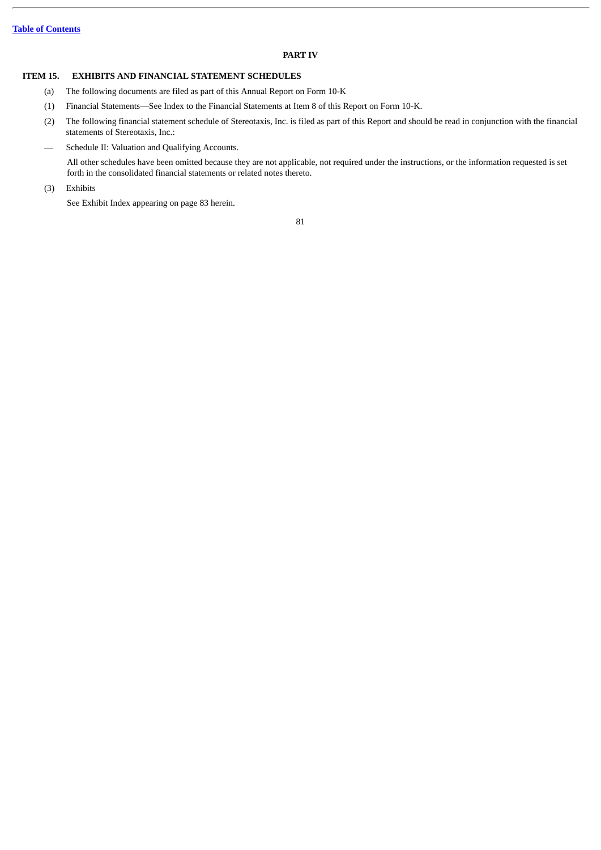## **PART IV**

# **ITEM 15. EXHIBITS AND FINANCIAL STATEMENT SCHEDULES**

- (a) The following documents are filed as part of this Annual Report on Form 10-K
- (1) Financial Statements—See Index to the Financial Statements at Item 8 of this Report on Form 10-K.
- (2) The following financial statement schedule of Stereotaxis, Inc. is filed as part of this Report and should be read in conjunction with the financial statements of Stereotaxis, Inc.:
- Schedule II: Valuation and Qualifying Accounts.

All other schedules have been omitted because they are not applicable, not required under the instructions, or the information requested is set forth in the consolidated financial statements or related notes thereto.

(3) Exhibits

See Exhibit Index appearing on page 83 herein.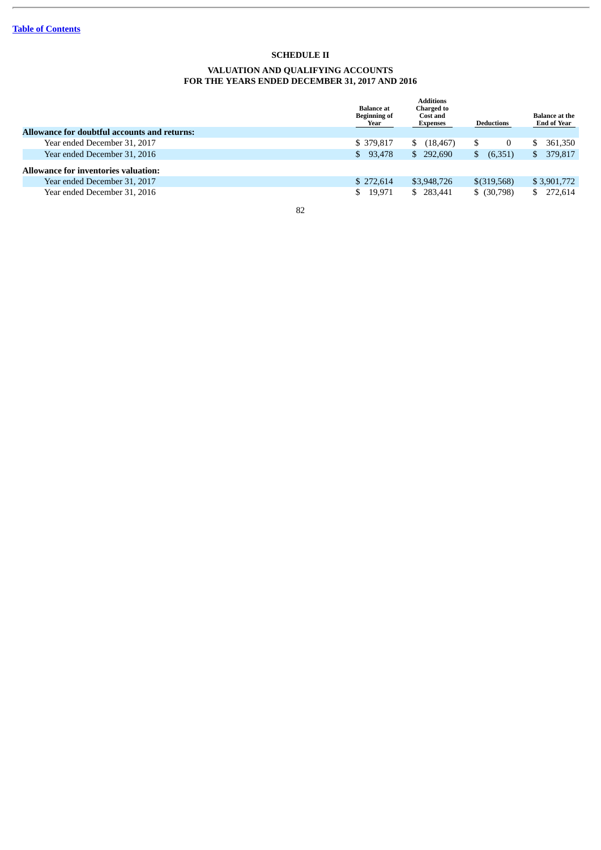# **SCHEDULE II**

### **VALUATION AND QUALIFYING ACCOUNTS FOR THE YEARS ENDED DECEMBER 31, 2017 AND 2016**

|                                              | <b>Balance</b> at<br><b>Beginning of</b><br>Year | <b>Additions</b><br><b>Charged to</b><br>Cost and<br>Expenses | Deductions    | <b>Balance at the</b><br><b>End of Year</b> |
|----------------------------------------------|--------------------------------------------------|---------------------------------------------------------------|---------------|---------------------------------------------|
| Allowance for doubtful accounts and returns: |                                                  |                                                               |               |                                             |
| Year ended December 31, 2017                 | \$379,817                                        | (18, 467)<br>S.                                               | S             | 361,350<br>SS.                              |
| Year ended December 31, 2016                 | 93.478<br>\$                                     | \$292,690                                                     | (6,351)<br>S. | 379,817<br>\$.                              |
| Allowance for inventories valuation:         |                                                  |                                                               |               |                                             |
| Year ended December 31, 2017                 | \$272,614                                        | \$3,948,726                                                   | $$$ (319,568) | \$3,901,772                                 |
| Year ended December 31, 2016                 | 19,971<br>\$                                     | \$ 283,441                                                    | \$ (30,798)   | 272,614<br>\$                               |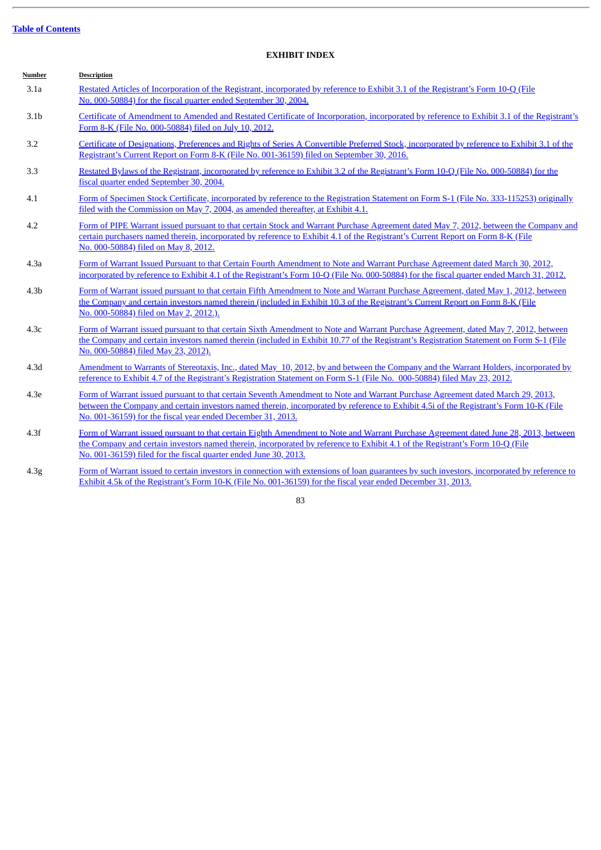# **EXHIBIT INDEX**

| <b>Number</b>       | <b>Description</b>                                                                                                                                                                                                                                                                                                                        |
|---------------------|-------------------------------------------------------------------------------------------------------------------------------------------------------------------------------------------------------------------------------------------------------------------------------------------------------------------------------------------|
| 3.1a                | Restated Articles of Incorporation of the Registrant, incorporated by reference to Exhibit 3.1 of the Registrant's Form 10-Q (File<br>No. 000-50884) for the fiscal quarter ended September 30, 2004.                                                                                                                                     |
| 3.1 <sub>b</sub>    | Certificate of Amendment to Amended and Restated Certificate of Incorporation, incorporated by reference to Exhibit 3.1 of the Registrant's<br>Form 8-K (File No. 000-50884) filed on July 10, 2012.                                                                                                                                      |
| 3.2                 | Certificate of Designations, Preferences and Rights of Series A Convertible Preferred Stock, incorporated by reference to Exhibit 3.1 of the<br>Registrant's Current Report on Form 8-K (File No. 001-36159) filed on September 30, 2016.                                                                                                 |
| 3.3                 | Restated Bylaws of the Registrant, incorporated by reference to Exhibit 3.2 of the Registrant's Form 10-Q (File No. 000-50884) for the<br>fiscal quarter ended September 30, 2004.                                                                                                                                                        |
| 4.1                 | Form of Specimen Stock Certificate, incorporated by reference to the Registration Statement on Form S-1 (File No. 333-115253) originally<br>filed with the Commission on May 7, 2004, as amended thereafter, at Exhibit 4.1.                                                                                                              |
| 4.2                 | Form of PIPE Warrant issued pursuant to that certain Stock and Warrant Purchase Agreement dated May 7, 2012, between the Company and<br>certain purchasers named therein, incorporated by reference to Exhibit 4.1 of the Registrant's Current Report on Form 8-K (File<br>No. 000-50884) filed on May 8, 2012.                           |
| 4.3a                | Form of Warrant Issued Pursuant to that Certain Fourth Amendment to Note and Warrant Purchase Agreement dated March 30, 2012,<br>incorporated by reference to Exhibit 4.1 of the Registrant's Form 10-Q (File No. 000-50884) for the fiscal quarter ended March 31, 2012.                                                                 |
| 4.3 <sub>b</sub>    | Form of Warrant issued pursuant to that certain Fifth Amendment to Note and Warrant Purchase Agreement, dated May 1, 2012, between<br>the Company and certain investors named therein (included in Exhibit 10.3 of the Registrant's Current Report on Form 8-K (File<br>No. 000-50884) filed on May 2, 2012.).                            |
| 4.3c                | Form of Warrant issued pursuant to that certain Sixth Amendment to Note and Warrant Purchase Agreement, dated May 7, 2012, between<br>the Company and certain investors named therein (included in Exhibit 10.77 of the Registrant's Registration Statement on Form S-1 (File<br>No. 000-50884) filed May 23, 2012).                      |
| 4.3d                | Amendment to Warrants of Stereotaxis, Inc., dated May 10, 2012, by and between the Company and the Warrant Holders, incorporated by<br>reference to Exhibit 4.7 of the Registrant's Registration Statement on Form S-1 (File No. 000-50884) filed May 23, 2012.                                                                           |
| 4.3e                | Form of Warrant issued pursuant to that certain Seventh Amendment to Note and Warrant Purchase Agreement dated March 29, 2013,<br>between the Company and certain investors named therein, incorporated by reference to Exhibit 4.5i of the Registrant's Form 10-K (File<br>No. 001-36159) for the fiscal year ended December 31, 2013.   |
| 4.3f                | Form of Warrant issued pursuant to that certain Eighth Amendment to Note and Warrant Purchase Agreement dated June 28, 2013, between<br>the Company and certain investors named therein, incorporated by reference to Exhibit 4.1 of the Registrant's Form 10-Q (File<br>No. 001-36159) filed for the fiscal quarter ended June 30, 2013. |
| $\lambda$ $3\sigma$ | Form of Warrant issued to certain investors in connection with extensions of loan quarantees by such investors, incornorated by reference to                                                                                                                                                                                              |

 4.3g [Form of Warrant issued to certain investors in connection with extensions of loan guarantees by such investors, incorporated by reference to](http://www.sec.gov/Archives/edgar/data/1289340/000119312514118072/d658452dex45k.htm) Exhibit 4.5k of the Registrant's Form 10-K (File No. 001-36159) for the fiscal year ended December 31, 2013.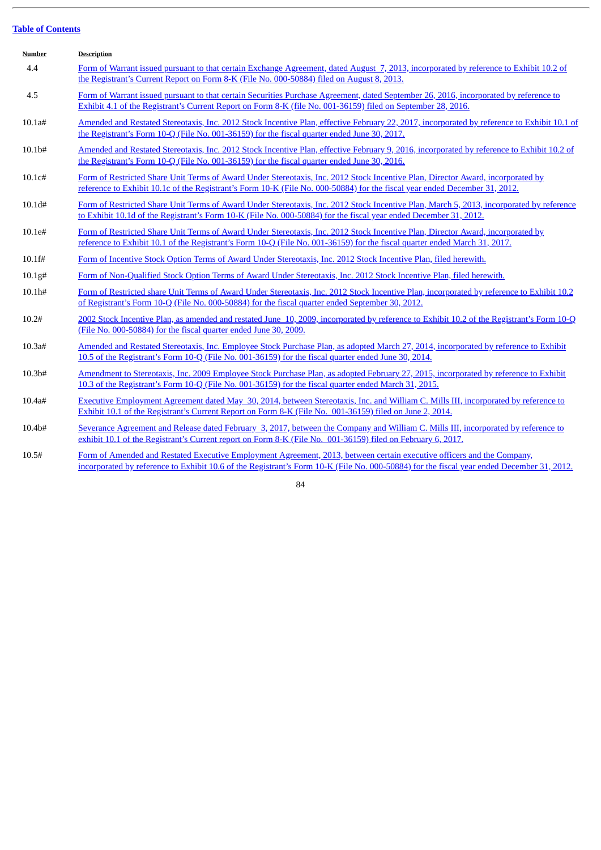| Number             | <b>Description</b>                                                                                                                                                                                                                                            |
|--------------------|---------------------------------------------------------------------------------------------------------------------------------------------------------------------------------------------------------------------------------------------------------------|
| 4.4                | Form of Warrant issued pursuant to that certain Exchange Agreement, dated August 7, 2013, incorporated by reference to Exhibit 10.2 of<br>the Registrant's Current Report on Form 8-K (File No. 000-50884) filed on August 8, 2013.                           |
| 4.5                | Form of Warrant issued pursuant to that certain Securities Purchase Agreement, dated September 26, 2016, incorporated by reference to<br>Exhibit 4.1 of the Registrant's Current Report on Form 8-K (file No. 001-36159) filed on September 28, 2016.         |
| 10.1a#             | Amended and Restated Stereotaxis, Inc. 2012 Stock Incentive Plan, effective February 22, 2017, incorporated by reference to Exhibit 10.1 of<br>the Registrant's Form 10-Q (File No. 001-36159) for the fiscal quarter ended June 30, 2017.                    |
| 10.1b#             | Amended and Restated Stereotaxis, Inc. 2012 Stock Incentive Plan, effective February 9, 2016, incorporated by reference to Exhibit 10.2 of<br>the Registrant's Form 10-Q (File No. 001-36159) for the fiscal quarter ended June 30, 2016.                     |
| 10.1c#             | Form of Restricted Share Unit Terms of Award Under Stereotaxis, Inc. 2012 Stock Incentive Plan, Director Award, incorporated by<br>reference to Exhibit 10.1c of the Registrant's Form 10-K (File No. 000-50884) for the fiscal year ended December 31, 2012. |
| 10.1d#             | Form of Restricted Share Unit Terms of Award Under Stereotaxis, Inc. 2012 Stock Incentive Plan, March 5, 2013, incorporated by reference<br>to Exhibit 10.1d of the Registrant's Form 10-K (File No. 000-50884) for the fiscal year ended December 31, 2012.  |
| 10.1e#             | Form of Restricted Share Unit Terms of Award Under Stereotaxis, Inc. 2012 Stock Incentive Plan, Director Award, incorporated by<br>reference to Exhibit 10.1 of the Registrant's Form 10-Q (File No. 001-36159) for the fiscal quarter ended March 31, 2017.  |
| $10.1$ f#          | Form of Incentive Stock Option Terms of Award Under Stereotaxis, Inc. 2012 Stock Incentive Plan, filed herewith.                                                                                                                                              |
| 10.1g#             | Form of Non-Qualified Stock Option Terms of Award Under Stereotaxis, Inc. 2012 Stock Incentive Plan, filed herewith.                                                                                                                                          |
| 10.1h#             | Form of Restricted share Unit Terms of Award Under Stereotaxis, Inc. 2012 Stock Incentive Plan, incorporated by reference to Exhibit 10.2<br>of Registrant's Form 10-Q (File No. 000-50884) for the fiscal quarter ended September 30, 2012.                  |
| 10.2#              | 2002 Stock Incentive Plan, as amended and restated June 10, 2009, incorporated by reference to Exhibit 10.2 of the Registrant's Form 10-Q<br>(File No. 000-50884) for the fiscal quarter ended June 30, 2009.                                                 |
| 10.3a#             | Amended and Restated Stereotaxis, Inc. Employee Stock Purchase Plan, as adopted March 27, 2014, incorporated by reference to Exhibit<br>10.5 of the Registrant's Form 10-Q (File No. 001-36159) for the fiscal quarter ended June 30, 2014.                   |
| 10.3 <sub>b#</sub> | Amendment to Stereotaxis, Inc. 2009 Employee Stock Purchase Plan, as adopted February 27, 2015, incorporated by reference to Exhibit<br>10.3 of the Registrant's Form 10-Q (File No. 001-36159) for the fiscal quarter ended March 31, 2015.                  |
| 10.4a#             | Executive Employment Agreement dated May 30, 2014, between Stereotaxis, Inc. and William C. Mills III, incorporated by reference to<br>Exhibit 10.1 of the Registrant's Current Report on Form 8-K (File No. 001-36159) filed on June 2, 2014.                |
| 10.4b#             | Severance Agreement and Release dated February 3, 2017, between the Company and William C. Mills III, incorporated by reference to<br>exhibit 10.1 of the Registrant's Current report on Form 8-K (File No. 001-36159) filed on February 6, 2017.             |
| 10.5#              | Form of Amended and Restated Executive Employment Agreement, 2013, between certain executive officers and the Company,                                                                                                                                        |

[incorporated by reference to Exhibit 10.6 of the Registrant's Form 10-K \(File No. 000-50884\) for the fiscal year ended December 31, 2012.](http://www.sec.gov/Archives/edgar/data/1289340/000119312513136493/d477417dex106.htm)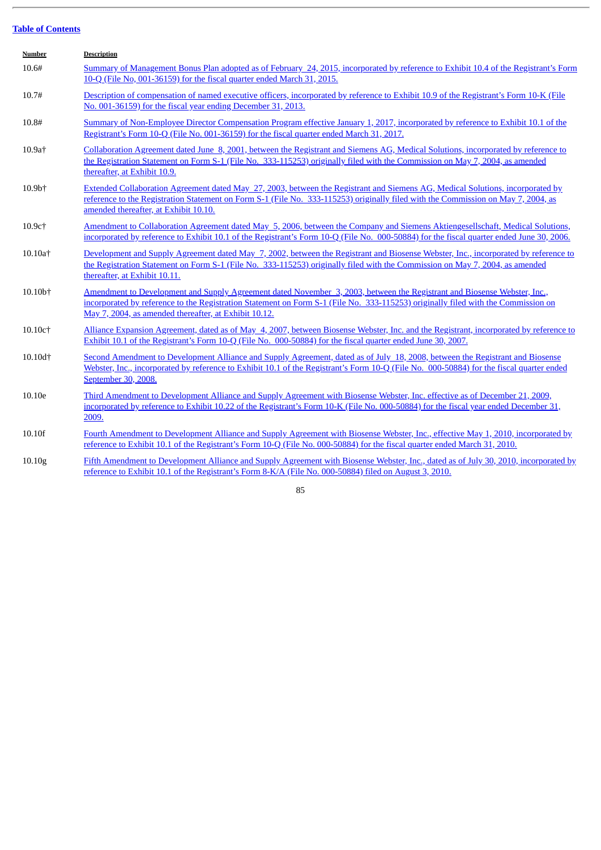J.

| <b>Number</b>       | <b>Description</b>                                                                                                                                                                                                                                                                                                     |  |  |  |
|---------------------|------------------------------------------------------------------------------------------------------------------------------------------------------------------------------------------------------------------------------------------------------------------------------------------------------------------------|--|--|--|
| 10.6#               | Summary of Management Bonus Plan adopted as of February 24, 2015, incorporated by reference to Exhibit 10.4 of the Registrant's Form<br>10-Q (File No, 001-36159) for the fiscal quarter ended March 31, 2015.                                                                                                         |  |  |  |
| 10.7#               | Description of compensation of named executive officers, incorporated by reference to Exhibit 10.9 of the Registrant's Form 10-K (File<br>No. 001-36159) for the fiscal year ending December 31, 2013.                                                                                                                 |  |  |  |
| 10.8#               | Summary of Non-Employee Director Compensation Program effective January 1, 2017, incorporated by reference to Exhibit 10.1 of the<br>Registrant's Form 10-Q (File No. 001-36159) for the fiscal quarter ended March 31, 2017.                                                                                          |  |  |  |
| 10.9a <sup>+</sup>  | Collaboration Agreement dated June 8, 2001, between the Registrant and Siemens AG, Medical Solutions, incorporated by reference to<br>the Registration Statement on Form S-1 (File No. 333-115253) originally filed with the Commission on May 7, 2004, as amended<br>thereafter, at Exhibit 10.9.                     |  |  |  |
| 10.9b <sup>+</sup>  | Extended Collaboration Agreement dated May 27, 2003, between the Registrant and Siemens AG, Medical Solutions, incorporated by<br>reference to the Registration Statement on Form S-1 (File No. 333-115253) originally filed with the Commission on May 7, 2004, as<br>amended thereafter, at Exhibit 10.10.           |  |  |  |
| 10.9ct              | Amendment to Collaboration Agreement dated May 5, 2006, between the Company and Siemens Aktiengesellschaft, Medical Solutions,<br>incorporated by reference to Exhibit 10.1 of the Registrant's Form 10-Q (File No. 000-50884) for the fiscal quarter ended June 30, 2006.                                             |  |  |  |
| 10.10a <sup>+</sup> | Development and Supply Agreement dated May 7, 2002, between the Registrant and Biosense Webster, Inc., incorporated by reference to<br>the Registration Statement on Form S-1 (File No. 333-115253) originally filed with the Commission on May 7, 2004, as amended<br>thereafter, at Exhibit 10.11.                   |  |  |  |
| 10.10b <sup>+</sup> | Amendment to Development and Supply Agreement dated November 3, 2003, between the Registrant and Biosense Webster, Inc.,<br>incorporated by reference to the Registration Statement on Form S-1 (File No. 333-115253) originally filed with the Commission on<br>May 7, 2004, as amended thereafter, at Exhibit 10.12. |  |  |  |
| 10.10ct             | Alliance Expansion Agreement, dated as of May 4, 2007, between Biosense Webster, Inc. and the Registrant, incorporated by reference to<br>Exhibit 10.1 of the Registrant's Form 10-Q (File No. 000-50884) for the fiscal quarter ended June 30, 2007.                                                                  |  |  |  |
| 10.10d <sup>+</sup> | Second Amendment to Development Alliance and Supply Agreement, dated as of July 18, 2008, between the Registrant and Biosense<br>Webster, Inc., incorporated by reference to Exhibit 10.1 of the Registrant's Form 10-Q (File No. 000-50884) for the fiscal quarter ended<br>September 30, 2008.                       |  |  |  |
| 10.10e              | Third Amendment to Development Alliance and Supply Agreement with Biosense Webster, Inc. effective as of December 21, 2009,<br>incorporated by reference to Exhibit 10.22 of the Registrant's Form 10-K (File No. 000-50884) for the fiscal year ended December 31,<br>2009.                                           |  |  |  |
| 10.10f              | Fourth Amendment to Development Alliance and Supply Agreement with Biosense Webster, Inc., effective May 1, 2010, incorporated by<br>reference to Exhibit 10.1 of the Registrant's Form 10-Q (File No. 000-50884) for the fiscal quarter ended March 31, 2010.                                                         |  |  |  |
| 10.10 <sub>g</sub>  | Fifth Amendment to Development Alliance and Supply Agreement with Biosense Webster, Inc., dated as of July 30, 2010, incorporated by<br>reference to Exhibit 10.1 of the Registrant's Form 8-K/A (File No. 000-50884) filed on August 3, 2010.                                                                         |  |  |  |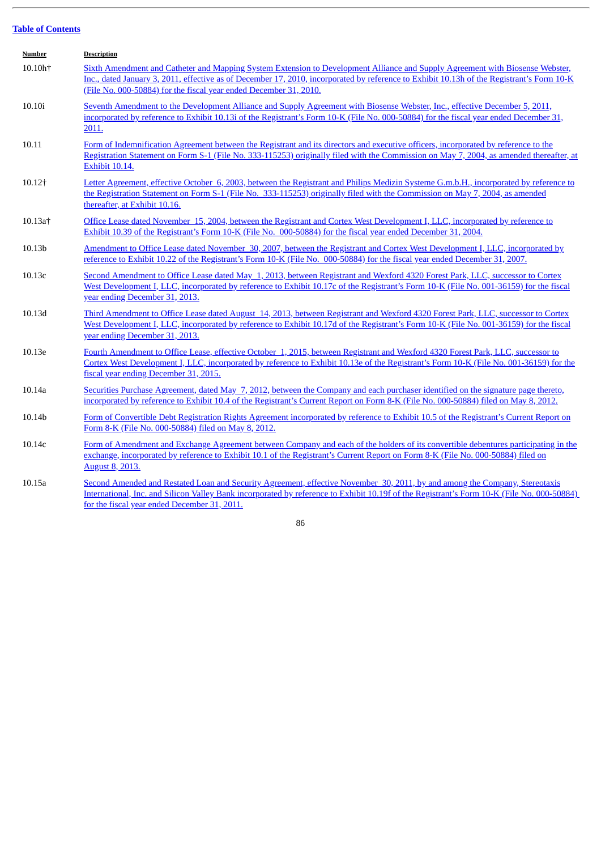| <b>Number</b>       | <b>Description</b>                                                                                                                                                                                                                                                                                                                              |  |  |
|---------------------|-------------------------------------------------------------------------------------------------------------------------------------------------------------------------------------------------------------------------------------------------------------------------------------------------------------------------------------------------|--|--|
| 10.10h <sup>+</sup> | Sixth Amendment and Catheter and Mapping System Extension to Development Alliance and Supply Agreement with Biosense Webster,<br>Inc., dated January 3, 2011, effective as of December 17, 2010, incorporated by reference to Exhibit 10.13h of the Registrant's Form 10-K<br>(File No. 000-50884) for the fiscal year ended December 31, 2010. |  |  |
| 10.10i              | Seventh Amendment to the Development Alliance and Supply Agreement with Biosense Webster, Inc., effective December 5, 2011,<br>incorporated by reference to Exhibit 10.13i of the Registrant's Form 10-K (File No. 000-50884) for the fiscal year ended December 31,<br>2011.                                                                   |  |  |
| 10.11               | Form of Indemnification Agreement between the Registrant and its directors and executive officers, incorporated by reference to the<br>Registration Statement on Form S-1 (File No. 333-115253) originally filed with the Commission on May 7, 2004, as amended thereafter, at<br>Exhibit 10.14.                                                |  |  |
| 10.12+              | Letter Agreement, effective October 6, 2003, between the Registrant and Philips Medizin Systeme G.m.b.H., incorporated by reference to<br>the Registration Statement on Form S-1 (File No. 333-115253) originally filed with the Commission on May 7, 2004, as amended<br>thereafter, at Exhibit 10.16.                                         |  |  |
| $10.13a+$           | Office Lease dated November 15, 2004, between the Registrant and Cortex West Development I, LLC, incorporated by reference to<br>Exhibit 10.39 of the Registrant's Form 10-K (File No. 000-50884) for the fiscal year ended December 31, 2004.                                                                                                  |  |  |
| 10.13b              | Amendment to Office Lease dated November 30, 2007, between the Registrant and Cortex West Development I, LLC, incorporated by<br>reference to Exhibit 10.22 of the Registrant's Form 10-K (File No. 000-50884) for the fiscal year ended December 31, 2007.                                                                                     |  |  |
| 10.13c              | Second Amendment to Office Lease dated May 1, 2013, between Registrant and Wexford 4320 Forest Park, LLC, successor to Cortex<br>West Development I, LLC, incorporated by reference to Exhibit 10.17c of the Registrant's Form 10-K (File No. 001-36159) for the fiscal<br>year ending December 31, 2013.                                       |  |  |
| 10.13d              | Third Amendment to Office Lease dated August 14, 2013, between Registrant and Wexford 4320 Forest Park, LLC, successor to Cortex<br>West Development I, LLC, incorporated by reference to Exhibit 10.17d of the Registrant's Form 10-K (File No. 001-36159) for the fiscal<br>year ending December 31, 2013.                                    |  |  |
| 10.13e              | Fourth Amendment to Office Lease, effective October 1, 2015, between Registrant and Wexford 4320 Forest Park, LLC, successor to<br>Cortex West Development I, LLC, incorporated by reference to Exhibit 10.13e of the Registrant's Form 10-K (File No. 001-36159) for the<br>fiscal year ending December 31, 2015.                              |  |  |
| 10.14a              | Securities Purchase Agreement, dated May 7, 2012, between the Company and each purchaser identified on the signature page thereto,<br>incorporated by reference to Exhibit 10.4 of the Registrant's Current Report on Form 8-K (File No. 000-50884) filed on May 8, 2012.                                                                       |  |  |
| 10.14b              | Form of Convertible Debt Registration Rights Agreement incorporated by reference to Exhibit 10.5 of the Registrant's Current Report on<br>Form 8-K (File No. 000-50884) filed on May 8, 2012.                                                                                                                                                   |  |  |
| 10.14c              | Form of Amendment and Exchange Agreement between Company and each of the holders of its convertible debentures participating in the<br>exchange, incorporated by reference to Exhibit 10.1 of the Registrant's Current Report on Form 8-K (File No. 000-50884) filed on<br><b>August 8, 2013.</b>                                               |  |  |
| 10.15a              | Second Amended and Restated Loan and Security Agreement, effective November 30, 2011, by and among the Company, Stereotaxis<br>International, Inc. and Silicon Valley Bank incorporated by reference to Exhibit 10.19f of the Registrant's Form 10-K (File No. 000-50884)                                                                       |  |  |

86

for the fiscal year ended December 31, 2011.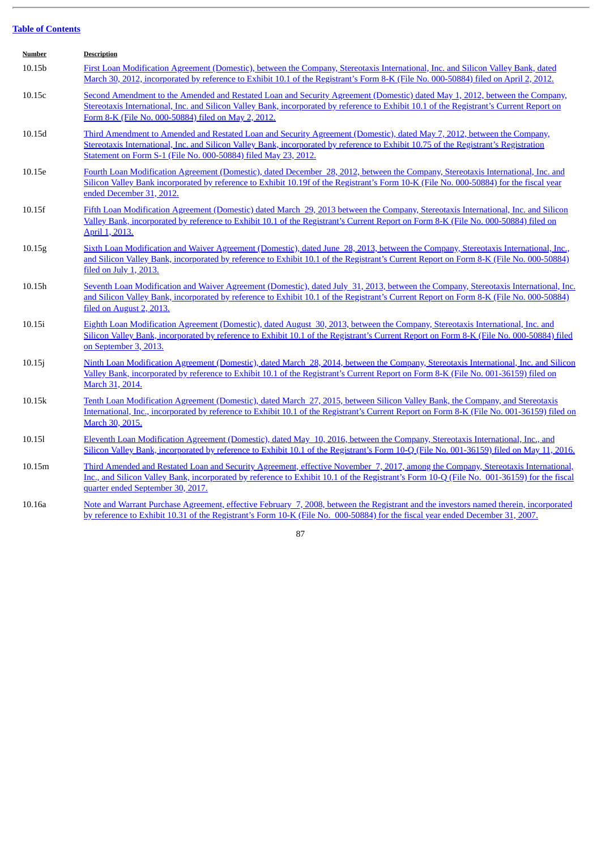Ē.

| Number | <b>Description</b>                                                                                                                                                                                                                                                                                                                |  |  |
|--------|-----------------------------------------------------------------------------------------------------------------------------------------------------------------------------------------------------------------------------------------------------------------------------------------------------------------------------------|--|--|
| 10.15b | First Loan Modification Agreement (Domestic), between the Company, Stereotaxis International, Inc. and Silicon Valley Bank, dated<br>March 30, 2012, incorporated by reference to Exhibit 10.1 of the Registrant's Form 8-K (File No. 000-50884) filed on April 2, 2012.                                                          |  |  |
| 10.15c | Second Amendment to the Amended and Restated Loan and Security Agreement (Domestic) dated May 1, 2012, between the Company,<br>Stereotaxis International, Inc. and Silicon Valley Bank, incorporated by reference to Exhibit 10.1 of the Registrant's Current Report on<br>Form 8-K (File No. 000-50884) filed on May 2, 2012.    |  |  |
| 10.15d | Third Amendment to Amended and Restated Loan and Security Agreement (Domestic), dated May 7, 2012, between the Company,<br>Stereotaxis International, Inc. and Silicon Valley Bank, incorporated by reference to Exhibit 10.75 of the Registrant's Registration<br>Statement on Form S-1 (File No. 000-50884) filed May 23, 2012. |  |  |
| 10.15e | Fourth Loan Modification Agreement (Domestic), dated December 28, 2012, between the Company, Stereotaxis International, Inc. and<br>Silicon Valley Bank incorporated by reference to Exhibit 10.19f of the Registrant's Form 10-K (File No. 000-50884) for the fiscal year<br>ended December 31, 2012.                            |  |  |
| 10.15f | Fifth Loan Modification Agreement (Domestic) dated March 29, 2013 between the Company, Stereotaxis International, Inc. and Silicon<br>Valley Bank, incorporated by reference to Exhibit 10.1 of the Registrant's Current Report on Form 8-K (File No. 000-50884) filed on<br>April 1, 2013.                                       |  |  |
| 10.15g | Sixth Loan Modification and Waiver Agreement (Domestic), dated June 28, 2013, between the Company, Stereotaxis International, Inc.,<br>and Silicon Valley Bank, incorporated by reference to Exhibit 10.1 of the Registrant's Current Report on Form 8-K (File No. 000-50884)<br>filed on July 1, 2013.                           |  |  |
| 10.15h | Seventh Loan Modification and Waiver Agreement (Domestic), dated July 31, 2013, between the Company, Stereotaxis International, Inc.<br>and Silicon Valley Bank, incorporated by reference to Exhibit 10.1 of the Registrant's Current Report on Form 8-K (File No. 000-50884)<br>filed on August 2, 2013.                        |  |  |
| 10.15i | Eighth Loan Modification Agreement (Domestic), dated August 30, 2013, between the Company, Stereotaxis International, Inc. and<br>Silicon Valley Bank, incorporated by reference to Exhibit 10.1 of the Registrant's Current Report on Form 8-K (File No. 000-50884) filed<br>on September 3, 2013.                               |  |  |
| 10.15j | Ninth Loan Modification Agreement (Domestic), dated March 28, 2014, between the Company, Stereotaxis International, Inc. and Silicon<br>Valley Bank, incorporated by reference to Exhibit 10.1 of the Registrant's Current Report on Form 8-K (File No. 001-36159) filed on<br>March 31, 2014.                                    |  |  |
| 10.15k | Tenth Loan Modification Agreement (Domestic), dated March 27, 2015, between Silicon Valley Bank, the Company, and Stereotaxis<br>International, Inc., incorporated by reference to Exhibit 10.1 of the Registrant's Current Report on Form 8-K (File No. 001-36159) filed on<br>March 30, 2015.                                   |  |  |
| 10.15l | Eleventh Loan Modification Agreement (Domestic), dated May 10, 2016, between the Company, Stereotaxis International, Inc., and<br>Silicon Valley Bank, incorporated by reference to Exhibit 10.1 of the Registrant's Form 10-Q (File No. 001-36159) filed on May 11, 2016.                                                        |  |  |
| 10.15m | Third Amended and Restated Loan and Security Agreement, effective November 7, 2017, among the Company, Stereotaxis International,<br>Inc., and Silicon Valley Bank, incorporated by reference to Exhibit 10.1 of the Registrant's Form 10-Q (File No. 001-36159) for the fiscal<br>quarter ended September 30, 2017.              |  |  |
| 10.16a | Note and Warrant Purchase Agreement, effective February 7, 2008, between the Registrant and the investors named therein, incorporated<br>by reference to Exhibit 10.31 of the Registrant's Form 10-K (File No. 000-50884) for the fiscal year ended December 31, 2007.                                                            |  |  |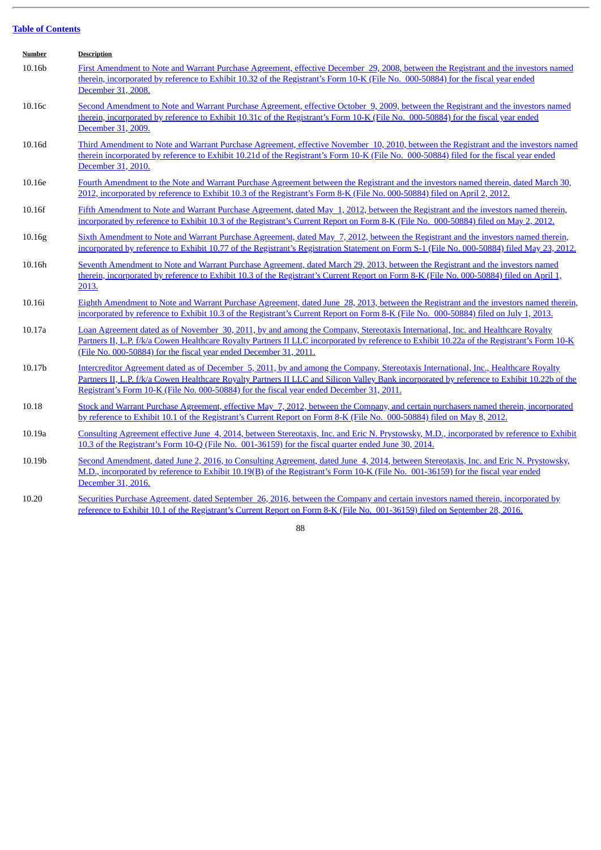| <b>Number</b> | <b>Description</b>                                                                                                                                                                                                                                                                                                                                                             |  |
|---------------|--------------------------------------------------------------------------------------------------------------------------------------------------------------------------------------------------------------------------------------------------------------------------------------------------------------------------------------------------------------------------------|--|
| 10.16b        | First Amendment to Note and Warrant Purchase Agreement, effective December 29, 2008, between the Registrant and the investors named<br>therein, incorporated by reference to Exhibit 10.32 of the Registrant's Form 10-K (File No. 000-50884) for the fiscal year ended<br>December 31, 2008.                                                                                  |  |
| 10.16c        | Second Amendment to Note and Warrant Purchase Agreement, effective October 9, 2009, between the Registrant and the investors named<br>therein, incorporated by reference to Exhibit 10.31c of the Registrant's Form 10-K (File No. 000-50884) for the fiscal year ended<br>December 31, 2009.                                                                                  |  |
| 10.16d        | Third Amendment to Note and Warrant Purchase Agreement, effective November 10, 2010, between the Registrant and the investors named<br>therein incorporated by reference to Exhibit 10.21d of the Registrant's Form 10-K (File No. 000-50884) filed for the fiscal year ended<br>December 31, 2010.                                                                            |  |
| 10.16e        | Fourth Amendment to the Note and Warrant Purchase Agreement between the Registrant and the investors named therein, dated March 30,<br>2012, incorporated by reference to Exhibit 10.3 of the Registrant's Form 8-K (File No. 000-50884) filed on April 2, 2012.                                                                                                               |  |
| 10.16f        | Fifth Amendment to Note and Warrant Purchase Agreement, dated May 1, 2012, between the Registrant and the investors named therein,<br>incorporated by reference to Exhibit 10.3 of the Registrant's Current Report on Form 8-K (File No. 000-50884) filed on May 2, 2012.                                                                                                      |  |
| 10.16g        | Sixth Amendment to Note and Warrant Purchase Agreement, dated May 7, 2012, between the Registrant and the investors named therein,<br>incorporated by reference to Exhibit 10.77 of the Registrant's Registration Statement on Form S-1 (File No. 000-50884) filed May 23, 2012.                                                                                               |  |
| 10.16h        | Seventh Amendment to Note and Warrant Purchase Agreement, dated March 29, 2013, between the Registrant and the investors named<br>therein, incorporated by reference to Exhibit 10.3 of the Registrant's Current Report on Form 8-K (File No. 000-50884) filed on April 1,<br>2013.                                                                                            |  |
| 10.16i        | Eighth Amendment to Note and Warrant Purchase Agreement, dated June 28, 2013, between the Registrant and the investors named therein,<br>incorporated by reference to Exhibit 10.3 of the Registrant's Current Report on Form 8-K (File No. 000-50884) filed on July 1, 2013.                                                                                                  |  |
| 10.17a        | Loan Agreement dated as of November 30, 2011, by and among the Company, Stereotaxis International, Inc. and Healthcare Royalty<br>Partners II, L.P. f/k/a Cowen Healthcare Royalty Partners II LLC incorporated by reference to Exhibit 10.22a of the Registrant's Form 10-K<br>(File No. 000-50884) for the fiscal year ended December 31, 2011.                              |  |
| 10.17b        | Intercreditor Agreement dated as of December 5, 2011, by and among the Company, Stereotaxis International, Inc., Healthcare Royalty<br>Partners II, L.P. f/k/a Cowen Healthcare Royalty Partners II LLC and Silicon Valley Bank incorporated by reference to Exhibit 10.22b of the<br>Registrant's Form 10-K (File No. 000-50884) for the fiscal year ended December 31, 2011. |  |
| 10.18         | Stock and Warrant Purchase Agreement, effective May 7, 2012, between the Company, and certain purchasers named therein, incorporated<br>by reference to Exhibit 10.1 of the Registrant's Current Report on Form 8-K (File No. 000-50884) filed on May 8, 2012.                                                                                                                 |  |
| 10.19a        | Consulting Agreement effective June 4, 2014, between Stereotaxis, Inc. and Eric N. Prystowsky, M.D., incorporated by reference to Exhibit<br>10.3 of the Registrant's Form 10-Q (File No. 001-36159) for the fiscal quarter ended June 30, 2014.                                                                                                                               |  |
| 10.19b        | Second Amendment, dated June 2, 2016, to Consulting Agreement, dated June 4, 2014, between Stereotaxis, Inc. and Eric N. Prystowsky,<br>M.D., incorporated by reference to Exhibit 10.19(B) of the Registrant's Form 10-K (File No. 001-36159) for the fiscal year ended<br>December 31, 2016.                                                                                 |  |
| 10.20         | Securities Purchase Agreement, dated September 26, 2016, between the Company and certain investors named therein, incorporated by                                                                                                                                                                                                                                              |  |

reference to Exhibit 10.1 of the Registrant's Current Report on Form 8-K (File No. 001-36159) filed on September 28, 2016. 88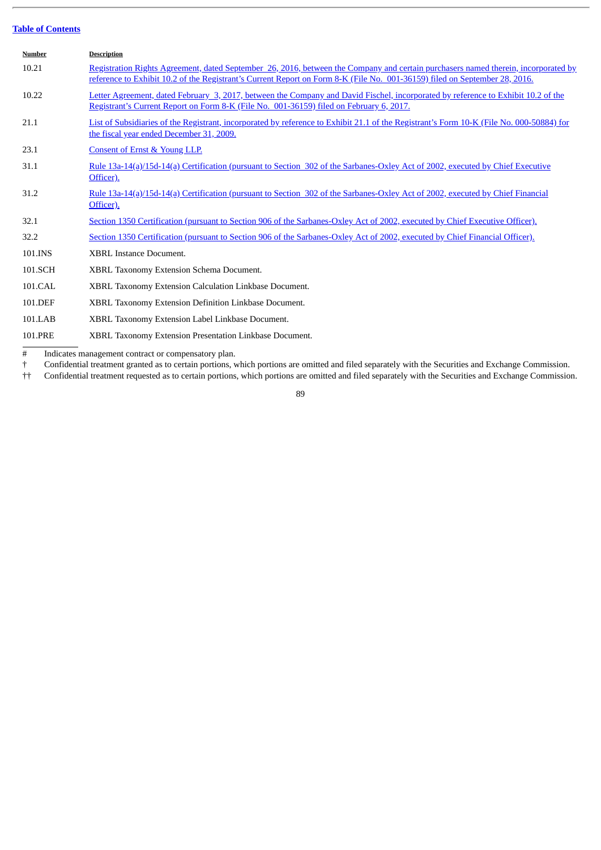| Number  | <b>Description</b>                                                                                                                                                                                                                                               |  |
|---------|------------------------------------------------------------------------------------------------------------------------------------------------------------------------------------------------------------------------------------------------------------------|--|
| 10.21   | Registration Rights Agreement, dated September 26, 2016, between the Company and certain purchasers named therein, incorporated by<br>reference to Exhibit 10.2 of the Registrant's Current Report on Form 8-K (File No. 001-36159) filed on September 28, 2016. |  |
| 10.22   | Letter Agreement, dated February 3, 2017, between the Company and David Fischel, incorporated by reference to Exhibit 10.2 of the<br>Registrant's Current Report on Form 8-K (File No. 001-36159) filed on February 6, 2017.                                     |  |
| 21.1    | List of Subsidiaries of the Registrant, incorporated by reference to Exhibit 21.1 of the Registrant's Form 10-K (File No. 000-50884) for<br>the fiscal year ended December 31, 2009.                                                                             |  |
| 23.1    | <b>Consent of Ernst &amp; Young LLP.</b>                                                                                                                                                                                                                         |  |
| 31.1    | Rule 13a-14(a)/15d-14(a) Certification (pursuant to Section 302 of the Sarbanes-Oxley Act of 2002, executed by Chief Executive<br>Officer).                                                                                                                      |  |
| 31.2    | Rule 13a-14(a)/15d-14(a) Certification (pursuant to Section 302 of the Sarbanes-Oxley Act of 2002, executed by Chief Financial<br>Officer).                                                                                                                      |  |
| 32.1    | Section 1350 Certification (pursuant to Section 906 of the Sarbanes-Oxley Act of 2002, executed by Chief Executive Officer).                                                                                                                                     |  |
| 32.2    | Section 1350 Certification (pursuant to Section 906 of the Sarbanes-Oxley Act of 2002, executed by Chief Financial Officer).                                                                                                                                     |  |
| 101.INS | <b>XBRL Instance Document.</b>                                                                                                                                                                                                                                   |  |
| 101.SCH | XBRL Taxonomy Extension Schema Document.                                                                                                                                                                                                                         |  |
| 101.CAL | XBRL Taxonomy Extension Calculation Linkbase Document.                                                                                                                                                                                                           |  |
| 101.DEF | XBRL Taxonomy Extension Definition Linkbase Document.                                                                                                                                                                                                            |  |
| 101.LAB | XBRL Taxonomy Extension Label Linkbase Document.                                                                                                                                                                                                                 |  |
| 101.PRE | XBRL Taxonomy Extension Presentation Linkbase Document.                                                                                                                                                                                                          |  |

# Indicates management contract or compensatory plan.

† Confidential treatment granted as to certain portions, which portions are omitted and filed separately with the Securities and Exchange Commission.<br>
†† Confidential treatment requested as to certain portions, which porti

†† Confidential treatment requested as to certain portions, which portions are omitted and filed separately with the Securities and Exchange Commission.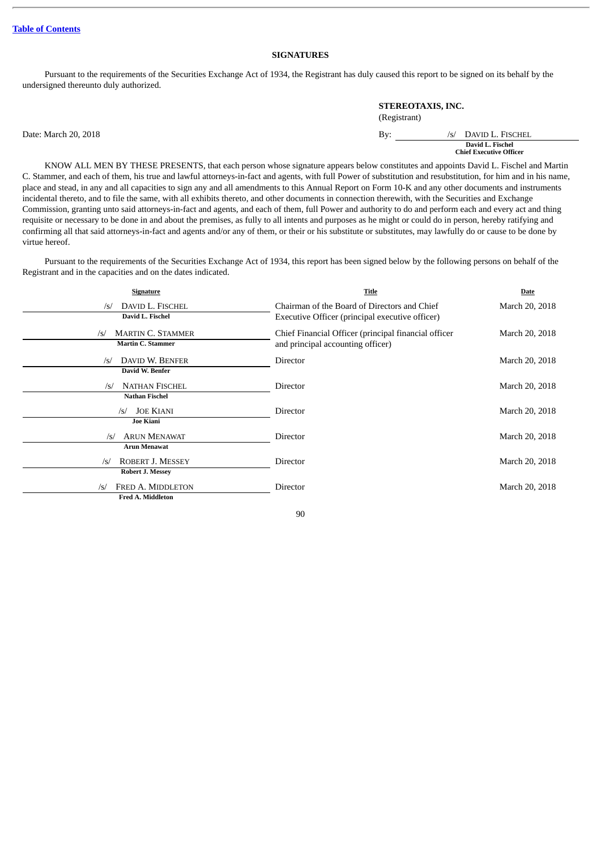## **SIGNATURES**

Pursuant to the requirements of the Securities Exchange Act of 1934, the Registrant has duly caused this report to be signed on its behalf by the undersigned thereunto duly authorized.

| STEREOTAXIS, INC. |  |
|-------------------|--|
| (Registrant)      |  |

Date: March 20, 2018 **By:** /s/ DAVID L. FISCHEL **David L. Fischel Chief Executive Officer**

KNOW ALL MEN BY THESE PRESENTS, that each person whose signature appears below constitutes and appoints David L. Fischel and Martin C. Stammer, and each of them, his true and lawful attorneys-in-fact and agents, with full Power of substitution and resubstitution, for him and in his name, place and stead, in any and all capacities to sign any and all amendments to this Annual Report on Form 10-K and any other documents and instruments incidental thereto, and to file the same, with all exhibits thereto, and other documents in connection therewith, with the Securities and Exchange Commission, granting unto said attorneys-in-fact and agents, and each of them, full Power and authority to do and perform each and every act and thing requisite or necessary to be done in and about the premises, as fully to all intents and purposes as he might or could do in person, hereby ratifying and confirming all that said attorneys-in-fact and agents and/or any of them, or their or his substitute or substitutes, may lawfully do or cause to be done by virtue hereof.

Pursuant to the requirements of the Securities Exchange Act of 1934, this report has been signed below by the following persons on behalf of the Registrant and in the capacities and on the dates indicated.

| Signature                                                    | Title                                                                                           | Date           |
|--------------------------------------------------------------|-------------------------------------------------------------------------------------------------|----------------|
| DAVID L. FISCHEL<br>$\sqrt{s}$<br>David L. Fischel           | Chairman of the Board of Directors and Chief<br>Executive Officer (principal executive officer) | March 20, 2018 |
| <b>MARTIN C. STAMMER</b><br>/s/<br><b>Martin C. Stammer</b>  | Chief Financial Officer (principal financial officer<br>and principal accounting officer)       | March 20, 2018 |
| DAVID W. BENFER<br>$\sqrt{s}$<br>David W. Benfer             | Director                                                                                        | March 20, 2018 |
| <b>NATHAN FISCHEL</b><br>$\sqrt{s}$<br><b>Nathan Fischel</b> | Director                                                                                        | March 20, 2018 |
| <b>JOE KIANI</b><br>$\sqrt{s}$<br><b>Joe Kiani</b>           | Director                                                                                        | March 20, 2018 |
| <b>ARUN MENAWAT</b><br>$\sqrt{s}$<br><b>Arun Menawat</b>     | Director                                                                                        | March 20, 2018 |
| <b>ROBERT J. MESSEY</b><br>/s/<br><b>Robert J. Messey</b>    | Director                                                                                        | March 20, 2018 |
| <b>FRED A. MIDDLETON</b><br>/s/<br>Fred A. Middleton         | Director                                                                                        | March 20, 2018 |

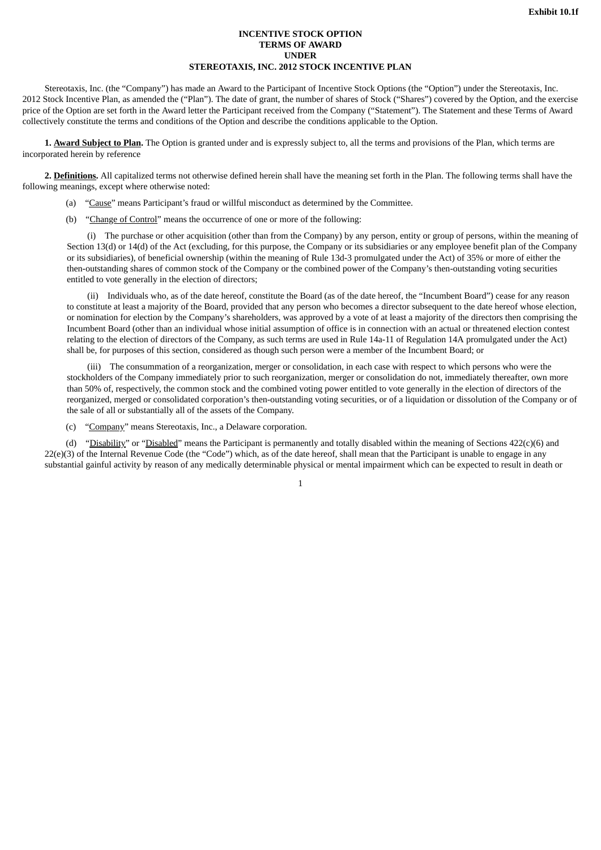## **INCENTIVE STOCK OPTION TERMS OF AWARD UNDER STEREOTAXIS, INC. 2012 STOCK INCENTIVE PLAN**

<span id="page-92-0"></span>Stereotaxis, Inc. (the "Company") has made an Award to the Participant of Incentive Stock Options (the "Option") under the Stereotaxis, Inc. 2012 Stock Incentive Plan, as amended the ("Plan"). The date of grant, the number of shares of Stock ("Shares") covered by the Option, and the exercise price of the Option are set forth in the Award letter the Participant received from the Company ("Statement"). The Statement and these Terms of Award collectively constitute the terms and conditions of the Option and describe the conditions applicable to the Option.

**1. Award Subject to Plan.** The Option is granted under and is expressly subject to, all the terms and provisions of the Plan, which terms are incorporated herein by reference

**2. Definitions.** All capitalized terms not otherwise defined herein shall have the meaning set forth in the Plan. The following terms shall have the following meanings, except where otherwise noted:

- (a) "Cause" means Participant's fraud or willful misconduct as determined by the Committee.
- (b) "Change of Control" means the occurrence of one or more of the following:

(i) The purchase or other acquisition (other than from the Company) by any person, entity or group of persons, within the meaning of Section 13(d) or 14(d) of the Act (excluding, for this purpose, the Company or its subsidiaries or any employee benefit plan of the Company or its subsidiaries), of beneficial ownership (within the meaning of Rule 13d-3 promulgated under the Act) of 35% or more of either the then-outstanding shares of common stock of the Company or the combined power of the Company's then-outstanding voting securities entitled to vote generally in the election of directors;

(ii) Individuals who, as of the date hereof, constitute the Board (as of the date hereof, the "Incumbent Board") cease for any reason to constitute at least a majority of the Board, provided that any person who becomes a director subsequent to the date hereof whose election, or nomination for election by the Company's shareholders, was approved by a vote of at least a majority of the directors then comprising the Incumbent Board (other than an individual whose initial assumption of office is in connection with an actual or threatened election contest relating to the election of directors of the Company, as such terms are used in Rule 14a-11 of Regulation 14A promulgated under the Act) shall be, for purposes of this section, considered as though such person were a member of the Incumbent Board; or

(iii) The consummation of a reorganization, merger or consolidation, in each case with respect to which persons who were the stockholders of the Company immediately prior to such reorganization, merger or consolidation do not, immediately thereafter, own more than 50% of, respectively, the common stock and the combined voting power entitled to vote generally in the election of directors of the reorganized, merged or consolidated corporation's then-outstanding voting securities, or of a liquidation or dissolution of the Company or of the sale of all or substantially all of the assets of the Company.

(c) "Company" means Stereotaxis, Inc., a Delaware corporation.

(d) "Disability" or "Disabled" means the Participant is permanently and totally disabled within the meaning of Sections 422(c)(6) and  $22(e)(3)$  of the Internal Revenue Code (the "Code") which, as of the date hereof, shall mean that the Participant is unable to engage in any substantial gainful activity by reason of any medically determinable physical or mental impairment which can be expected to result in death or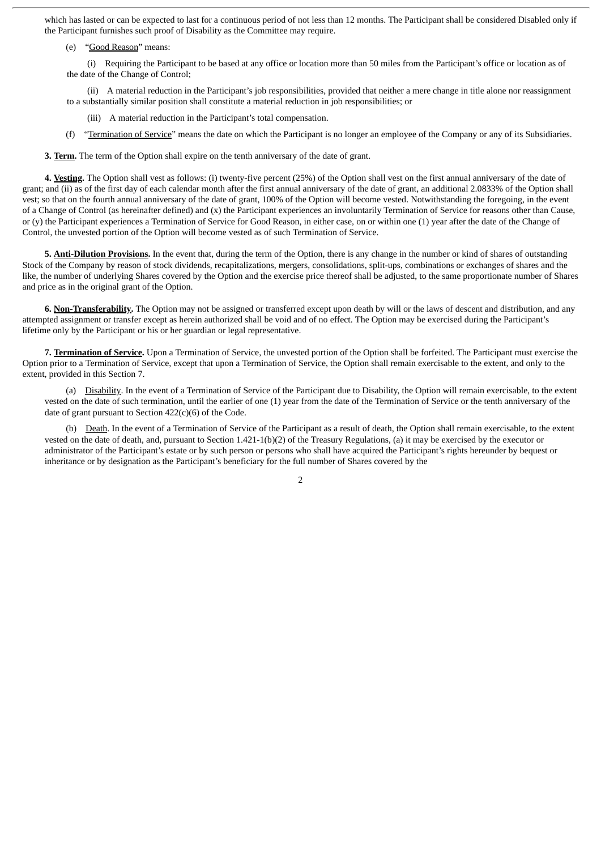which has lasted or can be expected to last for a continuous period of not less than 12 months. The Participant shall be considered Disabled only if the Participant furnishes such proof of Disability as the Committee may require.

(e) "Good Reason" means:

(i) Requiring the Participant to be based at any office or location more than 50 miles from the Participant's office or location as of the date of the Change of Control;

(ii) A material reduction in the Participant's job responsibilities, provided that neither a mere change in title alone nor reassignment to a substantially similar position shall constitute a material reduction in job responsibilities; or

- (iii) A material reduction in the Participant's total compensation.
- (f) "Termination of Service" means the date on which the Participant is no longer an employee of the Company or any of its Subsidiaries.

**3. Term.** The term of the Option shall expire on the tenth anniversary of the date of grant.

**4. Vesting.** The Option shall vest as follows: (i) twenty-five percent (25%) of the Option shall vest on the first annual anniversary of the date of grant; and (ii) as of the first day of each calendar month after the first annual anniversary of the date of grant, an additional 2.0833% of the Option shall vest; so that on the fourth annual anniversary of the date of grant, 100% of the Option will become vested. Notwithstanding the foregoing, in the event of a Change of Control (as hereinafter defined) and (x) the Participant experiences an involuntarily Termination of Service for reasons other than Cause, or (y) the Participant experiences a Termination of Service for Good Reason, in either case, on or within one (1) year after the date of the Change of Control, the unvested portion of the Option will become vested as of such Termination of Service.

**5. Anti-Dilution Provisions.** In the event that, during the term of the Option, there is any change in the number or kind of shares of outstanding Stock of the Company by reason of stock dividends, recapitalizations, mergers, consolidations, split-ups, combinations or exchanges of shares and the like, the number of underlying Shares covered by the Option and the exercise price thereof shall be adjusted, to the same proportionate number of Shares and price as in the original grant of the Option.

**6. Non-Transferability.** The Option may not be assigned or transferred except upon death by will or the laws of descent and distribution, and any attempted assignment or transfer except as herein authorized shall be void and of no effect. The Option may be exercised during the Participant's lifetime only by the Participant or his or her guardian or legal representative.

**7. Termination of Service.** Upon a Termination of Service, the unvested portion of the Option shall be forfeited. The Participant must exercise the Option prior to a Termination of Service, except that upon a Termination of Service, the Option shall remain exercisable to the extent, and only to the extent, provided in this Section 7.

(a) Disability. In the event of a Termination of Service of the Participant due to Disability, the Option will remain exercisable, to the extent vested on the date of such termination, until the earlier of one (1) year from the date of the Termination of Service or the tenth anniversary of the date of grant pursuant to Section 422(c)(6) of the Code.

(b) Death. In the event of a Termination of Service of the Participant as a result of death, the Option shall remain exercisable, to the extent vested on the date of death, and, pursuant to Section 1.421-1(b)(2) of the Treasury Regulations, (a) it may be exercised by the executor or administrator of the Participant's estate or by such person or persons who shall have acquired the Participant's rights hereunder by bequest or inheritance or by designation as the Participant's beneficiary for the full number of Shares covered by the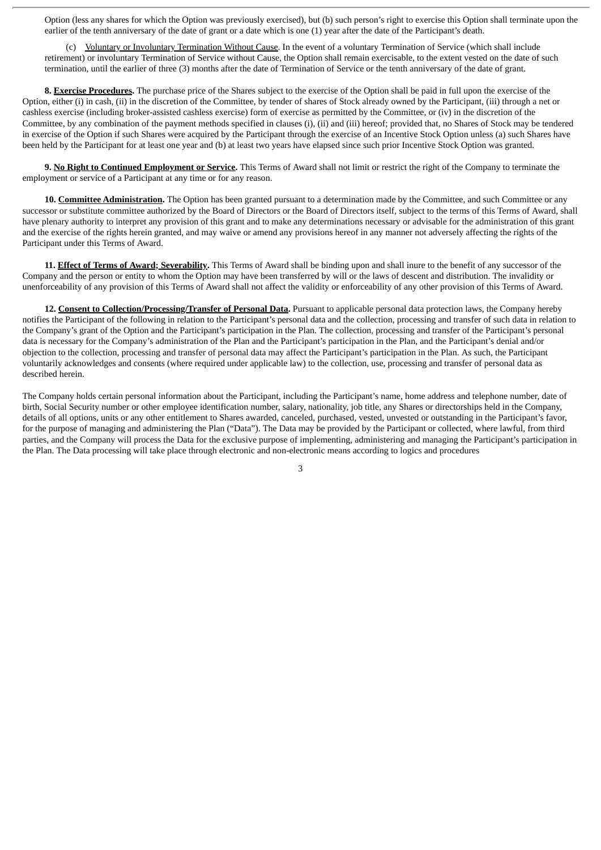Option (less any shares for which the Option was previously exercised), but (b) such person's right to exercise this Option shall terminate upon the earlier of the tenth anniversary of the date of grant or a date which is one (1) year after the date of the Participant's death.

(c) Voluntary or Involuntary Termination Without Cause. In the event of a voluntary Termination of Service (which shall include retirement) or involuntary Termination of Service without Cause, the Option shall remain exercisable, to the extent vested on the date of such termination, until the earlier of three (3) months after the date of Termination of Service or the tenth anniversary of the date of grant.

**8. Exercise Procedures.** The purchase price of the Shares subject to the exercise of the Option shall be paid in full upon the exercise of the Option, either (i) in cash, (ii) in the discretion of the Committee, by tender of shares of Stock already owned by the Participant, (iii) through a net or cashless exercise (including broker-assisted cashless exercise) form of exercise as permitted by the Committee, or (iv) in the discretion of the Committee, by any combination of the payment methods specified in clauses (i), (ii) and (iii) hereof; provided that, no Shares of Stock may be tendered in exercise of the Option if such Shares were acquired by the Participant through the exercise of an Incentive Stock Option unless (a) such Shares have been held by the Participant for at least one year and (b) at least two years have elapsed since such prior Incentive Stock Option was granted.

**9. No Right to Continued Employment or Service.** This Terms of Award shall not limit or restrict the right of the Company to terminate the employment or service of a Participant at any time or for any reason.

**10. Committee Administration.** The Option has been granted pursuant to a determination made by the Committee, and such Committee or any successor or substitute committee authorized by the Board of Directors or the Board of Directors itself, subject to the terms of this Terms of Award, shall have plenary authority to interpret any provision of this grant and to make any determinations necessary or advisable for the administration of this grant and the exercise of the rights herein granted, and may waive or amend any provisions hereof in any manner not adversely affecting the rights of the Participant under this Terms of Award.

**11. Effect of Terms of Award; Severability.** This Terms of Award shall be binding upon and shall inure to the benefit of any successor of the Company and the person or entity to whom the Option may have been transferred by will or the laws of descent and distribution. The invalidity or unenforceability of any provision of this Terms of Award shall not affect the validity or enforceability of any other provision of this Terms of Award.

**12. Consent to Collection/Processing/Transfer of Personal Data.** Pursuant to applicable personal data protection laws, the Company hereby notifies the Participant of the following in relation to the Participant's personal data and the collection, processing and transfer of such data in relation to the Company's grant of the Option and the Participant's participation in the Plan. The collection, processing and transfer of the Participant's personal data is necessary for the Company's administration of the Plan and the Participant's participation in the Plan, and the Participant's denial and/or objection to the collection, processing and transfer of personal data may affect the Participant's participation in the Plan. As such, the Participant voluntarily acknowledges and consents (where required under applicable law) to the collection, use, processing and transfer of personal data as described herein.

The Company holds certain personal information about the Participant, including the Participant's name, home address and telephone number, date of birth, Social Security number or other employee identification number, salary, nationality, job title, any Shares or directorships held in the Company, details of all options, units or any other entitlement to Shares awarded, canceled, purchased, vested, unvested or outstanding in the Participant's favor, for the purpose of managing and administering the Plan ("Data"). The Data may be provided by the Participant or collected, where lawful, from third parties, and the Company will process the Data for the exclusive purpose of implementing, administering and managing the Participant's participation in the Plan. The Data processing will take place through electronic and non-electronic means according to logics and procedures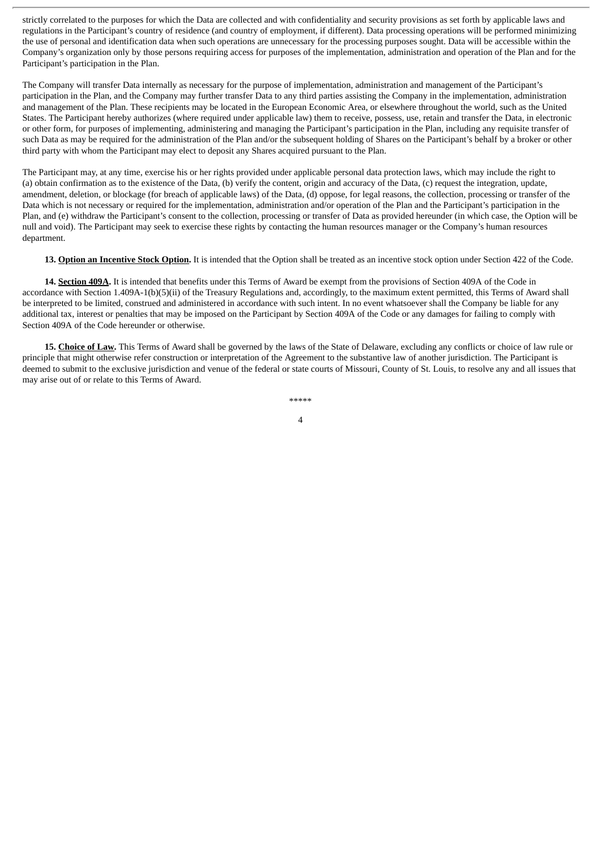strictly correlated to the purposes for which the Data are collected and with confidentiality and security provisions as set forth by applicable laws and regulations in the Participant's country of residence (and country of employment, if different). Data processing operations will be performed minimizing the use of personal and identification data when such operations are unnecessary for the processing purposes sought. Data will be accessible within the Company's organization only by those persons requiring access for purposes of the implementation, administration and operation of the Plan and for the Participant's participation in the Plan.

The Company will transfer Data internally as necessary for the purpose of implementation, administration and management of the Participant's participation in the Plan, and the Company may further transfer Data to any third parties assisting the Company in the implementation, administration and management of the Plan. These recipients may be located in the European Economic Area, or elsewhere throughout the world, such as the United States. The Participant hereby authorizes (where required under applicable law) them to receive, possess, use, retain and transfer the Data, in electronic or other form, for purposes of implementing, administering and managing the Participant's participation in the Plan, including any requisite transfer of such Data as may be required for the administration of the Plan and/or the subsequent holding of Shares on the Participant's behalf by a broker or other third party with whom the Participant may elect to deposit any Shares acquired pursuant to the Plan.

The Participant may, at any time, exercise his or her rights provided under applicable personal data protection laws, which may include the right to (a) obtain confirmation as to the existence of the Data, (b) verify the content, origin and accuracy of the Data, (c) request the integration, update, amendment, deletion, or blockage (for breach of applicable laws) of the Data, (d) oppose, for legal reasons, the collection, processing or transfer of the Data which is not necessary or required for the implementation, administration and/or operation of the Plan and the Participant's participation in the Plan, and (e) withdraw the Participant's consent to the collection, processing or transfer of Data as provided hereunder (in which case, the Option will be null and void). The Participant may seek to exercise these rights by contacting the human resources manager or the Company's human resources department.

**13. Option an Incentive Stock Option.** It is intended that the Option shall be treated as an incentive stock option under Section 422 of the Code.

**14. Section 409A.** It is intended that benefits under this Terms of Award be exempt from the provisions of Section 409A of the Code in accordance with Section 1.409A-1(b)(5)(ii) of the Treasury Regulations and, accordingly, to the maximum extent permitted, this Terms of Award shall be interpreted to be limited, construed and administered in accordance with such intent. In no event whatsoever shall the Company be liable for any additional tax, interest or penalties that may be imposed on the Participant by Section 409A of the Code or any damages for failing to comply with Section 409A of the Code hereunder or otherwise.

**15. Choice of Law.** This Terms of Award shall be governed by the laws of the State of Delaware, excluding any conflicts or choice of law rule or principle that might otherwise refer construction or interpretation of the Agreement to the substantive law of another jurisdiction. The Participant is deemed to submit to the exclusive jurisdiction and venue of the federal or state courts of Missouri, County of St. Louis, to resolve any and all issues that may arise out of or relate to this Terms of Award.

\*\*\*\*\*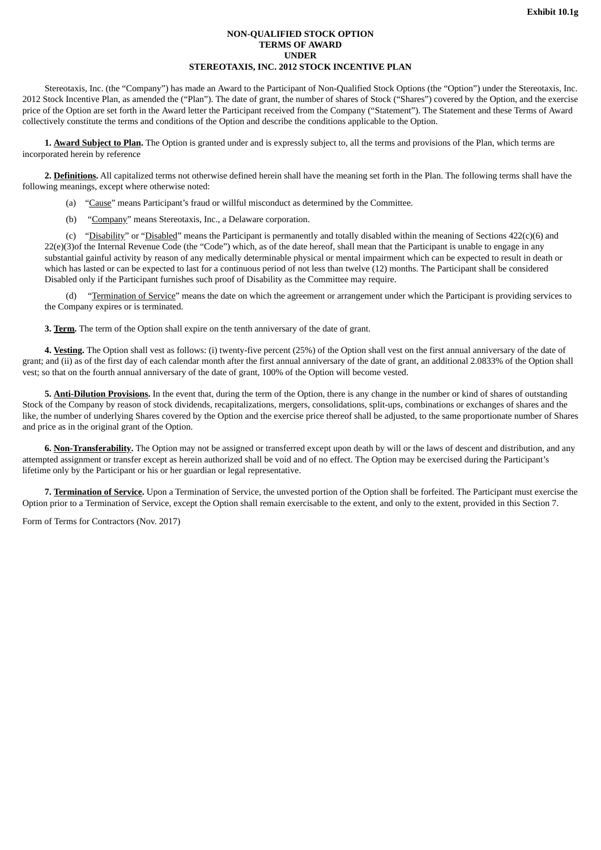### **NON-QUALIFIED STOCK OPTION TERMS OF AWARD UNDER STEREOTAXIS, INC. 2012 STOCK INCENTIVE PLAN**

<span id="page-96-0"></span>Stereotaxis, Inc. (the "Company") has made an Award to the Participant of Non-Qualified Stock Options (the "Option") under the Stereotaxis, Inc. 2012 Stock Incentive Plan, as amended the ("Plan"). The date of grant, the number of shares of Stock ("Shares") covered by the Option, and the exercise price of the Option are set forth in the Award letter the Participant received from the Company ("Statement"). The Statement and these Terms of Award collectively constitute the terms and conditions of the Option and describe the conditions applicable to the Option.

**1. Award Subject to Plan.** The Option is granted under and is expressly subject to, all the terms and provisions of the Plan, which terms are incorporated herein by reference

**2. Definitions.** All capitalized terms not otherwise defined herein shall have the meaning set forth in the Plan. The following terms shall have the following meanings, except where otherwise noted:

- (a) "Cause" means Participant's fraud or willful misconduct as determined by the Committee.
- (b) "Company" means Stereotaxis, Inc., a Delaware corporation.

(c) "Disability" or "Disabled" means the Participant is permanently and totally disabled within the meaning of Sections 422(c)(6) and  $22(e)(3)$  of the Internal Revenue Code (the "Code") which, as of the date hereof, shall mean that the Participant is unable to engage in any substantial gainful activity by reason of any medically determinable physical or mental impairment which can be expected to result in death or which has lasted or can be expected to last for a continuous period of not less than twelve (12) months. The Participant shall be considered Disabled only if the Participant furnishes such proof of Disability as the Committee may require.

(d) "Termination of Service" means the date on which the agreement or arrangement under which the Participant is providing services to the Company expires or is terminated.

**3. Term.** The term of the Option shall expire on the tenth anniversary of the date of grant.

**4. Vesting.** The Option shall vest as follows: (i) twenty-five percent (25%) of the Option shall vest on the first annual anniversary of the date of grant; and (ii) as of the first day of each calendar month after the first annual anniversary of the date of grant, an additional 2.0833% of the Option shall vest; so that on the fourth annual anniversary of the date of grant, 100% of the Option will become vested.

**5. Anti-Dilution Provisions.** In the event that, during the term of the Option, there is any change in the number or kind of shares of outstanding Stock of the Company by reason of stock dividends, recapitalizations, mergers, consolidations, split-ups, combinations or exchanges of shares and the like, the number of underlying Shares covered by the Option and the exercise price thereof shall be adjusted, to the same proportionate number of Shares and price as in the original grant of the Option.

**6. Non-Transferability.** The Option may not be assigned or transferred except upon death by will or the laws of descent and distribution, and any attempted assignment or transfer except as herein authorized shall be void and of no effect. The Option may be exercised during the Participant's lifetime only by the Participant or his or her guardian or legal representative.

**7. Termination of Service.** Upon a Termination of Service, the unvested portion of the Option shall be forfeited. The Participant must exercise the Option prior to a Termination of Service, except the Option shall remain exercisable to the extent, and only to the extent, provided in this Section 7.

Form of Terms for Contractors (Nov. 2017)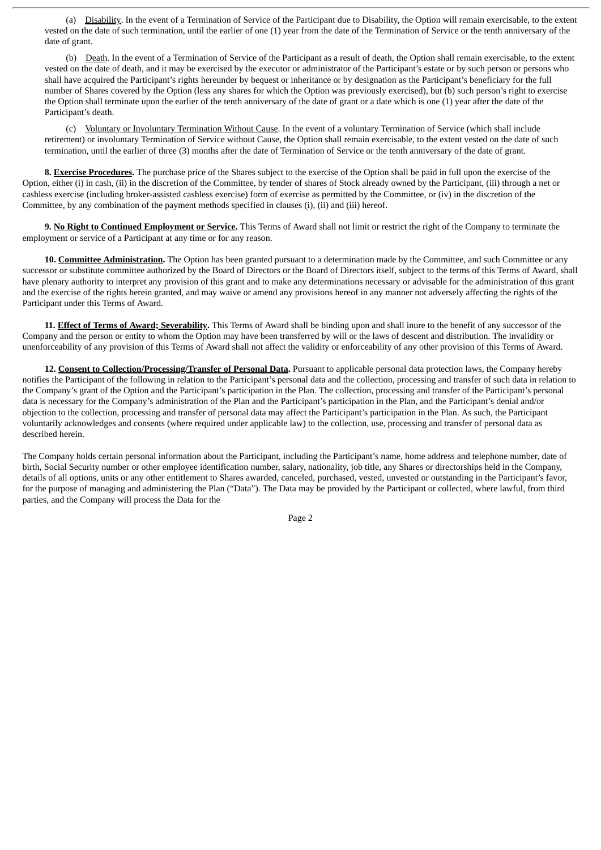(a) Disability. In the event of a Termination of Service of the Participant due to Disability, the Option will remain exercisable, to the extent vested on the date of such termination, until the earlier of one (1) year from the date of the Termination of Service or the tenth anniversary of the date of grant.

(b) Death. In the event of a Termination of Service of the Participant as a result of death, the Option shall remain exercisable, to the extent vested on the date of death, and it may be exercised by the executor or administrator of the Participant's estate or by such person or persons who shall have acquired the Participant's rights hereunder by bequest or inheritance or by designation as the Participant's beneficiary for the full number of Shares covered by the Option (less any shares for which the Option was previously exercised), but (b) such person's right to exercise the Option shall terminate upon the earlier of the tenth anniversary of the date of grant or a date which is one (1) year after the date of the Participant's death.

(c) Voluntary or Involuntary Termination Without Cause. In the event of a voluntary Termination of Service (which shall include retirement) or involuntary Termination of Service without Cause, the Option shall remain exercisable, to the extent vested on the date of such termination, until the earlier of three (3) months after the date of Termination of Service or the tenth anniversary of the date of grant.

**8. Exercise Procedures.** The purchase price of the Shares subject to the exercise of the Option shall be paid in full upon the exercise of the Option, either (i) in cash, (ii) in the discretion of the Committee, by tender of shares of Stock already owned by the Participant, (iii) through a net or cashless exercise (including broker-assisted cashless exercise) form of exercise as permitted by the Committee, or (iv) in the discretion of the Committee, by any combination of the payment methods specified in clauses (i), (ii) and (iii) hereof.

**9. No Right to Continued Employment or Service.** This Terms of Award shall not limit or restrict the right of the Company to terminate the employment or service of a Participant at any time or for any reason.

**10. Committee Administration.** The Option has been granted pursuant to a determination made by the Committee, and such Committee or any successor or substitute committee authorized by the Board of Directors or the Board of Directors itself, subject to the terms of this Terms of Award, shall have plenary authority to interpret any provision of this grant and to make any determinations necessary or advisable for the administration of this grant and the exercise of the rights herein granted, and may waive or amend any provisions hereof in any manner not adversely affecting the rights of the Participant under this Terms of Award.

**11. Effect of Terms of Award; Severability.** This Terms of Award shall be binding upon and shall inure to the benefit of any successor of the Company and the person or entity to whom the Option may have been transferred by will or the laws of descent and distribution. The invalidity or unenforceability of any provision of this Terms of Award shall not affect the validity or enforceability of any other provision of this Terms of Award.

**12. Consent to Collection/Processing/Transfer of Personal Data.** Pursuant to applicable personal data protection laws, the Company hereby notifies the Participant of the following in relation to the Participant's personal data and the collection, processing and transfer of such data in relation to the Company's grant of the Option and the Participant's participation in the Plan. The collection, processing and transfer of the Participant's personal data is necessary for the Company's administration of the Plan and the Participant's participation in the Plan, and the Participant's denial and/or objection to the collection, processing and transfer of personal data may affect the Participant's participation in the Plan. As such, the Participant voluntarily acknowledges and consents (where required under applicable law) to the collection, use, processing and transfer of personal data as described herein.

The Company holds certain personal information about the Participant, including the Participant's name, home address and telephone number, date of birth, Social Security number or other employee identification number, salary, nationality, job title, any Shares or directorships held in the Company, details of all options, units or any other entitlement to Shares awarded, canceled, purchased, vested, unvested or outstanding in the Participant's favor, for the purpose of managing and administering the Plan ("Data"). The Data may be provided by the Participant or collected, where lawful, from third parties, and the Company will process the Data for the

Page 2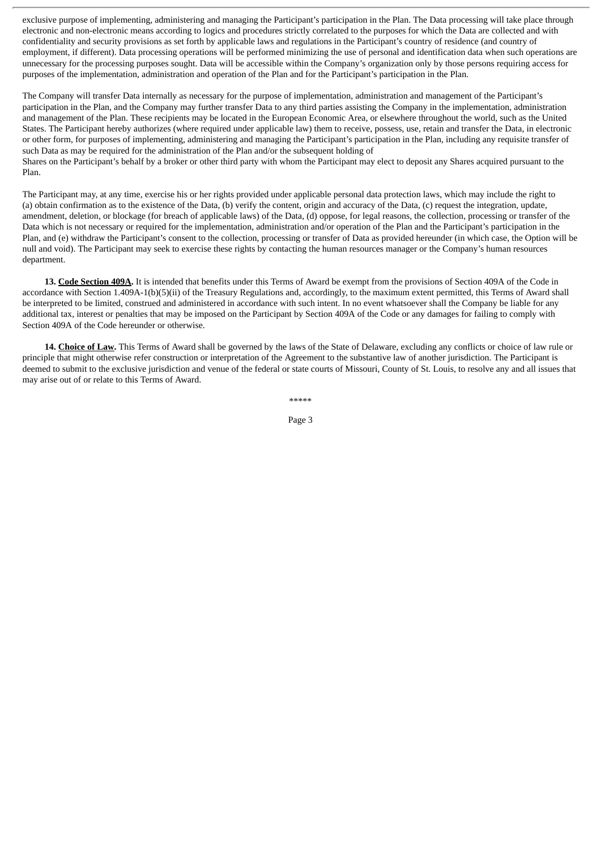exclusive purpose of implementing, administering and managing the Participant's participation in the Plan. The Data processing will take place through electronic and non-electronic means according to logics and procedures strictly correlated to the purposes for which the Data are collected and with confidentiality and security provisions as set forth by applicable laws and regulations in the Participant's country of residence (and country of employment, if different). Data processing operations will be performed minimizing the use of personal and identification data when such operations are unnecessary for the processing purposes sought. Data will be accessible within the Company's organization only by those persons requiring access for purposes of the implementation, administration and operation of the Plan and for the Participant's participation in the Plan.

The Company will transfer Data internally as necessary for the purpose of implementation, administration and management of the Participant's participation in the Plan, and the Company may further transfer Data to any third parties assisting the Company in the implementation, administration and management of the Plan. These recipients may be located in the European Economic Area, or elsewhere throughout the world, such as the United States. The Participant hereby authorizes (where required under applicable law) them to receive, possess, use, retain and transfer the Data, in electronic or other form, for purposes of implementing, administering and managing the Participant's participation in the Plan, including any requisite transfer of such Data as may be required for the administration of the Plan and/or the subsequent holding of

Shares on the Participant's behalf by a broker or other third party with whom the Participant may elect to deposit any Shares acquired pursuant to the Plan.

The Participant may, at any time, exercise his or her rights provided under applicable personal data protection laws, which may include the right to (a) obtain confirmation as to the existence of the Data, (b) verify the content, origin and accuracy of the Data, (c) request the integration, update, amendment, deletion, or blockage (for breach of applicable laws) of the Data, (d) oppose, for legal reasons, the collection, processing or transfer of the Data which is not necessary or required for the implementation, administration and/or operation of the Plan and the Participant's participation in the Plan, and (e) withdraw the Participant's consent to the collection, processing or transfer of Data as provided hereunder (in which case, the Option will be null and void). The Participant may seek to exercise these rights by contacting the human resources manager or the Company's human resources department.

**13. Code Section 409A.** It is intended that benefits under this Terms of Award be exempt from the provisions of Section 409A of the Code in accordance with Section 1.409A-1(b)(5)(ii) of the Treasury Regulations and, accordingly, to the maximum extent permitted, this Terms of Award shall be interpreted to be limited, construed and administered in accordance with such intent. In no event whatsoever shall the Company be liable for any additional tax, interest or penalties that may be imposed on the Participant by Section 409A of the Code or any damages for failing to comply with Section 409A of the Code hereunder or otherwise.

**14. Choice of Law.** This Terms of Award shall be governed by the laws of the State of Delaware, excluding any conflicts or choice of law rule or principle that might otherwise refer construction or interpretation of the Agreement to the substantive law of another jurisdiction. The Participant is deemed to submit to the exclusive jurisdiction and venue of the federal or state courts of Missouri, County of St. Louis, to resolve any and all issues that may arise out of or relate to this Terms of Award.

\*\*\*\*\*

Page 3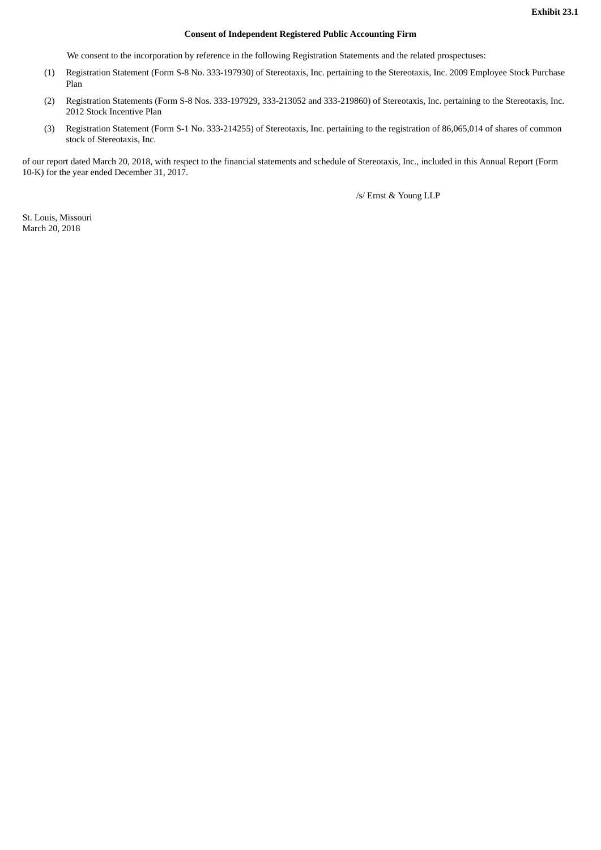## **Consent of Independent Registered Public Accounting Firm**

We consent to the incorporation by reference in the following Registration Statements and the related prospectuses:

- <span id="page-99-0"></span>(1) Registration Statement (Form S-8 No. 333-197930) of Stereotaxis, Inc. pertaining to the Stereotaxis, Inc. 2009 Employee Stock Purchase Plan
- (2) Registration Statements (Form S-8 Nos. 333-197929, 333-213052 and 333-219860) of Stereotaxis, Inc. pertaining to the Stereotaxis, Inc. 2012 Stock Incentive Plan
- (3) Registration Statement (Form S-1 No. 333-214255) of Stereotaxis, Inc. pertaining to the registration of 86,065,014 of shares of common stock of Stereotaxis, Inc.

of our report dated March 20, 2018, with respect to the financial statements and schedule of Stereotaxis, Inc., included in this Annual Report (Form 10-K) for the year ended December 31, 2017.

/s/ Ernst & Young LLP

St. Louis, Missouri March 20, 2018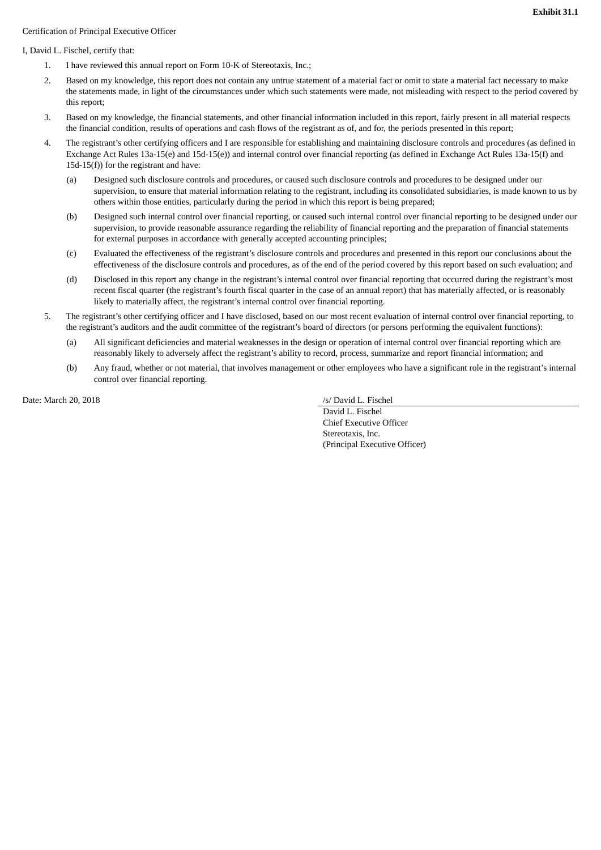# <span id="page-100-0"></span>Certification of Principal Executive Officer

### I, David L. Fischel, certify that:

- 1. I have reviewed this annual report on Form 10-K of Stereotaxis, Inc.;
- 2. Based on my knowledge, this report does not contain any untrue statement of a material fact or omit to state a material fact necessary to make the statements made, in light of the circumstances under which such statements were made, not misleading with respect to the period covered by this report;
- 3. Based on my knowledge, the financial statements, and other financial information included in this report, fairly present in all material respects the financial condition, results of operations and cash flows of the registrant as of, and for, the periods presented in this report;
- 4. The registrant's other certifying officers and I are responsible for establishing and maintaining disclosure controls and procedures (as defined in Exchange Act Rules 13a-15(e) and 15d-15(e)) and internal control over financial reporting (as defined in Exchange Act Rules 13a-15(f) and 15d-15(f)) for the registrant and have:
	- (a) Designed such disclosure controls and procedures, or caused such disclosure controls and procedures to be designed under our supervision, to ensure that material information relating to the registrant, including its consolidated subsidiaries, is made known to us by others within those entities, particularly during the period in which this report is being prepared;
	- (b) Designed such internal control over financial reporting, or caused such internal control over financial reporting to be designed under our supervision, to provide reasonable assurance regarding the reliability of financial reporting and the preparation of financial statements for external purposes in accordance with generally accepted accounting principles;
	- (c) Evaluated the effectiveness of the registrant's disclosure controls and procedures and presented in this report our conclusions about the effectiveness of the disclosure controls and procedures, as of the end of the period covered by this report based on such evaluation; and
	- (d) Disclosed in this report any change in the registrant's internal control over financial reporting that occurred during the registrant's most recent fiscal quarter (the registrant's fourth fiscal quarter in the case of an annual report) that has materially affected, or is reasonably likely to materially affect, the registrant's internal control over financial reporting.
- 5. The registrant's other certifying officer and I have disclosed, based on our most recent evaluation of internal control over financial reporting, to the registrant's auditors and the audit committee of the registrant's board of directors (or persons performing the equivalent functions):
	- (a) All significant deficiencies and material weaknesses in the design or operation of internal control over financial reporting which are reasonably likely to adversely affect the registrant's ability to record, process, summarize and report financial information; and
	- (b) Any fraud, whether or not material, that involves management or other employees who have a significant role in the registrant's internal control over financial reporting.

Date: March 20, 2018 /s/ David L. Fischel

David L. Fischel Chief Executive Officer Stereotaxis, Inc. (Principal Executive Officer)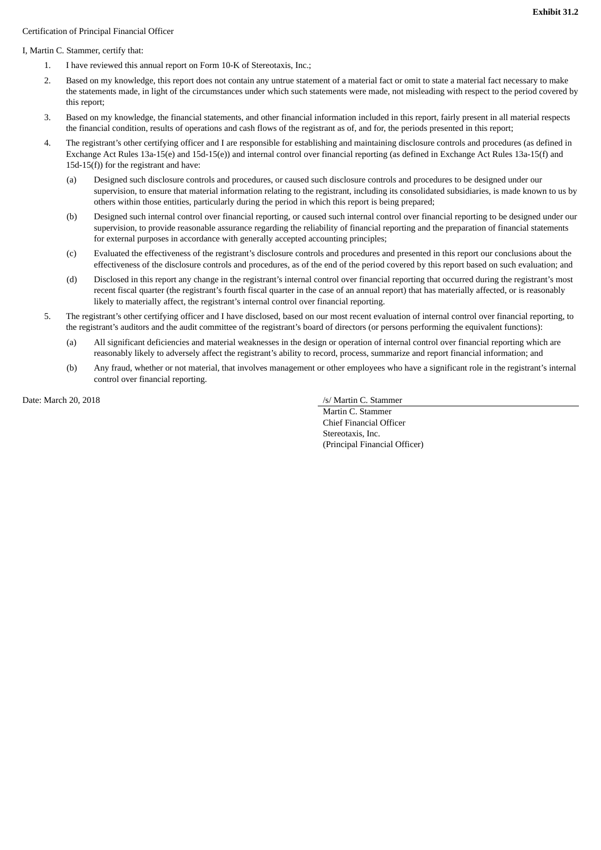# <span id="page-101-0"></span>Certification of Principal Financial Officer

## I, Martin C. Stammer, certify that:

- 1. I have reviewed this annual report on Form 10-K of Stereotaxis, Inc.;
- 2. Based on my knowledge, this report does not contain any untrue statement of a material fact or omit to state a material fact necessary to make the statements made, in light of the circumstances under which such statements were made, not misleading with respect to the period covered by this report;
- 3. Based on my knowledge, the financial statements, and other financial information included in this report, fairly present in all material respects the financial condition, results of operations and cash flows of the registrant as of, and for, the periods presented in this report;
- 4. The registrant's other certifying officer and I are responsible for establishing and maintaining disclosure controls and procedures (as defined in Exchange Act Rules 13a-15(e) and 15d-15(e)) and internal control over financial reporting (as defined in Exchange Act Rules 13a-15(f) and 15d-15(f)) for the registrant and have:
	- (a) Designed such disclosure controls and procedures, or caused such disclosure controls and procedures to be designed under our supervision, to ensure that material information relating to the registrant, including its consolidated subsidiaries, is made known to us by others within those entities, particularly during the period in which this report is being prepared;
	- (b) Designed such internal control over financial reporting, or caused such internal control over financial reporting to be designed under our supervision, to provide reasonable assurance regarding the reliability of financial reporting and the preparation of financial statements for external purposes in accordance with generally accepted accounting principles;
	- (c) Evaluated the effectiveness of the registrant's disclosure controls and procedures and presented in this report our conclusions about the effectiveness of the disclosure controls and procedures, as of the end of the period covered by this report based on such evaluation; and
	- (d) Disclosed in this report any change in the registrant's internal control over financial reporting that occurred during the registrant's most recent fiscal quarter (the registrant's fourth fiscal quarter in the case of an annual report) that has materially affected, or is reasonably likely to materially affect, the registrant's internal control over financial reporting.
- 5. The registrant's other certifying officer and I have disclosed, based on our most recent evaluation of internal control over financial reporting, to the registrant's auditors and the audit committee of the registrant's board of directors (or persons performing the equivalent functions):
	- (a) All significant deficiencies and material weaknesses in the design or operation of internal control over financial reporting which are reasonably likely to adversely affect the registrant's ability to record, process, summarize and report financial information; and
	- (b) Any fraud, whether or not material, that involves management or other employees who have a significant role in the registrant's internal control over financial reporting.

Date: March 20, 2018 /s/ Martin C. Stammer

Martin C. Stammer Chief Financial Officer Stereotaxis, Inc. (Principal Financial Officer)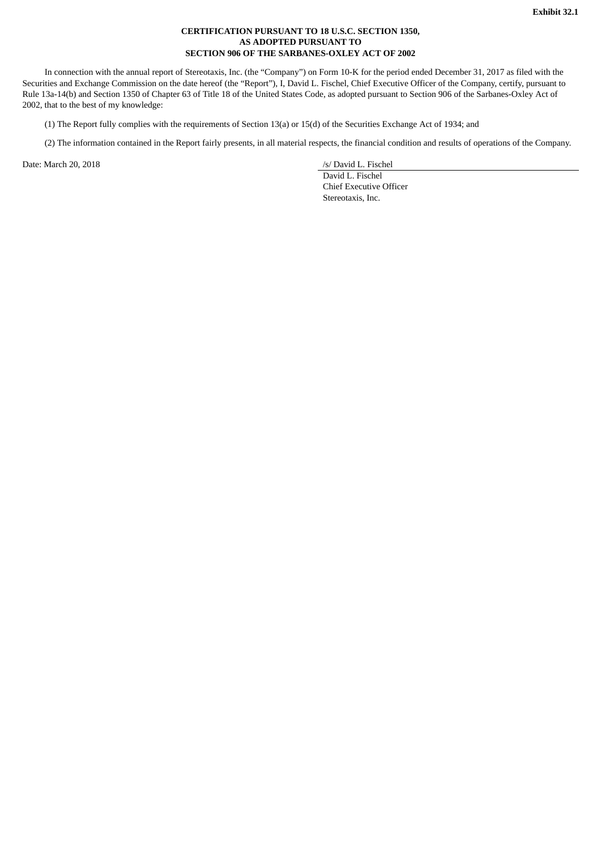## **CERTIFICATION PURSUANT TO 18 U.S.C. SECTION 1350, AS ADOPTED PURSUANT TO SECTION 906 OF THE SARBANES-OXLEY ACT OF 2002**

<span id="page-102-0"></span>In connection with the annual report of Stereotaxis, Inc. (the "Company") on Form 10-K for the period ended December 31, 2017 as filed with the Securities and Exchange Commission on the date hereof (the "Report"), I, David L. Fischel, Chief Executive Officer of the Company, certify, pursuant to Rule 13a-14(b) and Section 1350 of Chapter 63 of Title 18 of the United States Code, as adopted pursuant to Section 906 of the Sarbanes-Oxley Act of 2002, that to the best of my knowledge:

(1) The Report fully complies with the requirements of Section 13(a) or 15(d) of the Securities Exchange Act of 1934; and

(2) The information contained in the Report fairly presents, in all material respects, the financial condition and results of operations of the Company.

Date: March 20, 2018 */s/ David L. Fischel /s/ David L. Fischel* 

David L. Fischel Chief Executive Officer Stereotaxis, Inc.